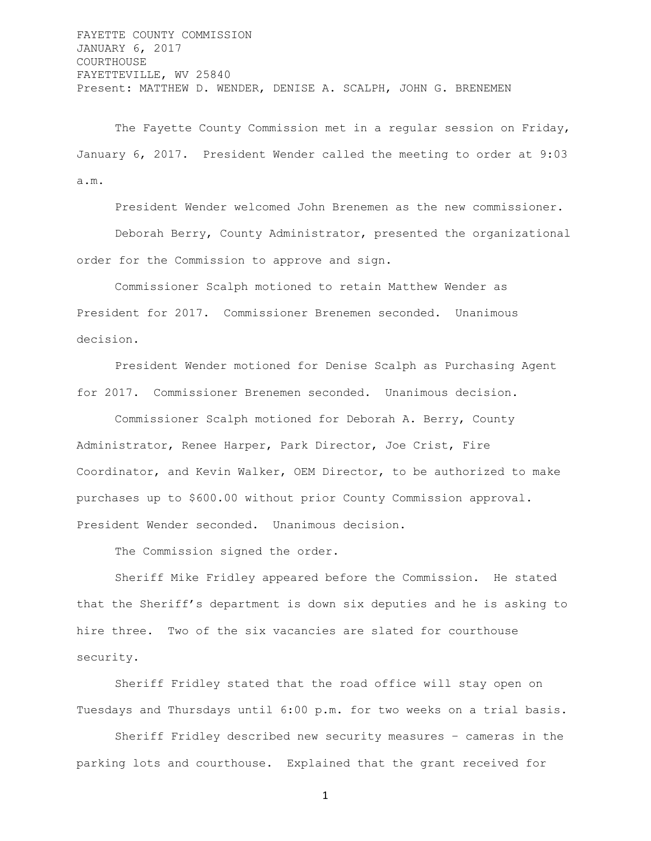FAYETTE COUNTY COMMISSION JANUARY 6, 2017 COURTHOUSE FAYETTEVILLE, WV 25840 Present: MATTHEW D. WENDER, DENISE A. SCALPH, JOHN G. BRENEMEN

The Fayette County Commission met in a regular session on Friday, January 6, 2017. President Wender called the meeting to order at 9:03 a.m.

President Wender welcomed John Brenemen as the new commissioner. Deborah Berry, County Administrator, presented the organizational order for the Commission to approve and sign.

Commissioner Scalph motioned to retain Matthew Wender as President for 2017. Commissioner Brenemen seconded. Unanimous decision.

President Wender motioned for Denise Scalph as Purchasing Agent for 2017. Commissioner Brenemen seconded. Unanimous decision.

Commissioner Scalph motioned for Deborah A. Berry, County Administrator, Renee Harper, Park Director, Joe Crist, Fire Coordinator, and Kevin Walker, OEM Director, to be authorized to make purchases up to \$600.00 without prior County Commission approval. President Wender seconded. Unanimous decision.

The Commission signed the order.

Sheriff Mike Fridley appeared before the Commission. He stated that the Sheriff's department is down six deputies and he is asking to hire three. Two of the six vacancies are slated for courthouse security.

Sheriff Fridley stated that the road office will stay open on Tuesdays and Thursdays until 6:00 p.m. for two weeks on a trial basis.

Sheriff Fridley described new security measures – cameras in the parking lots and courthouse. Explained that the grant received for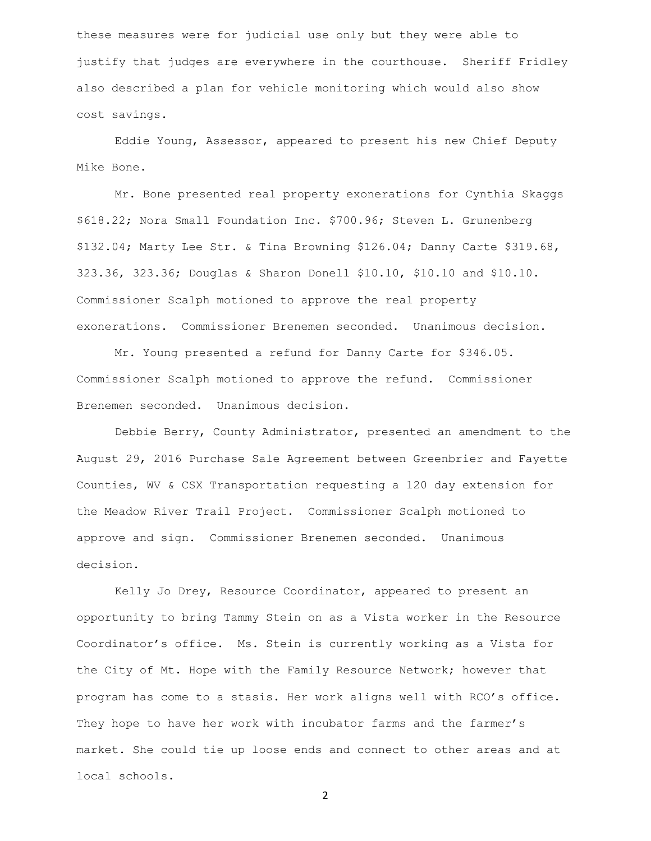these measures were for judicial use only but they were able to justify that judges are everywhere in the courthouse. Sheriff Fridley also described a plan for vehicle monitoring which would also show cost savings.

Eddie Young, Assessor, appeared to present his new Chief Deputy Mike Bone.

Mr. Bone presented real property exonerations for Cynthia Skaggs \$618.22; Nora Small Foundation Inc. \$700.96; Steven L. Grunenberg \$132.04; Marty Lee Str. & Tina Browning \$126.04; Danny Carte \$319.68, 323.36, 323.36; Douglas & Sharon Donell \$10.10, \$10.10 and \$10.10. Commissioner Scalph motioned to approve the real property exonerations. Commissioner Brenemen seconded. Unanimous decision.

Mr. Young presented a refund for Danny Carte for \$346.05. Commissioner Scalph motioned to approve the refund. Commissioner Brenemen seconded. Unanimous decision.

Debbie Berry, County Administrator, presented an amendment to the August 29, 2016 Purchase Sale Agreement between Greenbrier and Fayette Counties, WV & CSX Transportation requesting a 120 day extension for the Meadow River Trail Project. Commissioner Scalph motioned to approve and sign. Commissioner Brenemen seconded. Unanimous decision.

Kelly Jo Drey, Resource Coordinator, appeared to present an opportunity to bring Tammy Stein on as a Vista worker in the Resource Coordinator's office. Ms. Stein is currently working as a Vista for the City of Mt. Hope with the Family Resource Network; however that program has come to a stasis. Her work aligns well with RCO's office. They hope to have her work with incubator farms and the farmer's market. She could tie up loose ends and connect to other areas and at local schools.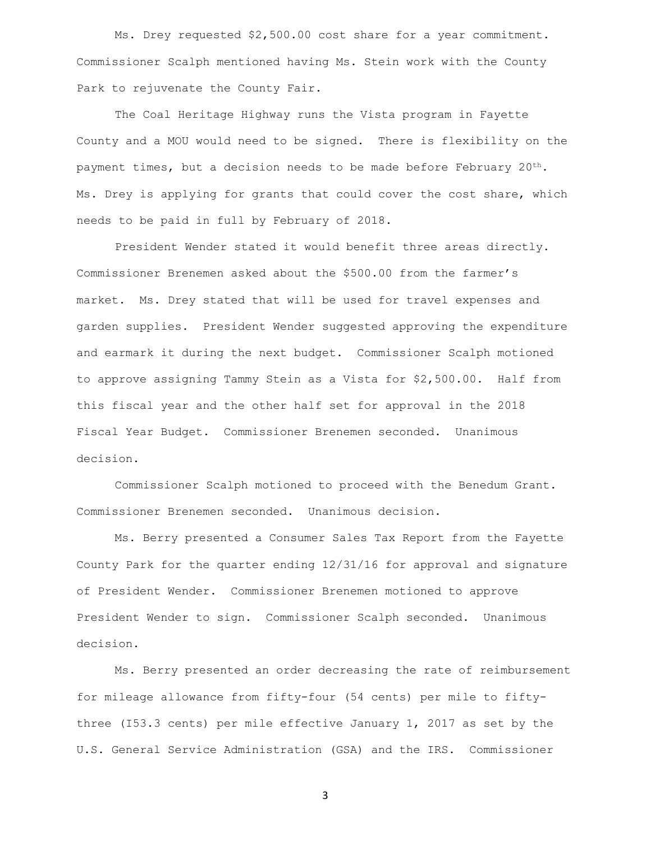Ms. Drey requested \$2,500.00 cost share for a year commitment. Commissioner Scalph mentioned having Ms. Stein work with the County Park to rejuvenate the County Fair.

The Coal Heritage Highway runs the Vista program in Fayette County and a MOU would need to be signed. There is flexibility on the payment times, but a decision needs to be made before February  $20^{th}$ . Ms. Drey is applying for grants that could cover the cost share, which needs to be paid in full by February of 2018.

President Wender stated it would benefit three areas directly. Commissioner Brenemen asked about the \$500.00 from the farmer's market. Ms. Drey stated that will be used for travel expenses and garden supplies. President Wender suggested approving the expenditure and earmark it during the next budget. Commissioner Scalph motioned to approve assigning Tammy Stein as a Vista for \$2,500.00. Half from this fiscal year and the other half set for approval in the 2018 Fiscal Year Budget. Commissioner Brenemen seconded. Unanimous decision.

Commissioner Scalph motioned to proceed with the Benedum Grant. Commissioner Brenemen seconded. Unanimous decision.

Ms. Berry presented a Consumer Sales Tax Report from the Fayette County Park for the quarter ending 12/31/16 for approval and signature of President Wender. Commissioner Brenemen motioned to approve President Wender to sign. Commissioner Scalph seconded. Unanimous decision.

Ms. Berry presented an order decreasing the rate of reimbursement for mileage allowance from fifty-four (54 cents) per mile to fiftythree (I53.3 cents) per mile effective January 1, 2017 as set by the U.S. General Service Administration (GSA) and the IRS. Commissioner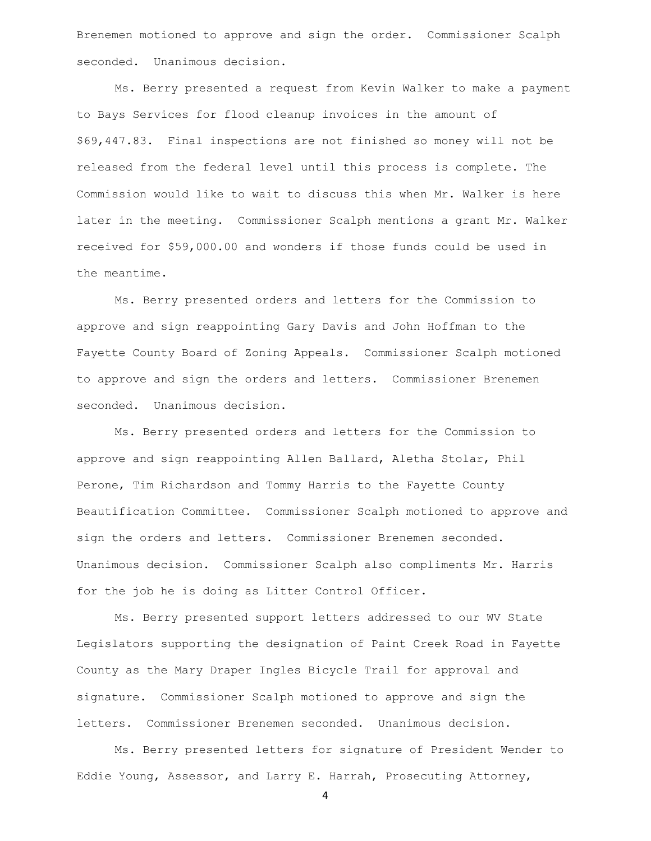Brenemen motioned to approve and sign the order. Commissioner Scalph seconded. Unanimous decision.

Ms. Berry presented a request from Kevin Walker to make a payment to Bays Services for flood cleanup invoices in the amount of \$69,447.83. Final inspections are not finished so money will not be released from the federal level until this process is complete. The Commission would like to wait to discuss this when Mr. Walker is here later in the meeting. Commissioner Scalph mentions a grant Mr. Walker received for \$59,000.00 and wonders if those funds could be used in the meantime.

Ms. Berry presented orders and letters for the Commission to approve and sign reappointing Gary Davis and John Hoffman to the Fayette County Board of Zoning Appeals. Commissioner Scalph motioned to approve and sign the orders and letters. Commissioner Brenemen seconded. Unanimous decision.

Ms. Berry presented orders and letters for the Commission to approve and sign reappointing Allen Ballard, Aletha Stolar, Phil Perone, Tim Richardson and Tommy Harris to the Fayette County Beautification Committee. Commissioner Scalph motioned to approve and sign the orders and letters. Commissioner Brenemen seconded. Unanimous decision. Commissioner Scalph also compliments Mr. Harris for the job he is doing as Litter Control Officer.

Ms. Berry presented support letters addressed to our WV State Legislators supporting the designation of Paint Creek Road in Fayette County as the Mary Draper Ingles Bicycle Trail for approval and signature. Commissioner Scalph motioned to approve and sign the letters. Commissioner Brenemen seconded. Unanimous decision.

Ms. Berry presented letters for signature of President Wender to Eddie Young, Assessor, and Larry E. Harrah, Prosecuting Attorney,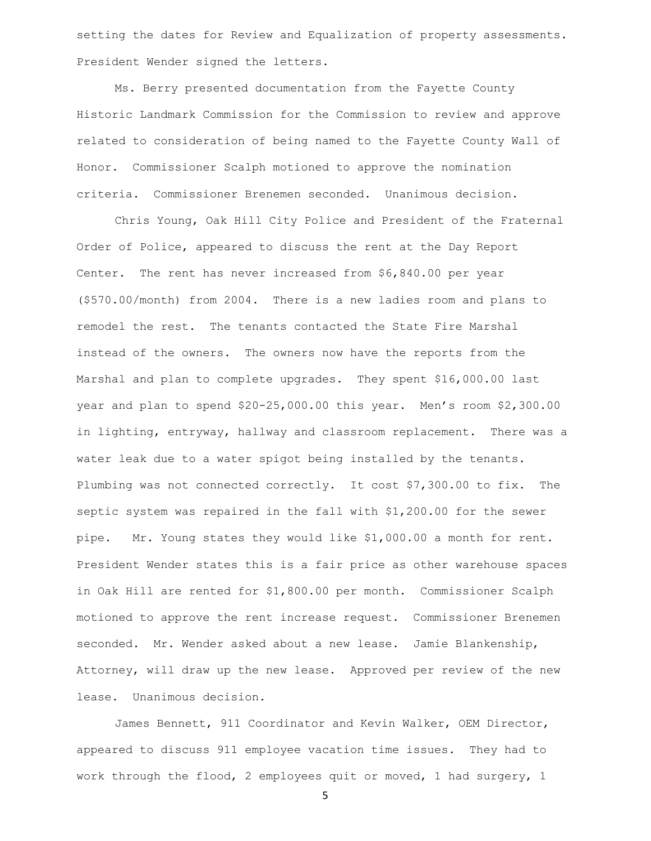setting the dates for Review and Equalization of property assessments. President Wender signed the letters.

Ms. Berry presented documentation from the Fayette County Historic Landmark Commission for the Commission to review and approve related to consideration of being named to the Fayette County Wall of Honor. Commissioner Scalph motioned to approve the nomination criteria. Commissioner Brenemen seconded. Unanimous decision.

Chris Young, Oak Hill City Police and President of the Fraternal Order of Police, appeared to discuss the rent at the Day Report Center. The rent has never increased from \$6,840.00 per year (\$570.00/month) from 2004. There is a new ladies room and plans to remodel the rest. The tenants contacted the State Fire Marshal instead of the owners. The owners now have the reports from the Marshal and plan to complete upgrades. They spent \$16,000.00 last year and plan to spend \$20-25,000.00 this year. Men's room \$2,300.00 in lighting, entryway, hallway and classroom replacement. There was a water leak due to a water spigot being installed by the tenants. Plumbing was not connected correctly. It cost \$7,300.00 to fix. The septic system was repaired in the fall with \$1,200.00 for the sewer pipe. Mr. Young states they would like \$1,000.00 a month for rent. President Wender states this is a fair price as other warehouse spaces in Oak Hill are rented for \$1,800.00 per month. Commissioner Scalph motioned to approve the rent increase request. Commissioner Brenemen seconded. Mr. Wender asked about a new lease. Jamie Blankenship, Attorney, will draw up the new lease. Approved per review of the new lease. Unanimous decision.

James Bennett, 911 Coordinator and Kevin Walker, OEM Director, appeared to discuss 911 employee vacation time issues. They had to work through the flood, 2 employees quit or moved, 1 had surgery, 1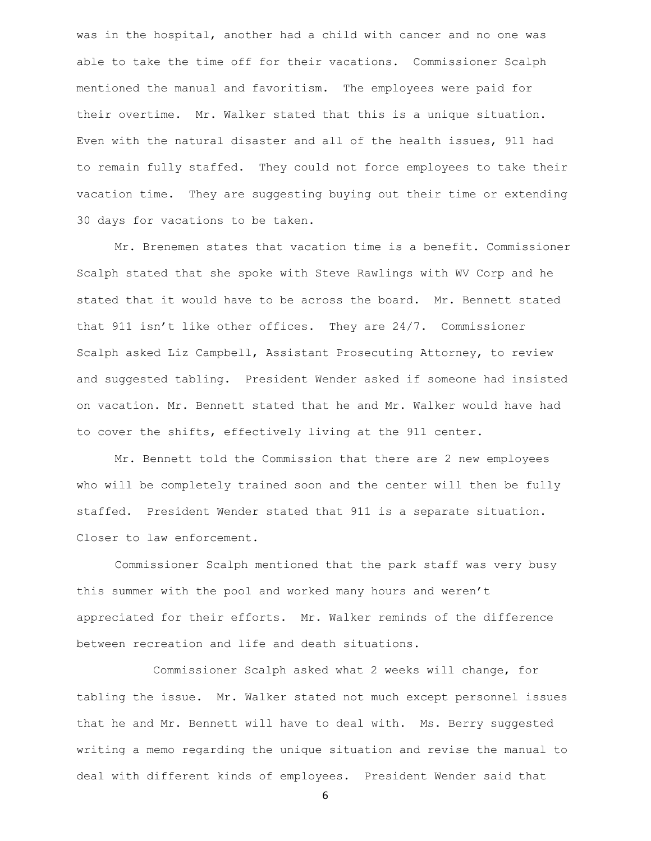was in the hospital, another had a child with cancer and no one was able to take the time off for their vacations. Commissioner Scalph mentioned the manual and favoritism. The employees were paid for their overtime. Mr. Walker stated that this is a unique situation. Even with the natural disaster and all of the health issues, 911 had to remain fully staffed. They could not force employees to take their vacation time. They are suggesting buying out their time or extending 30 days for vacations to be taken.

Mr. Brenemen states that vacation time is a benefit. Commissioner Scalph stated that she spoke with Steve Rawlings with WV Corp and he stated that it would have to be across the board. Mr. Bennett stated that 911 isn't like other offices. They are 24/7. Commissioner Scalph asked Liz Campbell, Assistant Prosecuting Attorney, to review and suggested tabling. President Wender asked if someone had insisted on vacation. Mr. Bennett stated that he and Mr. Walker would have had to cover the shifts, effectively living at the 911 center.

Mr. Bennett told the Commission that there are 2 new employees who will be completely trained soon and the center will then be fully staffed. President Wender stated that 911 is a separate situation. Closer to law enforcement.

Commissioner Scalph mentioned that the park staff was very busy this summer with the pool and worked many hours and weren't appreciated for their efforts. Mr. Walker reminds of the difference between recreation and life and death situations.

Commissioner Scalph asked what 2 weeks will change, for tabling the issue. Mr. Walker stated not much except personnel issues that he and Mr. Bennett will have to deal with. Ms. Berry suggested writing a memo regarding the unique situation and revise the manual to deal with different kinds of employees. President Wender said that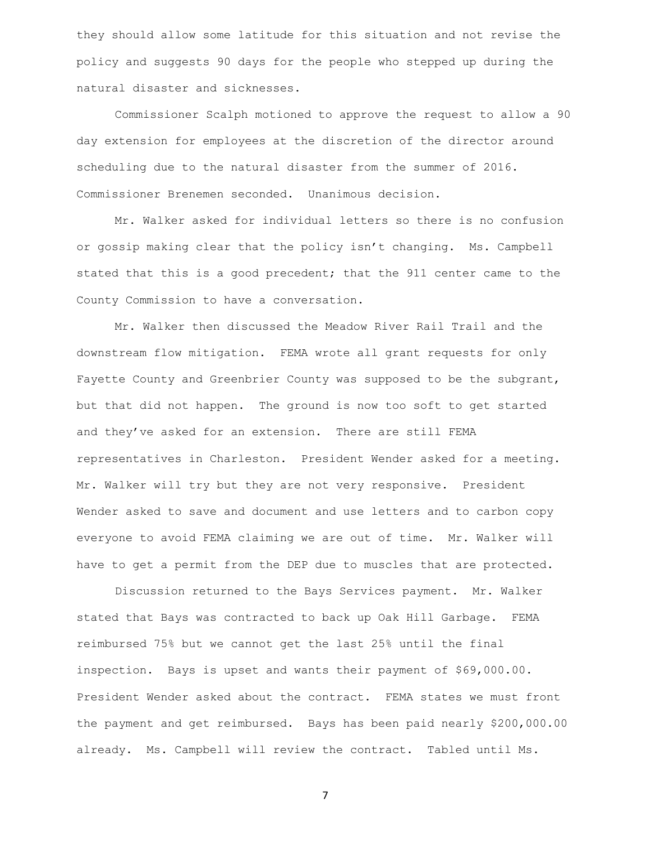they should allow some latitude for this situation and not revise the policy and suggests 90 days for the people who stepped up during the natural disaster and sicknesses.

Commissioner Scalph motioned to approve the request to allow a 90 day extension for employees at the discretion of the director around scheduling due to the natural disaster from the summer of 2016. Commissioner Brenemen seconded. Unanimous decision.

Mr. Walker asked for individual letters so there is no confusion or gossip making clear that the policy isn't changing. Ms. Campbell stated that this is a good precedent; that the 911 center came to the County Commission to have a conversation.

Mr. Walker then discussed the Meadow River Rail Trail and the downstream flow mitigation. FEMA wrote all grant requests for only Fayette County and Greenbrier County was supposed to be the subgrant, but that did not happen. The ground is now too soft to get started and they've asked for an extension. There are still FEMA representatives in Charleston. President Wender asked for a meeting. Mr. Walker will try but they are not very responsive. President Wender asked to save and document and use letters and to carbon copy everyone to avoid FEMA claiming we are out of time. Mr. Walker will have to get a permit from the DEP due to muscles that are protected.

Discussion returned to the Bays Services payment. Mr. Walker stated that Bays was contracted to back up Oak Hill Garbage. FEMA reimbursed 75% but we cannot get the last 25% until the final inspection. Bays is upset and wants their payment of \$69,000.00. President Wender asked about the contract. FEMA states we must front the payment and get reimbursed. Bays has been paid nearly \$200,000.00 already. Ms. Campbell will review the contract. Tabled until Ms.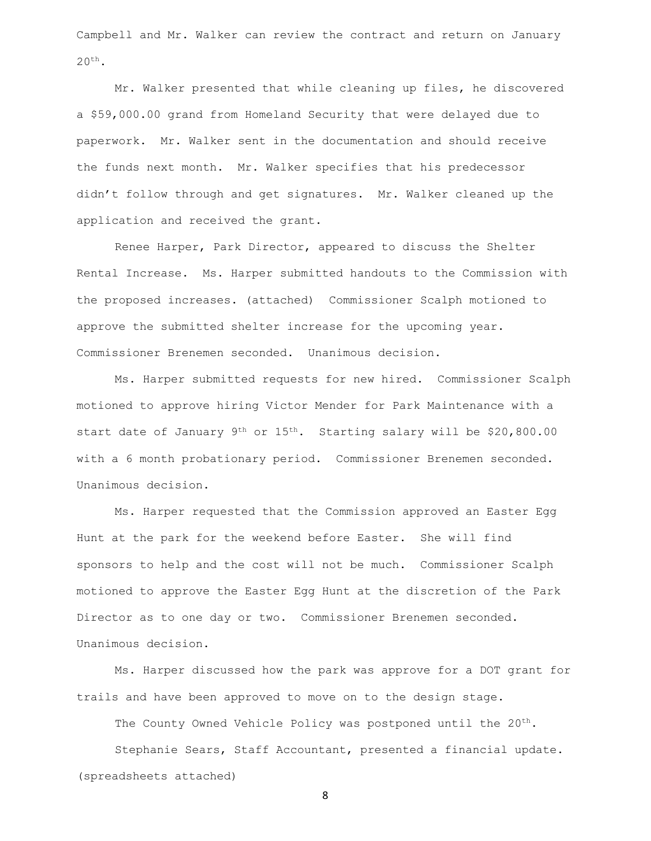Campbell and Mr. Walker can review the contract and return on January  $20^{th}$ .

Mr. Walker presented that while cleaning up files, he discovered a \$59,000.00 grand from Homeland Security that were delayed due to paperwork. Mr. Walker sent in the documentation and should receive the funds next month. Mr. Walker specifies that his predecessor didn't follow through and get signatures. Mr. Walker cleaned up the application and received the grant.

Renee Harper, Park Director, appeared to discuss the Shelter Rental Increase. Ms. Harper submitted handouts to the Commission with the proposed increases. (attached) Commissioner Scalph motioned to approve the submitted shelter increase for the upcoming year. Commissioner Brenemen seconded. Unanimous decision.

Ms. Harper submitted requests for new hired. Commissioner Scalph motioned to approve hiring Victor Mender for Park Maintenance with a start date of January 9<sup>th</sup> or 15<sup>th</sup>. Starting salary will be \$20,800.00 with a 6 month probationary period. Commissioner Brenemen seconded. Unanimous decision.

Ms. Harper requested that the Commission approved an Easter Egg Hunt at the park for the weekend before Easter. She will find sponsors to help and the cost will not be much. Commissioner Scalph motioned to approve the Easter Egg Hunt at the discretion of the Park Director as to one day or two. Commissioner Brenemen seconded. Unanimous decision.

Ms. Harper discussed how the park was approve for a DOT grant for trails and have been approved to move on to the design stage.

The County Owned Vehicle Policy was postponed until the 20<sup>th</sup>.

Stephanie Sears, Staff Accountant, presented a financial update. (spreadsheets attached)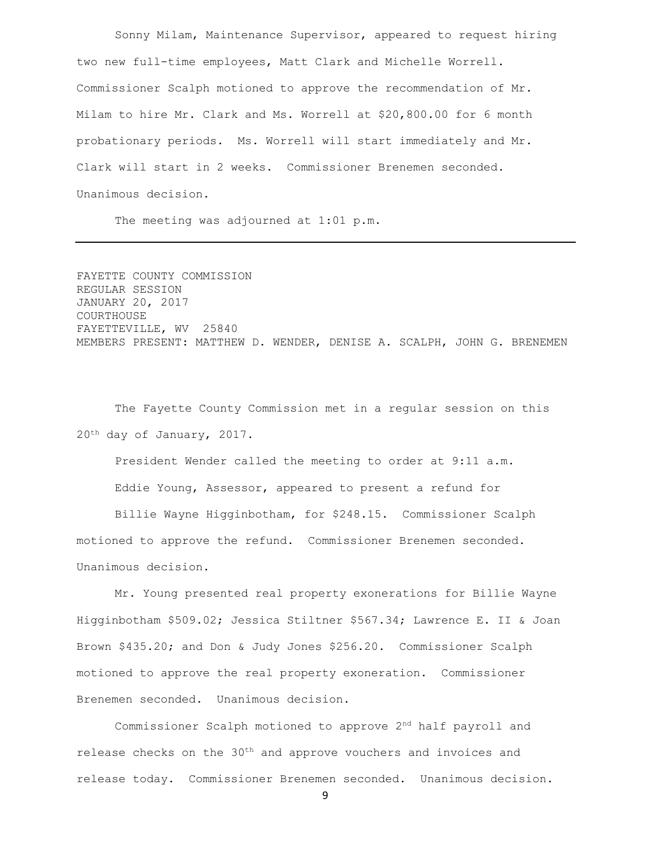Sonny Milam, Maintenance Supervisor, appeared to request hiring two new full-time employees, Matt Clark and Michelle Worrell. Commissioner Scalph motioned to approve the recommendation of Mr. Milam to hire Mr. Clark and Ms. Worrell at \$20,800.00 for 6 month probationary periods. Ms. Worrell will start immediately and Mr. Clark will start in 2 weeks. Commissioner Brenemen seconded. Unanimous decision.

The meeting was adjourned at 1:01 p.m.

FAYETTE COUNTY COMMISSION REGULAR SESSION JANUARY 20, 2017 COURTHOUSE FAYETTEVILLE, WV 25840 MEMBERS PRESENT: MATTHEW D. WENDER, DENISE A. SCALPH, JOHN G. BRENEMEN

The Fayette County Commission met in a regular session on this 20th day of January, 2017.

President Wender called the meeting to order at 9:11 a.m. Eddie Young, Assessor, appeared to present a refund for

Billie Wayne Higginbotham, for \$248.15. Commissioner Scalph motioned to approve the refund. Commissioner Brenemen seconded. Unanimous decision.

Mr. Young presented real property exonerations for Billie Wayne Higginbotham \$509.02; Jessica Stiltner \$567.34; Lawrence E. II & Joan Brown \$435.20; and Don & Judy Jones \$256.20. Commissioner Scalph motioned to approve the real property exoneration. Commissioner Brenemen seconded. Unanimous decision.

Commissioner Scalph motioned to approve 2nd half payroll and release checks on the  $30<sup>th</sup>$  and approve vouchers and invoices and release today. Commissioner Brenemen seconded. Unanimous decision.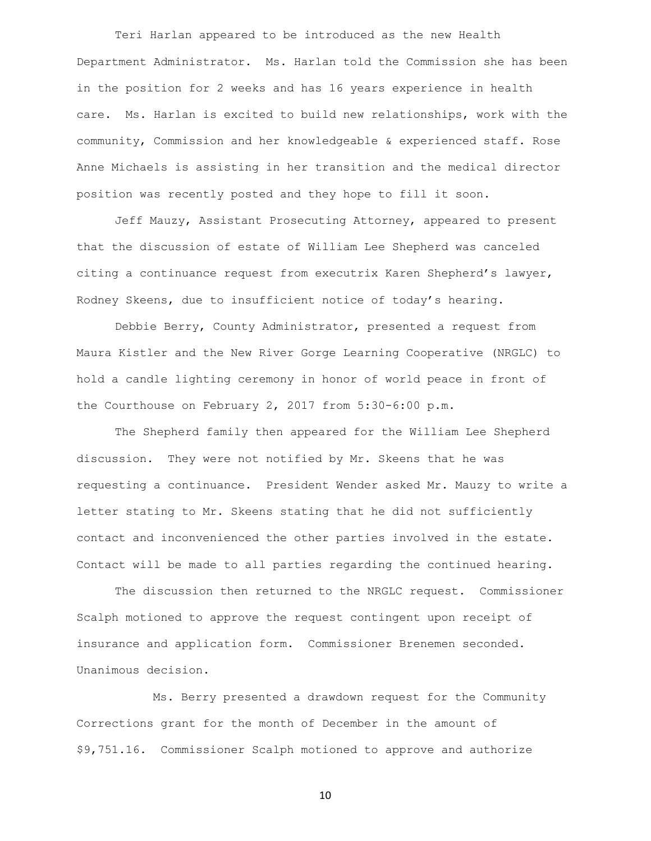Teri Harlan appeared to be introduced as the new Health Department Administrator. Ms. Harlan told the Commission she has been in the position for 2 weeks and has 16 years experience in health care. Ms. Harlan is excited to build new relationships, work with the community, Commission and her knowledgeable & experienced staff. Rose Anne Michaels is assisting in her transition and the medical director position was recently posted and they hope to fill it soon.

Jeff Mauzy, Assistant Prosecuting Attorney, appeared to present that the discussion of estate of William Lee Shepherd was canceled citing a continuance request from executrix Karen Shepherd's lawyer, Rodney Skeens, due to insufficient notice of today's hearing.

Debbie Berry, County Administrator, presented a request from Maura Kistler and the New River Gorge Learning Cooperative (NRGLC) to hold a candle lighting ceremony in honor of world peace in front of the Courthouse on February 2, 2017 from 5:30-6:00 p.m.

The Shepherd family then appeared for the William Lee Shepherd discussion. They were not notified by Mr. Skeens that he was requesting a continuance. President Wender asked Mr. Mauzy to write a letter stating to Mr. Skeens stating that he did not sufficiently contact and inconvenienced the other parties involved in the estate. Contact will be made to all parties regarding the continued hearing.

The discussion then returned to the NRGLC request. Commissioner Scalph motioned to approve the request contingent upon receipt of insurance and application form. Commissioner Brenemen seconded. Unanimous decision.

Ms. Berry presented a drawdown request for the Community Corrections grant for the month of December in the amount of \$9,751.16. Commissioner Scalph motioned to approve and authorize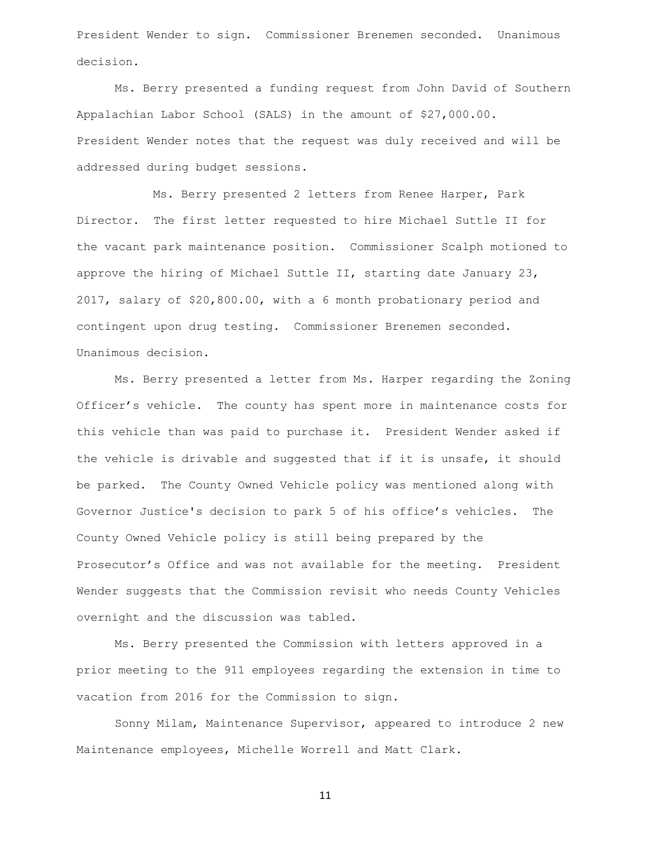President Wender to sign. Commissioner Brenemen seconded. Unanimous decision.

Ms. Berry presented a funding request from John David of Southern Appalachian Labor School (SALS) in the amount of \$27,000.00. President Wender notes that the request was duly received and will be addressed during budget sessions.

Ms. Berry presented 2 letters from Renee Harper, Park Director. The first letter requested to hire Michael Suttle II for the vacant park maintenance position. Commissioner Scalph motioned to approve the hiring of Michael Suttle II, starting date January 23, 2017, salary of \$20,800.00, with a 6 month probationary period and contingent upon drug testing. Commissioner Brenemen seconded. Unanimous decision.

Ms. Berry presented a letter from Ms. Harper regarding the Zoning Officer's vehicle. The county has spent more in maintenance costs for this vehicle than was paid to purchase it. President Wender asked if the vehicle is drivable and suggested that if it is unsafe, it should be parked. The County Owned Vehicle policy was mentioned along with Governor Justice's decision to park 5 of his office's vehicles. The County Owned Vehicle policy is still being prepared by the Prosecutor's Office and was not available for the meeting. President Wender suggests that the Commission revisit who needs County Vehicles overnight and the discussion was tabled.

Ms. Berry presented the Commission with letters approved in a prior meeting to the 911 employees regarding the extension in time to vacation from 2016 for the Commission to sign.

Sonny Milam, Maintenance Supervisor, appeared to introduce 2 new Maintenance employees, Michelle Worrell and Matt Clark.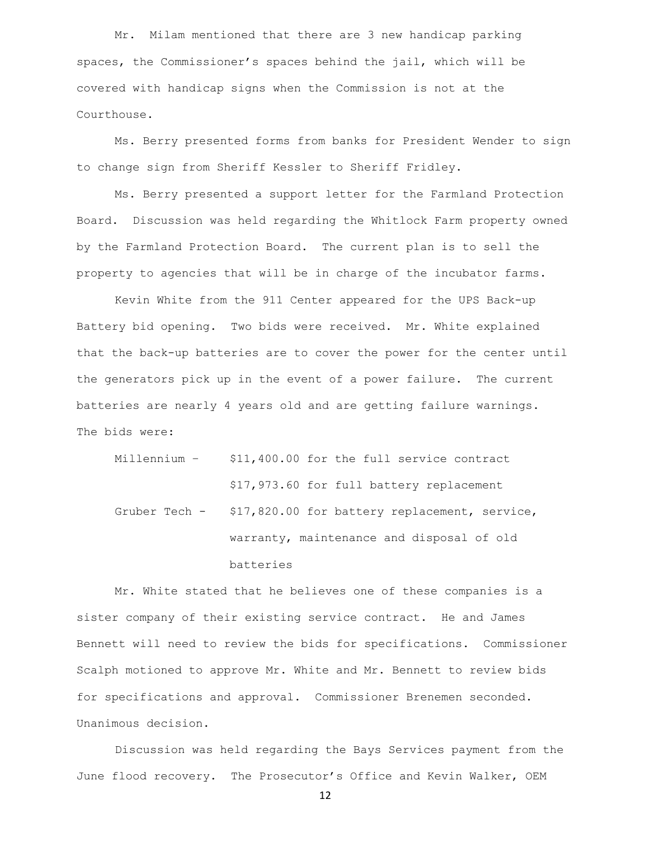Mr. Milam mentioned that there are 3 new handicap parking spaces, the Commissioner's spaces behind the jail, which will be covered with handicap signs when the Commission is not at the Courthouse.

Ms. Berry presented forms from banks for President Wender to sign to change sign from Sheriff Kessler to Sheriff Fridley.

Ms. Berry presented a support letter for the Farmland Protection Board. Discussion was held regarding the Whitlock Farm property owned by the Farmland Protection Board. The current plan is to sell the property to agencies that will be in charge of the incubator farms.

Kevin White from the 911 Center appeared for the UPS Back-up Battery bid opening. Two bids were received. Mr. White explained that the back-up batteries are to cover the power for the center until the generators pick up in the event of a power failure. The current batteries are nearly 4 years old and are getting failure warnings. The bids were:

Millennium – \$11,400.00 for the full service contract \$17,973.60 for full battery replacement Gruber Tech - \$17,820.00 for battery replacement, service, warranty, maintenance and disposal of old batteries

Mr. White stated that he believes one of these companies is a sister company of their existing service contract. He and James Bennett will need to review the bids for specifications. Commissioner Scalph motioned to approve Mr. White and Mr. Bennett to review bids for specifications and approval. Commissioner Brenemen seconded. Unanimous decision.

Discussion was held regarding the Bays Services payment from the June flood recovery. The Prosecutor's Office and Kevin Walker, OEM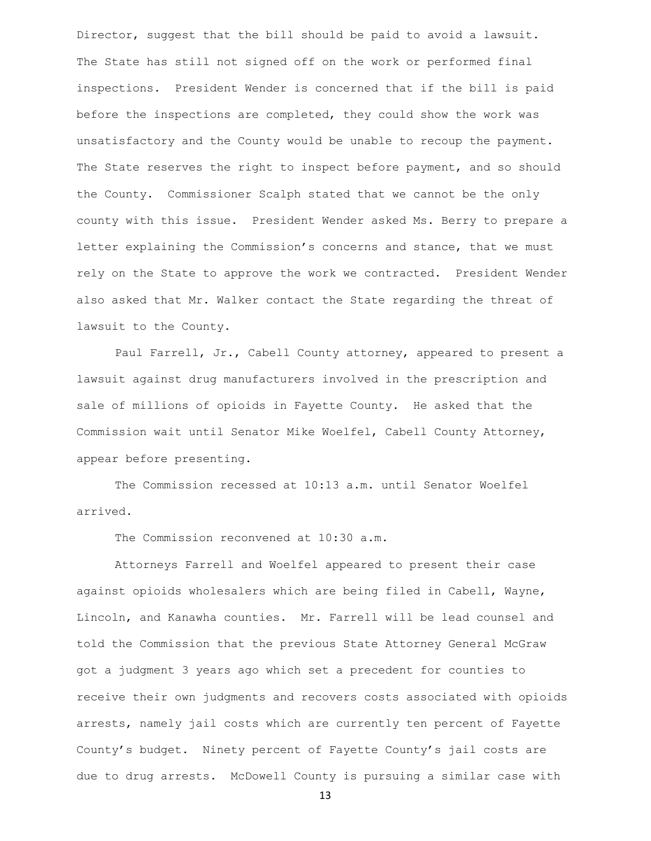Director, suggest that the bill should be paid to avoid a lawsuit. The State has still not signed off on the work or performed final inspections. President Wender is concerned that if the bill is paid before the inspections are completed, they could show the work was unsatisfactory and the County would be unable to recoup the payment. The State reserves the right to inspect before payment, and so should the County. Commissioner Scalph stated that we cannot be the only county with this issue. President Wender asked Ms. Berry to prepare a letter explaining the Commission's concerns and stance, that we must rely on the State to approve the work we contracted. President Wender also asked that Mr. Walker contact the State regarding the threat of lawsuit to the County.

Paul Farrell, Jr., Cabell County attorney, appeared to present a lawsuit against drug manufacturers involved in the prescription and sale of millions of opioids in Fayette County. He asked that the Commission wait until Senator Mike Woelfel, Cabell County Attorney, appear before presenting.

The Commission recessed at 10:13 a.m. until Senator Woelfel arrived.

The Commission reconvened at 10:30 a.m.

Attorneys Farrell and Woelfel appeared to present their case against opioids wholesalers which are being filed in Cabell, Wayne, Lincoln, and Kanawha counties. Mr. Farrell will be lead counsel and told the Commission that the previous State Attorney General McGraw got a judgment 3 years ago which set a precedent for counties to receive their own judgments and recovers costs associated with opioids arrests, namely jail costs which are currently ten percent of Fayette County's budget. Ninety percent of Fayette County's jail costs are due to drug arrests. McDowell County is pursuing a similar case with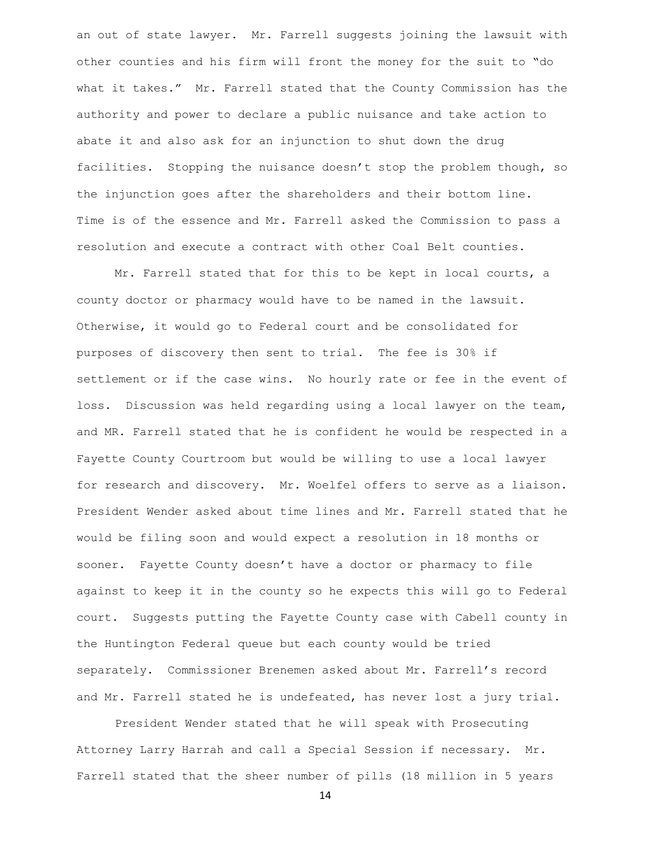an out of state lawyer. Mr. Farrell suggests joining the lawsuit with other counties and his firm will front the money for the suit to "do what it takes." Mr. Farrell stated that the County Commission has the authority and power to declare a public nuisance and take action to abate it and also ask for an injunction to shut down the drug facilities. Stopping the nuisance doesn't stop the problem though, so the injunction goes after the shareholders and their bottom line. Time is of the essence and Mr. Farrell asked the Commission to pass a resolution and execute a contract with other Coal Belt counties.

Mr. Farrell stated that for this to be kept in local courts, a county doctor or pharmacy would have to be named in the lawsuit. Otherwise, it would go to Federal court and be consolidated for purposes of discovery then sent to trial. The fee is 30% if settlement or if the case wins. No hourly rate or fee in the event of loss. Discussion was held regarding using a local lawyer on the team, and MR. Farrell stated that he is confident he would be respected in a Fayette County Courtroom but would be willing to use a local lawyer for research and discovery. Mr. Woelfel offers to serve as a liaison. President Wender asked about time lines and Mr. Farrell stated that he would be filing soon and would expect a resolution in 18 months or sooner. Fayette County doesn't have a doctor or pharmacy to file against to keep it in the county so he expects this will go to Federal court. Suggests putting the Fayette County case with Cabell county in the Huntington Federal queue but each county would be tried separately. Commissioner Brenemen asked about Mr. Farrell's record and Mr. Farrell stated he is undefeated, has never lost a jury trial.

President Wender stated that he will speak with Prosecuting Attorney Larry Harrah and call a Special Session if necessary. Mr. Farrell stated that the sheer number of pills (18 million in 5 years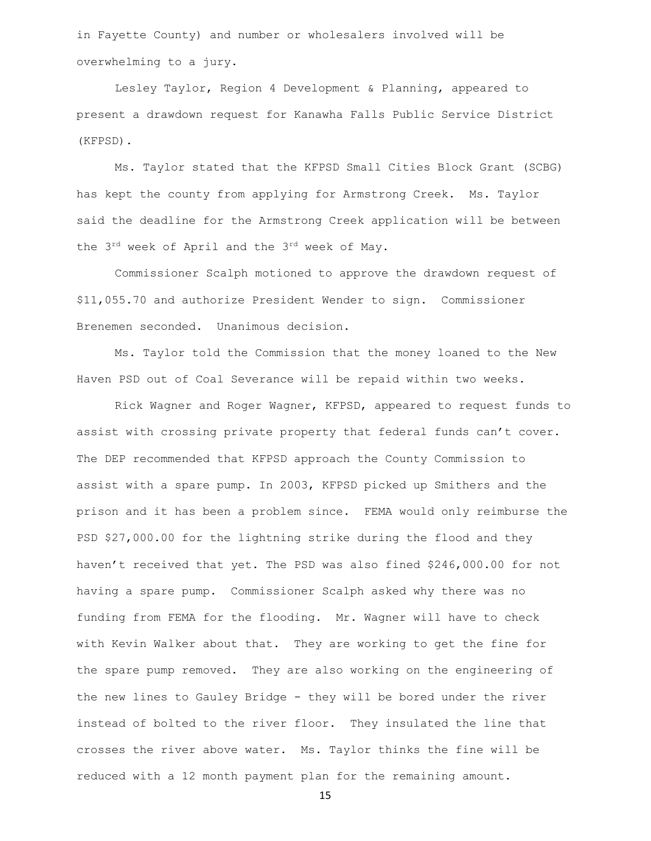in Fayette County) and number or wholesalers involved will be overwhelming to a jury.

Lesley Taylor, Region 4 Development & Planning, appeared to present a drawdown request for Kanawha Falls Public Service District (KFPSD).

Ms. Taylor stated that the KFPSD Small Cities Block Grant (SCBG) has kept the county from applying for Armstrong Creek. Ms. Taylor said the deadline for the Armstrong Creek application will be between the 3rd week of April and the 3rd week of May.

Commissioner Scalph motioned to approve the drawdown request of \$11,055.70 and authorize President Wender to sign. Commissioner Brenemen seconded. Unanimous decision.

Ms. Taylor told the Commission that the money loaned to the New Haven PSD out of Coal Severance will be repaid within two weeks.

Rick Wagner and Roger Wagner, KFPSD, appeared to request funds to assist with crossing private property that federal funds can't cover. The DEP recommended that KFPSD approach the County Commission to assist with a spare pump. In 2003, KFPSD picked up Smithers and the prison and it has been a problem since. FEMA would only reimburse the PSD \$27,000.00 for the lightning strike during the flood and they haven't received that yet. The PSD was also fined \$246,000.00 for not having a spare pump. Commissioner Scalph asked why there was no funding from FEMA for the flooding. Mr. Wagner will have to check with Kevin Walker about that. They are working to get the fine for the spare pump removed. They are also working on the engineering of the new lines to Gauley Bridge - they will be bored under the river instead of bolted to the river floor. They insulated the line that crosses the river above water. Ms. Taylor thinks the fine will be reduced with a 12 month payment plan for the remaining amount.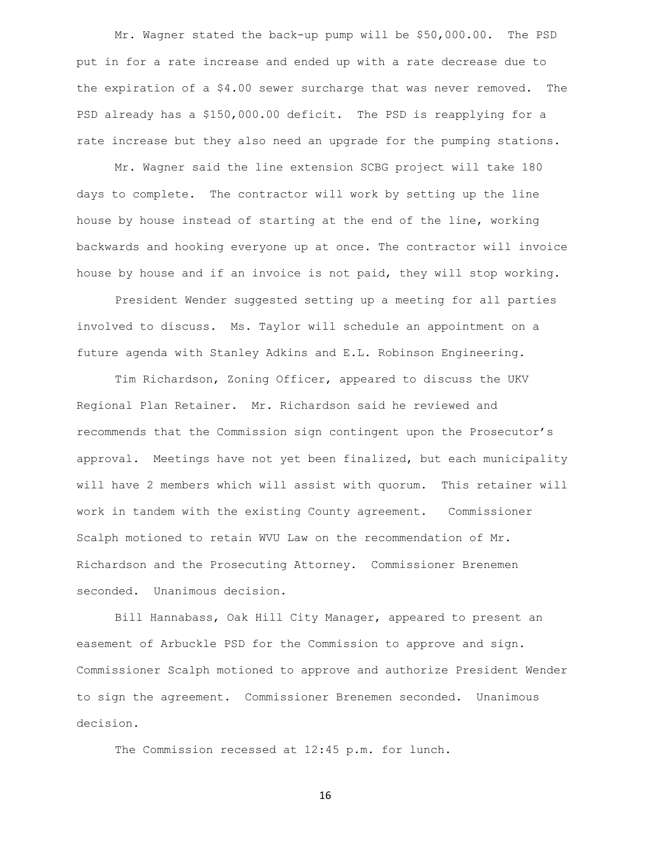Mr. Wagner stated the back-up pump will be \$50,000.00. The PSD put in for a rate increase and ended up with a rate decrease due to the expiration of a \$4.00 sewer surcharge that was never removed. The PSD already has a \$150,000.00 deficit. The PSD is reapplying for a rate increase but they also need an upgrade for the pumping stations.

Mr. Wagner said the line extension SCBG project will take 180 days to complete. The contractor will work by setting up the line house by house instead of starting at the end of the line, working backwards and hooking everyone up at once. The contractor will invoice house by house and if an invoice is not paid, they will stop working.

President Wender suggested setting up a meeting for all parties involved to discuss. Ms. Taylor will schedule an appointment on a future agenda with Stanley Adkins and E.L. Robinson Engineering.

Tim Richardson, Zoning Officer, appeared to discuss the UKV Regional Plan Retainer. Mr. Richardson said he reviewed and recommends that the Commission sign contingent upon the Prosecutor's approval. Meetings have not yet been finalized, but each municipality will have 2 members which will assist with quorum. This retainer will work in tandem with the existing County agreement. Commissioner Scalph motioned to retain WVU Law on the recommendation of Mr. Richardson and the Prosecuting Attorney. Commissioner Brenemen seconded. Unanimous decision.

Bill Hannabass, Oak Hill City Manager, appeared to present an easement of Arbuckle PSD for the Commission to approve and sign. Commissioner Scalph motioned to approve and authorize President Wender to sign the agreement. Commissioner Brenemen seconded. Unanimous decision.

The Commission recessed at 12:45 p.m. for lunch.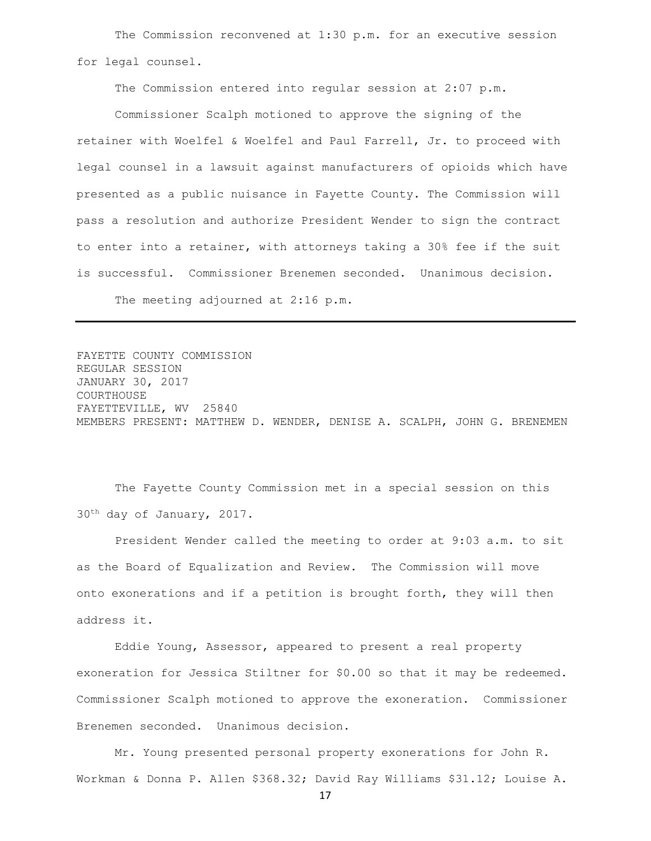The Commission reconvened at 1:30 p.m. for an executive session for legal counsel.

The Commission entered into regular session at 2:07 p.m.

Commissioner Scalph motioned to approve the signing of the retainer with Woelfel & Woelfel and Paul Farrell, Jr. to proceed with legal counsel in a lawsuit against manufacturers of opioids which have presented as a public nuisance in Fayette County. The Commission will pass a resolution and authorize President Wender to sign the contract to enter into a retainer, with attorneys taking a 30% fee if the suit is successful. Commissioner Brenemen seconded. Unanimous decision. The meeting adjourned at 2:16 p.m.

FAYETTE COUNTY COMMISSION REGULAR SESSION JANUARY 30, 2017 COURTHOUSE FAYETTEVILLE, WV 25840 MEMBERS PRESENT: MATTHEW D. WENDER, DENISE A. SCALPH, JOHN G. BRENEMEN

The Fayette County Commission met in a special session on this 30th day of January, 2017.

President Wender called the meeting to order at 9:03 a.m. to sit as the Board of Equalization and Review. The Commission will move onto exonerations and if a petition is brought forth, they will then address it.

Eddie Young, Assessor, appeared to present a real property exoneration for Jessica Stiltner for \$0.00 so that it may be redeemed. Commissioner Scalph motioned to approve the exoneration. Commissioner Brenemen seconded. Unanimous decision.

Mr. Young presented personal property exonerations for John R. Workman & Donna P. Allen \$368.32; David Ray Williams \$31.12; Louise A.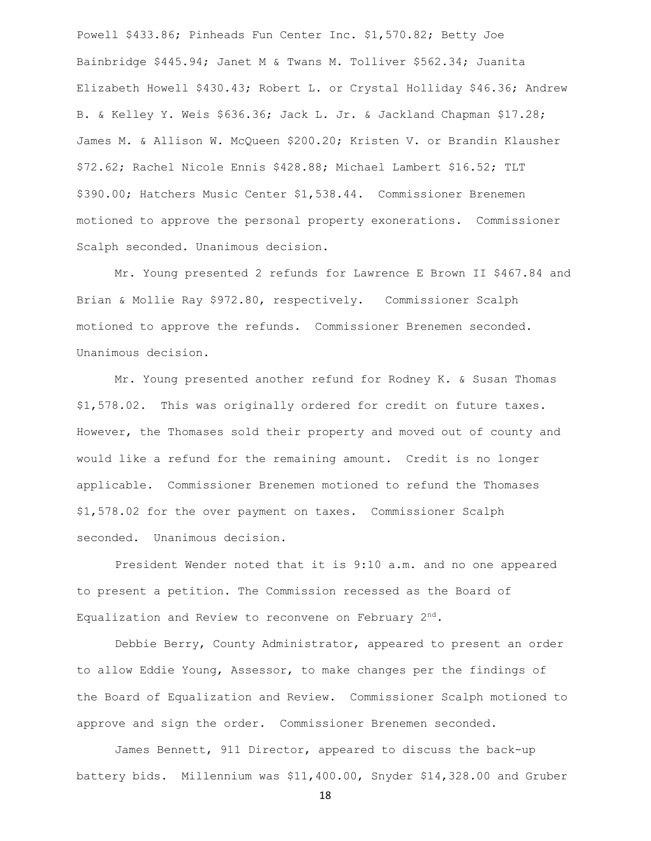Powell \$433.86; Pinheads Fun Center Inc. \$1,570.82; Betty Joe Bainbridge \$445.94; Janet M & Twans M. Tolliver \$562.34; Juanita Elizabeth Howell \$430.43; Robert L. or Crystal Holliday \$46.36; Andrew B. & Kelley Y. Weis \$636.36; Jack L. Jr. & Jackland Chapman \$17.28; James M. & Allison W. McQueen \$200.20; Kristen V. or Brandin Klausher \$72.62; Rachel Nicole Ennis \$428.88; Michael Lambert \$16.52; TLT \$390.00; Hatchers Music Center \$1,538.44. Commissioner Brenemen motioned to approve the personal property exonerations. Commissioner Scalph seconded. Unanimous decision.

Mr. Young presented 2 refunds for Lawrence E Brown II \$467.84 and Brian & Mollie Ray \$972.80, respectively. Commissioner Scalph motioned to approve the refunds. Commissioner Brenemen seconded. Unanimous decision.

Mr. Young presented another refund for Rodney K. & Susan Thomas \$1,578.02. This was originally ordered for credit on future taxes. However, the Thomases sold their property and moved out of county and would like a refund for the remaining amount. Credit is no longer applicable. Commissioner Brenemen motioned to refund the Thomases \$1,578.02 for the over payment on taxes. Commissioner Scalph seconded. Unanimous decision.

President Wender noted that it is 9:10 a.m. and no one appeared to present a petition. The Commission recessed as the Board of Equalization and Review to reconvene on February 2nd.

Debbie Berry, County Administrator, appeared to present an order to allow Eddie Young, Assessor, to make changes per the findings of the Board of Equalization and Review. Commissioner Scalph motioned to approve and sign the order. Commissioner Brenemen seconded.

James Bennett, 911 Director, appeared to discuss the back-up battery bids. Millennium was \$11,400.00, Snyder \$14,328.00 and Gruber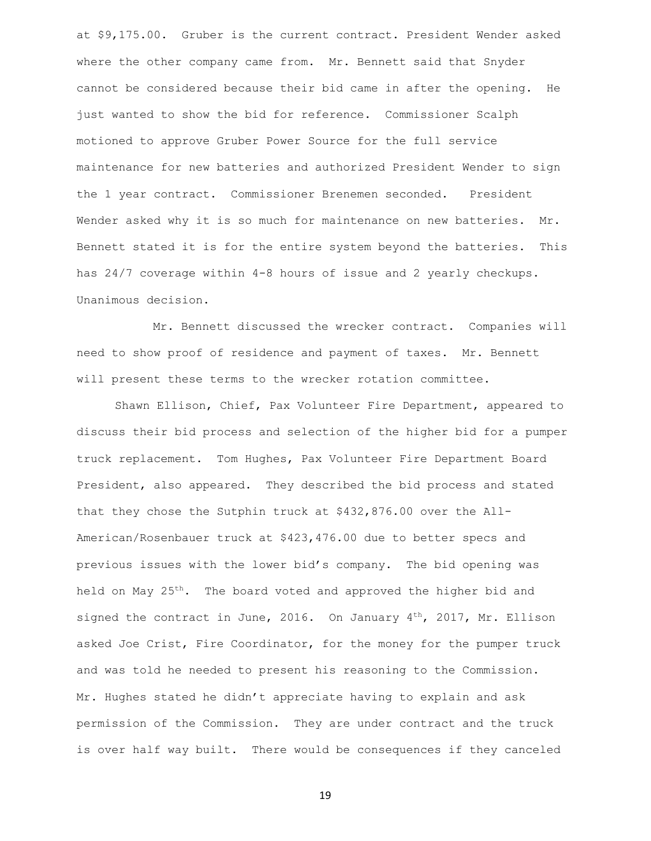at \$9,175.00. Gruber is the current contract. President Wender asked where the other company came from. Mr. Bennett said that Snyder cannot be considered because their bid came in after the opening. He just wanted to show the bid for reference. Commissioner Scalph motioned to approve Gruber Power Source for the full service maintenance for new batteries and authorized President Wender to sign the 1 year contract. Commissioner Brenemen seconded. President Wender asked why it is so much for maintenance on new batteries. Mr. Bennett stated it is for the entire system beyond the batteries. This has 24/7 coverage within 4-8 hours of issue and 2 yearly checkups. Unanimous decision.

Mr. Bennett discussed the wrecker contract. Companies will need to show proof of residence and payment of taxes. Mr. Bennett will present these terms to the wrecker rotation committee.

Shawn Ellison, Chief, Pax Volunteer Fire Department, appeared to discuss their bid process and selection of the higher bid for a pumper truck replacement. Tom Hughes, Pax Volunteer Fire Department Board President, also appeared. They described the bid process and stated that they chose the Sutphin truck at \$432,876.00 over the All-American/Rosenbauer truck at \$423,476.00 due to better specs and previous issues with the lower bid's company. The bid opening was held on May 25<sup>th</sup>. The board voted and approved the higher bid and signed the contract in June, 2016. On January  $4^{th}$ , 2017, Mr. Ellison asked Joe Crist, Fire Coordinator, for the money for the pumper truck and was told he needed to present his reasoning to the Commission. Mr. Hughes stated he didn't appreciate having to explain and ask permission of the Commission. They are under contract and the truck is over half way built. There would be consequences if they canceled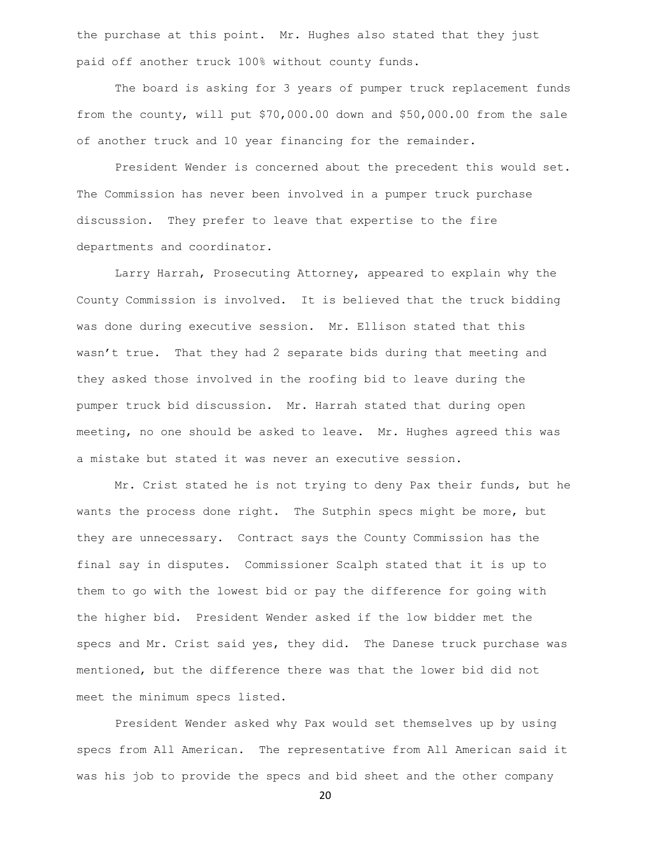the purchase at this point. Mr. Hughes also stated that they just paid off another truck 100% without county funds.

The board is asking for 3 years of pumper truck replacement funds from the county, will put \$70,000.00 down and \$50,000.00 from the sale of another truck and 10 year financing for the remainder.

President Wender is concerned about the precedent this would set. The Commission has never been involved in a pumper truck purchase discussion. They prefer to leave that expertise to the fire departments and coordinator.

Larry Harrah, Prosecuting Attorney, appeared to explain why the County Commission is involved. It is believed that the truck bidding was done during executive session. Mr. Ellison stated that this wasn't true. That they had 2 separate bids during that meeting and they asked those involved in the roofing bid to leave during the pumper truck bid discussion. Mr. Harrah stated that during open meeting, no one should be asked to leave. Mr. Hughes agreed this was a mistake but stated it was never an executive session.

Mr. Crist stated he is not trying to deny Pax their funds, but he wants the process done right. The Sutphin specs might be more, but they are unnecessary. Contract says the County Commission has the final say in disputes. Commissioner Scalph stated that it is up to them to go with the lowest bid or pay the difference for going with the higher bid. President Wender asked if the low bidder met the specs and Mr. Crist said yes, they did. The Danese truck purchase was mentioned, but the difference there was that the lower bid did not meet the minimum specs listed.

President Wender asked why Pax would set themselves up by using specs from All American. The representative from All American said it was his job to provide the specs and bid sheet and the other company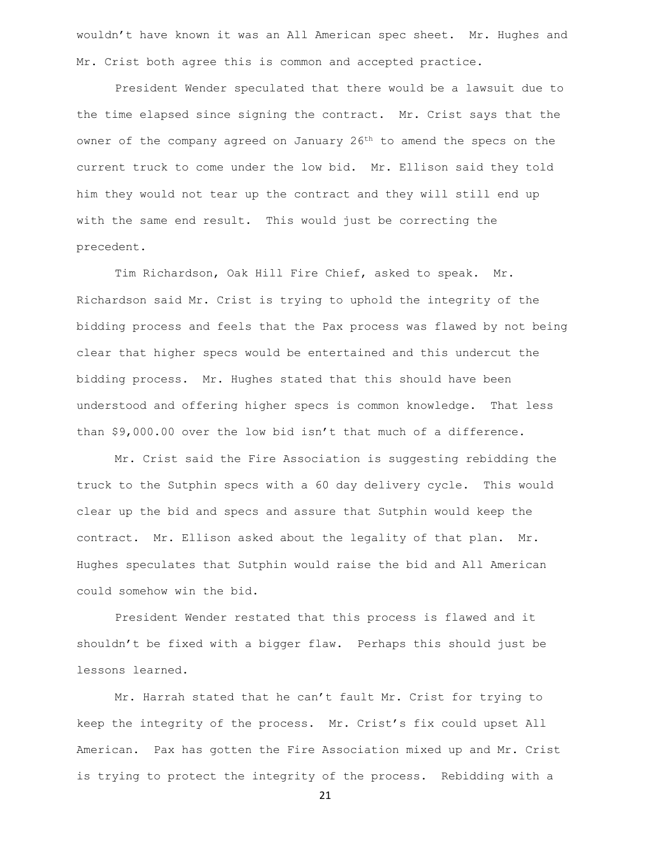wouldn't have known it was an All American spec sheet. Mr. Hughes and Mr. Crist both agree this is common and accepted practice.

President Wender speculated that there would be a lawsuit due to the time elapsed since signing the contract. Mr. Crist says that the owner of the company agreed on January  $26<sup>th</sup>$  to amend the specs on the current truck to come under the low bid. Mr. Ellison said they told him they would not tear up the contract and they will still end up with the same end result. This would just be correcting the precedent.

Tim Richardson, Oak Hill Fire Chief, asked to speak. Mr. Richardson said Mr. Crist is trying to uphold the integrity of the bidding process and feels that the Pax process was flawed by not being clear that higher specs would be entertained and this undercut the bidding process. Mr. Hughes stated that this should have been understood and offering higher specs is common knowledge. That less than \$9,000.00 over the low bid isn't that much of a difference.

Mr. Crist said the Fire Association is suggesting rebidding the truck to the Sutphin specs with a 60 day delivery cycle. This would clear up the bid and specs and assure that Sutphin would keep the contract. Mr. Ellison asked about the legality of that plan. Mr. Hughes speculates that Sutphin would raise the bid and All American could somehow win the bid.

President Wender restated that this process is flawed and it shouldn't be fixed with a bigger flaw. Perhaps this should just be lessons learned.

Mr. Harrah stated that he can't fault Mr. Crist for trying to keep the integrity of the process. Mr. Crist's fix could upset All American. Pax has gotten the Fire Association mixed up and Mr. Crist is trying to protect the integrity of the process. Rebidding with a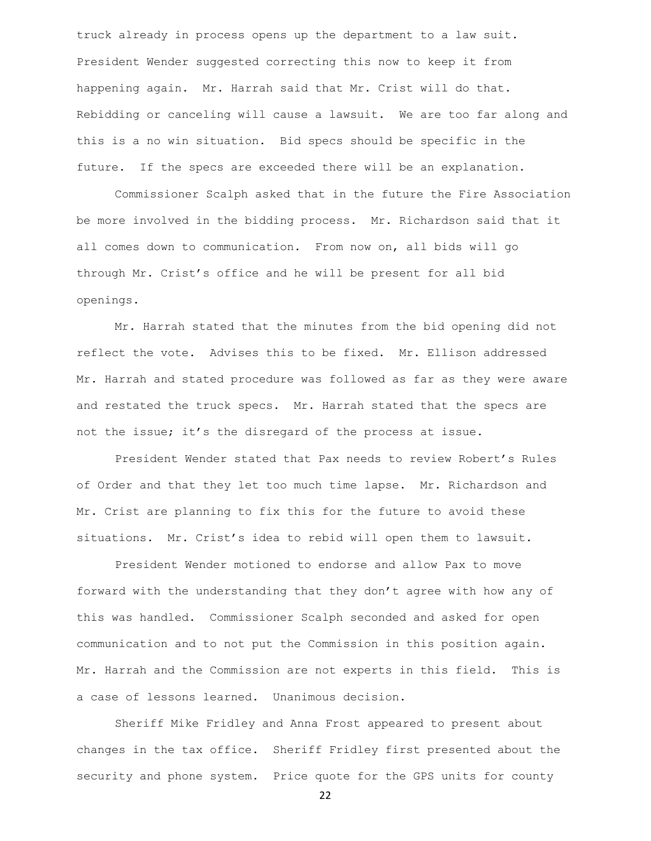truck already in process opens up the department to a law suit. President Wender suggested correcting this now to keep it from happening again. Mr. Harrah said that Mr. Crist will do that. Rebidding or canceling will cause a lawsuit. We are too far along and this is a no win situation. Bid specs should be specific in the future. If the specs are exceeded there will be an explanation.

Commissioner Scalph asked that in the future the Fire Association be more involved in the bidding process. Mr. Richardson said that it all comes down to communication. From now on, all bids will go through Mr. Crist's office and he will be present for all bid openings.

Mr. Harrah stated that the minutes from the bid opening did not reflect the vote. Advises this to be fixed. Mr. Ellison addressed Mr. Harrah and stated procedure was followed as far as they were aware and restated the truck specs. Mr. Harrah stated that the specs are not the issue; it's the disregard of the process at issue.

President Wender stated that Pax needs to review Robert's Rules of Order and that they let too much time lapse. Mr. Richardson and Mr. Crist are planning to fix this for the future to avoid these situations. Mr. Crist's idea to rebid will open them to lawsuit.

President Wender motioned to endorse and allow Pax to move forward with the understanding that they don't agree with how any of this was handled. Commissioner Scalph seconded and asked for open communication and to not put the Commission in this position again. Mr. Harrah and the Commission are not experts in this field. This is a case of lessons learned. Unanimous decision.

Sheriff Mike Fridley and Anna Frost appeared to present about changes in the tax office. Sheriff Fridley first presented about the security and phone system. Price quote for the GPS units for county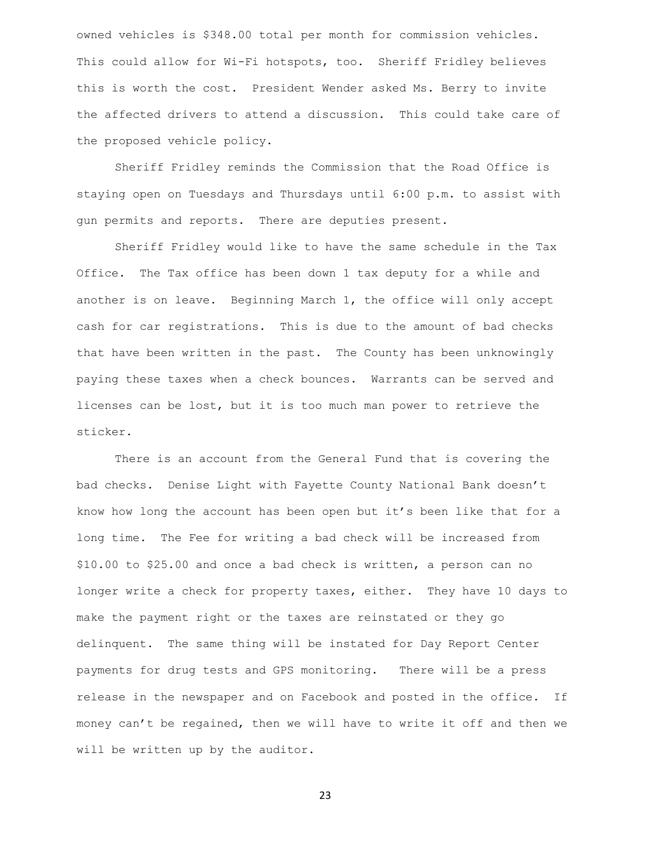owned vehicles is \$348.00 total per month for commission vehicles. This could allow for Wi-Fi hotspots, too. Sheriff Fridley believes this is worth the cost. President Wender asked Ms. Berry to invite the affected drivers to attend a discussion. This could take care of the proposed vehicle policy.

Sheriff Fridley reminds the Commission that the Road Office is staying open on Tuesdays and Thursdays until 6:00 p.m. to assist with gun permits and reports. There are deputies present.

Sheriff Fridley would like to have the same schedule in the Tax Office. The Tax office has been down 1 tax deputy for a while and another is on leave. Beginning March 1, the office will only accept cash for car registrations. This is due to the amount of bad checks that have been written in the past. The County has been unknowingly paying these taxes when a check bounces. Warrants can be served and licenses can be lost, but it is too much man power to retrieve the sticker.

There is an account from the General Fund that is covering the bad checks. Denise Light with Fayette County National Bank doesn't know how long the account has been open but it's been like that for a long time. The Fee for writing a bad check will be increased from \$10.00 to \$25.00 and once a bad check is written, a person can no longer write a check for property taxes, either. They have 10 days to make the payment right or the taxes are reinstated or they go delinquent. The same thing will be instated for Day Report Center payments for drug tests and GPS monitoring. There will be a press release in the newspaper and on Facebook and posted in the office. If money can't be regained, then we will have to write it off and then we will be written up by the auditor.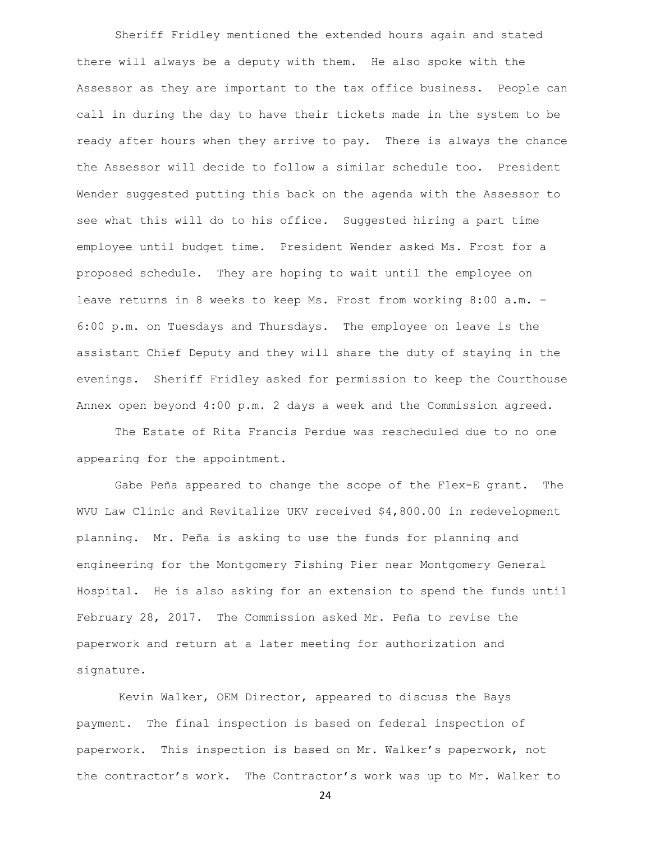Sheriff Fridley mentioned the extended hours again and stated there will always be a deputy with them. He also spoke with the Assessor as they are important to the tax office business. People can call in during the day to have their tickets made in the system to be ready after hours when they arrive to pay. There is always the chance the Assessor will decide to follow a similar schedule too. President Wender suggested putting this back on the agenda with the Assessor to see what this will do to his office. Suggested hiring a part time employee until budget time. President Wender asked Ms. Frost for a proposed schedule. They are hoping to wait until the employee on leave returns in 8 weeks to keep Ms. Frost from working 8:00 a.m. – 6:00 p.m. on Tuesdays and Thursdays. The employee on leave is the assistant Chief Deputy and they will share the duty of staying in the evenings. Sheriff Fridley asked for permission to keep the Courthouse Annex open beyond 4:00 p.m. 2 days a week and the Commission agreed.

The Estate of Rita Francis Perdue was rescheduled due to no one appearing for the appointment.

Gabe Peña appeared to change the scope of the Flex-E grant. The WVU Law Clinic and Revitalize UKV received \$4,800.00 in redevelopment planning. Mr. Peña is asking to use the funds for planning and engineering for the Montgomery Fishing Pier near Montgomery General Hospital. He is also asking for an extension to spend the funds until February 28, 2017. The Commission asked Mr. Peña to revise the paperwork and return at a later meeting for authorization and signature.

 Kevin Walker, OEM Director, appeared to discuss the Bays payment. The final inspection is based on federal inspection of paperwork. This inspection is based on Mr. Walker's paperwork, not the contractor's work. The Contractor's work was up to Mr. Walker to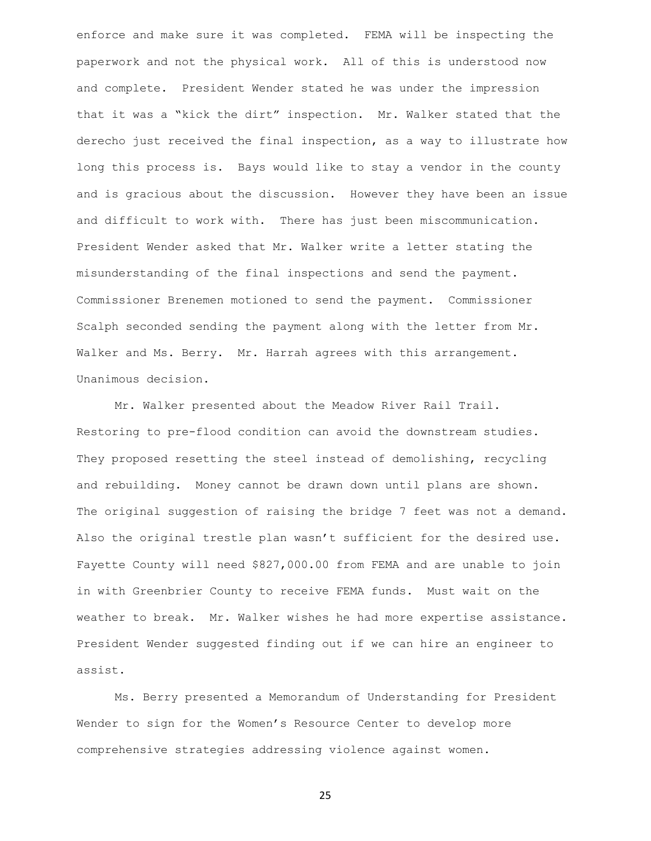enforce and make sure it was completed. FEMA will be inspecting the paperwork and not the physical work. All of this is understood now and complete. President Wender stated he was under the impression that it was a "kick the dirt" inspection. Mr. Walker stated that the derecho just received the final inspection, as a way to illustrate how long this process is. Bays would like to stay a vendor in the county and is gracious about the discussion. However they have been an issue and difficult to work with. There has just been miscommunication. President Wender asked that Mr. Walker write a letter stating the misunderstanding of the final inspections and send the payment. Commissioner Brenemen motioned to send the payment. Commissioner Scalph seconded sending the payment along with the letter from Mr. Walker and Ms. Berry. Mr. Harrah agrees with this arrangement. Unanimous decision.

Mr. Walker presented about the Meadow River Rail Trail. Restoring to pre-flood condition can avoid the downstream studies. They proposed resetting the steel instead of demolishing, recycling and rebuilding. Money cannot be drawn down until plans are shown. The original suggestion of raising the bridge 7 feet was not a demand. Also the original trestle plan wasn't sufficient for the desired use. Fayette County will need \$827,000.00 from FEMA and are unable to join in with Greenbrier County to receive FEMA funds. Must wait on the weather to break. Mr. Walker wishes he had more expertise assistance. President Wender suggested finding out if we can hire an engineer to assist.

Ms. Berry presented a Memorandum of Understanding for President Wender to sign for the Women's Resource Center to develop more comprehensive strategies addressing violence against women.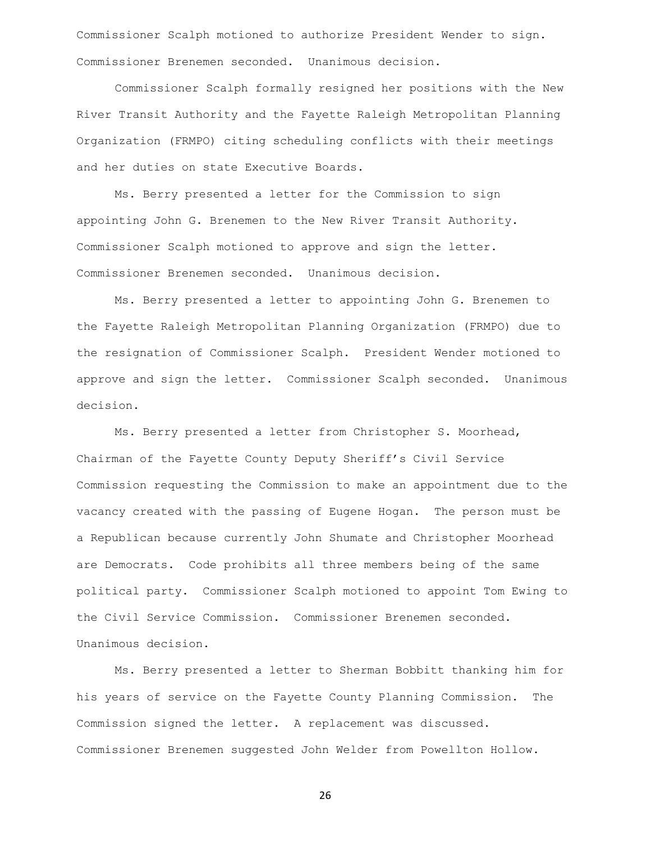Commissioner Scalph motioned to authorize President Wender to sign. Commissioner Brenemen seconded. Unanimous decision.

Commissioner Scalph formally resigned her positions with the New River Transit Authority and the Fayette Raleigh Metropolitan Planning Organization (FRMPO) citing scheduling conflicts with their meetings and her duties on state Executive Boards.

Ms. Berry presented a letter for the Commission to sign appointing John G. Brenemen to the New River Transit Authority. Commissioner Scalph motioned to approve and sign the letter. Commissioner Brenemen seconded. Unanimous decision.

Ms. Berry presented a letter to appointing John G. Brenemen to the Fayette Raleigh Metropolitan Planning Organization (FRMPO) due to the resignation of Commissioner Scalph. President Wender motioned to approve and sign the letter. Commissioner Scalph seconded. Unanimous decision.

Ms. Berry presented a letter from Christopher S. Moorhead, Chairman of the Fayette County Deputy Sheriff's Civil Service Commission requesting the Commission to make an appointment due to the vacancy created with the passing of Eugene Hogan. The person must be a Republican because currently John Shumate and Christopher Moorhead are Democrats. Code prohibits all three members being of the same political party. Commissioner Scalph motioned to appoint Tom Ewing to the Civil Service Commission. Commissioner Brenemen seconded. Unanimous decision.

Ms. Berry presented a letter to Sherman Bobbitt thanking him for his years of service on the Fayette County Planning Commission. The Commission signed the letter. A replacement was discussed. Commissioner Brenemen suggested John Welder from Powellton Hollow.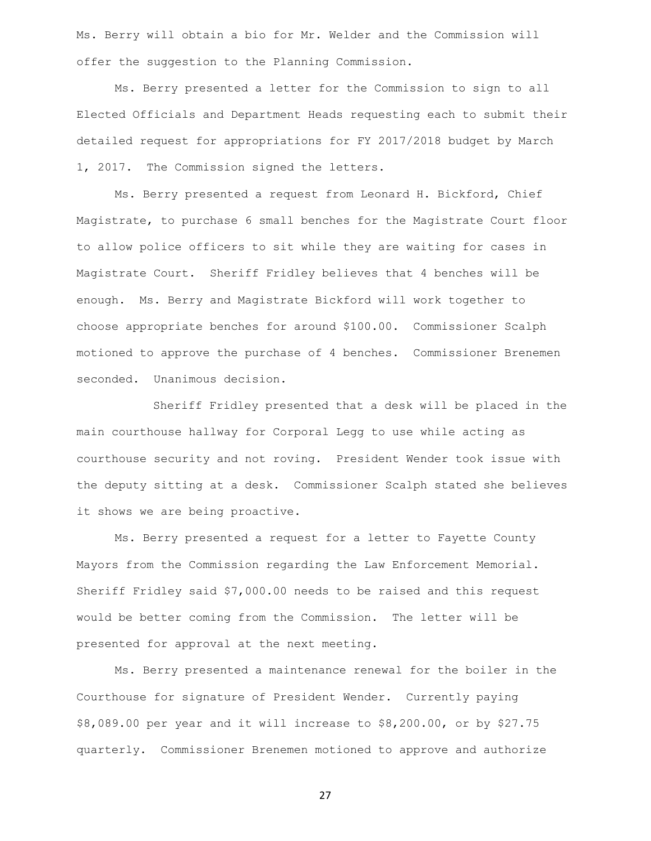Ms. Berry will obtain a bio for Mr. Welder and the Commission will offer the suggestion to the Planning Commission.

Ms. Berry presented a letter for the Commission to sign to all Elected Officials and Department Heads requesting each to submit their detailed request for appropriations for FY 2017/2018 budget by March 1, 2017. The Commission signed the letters.

Ms. Berry presented a request from Leonard H. Bickford, Chief Magistrate, to purchase 6 small benches for the Magistrate Court floor to allow police officers to sit while they are waiting for cases in Magistrate Court. Sheriff Fridley believes that 4 benches will be enough. Ms. Berry and Magistrate Bickford will work together to choose appropriate benches for around \$100.00. Commissioner Scalph motioned to approve the purchase of 4 benches. Commissioner Brenemen seconded. Unanimous decision.

Sheriff Fridley presented that a desk will be placed in the main courthouse hallway for Corporal Legg to use while acting as courthouse security and not roving. President Wender took issue with the deputy sitting at a desk. Commissioner Scalph stated she believes it shows we are being proactive.

Ms. Berry presented a request for a letter to Fayette County Mayors from the Commission regarding the Law Enforcement Memorial. Sheriff Fridley said \$7,000.00 needs to be raised and this request would be better coming from the Commission. The letter will be presented for approval at the next meeting.

Ms. Berry presented a maintenance renewal for the boiler in the Courthouse for signature of President Wender. Currently paying \$8,089.00 per year and it will increase to \$8,200.00, or by \$27.75 quarterly. Commissioner Brenemen motioned to approve and authorize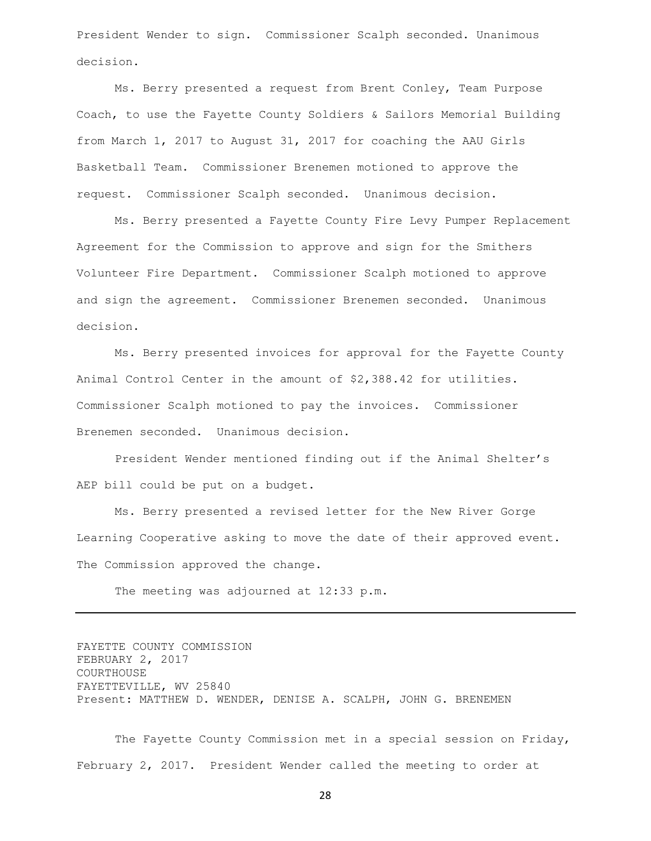President Wender to sign. Commissioner Scalph seconded. Unanimous decision.

Ms. Berry presented a request from Brent Conley, Team Purpose Coach, to use the Fayette County Soldiers & Sailors Memorial Building from March 1, 2017 to August 31, 2017 for coaching the AAU Girls Basketball Team. Commissioner Brenemen motioned to approve the request. Commissioner Scalph seconded. Unanimous decision.

Ms. Berry presented a Fayette County Fire Levy Pumper Replacement Agreement for the Commission to approve and sign for the Smithers Volunteer Fire Department. Commissioner Scalph motioned to approve and sign the agreement. Commissioner Brenemen seconded. Unanimous decision.

Ms. Berry presented invoices for approval for the Fayette County Animal Control Center in the amount of \$2,388.42 for utilities. Commissioner Scalph motioned to pay the invoices. Commissioner Brenemen seconded. Unanimous decision.

President Wender mentioned finding out if the Animal Shelter's AEP bill could be put on a budget.

Ms. Berry presented a revised letter for the New River Gorge Learning Cooperative asking to move the date of their approved event. The Commission approved the change.

The meeting was adjourned at 12:33 p.m.

FAYETTE COUNTY COMMISSION FEBRUARY 2, 2017 COURTHOUSE FAYETTEVILLE, WV 25840 Present: MATTHEW D. WENDER, DENISE A. SCALPH, JOHN G. BRENEMEN

The Fayette County Commission met in a special session on Friday, February 2, 2017. President Wender called the meeting to order at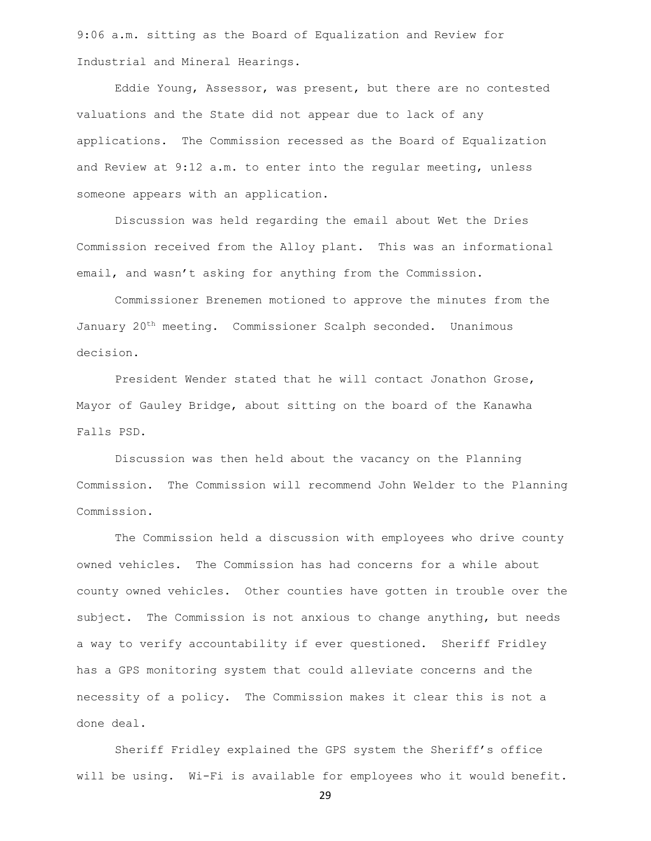9:06 a.m. sitting as the Board of Equalization and Review for Industrial and Mineral Hearings.

Eddie Young, Assessor, was present, but there are no contested valuations and the State did not appear due to lack of any applications. The Commission recessed as the Board of Equalization and Review at 9:12 a.m. to enter into the regular meeting, unless someone appears with an application.

Discussion was held regarding the email about Wet the Dries Commission received from the Alloy plant. This was an informational email, and wasn't asking for anything from the Commission.

Commissioner Brenemen motioned to approve the minutes from the January 20th meeting. Commissioner Scalph seconded. Unanimous decision.

President Wender stated that he will contact Jonathon Grose, Mayor of Gauley Bridge, about sitting on the board of the Kanawha Falls PSD.

Discussion was then held about the vacancy on the Planning Commission. The Commission will recommend John Welder to the Planning Commission.

The Commission held a discussion with employees who drive county owned vehicles. The Commission has had concerns for a while about county owned vehicles. Other counties have gotten in trouble over the subject. The Commission is not anxious to change anything, but needs a way to verify accountability if ever questioned. Sheriff Fridley has a GPS monitoring system that could alleviate concerns and the necessity of a policy. The Commission makes it clear this is not a done deal.

Sheriff Fridley explained the GPS system the Sheriff's office will be using. Wi-Fi is available for employees who it would benefit.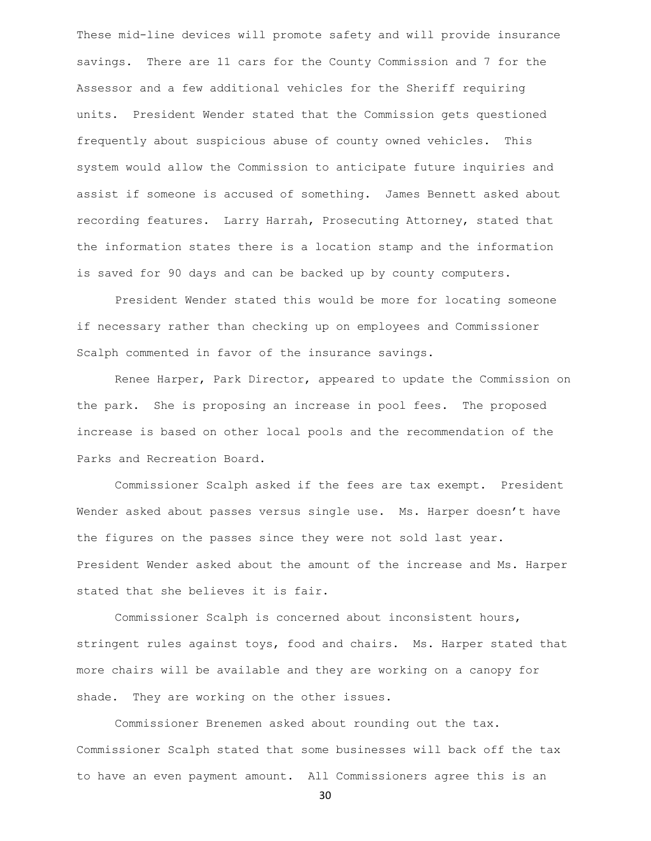These mid-line devices will promote safety and will provide insurance savings. There are 11 cars for the County Commission and 7 for the Assessor and a few additional vehicles for the Sheriff requiring units. President Wender stated that the Commission gets questioned frequently about suspicious abuse of county owned vehicles. This system would allow the Commission to anticipate future inquiries and assist if someone is accused of something. James Bennett asked about recording features. Larry Harrah, Prosecuting Attorney, stated that the information states there is a location stamp and the information is saved for 90 days and can be backed up by county computers.

President Wender stated this would be more for locating someone if necessary rather than checking up on employees and Commissioner Scalph commented in favor of the insurance savings.

Renee Harper, Park Director, appeared to update the Commission on the park. She is proposing an increase in pool fees. The proposed increase is based on other local pools and the recommendation of the Parks and Recreation Board.

Commissioner Scalph asked if the fees are tax exempt. President Wender asked about passes versus single use. Ms. Harper doesn't have the figures on the passes since they were not sold last year. President Wender asked about the amount of the increase and Ms. Harper stated that she believes it is fair.

Commissioner Scalph is concerned about inconsistent hours, stringent rules against toys, food and chairs. Ms. Harper stated that more chairs will be available and they are working on a canopy for shade. They are working on the other issues.

Commissioner Brenemen asked about rounding out the tax. Commissioner Scalph stated that some businesses will back off the tax to have an even payment amount. All Commissioners agree this is an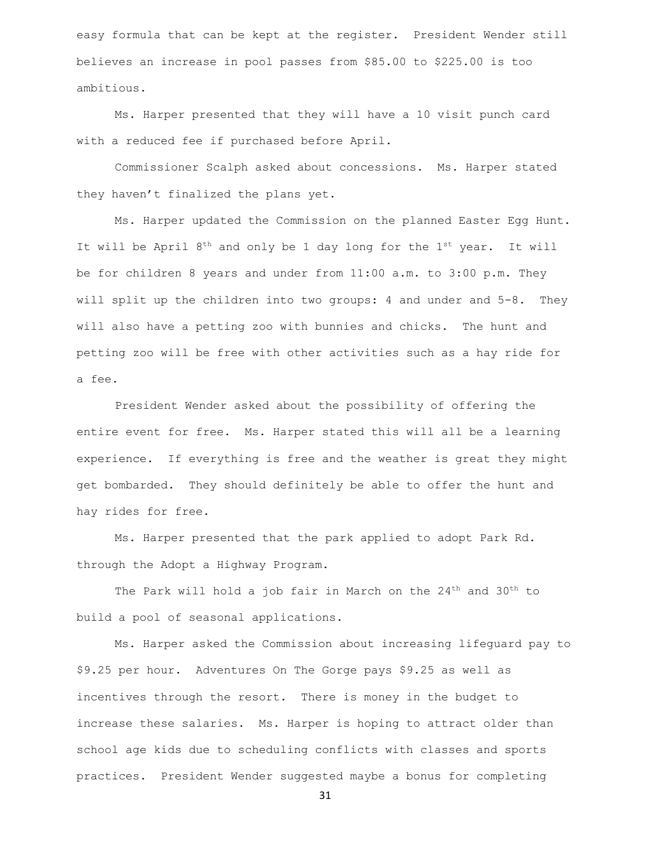easy formula that can be kept at the register. President Wender still believes an increase in pool passes from \$85.00 to \$225.00 is too ambitious.

Ms. Harper presented that they will have a 10 visit punch card with a reduced fee if purchased before April.

Commissioner Scalph asked about concessions. Ms. Harper stated they haven't finalized the plans yet.

Ms. Harper updated the Commission on the planned Easter Egg Hunt. It will be April  $8^{th}$  and only be 1 day long for the  $1^{st}$  year. It will be for children 8 years and under from 11:00 a.m. to 3:00 p.m. They will split up the children into two groups: 4 and under and 5-8. They will also have a petting zoo with bunnies and chicks. The hunt and petting zoo will be free with other activities such as a hay ride for a fee.

President Wender asked about the possibility of offering the entire event for free. Ms. Harper stated this will all be a learning experience. If everything is free and the weather is great they might get bombarded. They should definitely be able to offer the hunt and hay rides for free.

Ms. Harper presented that the park applied to adopt Park Rd. through the Adopt a Highway Program.

The Park will hold a job fair in March on the 24<sup>th</sup> and 30<sup>th</sup> to build a pool of seasonal applications.

Ms. Harper asked the Commission about increasing lifeguard pay to \$9.25 per hour. Adventures On The Gorge pays \$9.25 as well as incentives through the resort. There is money in the budget to increase these salaries. Ms. Harper is hoping to attract older than school age kids due to scheduling conflicts with classes and sports practices. President Wender suggested maybe a bonus for completing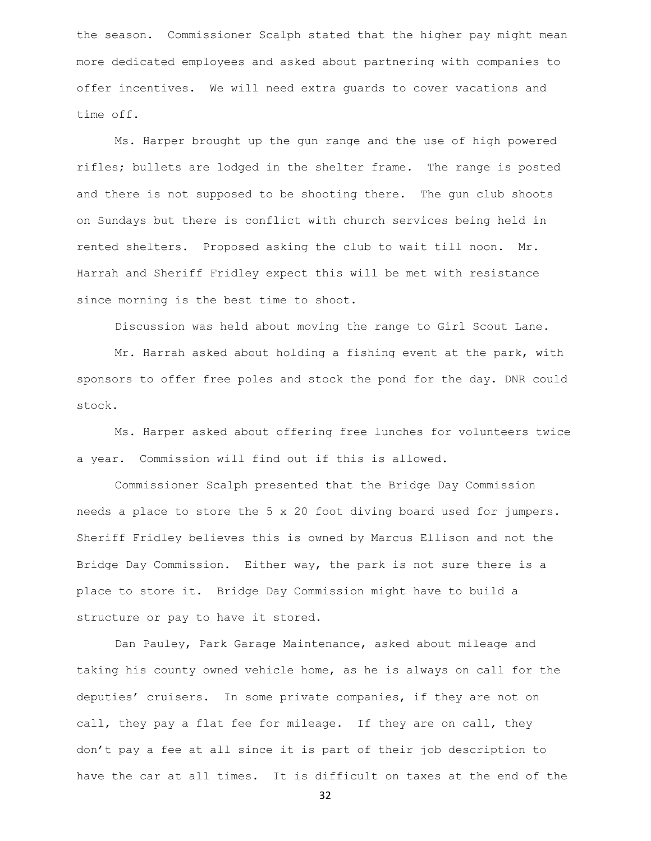the season. Commissioner Scalph stated that the higher pay might mean more dedicated employees and asked about partnering with companies to offer incentives. We will need extra guards to cover vacations and time off.

Ms. Harper brought up the gun range and the use of high powered rifles; bullets are lodged in the shelter frame. The range is posted and there is not supposed to be shooting there. The gun club shoots on Sundays but there is conflict with church services being held in rented shelters. Proposed asking the club to wait till noon. Mr. Harrah and Sheriff Fridley expect this will be met with resistance since morning is the best time to shoot.

Discussion was held about moving the range to Girl Scout Lane.

Mr. Harrah asked about holding a fishing event at the park, with sponsors to offer free poles and stock the pond for the day. DNR could stock.

Ms. Harper asked about offering free lunches for volunteers twice a year. Commission will find out if this is allowed.

Commissioner Scalph presented that the Bridge Day Commission needs a place to store the 5 x 20 foot diving board used for jumpers. Sheriff Fridley believes this is owned by Marcus Ellison and not the Bridge Day Commission. Either way, the park is not sure there is a place to store it. Bridge Day Commission might have to build a structure or pay to have it stored.

Dan Pauley, Park Garage Maintenance, asked about mileage and taking his county owned vehicle home, as he is always on call for the deputies' cruisers. In some private companies, if they are not on call, they pay a flat fee for mileage. If they are on call, they don't pay a fee at all since it is part of their job description to have the car at all times. It is difficult on taxes at the end of the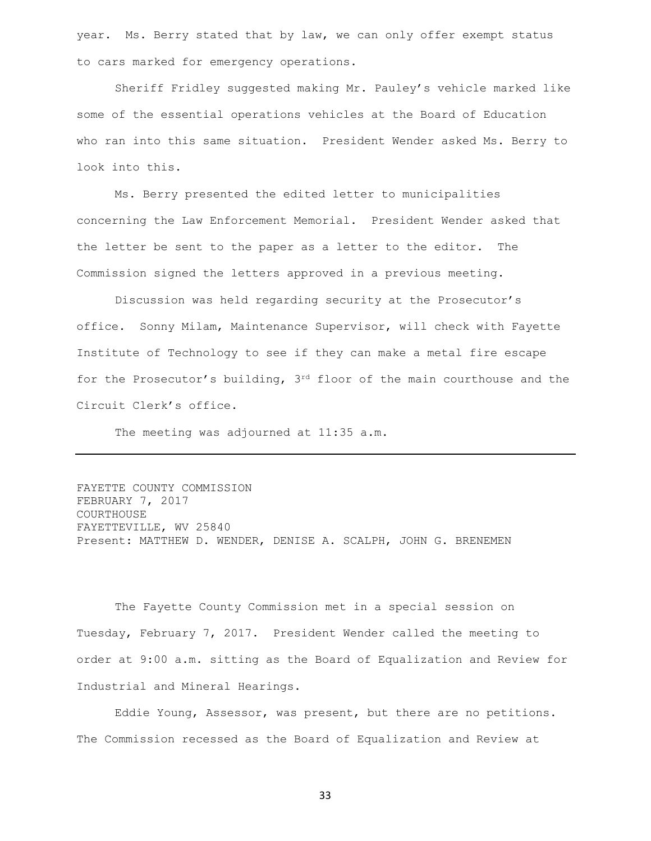year. Ms. Berry stated that by law, we can only offer exempt status to cars marked for emergency operations.

Sheriff Fridley suggested making Mr. Pauley's vehicle marked like some of the essential operations vehicles at the Board of Education who ran into this same situation. President Wender asked Ms. Berry to look into this.

Ms. Berry presented the edited letter to municipalities concerning the Law Enforcement Memorial. President Wender asked that the letter be sent to the paper as a letter to the editor. The Commission signed the letters approved in a previous meeting.

Discussion was held regarding security at the Prosecutor's office. Sonny Milam, Maintenance Supervisor, will check with Fayette Institute of Technology to see if they can make a metal fire escape for the Prosecutor's building, 3rd floor of the main courthouse and the Circuit Clerk's office.

The meeting was adjourned at 11:35 a.m.

```
FAYETTE COUNTY COMMISSION
FEBRUARY 7, 2017
COURTHOUSE
FAYETTEVILLE, WV 25840
Present: MATTHEW D. WENDER, DENISE A. SCALPH, JOHN G. BRENEMEN
```
The Fayette County Commission met in a special session on Tuesday, February 7, 2017. President Wender called the meeting to order at 9:00 a.m. sitting as the Board of Equalization and Review for Industrial and Mineral Hearings.

Eddie Young, Assessor, was present, but there are no petitions. The Commission recessed as the Board of Equalization and Review at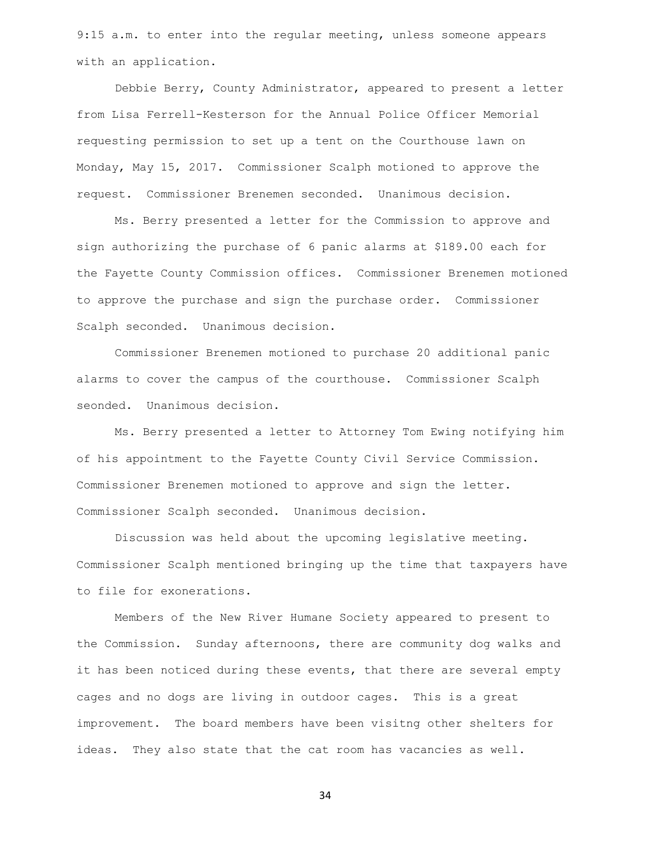9:15 a.m. to enter into the regular meeting, unless someone appears with an application.

Debbie Berry, County Administrator, appeared to present a letter from Lisa Ferrell-Kesterson for the Annual Police Officer Memorial requesting permission to set up a tent on the Courthouse lawn on Monday, May 15, 2017. Commissioner Scalph motioned to approve the request. Commissioner Brenemen seconded. Unanimous decision.

Ms. Berry presented a letter for the Commission to approve and sign authorizing the purchase of 6 panic alarms at \$189.00 each for the Fayette County Commission offices. Commissioner Brenemen motioned to approve the purchase and sign the purchase order. Commissioner Scalph seconded. Unanimous decision.

Commissioner Brenemen motioned to purchase 20 additional panic alarms to cover the campus of the courthouse. Commissioner Scalph seonded. Unanimous decision.

Ms. Berry presented a letter to Attorney Tom Ewing notifying him of his appointment to the Fayette County Civil Service Commission. Commissioner Brenemen motioned to approve and sign the letter. Commissioner Scalph seconded. Unanimous decision.

Discussion was held about the upcoming legislative meeting. Commissioner Scalph mentioned bringing up the time that taxpayers have to file for exonerations.

Members of the New River Humane Society appeared to present to the Commission. Sunday afternoons, there are community dog walks and it has been noticed during these events, that there are several empty cages and no dogs are living in outdoor cages. This is a great improvement. The board members have been visitng other shelters for ideas. They also state that the cat room has vacancies as well.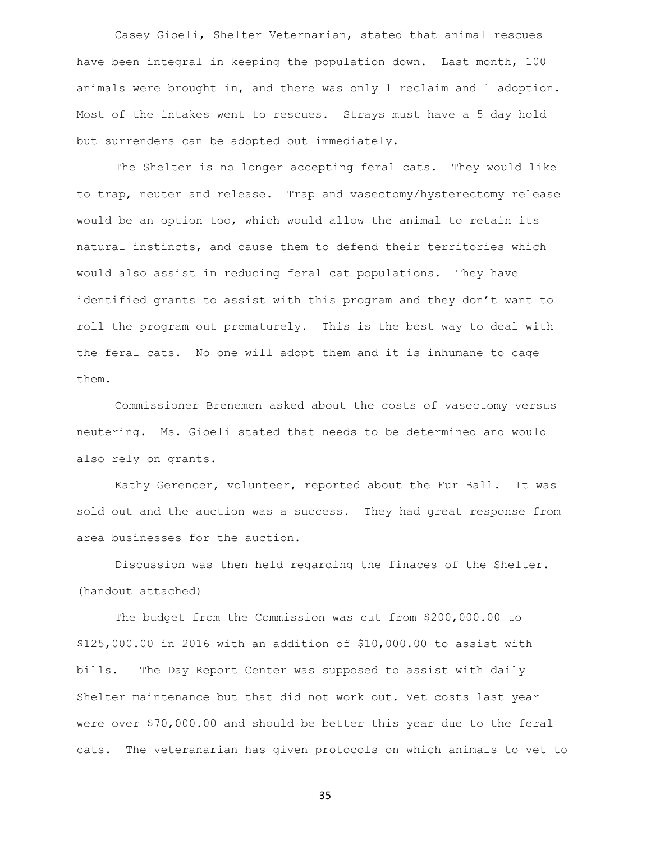Casey Gioeli, Shelter Veternarian, stated that animal rescues have been integral in keeping the population down. Last month, 100 animals were brought in, and there was only 1 reclaim and 1 adoption. Most of the intakes went to rescues. Strays must have a 5 day hold but surrenders can be adopted out immediately.

The Shelter is no longer accepting feral cats. They would like to trap, neuter and release. Trap and vasectomy/hysterectomy release would be an option too, which would allow the animal to retain its natural instincts, and cause them to defend their territories which would also assist in reducing feral cat populations. They have identified grants to assist with this program and they don't want to roll the program out prematurely. This is the best way to deal with the feral cats. No one will adopt them and it is inhumane to cage them.

Commissioner Brenemen asked about the costs of vasectomy versus neutering. Ms. Gioeli stated that needs to be determined and would also rely on grants.

Kathy Gerencer, volunteer, reported about the Fur Ball. It was sold out and the auction was a success. They had great response from area businesses for the auction.

Discussion was then held regarding the finaces of the Shelter. (handout attached)

The budget from the Commission was cut from \$200,000.00 to \$125,000.00 in 2016 with an addition of \$10,000.00 to assist with bills. The Day Report Center was supposed to assist with daily Shelter maintenance but that did not work out. Vet costs last year were over \$70,000.00 and should be better this year due to the feral cats. The veteranarian has given protocols on which animals to vet to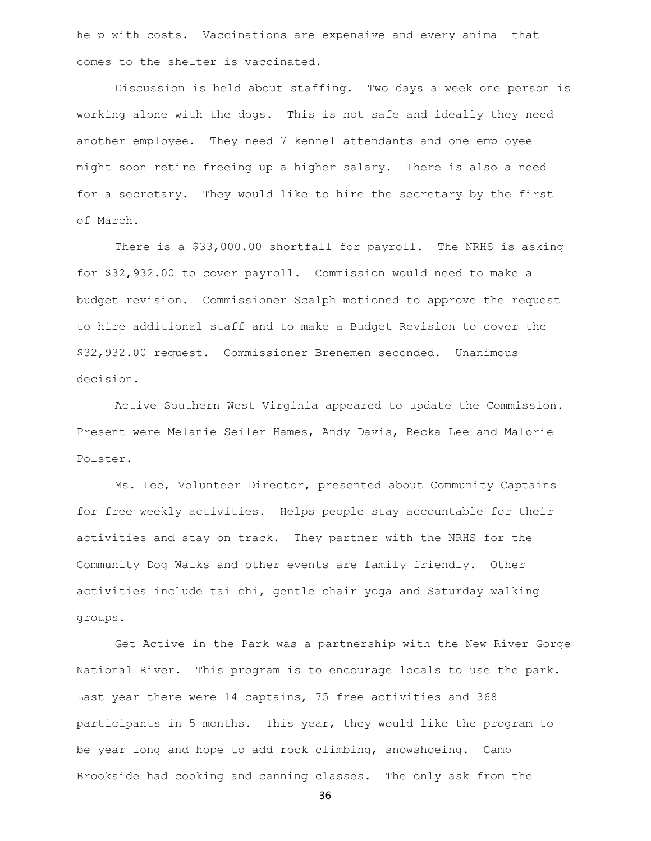help with costs. Vaccinations are expensive and every animal that comes to the shelter is vaccinated.

Discussion is held about staffing. Two days a week one person is working alone with the dogs. This is not safe and ideally they need another employee. They need 7 kennel attendants and one employee might soon retire freeing up a higher salary. There is also a need for a secretary. They would like to hire the secretary by the first of March.

There is a \$33,000.00 shortfall for payroll. The NRHS is asking for \$32,932.00 to cover payroll. Commission would need to make a budget revision. Commissioner Scalph motioned to approve the request to hire additional staff and to make a Budget Revision to cover the \$32,932.00 request. Commissioner Brenemen seconded. Unanimous decision.

Active Southern West Virginia appeared to update the Commission. Present were Melanie Seiler Hames, Andy Davis, Becka Lee and Malorie Polster.

Ms. Lee, Volunteer Director, presented about Community Captains for free weekly activities. Helps people stay accountable for their activities and stay on track. They partner with the NRHS for the Community Dog Walks and other events are family friendly. Other activities include tai chi, gentle chair yoga and Saturday walking groups.

Get Active in the Park was a partnership with the New River Gorge National River. This program is to encourage locals to use the park. Last year there were 14 captains, 75 free activities and 368 participants in 5 months. This year, they would like the program to be year long and hope to add rock climbing, snowshoeing. Camp Brookside had cooking and canning classes. The only ask from the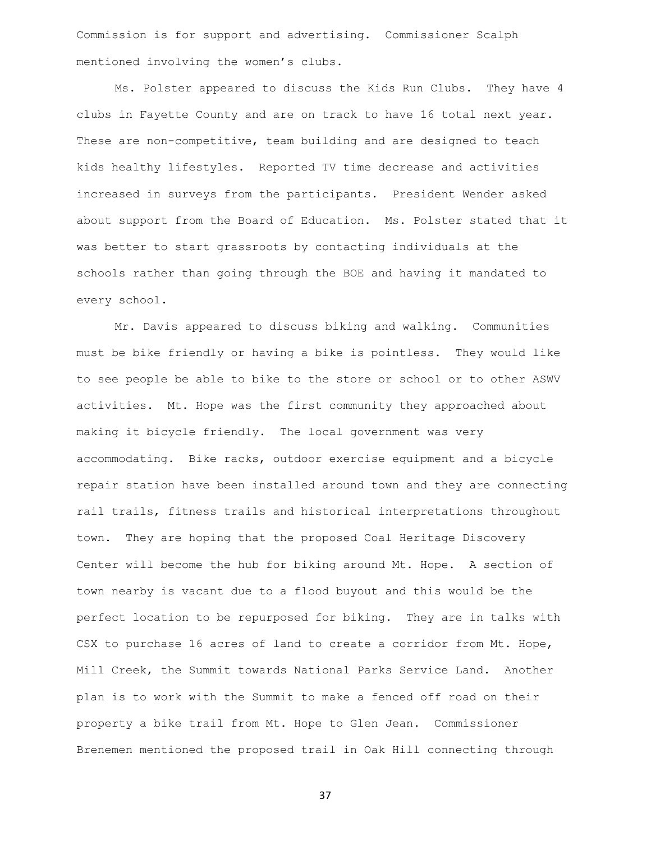Commission is for support and advertising. Commissioner Scalph mentioned involving the women's clubs.

Ms. Polster appeared to discuss the Kids Run Clubs. They have 4 clubs in Fayette County and are on track to have 16 total next year. These are non-competitive, team building and are designed to teach kids healthy lifestyles. Reported TV time decrease and activities increased in surveys from the participants. President Wender asked about support from the Board of Education. Ms. Polster stated that it was better to start grassroots by contacting individuals at the schools rather than going through the BOE and having it mandated to every school.

Mr. Davis appeared to discuss biking and walking. Communities must be bike friendly or having a bike is pointless. They would like to see people be able to bike to the store or school or to other ASWV activities. Mt. Hope was the first community they approached about making it bicycle friendly. The local government was very accommodating. Bike racks, outdoor exercise equipment and a bicycle repair station have been installed around town and they are connecting rail trails, fitness trails and historical interpretations throughout town. They are hoping that the proposed Coal Heritage Discovery Center will become the hub for biking around Mt. Hope. A section of town nearby is vacant due to a flood buyout and this would be the perfect location to be repurposed for biking. They are in talks with CSX to purchase 16 acres of land to create a corridor from Mt. Hope, Mill Creek, the Summit towards National Parks Service Land. Another plan is to work with the Summit to make a fenced off road on their property a bike trail from Mt. Hope to Glen Jean. Commissioner Brenemen mentioned the proposed trail in Oak Hill connecting through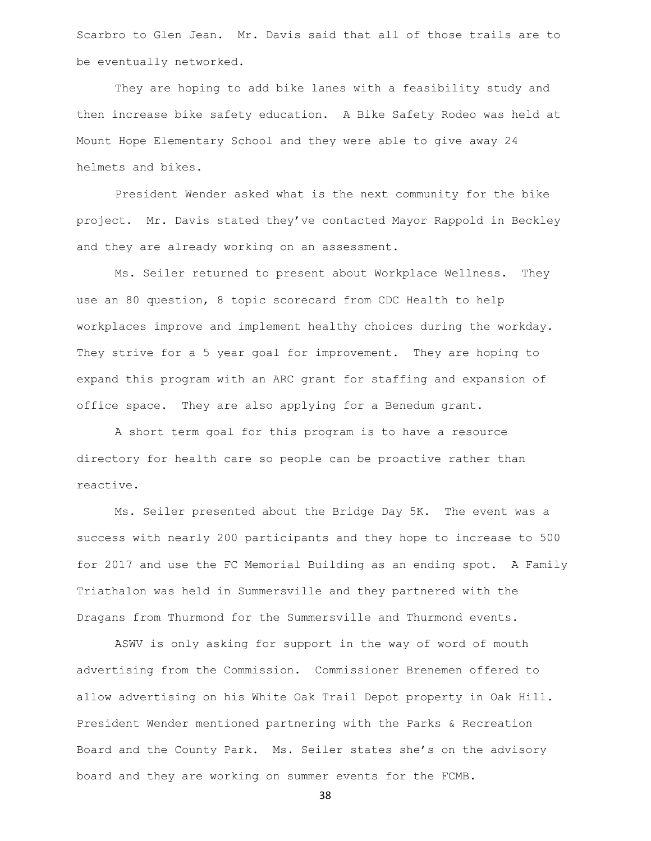Scarbro to Glen Jean. Mr. Davis said that all of those trails are to be eventually networked.

They are hoping to add bike lanes with a feasibility study and then increase bike safety education. A Bike Safety Rodeo was held at Mount Hope Elementary School and they were able to give away 24 helmets and bikes.

President Wender asked what is the next community for the bike project. Mr. Davis stated they've contacted Mayor Rappold in Beckley and they are already working on an assessment.

Ms. Seiler returned to present about Workplace Wellness. They use an 80 question, 8 topic scorecard from CDC Health to help workplaces improve and implement healthy choices during the workday. They strive for a 5 year goal for improvement. They are hoping to expand this program with an ARC grant for staffing and expansion of office space. They are also applying for a Benedum grant.

A short term goal for this program is to have a resource directory for health care so people can be proactive rather than reactive.

Ms. Seiler presented about the Bridge Day 5K. The event was a success with nearly 200 participants and they hope to increase to 500 for 2017 and use the FC Memorial Building as an ending spot. A Family Triathalon was held in Summersville and they partnered with the Dragans from Thurmond for the Summersville and Thurmond events.

ASWV is only asking for support in the way of word of mouth advertising from the Commission. Commissioner Brenemen offered to allow advertising on his White Oak Trail Depot property in Oak Hill. President Wender mentioned partnering with the Parks & Recreation Board and the County Park. Ms. Seiler states she's on the advisory board and they are working on summer events for the FCMB.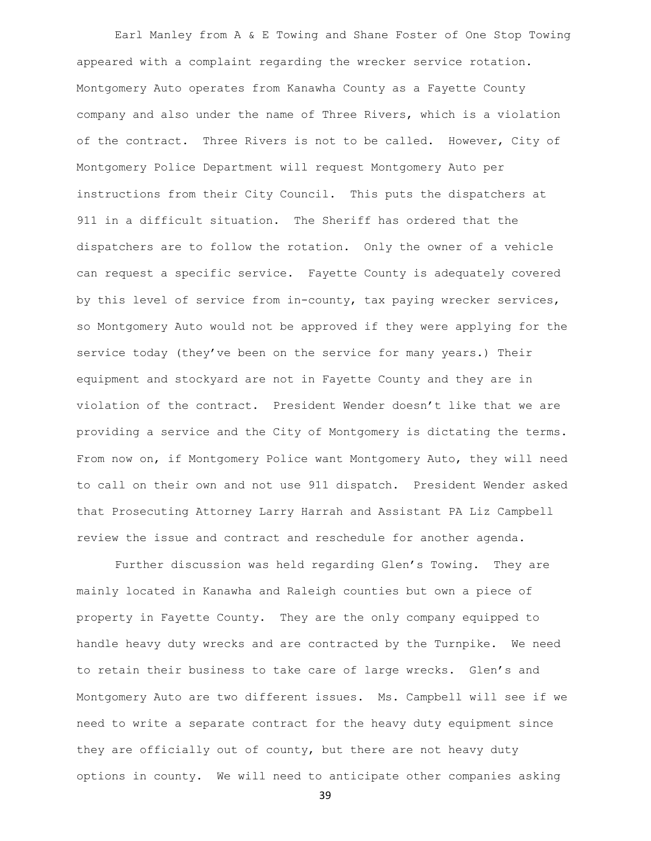Earl Manley from A & E Towing and Shane Foster of One Stop Towing appeared with a complaint regarding the wrecker service rotation. Montgomery Auto operates from Kanawha County as a Fayette County company and also under the name of Three Rivers, which is a violation of the contract. Three Rivers is not to be called. However, City of Montgomery Police Department will request Montgomery Auto per instructions from their City Council. This puts the dispatchers at 911 in a difficult situation. The Sheriff has ordered that the dispatchers are to follow the rotation. Only the owner of a vehicle can request a specific service. Fayette County is adequately covered by this level of service from in-county, tax paying wrecker services, so Montgomery Auto would not be approved if they were applying for the service today (they've been on the service for many years.) Their equipment and stockyard are not in Fayette County and they are in violation of the contract. President Wender doesn't like that we are providing a service and the City of Montgomery is dictating the terms. From now on, if Montgomery Police want Montgomery Auto, they will need to call on their own and not use 911 dispatch. President Wender asked that Prosecuting Attorney Larry Harrah and Assistant PA Liz Campbell review the issue and contract and reschedule for another agenda.

Further discussion was held regarding Glen's Towing. They are mainly located in Kanawha and Raleigh counties but own a piece of property in Fayette County. They are the only company equipped to handle heavy duty wrecks and are contracted by the Turnpike. We need to retain their business to take care of large wrecks. Glen's and Montgomery Auto are two different issues. Ms. Campbell will see if we need to write a separate contract for the heavy duty equipment since they are officially out of county, but there are not heavy duty options in county. We will need to anticipate other companies asking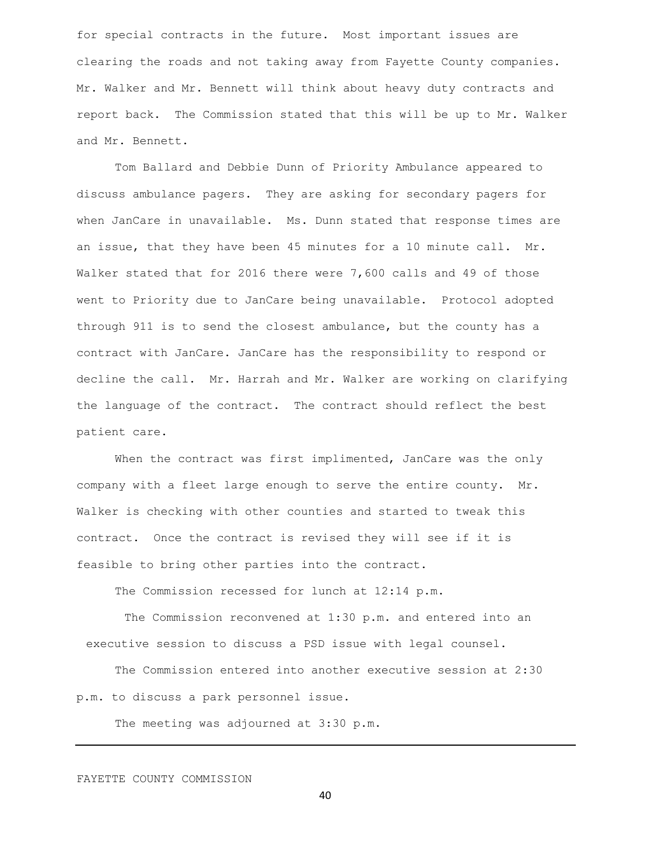for special contracts in the future. Most important issues are clearing the roads and not taking away from Fayette County companies. Mr. Walker and Mr. Bennett will think about heavy duty contracts and report back. The Commission stated that this will be up to Mr. Walker and Mr. Bennett.

Tom Ballard and Debbie Dunn of Priority Ambulance appeared to discuss ambulance pagers. They are asking for secondary pagers for when JanCare in unavailable. Ms. Dunn stated that response times are an issue, that they have been 45 minutes for a 10 minute call. Mr. Walker stated that for 2016 there were 7,600 calls and 49 of those went to Priority due to JanCare being unavailable. Protocol adopted through 911 is to send the closest ambulance, but the county has a contract with JanCare. JanCare has the responsibility to respond or decline the call. Mr. Harrah and Mr. Walker are working on clarifying the language of the contract. The contract should reflect the best patient care.

When the contract was first implimented, JanCare was the only company with a fleet large enough to serve the entire county. Mr. Walker is checking with other counties and started to tweak this contract. Once the contract is revised they will see if it is feasible to bring other parties into the contract.

The Commission recessed for lunch at 12:14 p.m.

The Commission reconvened at 1:30 p.m. and entered into an executive session to discuss a PSD issue with legal counsel.

The Commission entered into another executive session at 2:30 p.m. to discuss a park personnel issue.

The meeting was adjourned at 3:30 p.m.

## FAYETTE COUNTY COMMISSION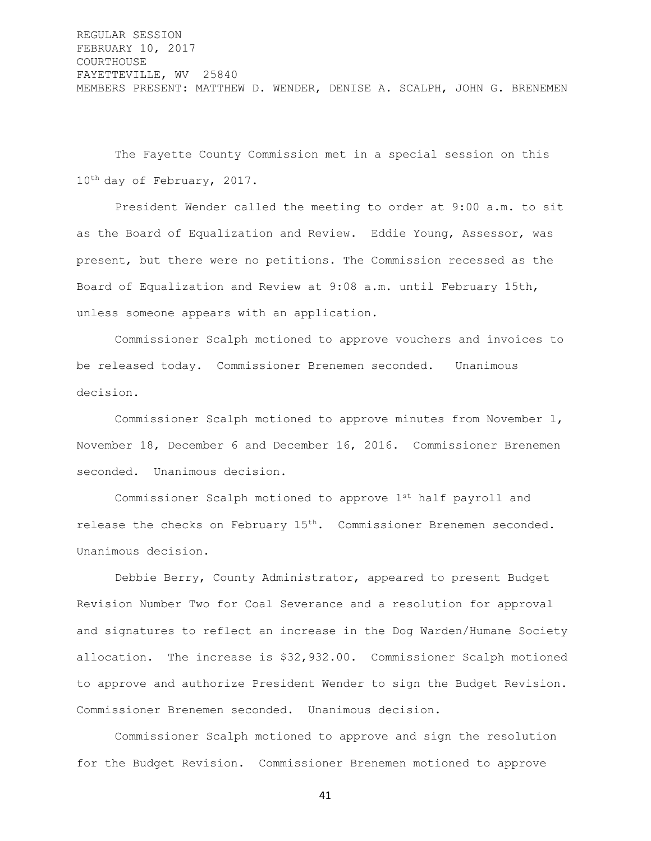REGULAR SESSION FEBRUARY 10, 2017 COURTHOUSE FAYETTEVILLE, WV 25840 MEMBERS PRESENT: MATTHEW D. WENDER, DENISE A. SCALPH, JOHN G. BRENEMEN

The Fayette County Commission met in a special session on this 10th day of February, 2017.

President Wender called the meeting to order at 9:00 a.m. to sit as the Board of Equalization and Review. Eddie Young, Assessor, was present, but there were no petitions. The Commission recessed as the Board of Equalization and Review at 9:08 a.m. until February 15th, unless someone appears with an application.

Commissioner Scalph motioned to approve vouchers and invoices to be released today. Commissioner Brenemen seconded. Unanimous decision.

Commissioner Scalph motioned to approve minutes from November 1, November 18, December 6 and December 16, 2016. Commissioner Brenemen seconded. Unanimous decision.

Commissioner Scalph motioned to approve 1st half payroll and release the checks on February 15<sup>th</sup>. Commissioner Brenemen seconded. Unanimous decision.

Debbie Berry, County Administrator, appeared to present Budget Revision Number Two for Coal Severance and a resolution for approval and signatures to reflect an increase in the Dog Warden/Humane Society allocation. The increase is \$32,932.00. Commissioner Scalph motioned to approve and authorize President Wender to sign the Budget Revision. Commissioner Brenemen seconded. Unanimous decision.

Commissioner Scalph motioned to approve and sign the resolution for the Budget Revision. Commissioner Brenemen motioned to approve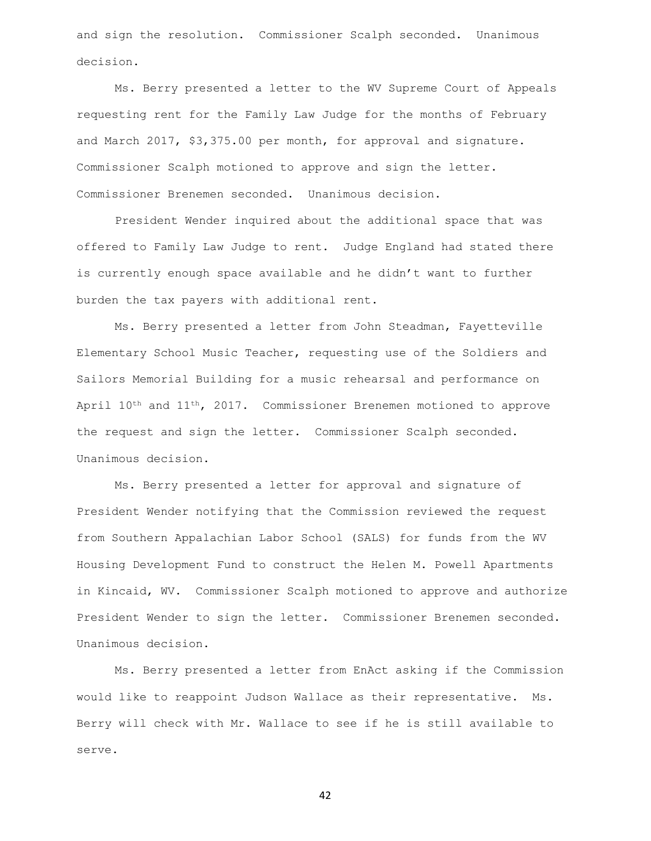and sign the resolution. Commissioner Scalph seconded. Unanimous decision.

Ms. Berry presented a letter to the WV Supreme Court of Appeals requesting rent for the Family Law Judge for the months of February and March 2017, \$3,375.00 per month, for approval and signature. Commissioner Scalph motioned to approve and sign the letter. Commissioner Brenemen seconded. Unanimous decision.

President Wender inquired about the additional space that was offered to Family Law Judge to rent. Judge England had stated there is currently enough space available and he didn't want to further burden the tax payers with additional rent.

Ms. Berry presented a letter from John Steadman, Fayetteville Elementary School Music Teacher, requesting use of the Soldiers and Sailors Memorial Building for a music rehearsal and performance on April  $10^{th}$  and  $11^{th}$ , 2017. Commissioner Brenemen motioned to approve the request and sign the letter. Commissioner Scalph seconded. Unanimous decision.

Ms. Berry presented a letter for approval and signature of President Wender notifying that the Commission reviewed the request from Southern Appalachian Labor School (SALS) for funds from the WV Housing Development Fund to construct the Helen M. Powell Apartments in Kincaid, WV. Commissioner Scalph motioned to approve and authorize President Wender to sign the letter. Commissioner Brenemen seconded. Unanimous decision.

Ms. Berry presented a letter from EnAct asking if the Commission would like to reappoint Judson Wallace as their representative. Ms. Berry will check with Mr. Wallace to see if he is still available to serve.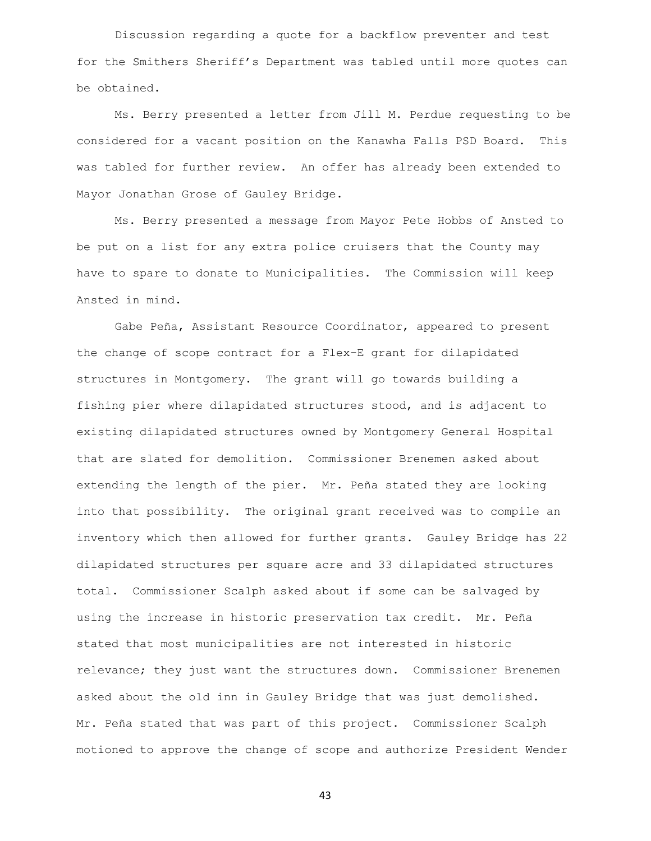Discussion regarding a quote for a backflow preventer and test for the Smithers Sheriff's Department was tabled until more quotes can be obtained.

Ms. Berry presented a letter from Jill M. Perdue requesting to be considered for a vacant position on the Kanawha Falls PSD Board. This was tabled for further review. An offer has already been extended to Mayor Jonathan Grose of Gauley Bridge.

Ms. Berry presented a message from Mayor Pete Hobbs of Ansted to be put on a list for any extra police cruisers that the County may have to spare to donate to Municipalities. The Commission will keep Ansted in mind.

Gabe Peña, Assistant Resource Coordinator, appeared to present the change of scope contract for a Flex-E grant for dilapidated structures in Montgomery. The grant will go towards building a fishing pier where dilapidated structures stood, and is adjacent to existing dilapidated structures owned by Montgomery General Hospital that are slated for demolition. Commissioner Brenemen asked about extending the length of the pier. Mr. Peña stated they are looking into that possibility. The original grant received was to compile an inventory which then allowed for further grants. Gauley Bridge has 22 dilapidated structures per square acre and 33 dilapidated structures total. Commissioner Scalph asked about if some can be salvaged by using the increase in historic preservation tax credit. Mr. Peña stated that most municipalities are not interested in historic relevance; they just want the structures down. Commissioner Brenemen asked about the old inn in Gauley Bridge that was just demolished. Mr. Peña stated that was part of this project. Commissioner Scalph motioned to approve the change of scope and authorize President Wender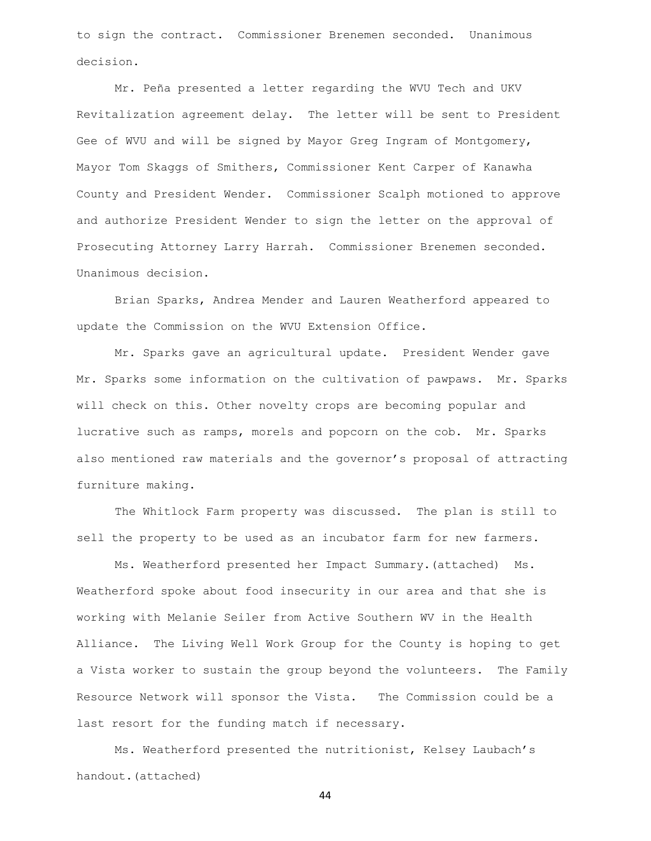to sign the contract. Commissioner Brenemen seconded. Unanimous decision.

Mr. Peña presented a letter regarding the WVU Tech and UKV Revitalization agreement delay. The letter will be sent to President Gee of WVU and will be signed by Mayor Greg Ingram of Montgomery, Mayor Tom Skaggs of Smithers, Commissioner Kent Carper of Kanawha County and President Wender. Commissioner Scalph motioned to approve and authorize President Wender to sign the letter on the approval of Prosecuting Attorney Larry Harrah. Commissioner Brenemen seconded. Unanimous decision.

Brian Sparks, Andrea Mender and Lauren Weatherford appeared to update the Commission on the WVU Extension Office.

Mr. Sparks gave an agricultural update. President Wender gave Mr. Sparks some information on the cultivation of pawpaws. Mr. Sparks will check on this. Other novelty crops are becoming popular and lucrative such as ramps, morels and popcorn on the cob. Mr. Sparks also mentioned raw materials and the governor's proposal of attracting furniture making.

The Whitlock Farm property was discussed. The plan is still to sell the property to be used as an incubator farm for new farmers.

Ms. Weatherford presented her Impact Summary.(attached) Ms. Weatherford spoke about food insecurity in our area and that she is working with Melanie Seiler from Active Southern WV in the Health Alliance. The Living Well Work Group for the County is hoping to get a Vista worker to sustain the group beyond the volunteers. The Family Resource Network will sponsor the Vista. The Commission could be a last resort for the funding match if necessary.

Ms. Weatherford presented the nutritionist, Kelsey Laubach's handout.(attached)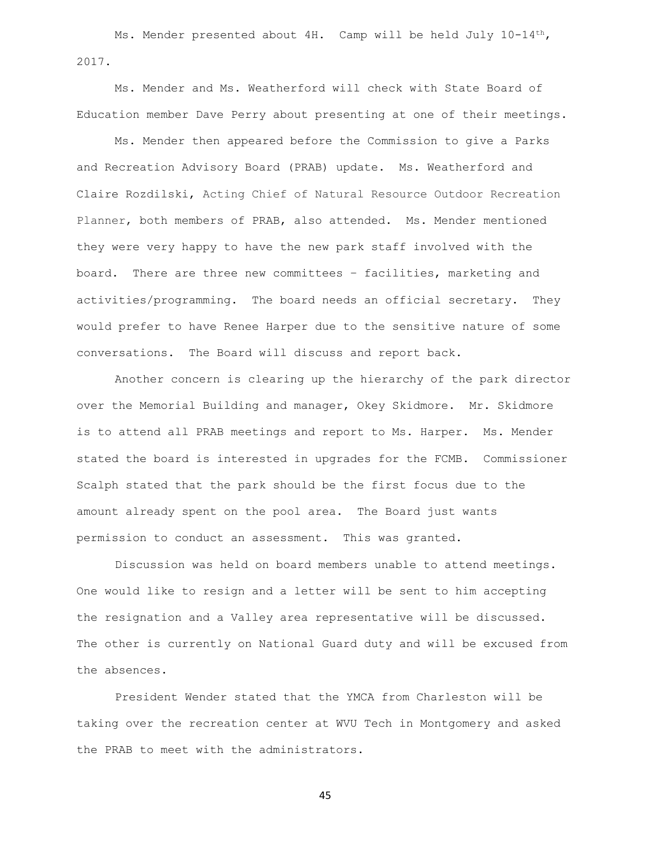Ms. Mender presented about 4H. Camp will be held July 10-14<sup>th</sup>, 2017.

Ms. Mender and Ms. Weatherford will check with State Board of Education member Dave Perry about presenting at one of their meetings.

Ms. Mender then appeared before the Commission to give a Parks and Recreation Advisory Board (PRAB) update. Ms. Weatherford and Claire Rozdilski, Acting Chief of Natural Resource Outdoor Recreation Planner, both members of PRAB, also attended. Ms. Mender mentioned they were very happy to have the new park staff involved with the board. There are three new committees – facilities, marketing and activities/programming. The board needs an official secretary. They would prefer to have Renee Harper due to the sensitive nature of some conversations. The Board will discuss and report back.

Another concern is clearing up the hierarchy of the park director over the Memorial Building and manager, Okey Skidmore. Mr. Skidmore is to attend all PRAB meetings and report to Ms. Harper. Ms. Mender stated the board is interested in upgrades for the FCMB. Commissioner Scalph stated that the park should be the first focus due to the amount already spent on the pool area. The Board just wants permission to conduct an assessment. This was granted.

Discussion was held on board members unable to attend meetings. One would like to resign and a letter will be sent to him accepting the resignation and a Valley area representative will be discussed. The other is currently on National Guard duty and will be excused from the absences.

President Wender stated that the YMCA from Charleston will be taking over the recreation center at WVU Tech in Montgomery and asked the PRAB to meet with the administrators.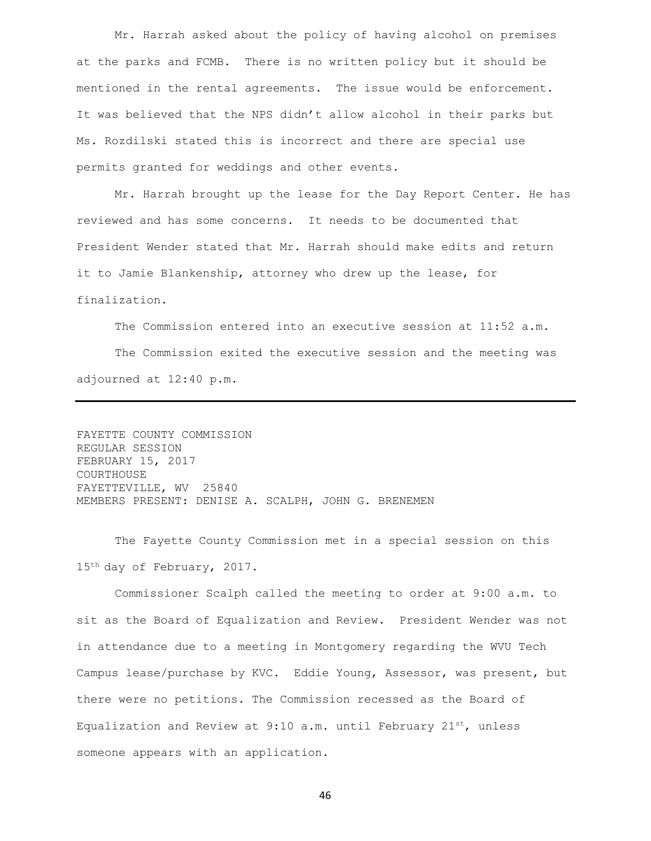Mr. Harrah asked about the policy of having alcohol on premises at the parks and FCMB. There is no written policy but it should be mentioned in the rental agreements. The issue would be enforcement. It was believed that the NPS didn't allow alcohol in their parks but Ms. Rozdilski stated this is incorrect and there are special use permits granted for weddings and other events.

Mr. Harrah brought up the lease for the Day Report Center. He has reviewed and has some concerns. It needs to be documented that President Wender stated that Mr. Harrah should make edits and return it to Jamie Blankenship, attorney who drew up the lease, for finalization.

The Commission entered into an executive session at 11:52 a.m. The Commission exited the executive session and the meeting was adjourned at 12:40 p.m.

FAYETTE COUNTY COMMISSION REGULAR SESSION FEBRUARY 15, 2017 COURTHOUSE FAYETTEVILLE, WV 25840 MEMBERS PRESENT: DENISE A. SCALPH, JOHN G. BRENEMEN

The Fayette County Commission met in a special session on this 15th day of February, 2017.

Commissioner Scalph called the meeting to order at 9:00 a.m. to sit as the Board of Equalization and Review. President Wender was not in attendance due to a meeting in Montgomery regarding the WVU Tech Campus lease/purchase by KVC. Eddie Young, Assessor, was present, but there were no petitions. The Commission recessed as the Board of Equalization and Review at 9:10 a.m. until February  $21^{st}$ , unless someone appears with an application.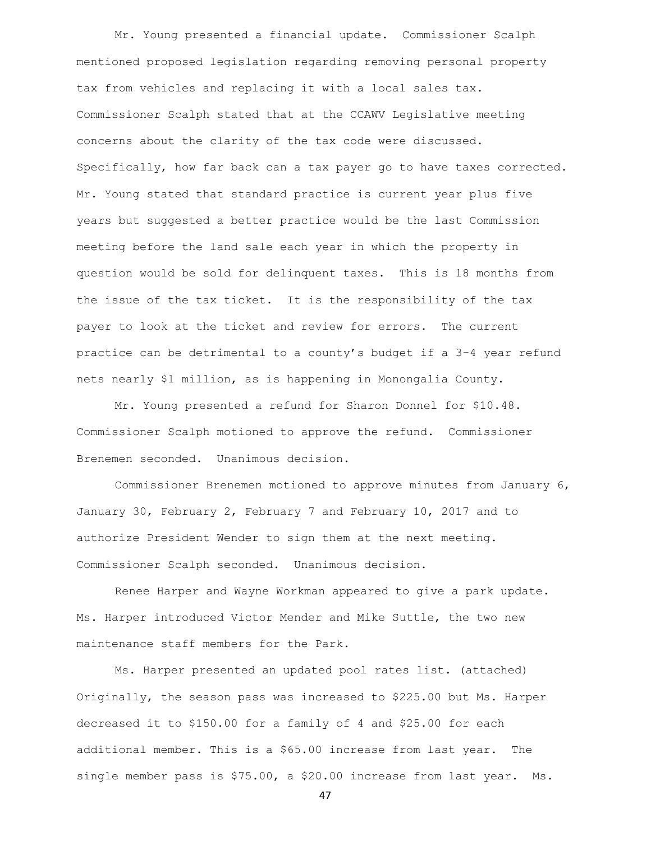Mr. Young presented a financial update. Commissioner Scalph mentioned proposed legislation regarding removing personal property tax from vehicles and replacing it with a local sales tax. Commissioner Scalph stated that at the CCAWV Legislative meeting concerns about the clarity of the tax code were discussed. Specifically, how far back can a tax payer go to have taxes corrected. Mr. Young stated that standard practice is current year plus five years but suggested a better practice would be the last Commission meeting before the land sale each year in which the property in question would be sold for delinquent taxes. This is 18 months from the issue of the tax ticket. It is the responsibility of the tax payer to look at the ticket and review for errors. The current practice can be detrimental to a county's budget if a 3-4 year refund nets nearly \$1 million, as is happening in Monongalia County.

Mr. Young presented a refund for Sharon Donnel for \$10.48. Commissioner Scalph motioned to approve the refund. Commissioner Brenemen seconded. Unanimous decision.

Commissioner Brenemen motioned to approve minutes from January 6, January 30, February 2, February 7 and February 10, 2017 and to authorize President Wender to sign them at the next meeting. Commissioner Scalph seconded. Unanimous decision.

Renee Harper and Wayne Workman appeared to give a park update. Ms. Harper introduced Victor Mender and Mike Suttle, the two new maintenance staff members for the Park.

Ms. Harper presented an updated pool rates list. (attached) Originally, the season pass was increased to \$225.00 but Ms. Harper decreased it to \$150.00 for a family of 4 and \$25.00 for each additional member. This is a \$65.00 increase from last year. The single member pass is \$75.00, a \$20.00 increase from last year. Ms.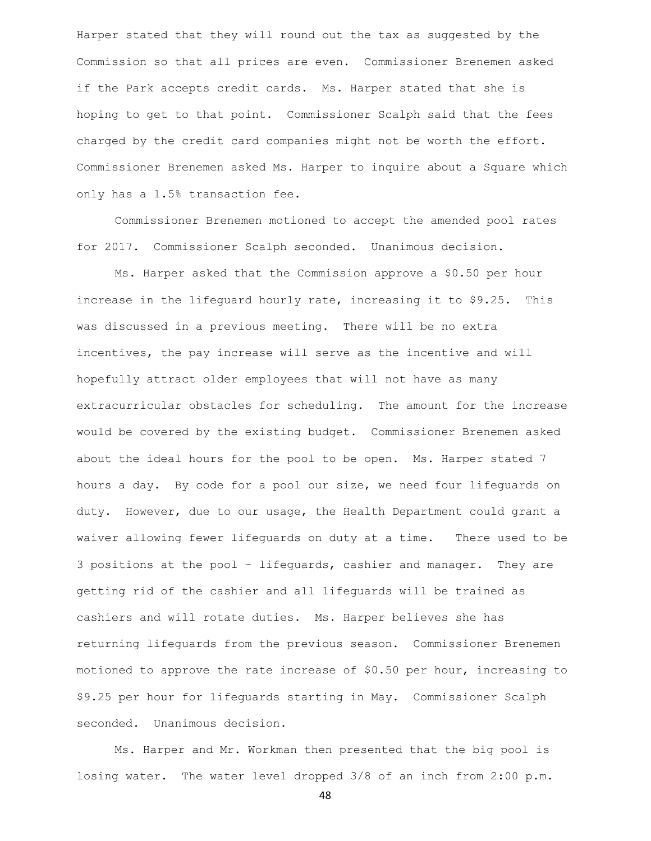Harper stated that they will round out the tax as suggested by the Commission so that all prices are even. Commissioner Brenemen asked if the Park accepts credit cards. Ms. Harper stated that she is hoping to get to that point. Commissioner Scalph said that the fees charged by the credit card companies might not be worth the effort. Commissioner Brenemen asked Ms. Harper to inquire about a Square which only has a 1.5% transaction fee.

Commissioner Brenemen motioned to accept the amended pool rates for 2017. Commissioner Scalph seconded. Unanimous decision.

Ms. Harper asked that the Commission approve a \$0.50 per hour increase in the lifeguard hourly rate, increasing it to \$9.25. This was discussed in a previous meeting. There will be no extra incentives, the pay increase will serve as the incentive and will hopefully attract older employees that will not have as many extracurricular obstacles for scheduling. The amount for the increase would be covered by the existing budget. Commissioner Brenemen asked about the ideal hours for the pool to be open. Ms. Harper stated 7 hours a day. By code for a pool our size, we need four lifeguards on duty. However, due to our usage, the Health Department could grant a waiver allowing fewer lifeguards on duty at a time. There used to be 3 positions at the pool – lifeguards, cashier and manager. They are getting rid of the cashier and all lifeguards will be trained as cashiers and will rotate duties. Ms. Harper believes she has returning lifeguards from the previous season. Commissioner Brenemen motioned to approve the rate increase of \$0.50 per hour, increasing to \$9.25 per hour for lifeguards starting in May. Commissioner Scalph seconded. Unanimous decision.

Ms. Harper and Mr. Workman then presented that the big pool is losing water. The water level dropped 3/8 of an inch from 2:00 p.m.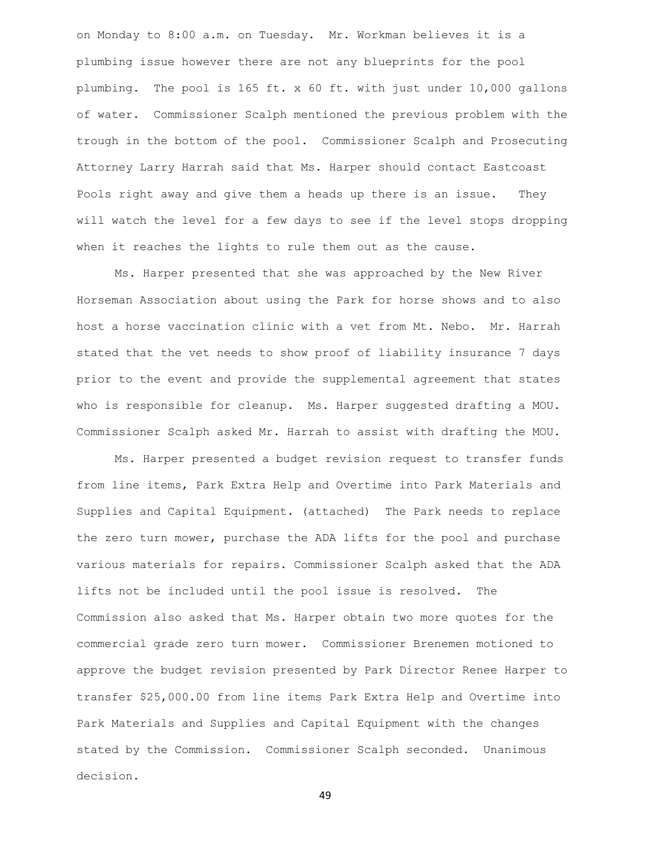on Monday to 8:00 a.m. on Tuesday. Mr. Workman believes it is a plumbing issue however there are not any blueprints for the pool plumbing. The pool is 165 ft. x 60 ft. with just under 10,000 gallons of water. Commissioner Scalph mentioned the previous problem with the trough in the bottom of the pool. Commissioner Scalph and Prosecuting Attorney Larry Harrah said that Ms. Harper should contact Eastcoast Pools right away and give them a heads up there is an issue. They will watch the level for a few days to see if the level stops dropping when it reaches the lights to rule them out as the cause.

Ms. Harper presented that she was approached by the New River Horseman Association about using the Park for horse shows and to also host a horse vaccination clinic with a vet from Mt. Nebo. Mr. Harrah stated that the vet needs to show proof of liability insurance 7 days prior to the event and provide the supplemental agreement that states who is responsible for cleanup. Ms. Harper suggested drafting a MOU. Commissioner Scalph asked Mr. Harrah to assist with drafting the MOU.

Ms. Harper presented a budget revision request to transfer funds from line items, Park Extra Help and Overtime into Park Materials and Supplies and Capital Equipment. (attached) The Park needs to replace the zero turn mower, purchase the ADA lifts for the pool and purchase various materials for repairs. Commissioner Scalph asked that the ADA lifts not be included until the pool issue is resolved. The Commission also asked that Ms. Harper obtain two more quotes for the commercial grade zero turn mower. Commissioner Brenemen motioned to approve the budget revision presented by Park Director Renee Harper to transfer \$25,000.00 from line items Park Extra Help and Overtime into Park Materials and Supplies and Capital Equipment with the changes stated by the Commission. Commissioner Scalph seconded. Unanimous decision.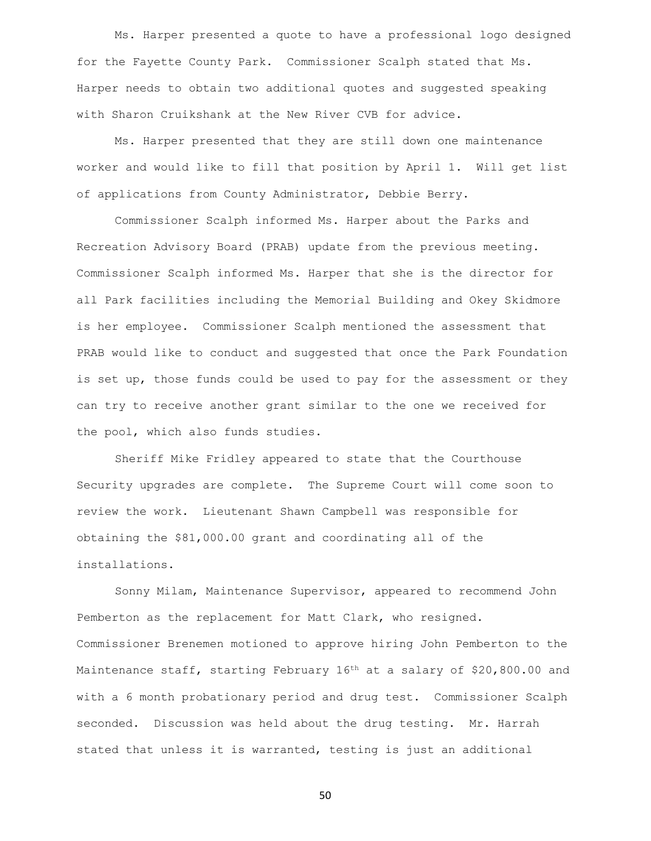Ms. Harper presented a quote to have a professional logo designed for the Fayette County Park. Commissioner Scalph stated that Ms. Harper needs to obtain two additional quotes and suggested speaking with Sharon Cruikshank at the New River CVB for advice.

Ms. Harper presented that they are still down one maintenance worker and would like to fill that position by April 1. Will get list of applications from County Administrator, Debbie Berry.

Commissioner Scalph informed Ms. Harper about the Parks and Recreation Advisory Board (PRAB) update from the previous meeting. Commissioner Scalph informed Ms. Harper that she is the director for all Park facilities including the Memorial Building and Okey Skidmore is her employee. Commissioner Scalph mentioned the assessment that PRAB would like to conduct and suggested that once the Park Foundation is set up, those funds could be used to pay for the assessment or they can try to receive another grant similar to the one we received for the pool, which also funds studies.

Sheriff Mike Fridley appeared to state that the Courthouse Security upgrades are complete. The Supreme Court will come soon to review the work. Lieutenant Shawn Campbell was responsible for obtaining the \$81,000.00 grant and coordinating all of the installations.

Sonny Milam, Maintenance Supervisor, appeared to recommend John Pemberton as the replacement for Matt Clark, who resigned. Commissioner Brenemen motioned to approve hiring John Pemberton to the Maintenance staff, starting February 16<sup>th</sup> at a salary of \$20,800.00 and with a 6 month probationary period and drug test. Commissioner Scalph seconded. Discussion was held about the drug testing. Mr. Harrah stated that unless it is warranted, testing is just an additional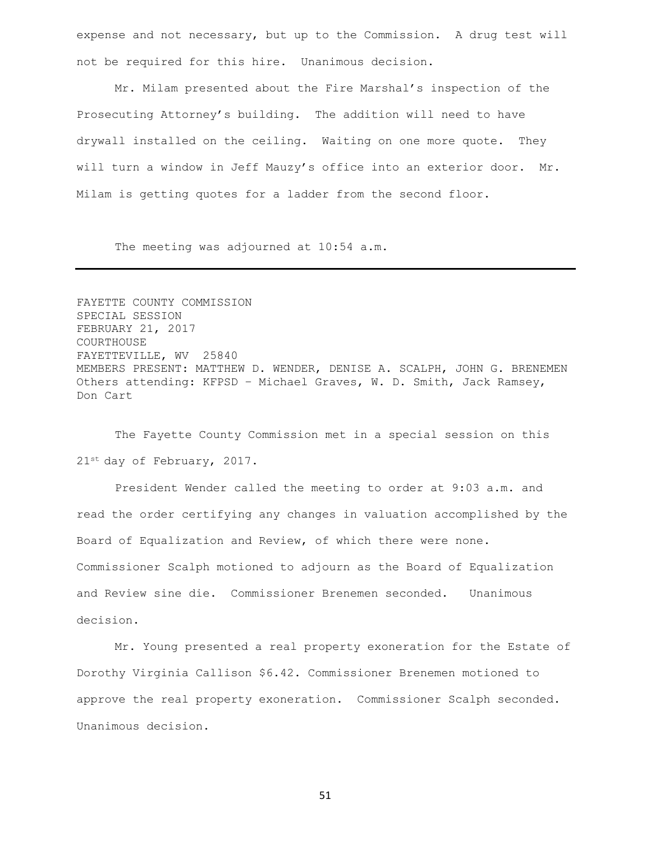expense and not necessary, but up to the Commission. A drug test will not be required for this hire. Unanimous decision.

Mr. Milam presented about the Fire Marshal's inspection of the Prosecuting Attorney's building. The addition will need to have drywall installed on the ceiling. Waiting on one more quote. They will turn a window in Jeff Mauzy's office into an exterior door. Mr. Milam is getting quotes for a ladder from the second floor.

The meeting was adjourned at 10:54 a.m.

FAYETTE COUNTY COMMISSION SPECIAL SESSION FEBRUARY 21, 2017 COURTHOUSE FAYETTEVILLE, WV 25840 MEMBERS PRESENT: MATTHEW D. WENDER, DENISE A. SCALPH, JOHN G. BRENEMEN Others attending: KFPSD – Michael Graves, W. D. Smith, Jack Ramsey, Don Cart

The Fayette County Commission met in a special session on this 21st day of February, 2017.

President Wender called the meeting to order at 9:03 a.m. and read the order certifying any changes in valuation accomplished by the Board of Equalization and Review, of which there were none. Commissioner Scalph motioned to adjourn as the Board of Equalization and Review sine die. Commissioner Brenemen seconded. Unanimous decision.

Mr. Young presented a real property exoneration for the Estate of Dorothy Virginia Callison \$6.42. Commissioner Brenemen motioned to approve the real property exoneration. Commissioner Scalph seconded. Unanimous decision.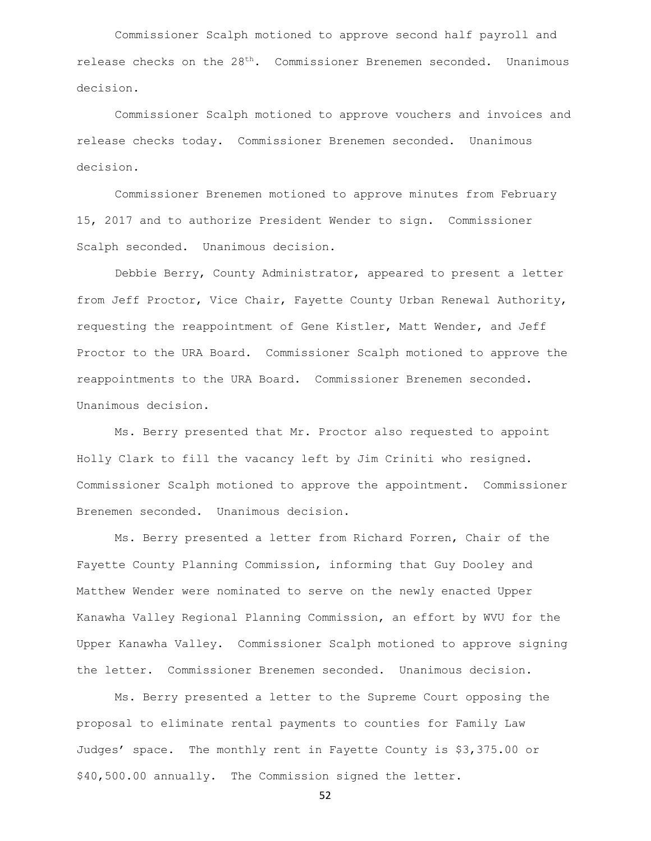Commissioner Scalph motioned to approve second half payroll and release checks on the 28<sup>th</sup>. Commissioner Brenemen seconded. Unanimous decision.

Commissioner Scalph motioned to approve vouchers and invoices and release checks today. Commissioner Brenemen seconded. Unanimous decision.

Commissioner Brenemen motioned to approve minutes from February 15, 2017 and to authorize President Wender to sign. Commissioner Scalph seconded. Unanimous decision.

Debbie Berry, County Administrator, appeared to present a letter from Jeff Proctor, Vice Chair, Fayette County Urban Renewal Authority, requesting the reappointment of Gene Kistler, Matt Wender, and Jeff Proctor to the URA Board. Commissioner Scalph motioned to approve the reappointments to the URA Board. Commissioner Brenemen seconded. Unanimous decision.

Ms. Berry presented that Mr. Proctor also requested to appoint Holly Clark to fill the vacancy left by Jim Criniti who resigned. Commissioner Scalph motioned to approve the appointment. Commissioner Brenemen seconded. Unanimous decision.

Ms. Berry presented a letter from Richard Forren, Chair of the Fayette County Planning Commission, informing that Guy Dooley and Matthew Wender were nominated to serve on the newly enacted Upper Kanawha Valley Regional Planning Commission, an effort by WVU for the Upper Kanawha Valley. Commissioner Scalph motioned to approve signing the letter. Commissioner Brenemen seconded. Unanimous decision.

Ms. Berry presented a letter to the Supreme Court opposing the proposal to eliminate rental payments to counties for Family Law Judges' space. The monthly rent in Fayette County is \$3,375.00 or \$40,500.00 annually. The Commission signed the letter.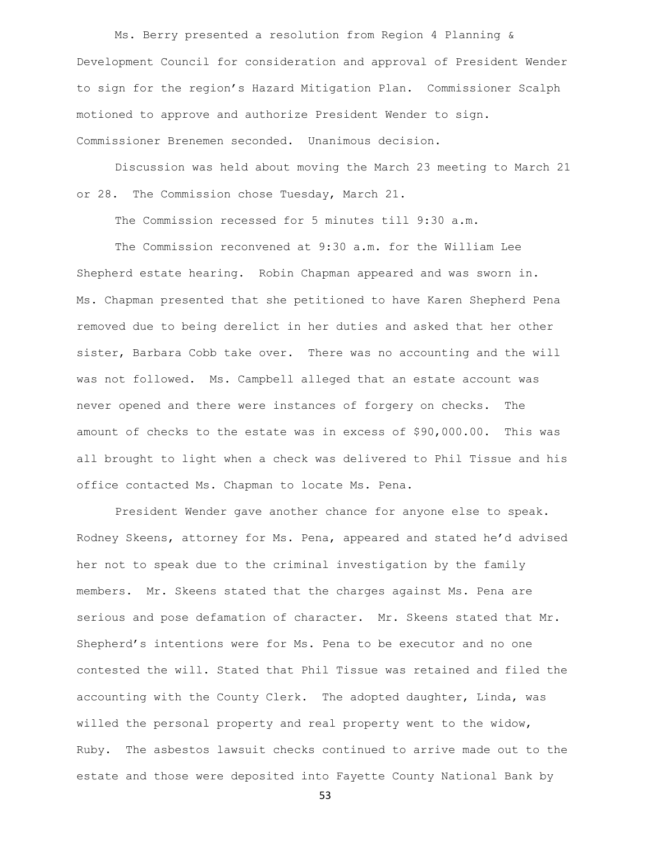Ms. Berry presented a resolution from Region 4 Planning & Development Council for consideration and approval of President Wender to sign for the region's Hazard Mitigation Plan. Commissioner Scalph motioned to approve and authorize President Wender to sign. Commissioner Brenemen seconded. Unanimous decision.

Discussion was held about moving the March 23 meeting to March 21 or 28. The Commission chose Tuesday, March 21.

The Commission recessed for 5 minutes till 9:30 a.m.

The Commission reconvened at 9:30 a.m. for the William Lee Shepherd estate hearing. Robin Chapman appeared and was sworn in. Ms. Chapman presented that she petitioned to have Karen Shepherd Pena removed due to being derelict in her duties and asked that her other sister, Barbara Cobb take over. There was no accounting and the will was not followed. Ms. Campbell alleged that an estate account was never opened and there were instances of forgery on checks. The amount of checks to the estate was in excess of \$90,000.00. This was all brought to light when a check was delivered to Phil Tissue and his office contacted Ms. Chapman to locate Ms. Pena.

President Wender gave another chance for anyone else to speak. Rodney Skeens, attorney for Ms. Pena, appeared and stated he'd advised her not to speak due to the criminal investigation by the family members. Mr. Skeens stated that the charges against Ms. Pena are serious and pose defamation of character. Mr. Skeens stated that Mr. Shepherd's intentions were for Ms. Pena to be executor and no one contested the will. Stated that Phil Tissue was retained and filed the accounting with the County Clerk. The adopted daughter, Linda, was willed the personal property and real property went to the widow, Ruby. The asbestos lawsuit checks continued to arrive made out to the estate and those were deposited into Fayette County National Bank by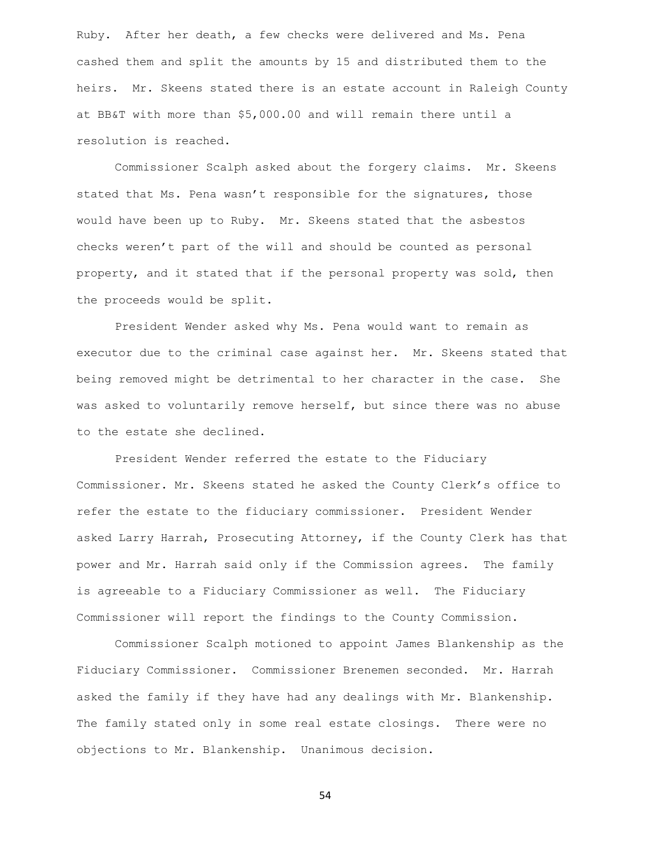Ruby. After her death, a few checks were delivered and Ms. Pena cashed them and split the amounts by 15 and distributed them to the heirs. Mr. Skeens stated there is an estate account in Raleigh County at BB&T with more than \$5,000.00 and will remain there until a resolution is reached.

Commissioner Scalph asked about the forgery claims. Mr. Skeens stated that Ms. Pena wasn't responsible for the signatures, those would have been up to Ruby. Mr. Skeens stated that the asbestos checks weren't part of the will and should be counted as personal property, and it stated that if the personal property was sold, then the proceeds would be split.

President Wender asked why Ms. Pena would want to remain as executor due to the criminal case against her. Mr. Skeens stated that being removed might be detrimental to her character in the case. She was asked to voluntarily remove herself, but since there was no abuse to the estate she declined.

President Wender referred the estate to the Fiduciary Commissioner. Mr. Skeens stated he asked the County Clerk's office to refer the estate to the fiduciary commissioner. President Wender asked Larry Harrah, Prosecuting Attorney, if the County Clerk has that power and Mr. Harrah said only if the Commission agrees. The family is agreeable to a Fiduciary Commissioner as well. The Fiduciary Commissioner will report the findings to the County Commission.

Commissioner Scalph motioned to appoint James Blankenship as the Fiduciary Commissioner. Commissioner Brenemen seconded. Mr. Harrah asked the family if they have had any dealings with Mr. Blankenship. The family stated only in some real estate closings. There were no objections to Mr. Blankenship. Unanimous decision.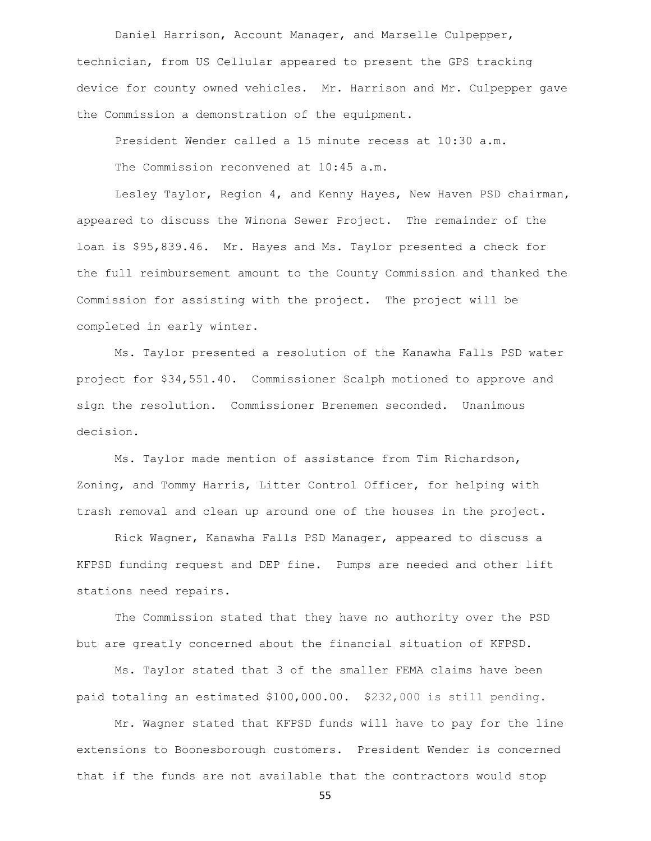Daniel Harrison, Account Manager, and Marselle Culpepper, technician, from US Cellular appeared to present the GPS tracking device for county owned vehicles. Mr. Harrison and Mr. Culpepper gave the Commission a demonstration of the equipment.

President Wender called a 15 minute recess at 10:30 a.m.

The Commission reconvened at 10:45 a.m.

Lesley Taylor, Region 4, and Kenny Hayes, New Haven PSD chairman, appeared to discuss the Winona Sewer Project. The remainder of the loan is \$95,839.46. Mr. Hayes and Ms. Taylor presented a check for the full reimbursement amount to the County Commission and thanked the Commission for assisting with the project. The project will be completed in early winter.

Ms. Taylor presented a resolution of the Kanawha Falls PSD water project for \$34,551.40. Commissioner Scalph motioned to approve and sign the resolution. Commissioner Brenemen seconded. Unanimous decision.

Ms. Taylor made mention of assistance from Tim Richardson, Zoning, and Tommy Harris, Litter Control Officer, for helping with trash removal and clean up around one of the houses in the project.

Rick Wagner, Kanawha Falls PSD Manager, appeared to discuss a KFPSD funding request and DEP fine. Pumps are needed and other lift stations need repairs.

The Commission stated that they have no authority over the PSD but are greatly concerned about the financial situation of KFPSD.

Ms. Taylor stated that 3 of the smaller FEMA claims have been paid totaling an estimated \$100,000.00. \$232,000 is still pending.

Mr. Wagner stated that KFPSD funds will have to pay for the line extensions to Boonesborough customers. President Wender is concerned that if the funds are not available that the contractors would stop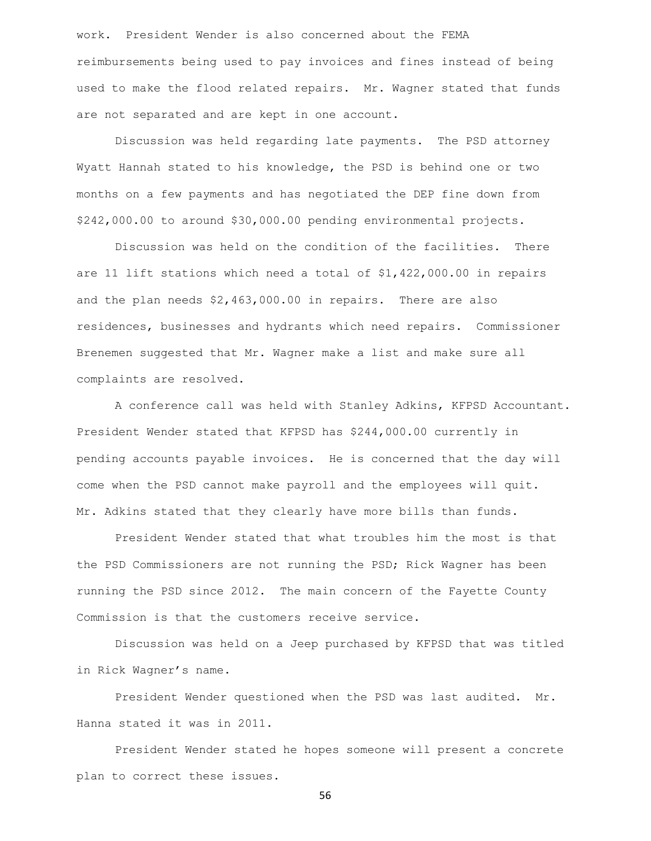work. President Wender is also concerned about the FEMA reimbursements being used to pay invoices and fines instead of being used to make the flood related repairs. Mr. Wagner stated that funds are not separated and are kept in one account.

Discussion was held regarding late payments. The PSD attorney Wyatt Hannah stated to his knowledge, the PSD is behind one or two months on a few payments and has negotiated the DEP fine down from \$242,000.00 to around \$30,000.00 pending environmental projects.

Discussion was held on the condition of the facilities. There are 11 lift stations which need a total of \$1,422,000.00 in repairs and the plan needs \$2,463,000.00 in repairs. There are also residences, businesses and hydrants which need repairs. Commissioner Brenemen suggested that Mr. Wagner make a list and make sure all complaints are resolved.

A conference call was held with Stanley Adkins, KFPSD Accountant. President Wender stated that KFPSD has \$244,000.00 currently in pending accounts payable invoices. He is concerned that the day will come when the PSD cannot make payroll and the employees will quit. Mr. Adkins stated that they clearly have more bills than funds.

President Wender stated that what troubles him the most is that the PSD Commissioners are not running the PSD; Rick Wagner has been running the PSD since 2012. The main concern of the Fayette County Commission is that the customers receive service.

Discussion was held on a Jeep purchased by KFPSD that was titled in Rick Wagner's name.

President Wender questioned when the PSD was last audited. Mr. Hanna stated it was in 2011.

President Wender stated he hopes someone will present a concrete plan to correct these issues.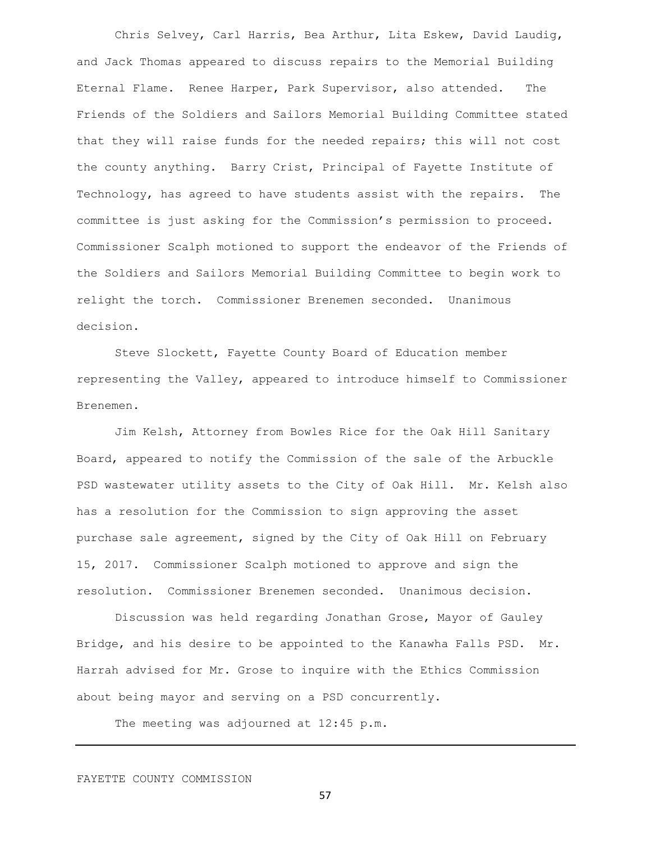Chris Selvey, Carl Harris, Bea Arthur, Lita Eskew, David Laudig, and Jack Thomas appeared to discuss repairs to the Memorial Building Eternal Flame. Renee Harper, Park Supervisor, also attended. The Friends of the Soldiers and Sailors Memorial Building Committee stated that they will raise funds for the needed repairs; this will not cost the county anything. Barry Crist, Principal of Fayette Institute of Technology, has agreed to have students assist with the repairs. The committee is just asking for the Commission's permission to proceed. Commissioner Scalph motioned to support the endeavor of the Friends of the Soldiers and Sailors Memorial Building Committee to begin work to relight the torch. Commissioner Brenemen seconded. Unanimous decision.

Steve Slockett, Fayette County Board of Education member representing the Valley, appeared to introduce himself to Commissioner Brenemen.

Jim Kelsh, Attorney from Bowles Rice for the Oak Hill Sanitary Board, appeared to notify the Commission of the sale of the Arbuckle PSD wastewater utility assets to the City of Oak Hill. Mr. Kelsh also has a resolution for the Commission to sign approving the asset purchase sale agreement, signed by the City of Oak Hill on February 15, 2017. Commissioner Scalph motioned to approve and sign the resolution. Commissioner Brenemen seconded. Unanimous decision.

Discussion was held regarding Jonathan Grose, Mayor of Gauley Bridge, and his desire to be appointed to the Kanawha Falls PSD. Mr. Harrah advised for Mr. Grose to inquire with the Ethics Commission about being mayor and serving on a PSD concurrently.

The meeting was adjourned at 12:45 p.m.

FAYETTE COUNTY COMMISSION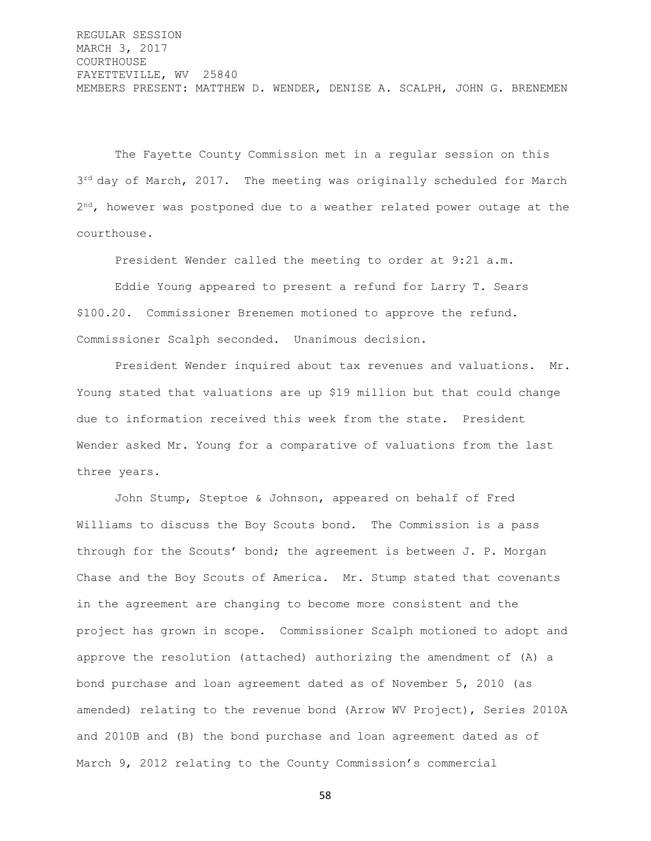REGULAR SESSION MARCH 3, 2017 COURTHOUSE FAYETTEVILLE, WV 25840 MEMBERS PRESENT: MATTHEW D. WENDER, DENISE A. SCALPH, JOHN G. BRENEMEN

The Fayette County Commission met in a regular session on this 3<sup>rd</sup> day of March, 2017. The meeting was originally scheduled for March 2<sup>nd</sup>, however was postponed due to a weather related power outage at the courthouse.

President Wender called the meeting to order at 9:21 a.m.

Eddie Young appeared to present a refund for Larry T. Sears \$100.20. Commissioner Brenemen motioned to approve the refund. Commissioner Scalph seconded. Unanimous decision.

President Wender inquired about tax revenues and valuations. Mr. Young stated that valuations are up \$19 million but that could change due to information received this week from the state. President Wender asked Mr. Young for a comparative of valuations from the last three years.

John Stump, Steptoe & Johnson, appeared on behalf of Fred Williams to discuss the Boy Scouts bond. The Commission is a pass through for the Scouts' bond; the agreement is between J. P. Morgan Chase and the Boy Scouts of America. Mr. Stump stated that covenants in the agreement are changing to become more consistent and the project has grown in scope. Commissioner Scalph motioned to adopt and approve the resolution (attached) authorizing the amendment of (A) a bond purchase and loan agreement dated as of November 5, 2010 (as amended) relating to the revenue bond (Arrow WV Project), Series 2010A and 2010B and (B) the bond purchase and loan agreement dated as of March 9, 2012 relating to the County Commission's commercial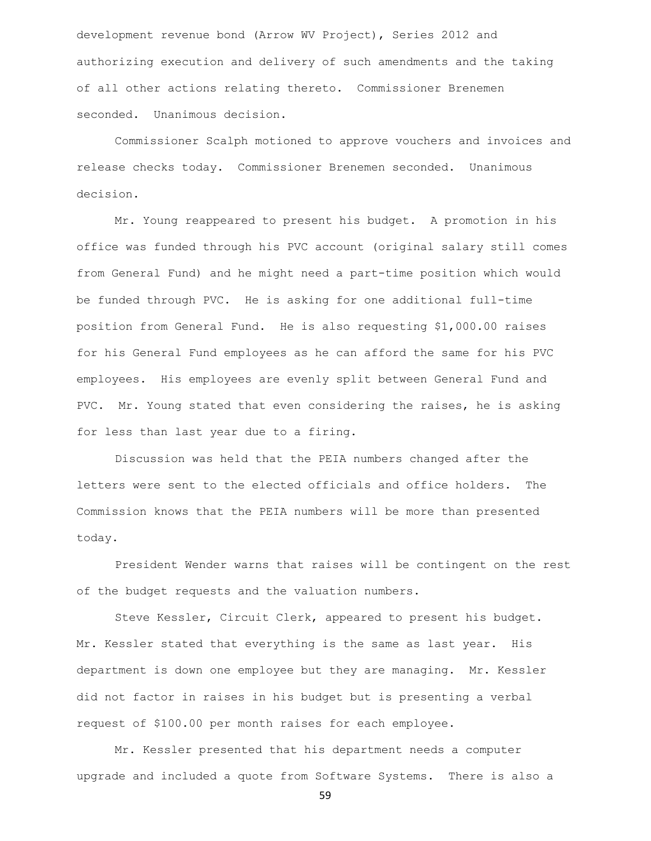development revenue bond (Arrow WV Project), Series 2012 and authorizing execution and delivery of such amendments and the taking of all other actions relating thereto. Commissioner Brenemen seconded. Unanimous decision.

Commissioner Scalph motioned to approve vouchers and invoices and release checks today. Commissioner Brenemen seconded. Unanimous decision.

Mr. Young reappeared to present his budget. A promotion in his office was funded through his PVC account (original salary still comes from General Fund) and he might need a part-time position which would be funded through PVC. He is asking for one additional full-time position from General Fund. He is also requesting \$1,000.00 raises for his General Fund employees as he can afford the same for his PVC employees. His employees are evenly split between General Fund and PVC. Mr. Young stated that even considering the raises, he is asking for less than last year due to a firing.

Discussion was held that the PEIA numbers changed after the letters were sent to the elected officials and office holders. The Commission knows that the PEIA numbers will be more than presented today.

President Wender warns that raises will be contingent on the rest of the budget requests and the valuation numbers.

Steve Kessler, Circuit Clerk, appeared to present his budget. Mr. Kessler stated that everything is the same as last year. His department is down one employee but they are managing. Mr. Kessler did not factor in raises in his budget but is presenting a verbal request of \$100.00 per month raises for each employee.

Mr. Kessler presented that his department needs a computer upgrade and included a quote from Software Systems. There is also a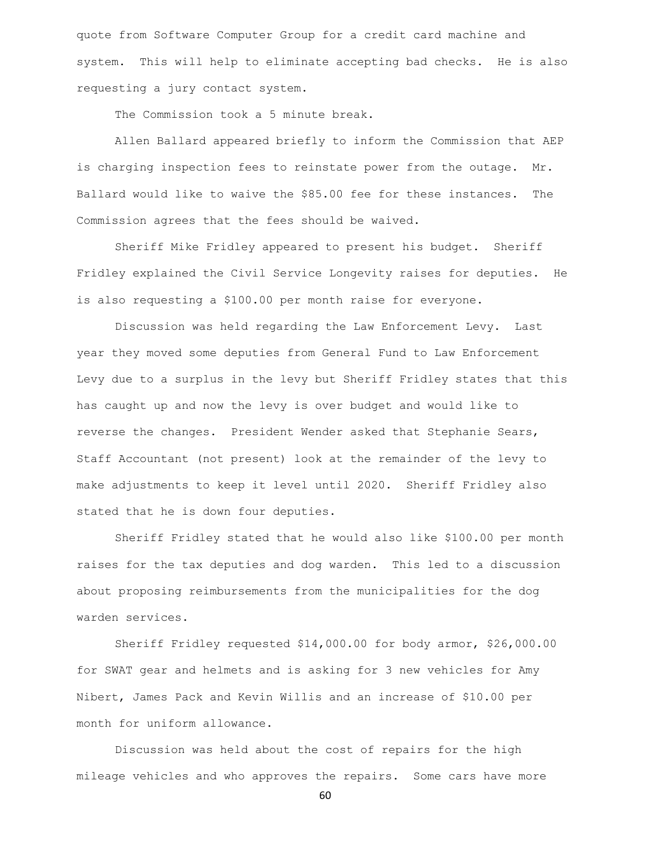quote from Software Computer Group for a credit card machine and system. This will help to eliminate accepting bad checks. He is also requesting a jury contact system.

The Commission took a 5 minute break.

Allen Ballard appeared briefly to inform the Commission that AEP is charging inspection fees to reinstate power from the outage. Mr. Ballard would like to waive the \$85.00 fee for these instances. The Commission agrees that the fees should be waived.

Sheriff Mike Fridley appeared to present his budget. Sheriff Fridley explained the Civil Service Longevity raises for deputies. He is also requesting a \$100.00 per month raise for everyone.

Discussion was held regarding the Law Enforcement Levy. Last year they moved some deputies from General Fund to Law Enforcement Levy due to a surplus in the levy but Sheriff Fridley states that this has caught up and now the levy is over budget and would like to reverse the changes. President Wender asked that Stephanie Sears, Staff Accountant (not present) look at the remainder of the levy to make adjustments to keep it level until 2020. Sheriff Fridley also stated that he is down four deputies.

Sheriff Fridley stated that he would also like \$100.00 per month raises for the tax deputies and dog warden. This led to a discussion about proposing reimbursements from the municipalities for the dog warden services.

Sheriff Fridley requested \$14,000.00 for body armor, \$26,000.00 for SWAT gear and helmets and is asking for 3 new vehicles for Amy Nibert, James Pack and Kevin Willis and an increase of \$10.00 per month for uniform allowance.

Discussion was held about the cost of repairs for the high mileage vehicles and who approves the repairs. Some cars have more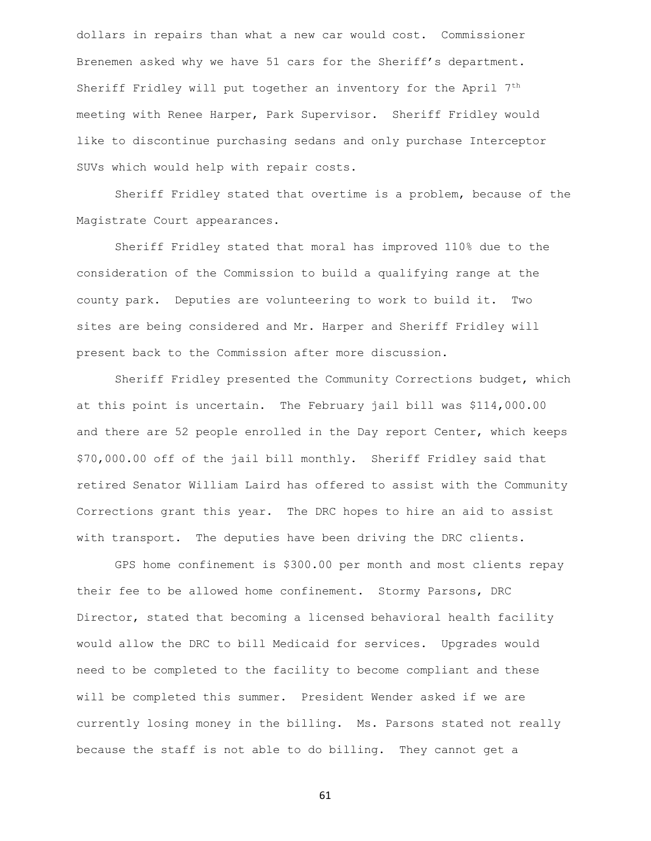dollars in repairs than what a new car would cost. Commissioner Brenemen asked why we have 51 cars for the Sheriff's department. Sheriff Fridley will put together an inventory for the April 7<sup>th</sup> meeting with Renee Harper, Park Supervisor. Sheriff Fridley would like to discontinue purchasing sedans and only purchase Interceptor SUVs which would help with repair costs.

Sheriff Fridley stated that overtime is a problem, because of the Magistrate Court appearances.

Sheriff Fridley stated that moral has improved 110% due to the consideration of the Commission to build a qualifying range at the county park. Deputies are volunteering to work to build it. Two sites are being considered and Mr. Harper and Sheriff Fridley will present back to the Commission after more discussion.

Sheriff Fridley presented the Community Corrections budget, which at this point is uncertain. The February jail bill was \$114,000.00 and there are 52 people enrolled in the Day report Center, which keeps \$70,000.00 off of the jail bill monthly. Sheriff Fridley said that retired Senator William Laird has offered to assist with the Community Corrections grant this year. The DRC hopes to hire an aid to assist with transport. The deputies have been driving the DRC clients.

GPS home confinement is \$300.00 per month and most clients repay their fee to be allowed home confinement. Stormy Parsons, DRC Director, stated that becoming a licensed behavioral health facility would allow the DRC to bill Medicaid for services. Upgrades would need to be completed to the facility to become compliant and these will be completed this summer. President Wender asked if we are currently losing money in the billing. Ms. Parsons stated not really because the staff is not able to do billing. They cannot get a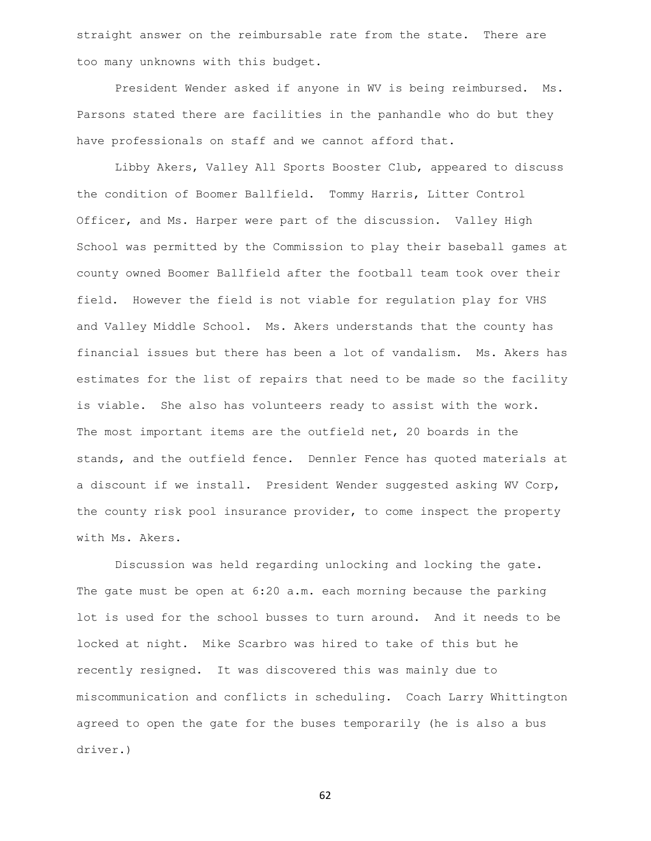straight answer on the reimbursable rate from the state. There are too many unknowns with this budget.

President Wender asked if anyone in WV is being reimbursed. Ms. Parsons stated there are facilities in the panhandle who do but they have professionals on staff and we cannot afford that.

Libby Akers, Valley All Sports Booster Club, appeared to discuss the condition of Boomer Ballfield. Tommy Harris, Litter Control Officer, and Ms. Harper were part of the discussion. Valley High School was permitted by the Commission to play their baseball games at county owned Boomer Ballfield after the football team took over their field. However the field is not viable for regulation play for VHS and Valley Middle School. Ms. Akers understands that the county has financial issues but there has been a lot of vandalism. Ms. Akers has estimates for the list of repairs that need to be made so the facility is viable. She also has volunteers ready to assist with the work. The most important items are the outfield net, 20 boards in the stands, and the outfield fence. Dennler Fence has quoted materials at a discount if we install. President Wender suggested asking WV Corp, the county risk pool insurance provider, to come inspect the property with Ms. Akers.

Discussion was held regarding unlocking and locking the gate. The gate must be open at 6:20 a.m. each morning because the parking lot is used for the school busses to turn around. And it needs to be locked at night. Mike Scarbro was hired to take of this but he recently resigned. It was discovered this was mainly due to miscommunication and conflicts in scheduling. Coach Larry Whittington agreed to open the gate for the buses temporarily (he is also a bus driver.)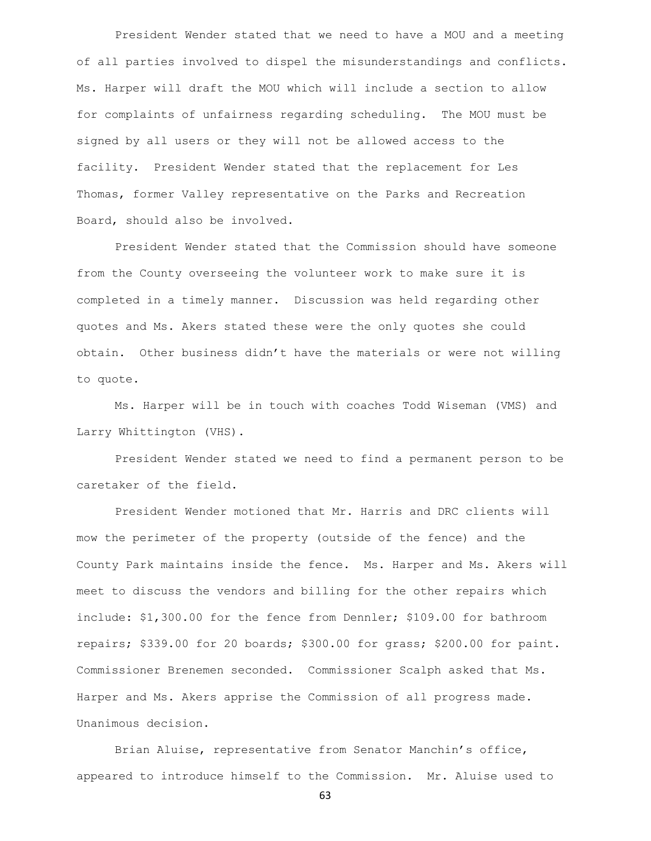President Wender stated that we need to have a MOU and a meeting of all parties involved to dispel the misunderstandings and conflicts. Ms. Harper will draft the MOU which will include a section to allow for complaints of unfairness regarding scheduling. The MOU must be signed by all users or they will not be allowed access to the facility. President Wender stated that the replacement for Les Thomas, former Valley representative on the Parks and Recreation Board, should also be involved.

President Wender stated that the Commission should have someone from the County overseeing the volunteer work to make sure it is completed in a timely manner. Discussion was held regarding other quotes and Ms. Akers stated these were the only quotes she could obtain. Other business didn't have the materials or were not willing to quote.

Ms. Harper will be in touch with coaches Todd Wiseman (VMS) and Larry Whittington (VHS).

President Wender stated we need to find a permanent person to be caretaker of the field.

President Wender motioned that Mr. Harris and DRC clients will mow the perimeter of the property (outside of the fence) and the County Park maintains inside the fence. Ms. Harper and Ms. Akers will meet to discuss the vendors and billing for the other repairs which include: \$1,300.00 for the fence from Dennler; \$109.00 for bathroom repairs; \$339.00 for 20 boards; \$300.00 for grass; \$200.00 for paint. Commissioner Brenemen seconded. Commissioner Scalph asked that Ms. Harper and Ms. Akers apprise the Commission of all progress made. Unanimous decision.

Brian Aluise, representative from Senator Manchin's office, appeared to introduce himself to the Commission. Mr. Aluise used to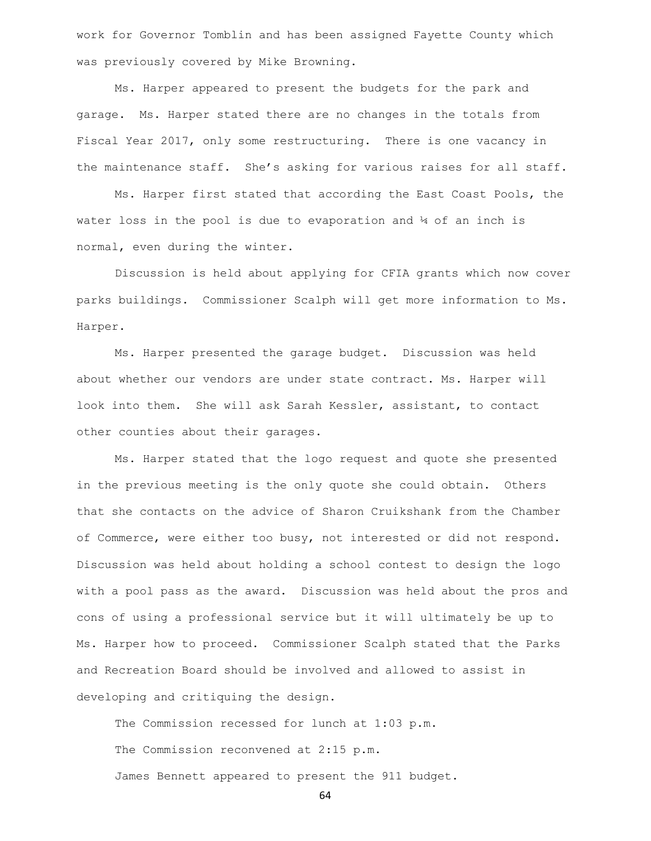work for Governor Tomblin and has been assigned Fayette County which was previously covered by Mike Browning.

Ms. Harper appeared to present the budgets for the park and garage. Ms. Harper stated there are no changes in the totals from Fiscal Year 2017, only some restructuring. There is one vacancy in the maintenance staff. She's asking for various raises for all staff.

Ms. Harper first stated that according the East Coast Pools, the water loss in the pool is due to evaporation and  $\frac{1}{4}$  of an inch is normal, even during the winter.

Discussion is held about applying for CFIA grants which now cover parks buildings. Commissioner Scalph will get more information to Ms. Harper.

Ms. Harper presented the garage budget. Discussion was held about whether our vendors are under state contract. Ms. Harper will look into them. She will ask Sarah Kessler, assistant, to contact other counties about their garages.

Ms. Harper stated that the logo request and quote she presented in the previous meeting is the only quote she could obtain. Others that she contacts on the advice of Sharon Cruikshank from the Chamber of Commerce, were either too busy, not interested or did not respond. Discussion was held about holding a school contest to design the logo with a pool pass as the award. Discussion was held about the pros and cons of using a professional service but it will ultimately be up to Ms. Harper how to proceed. Commissioner Scalph stated that the Parks and Recreation Board should be involved and allowed to assist in developing and critiquing the design.

The Commission recessed for lunch at 1:03 p.m. The Commission reconvened at 2:15 p.m. James Bennett appeared to present the 911 budget.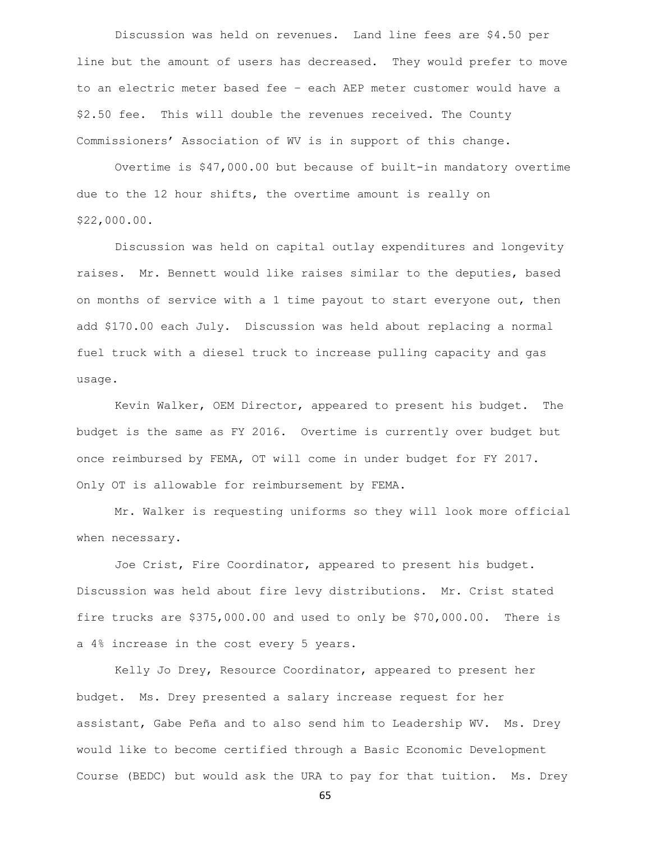Discussion was held on revenues. Land line fees are \$4.50 per line but the amount of users has decreased. They would prefer to move to an electric meter based fee – each AEP meter customer would have a \$2.50 fee. This will double the revenues received. The County Commissioners' Association of WV is in support of this change.

Overtime is \$47,000.00 but because of built-in mandatory overtime due to the 12 hour shifts, the overtime amount is really on \$22,000.00.

Discussion was held on capital outlay expenditures and longevity raises. Mr. Bennett would like raises similar to the deputies, based on months of service with a 1 time payout to start everyone out, then add \$170.00 each July. Discussion was held about replacing a normal fuel truck with a diesel truck to increase pulling capacity and gas usage.

Kevin Walker, OEM Director, appeared to present his budget. The budget is the same as FY 2016. Overtime is currently over budget but once reimbursed by FEMA, OT will come in under budget for FY 2017. Only OT is allowable for reimbursement by FEMA.

Mr. Walker is requesting uniforms so they will look more official when necessary.

Joe Crist, Fire Coordinator, appeared to present his budget. Discussion was held about fire levy distributions. Mr. Crist stated fire trucks are \$375,000.00 and used to only be \$70,000.00. There is a 4% increase in the cost every 5 years.

Kelly Jo Drey, Resource Coordinator, appeared to present her budget. Ms. Drey presented a salary increase request for her assistant, Gabe Peña and to also send him to Leadership WV. Ms. Drey would like to become certified through a Basic Economic Development Course (BEDC) but would ask the URA to pay for that tuition. Ms. Drey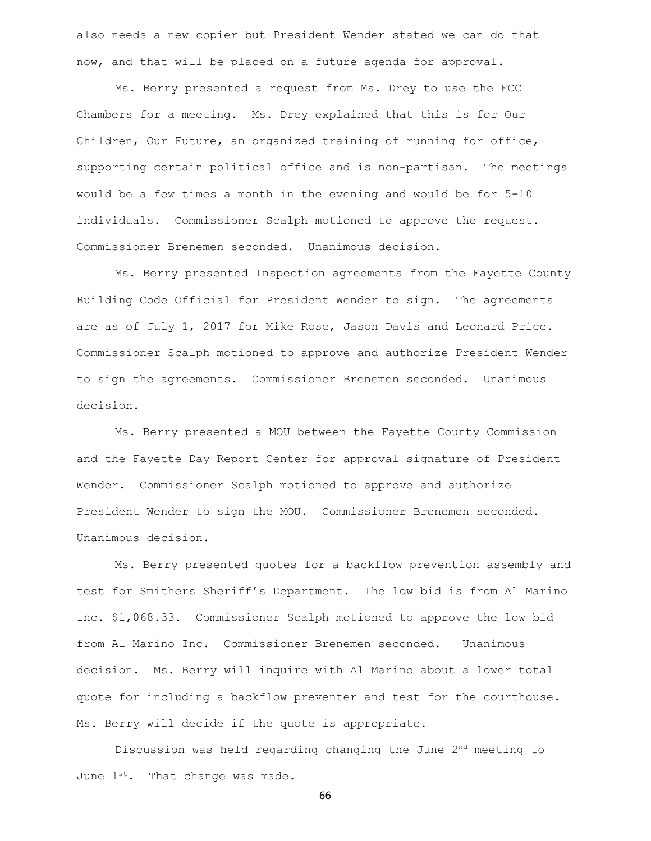also needs a new copier but President Wender stated we can do that now, and that will be placed on a future agenda for approval.

Ms. Berry presented a request from Ms. Drey to use the FCC Chambers for a meeting. Ms. Drey explained that this is for Our Children, Our Future, an organized training of running for office, supporting certain political office and is non-partisan. The meetings would be a few times a month in the evening and would be for 5-10 individuals. Commissioner Scalph motioned to approve the request. Commissioner Brenemen seconded. Unanimous decision.

Ms. Berry presented Inspection agreements from the Fayette County Building Code Official for President Wender to sign. The agreements are as of July 1, 2017 for Mike Rose, Jason Davis and Leonard Price. Commissioner Scalph motioned to approve and authorize President Wender to sign the agreements. Commissioner Brenemen seconded. Unanimous decision.

Ms. Berry presented a MOU between the Fayette County Commission and the Fayette Day Report Center for approval signature of President Wender. Commissioner Scalph motioned to approve and authorize President Wender to sign the MOU. Commissioner Brenemen seconded. Unanimous decision.

Ms. Berry presented quotes for a backflow prevention assembly and test for Smithers Sheriff's Department. The low bid is from Al Marino Inc. \$1,068.33. Commissioner Scalph motioned to approve the low bid from Al Marino Inc. Commissioner Brenemen seconded. Unanimous decision. Ms. Berry will inquire with Al Marino about a lower total quote for including a backflow preventer and test for the courthouse. Ms. Berry will decide if the quote is appropriate.

Discussion was held regarding changing the June 2nd meeting to June  $1^{st}$ . That change was made.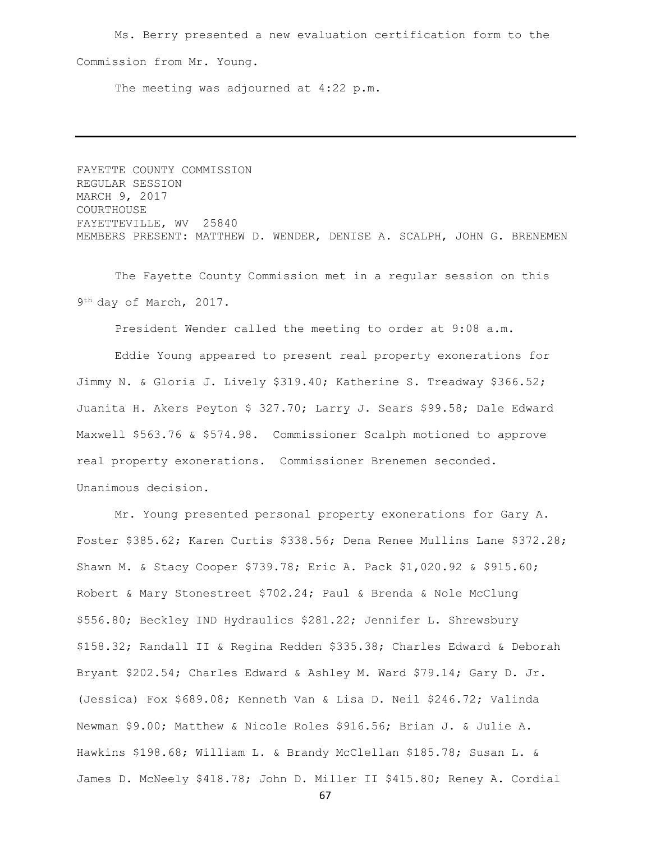Ms. Berry presented a new evaluation certification form to the Commission from Mr. Young.

The meeting was adjourned at 4:22 p.m.

FAYETTE COUNTY COMMISSION REGULAR SESSION MARCH 9, 2017 COURTHOUSE FAYETTEVILLE, WV 25840 MEMBERS PRESENT: MATTHEW D. WENDER, DENISE A. SCALPH, JOHN G. BRENEMEN

The Fayette County Commission met in a regular session on this 9<sup>th</sup> day of March, 2017.

President Wender called the meeting to order at 9:08 a.m.

Eddie Young appeared to present real property exonerations for Jimmy N. & Gloria J. Lively \$319.40; Katherine S. Treadway \$366.52; Juanita H. Akers Peyton \$ 327.70; Larry J. Sears \$99.58; Dale Edward Maxwell \$563.76 & \$574.98. Commissioner Scalph motioned to approve real property exonerations. Commissioner Brenemen seconded. Unanimous decision.

Mr. Young presented personal property exonerations for Gary A. Foster \$385.62; Karen Curtis \$338.56; Dena Renee Mullins Lane \$372.28; Shawn M. & Stacy Cooper \$739.78; Eric A. Pack \$1,020.92 & \$915.60; Robert & Mary Stonestreet \$702.24; Paul & Brenda & Nole McClung \$556.80; Beckley IND Hydraulics \$281.22; Jennifer L. Shrewsbury \$158.32; Randall II & Regina Redden \$335.38; Charles Edward & Deborah Bryant \$202.54; Charles Edward & Ashley M. Ward \$79.14; Gary D. Jr. (Jessica) Fox \$689.08; Kenneth Van & Lisa D. Neil \$246.72; Valinda Newman \$9.00; Matthew & Nicole Roles \$916.56; Brian J. & Julie A. Hawkins \$198.68; William L. & Brandy McClellan \$185.78; Susan L. & James D. McNeely \$418.78; John D. Miller II \$415.80; Reney A. Cordial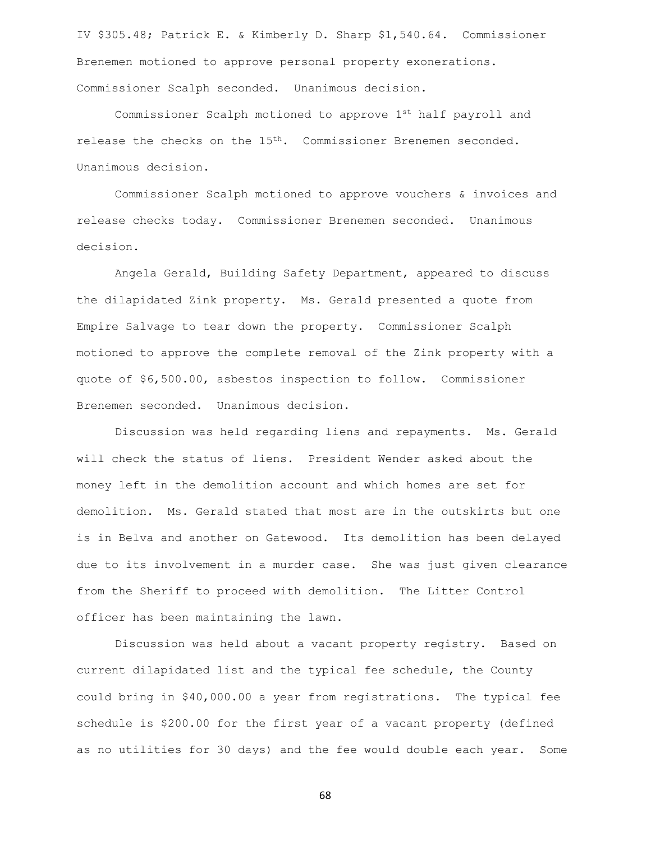IV \$305.48; Patrick E. & Kimberly D. Sharp \$1,540.64. Commissioner Brenemen motioned to approve personal property exonerations. Commissioner Scalph seconded. Unanimous decision.

Commissioner Scalph motioned to approve 1st half payroll and release the checks on the 15<sup>th</sup>. Commissioner Brenemen seconded. Unanimous decision.

Commissioner Scalph motioned to approve vouchers & invoices and release checks today. Commissioner Brenemen seconded. Unanimous decision.

Angela Gerald, Building Safety Department, appeared to discuss the dilapidated Zink property. Ms. Gerald presented a quote from Empire Salvage to tear down the property. Commissioner Scalph motioned to approve the complete removal of the Zink property with a quote of \$6,500.00, asbestos inspection to follow. Commissioner Brenemen seconded. Unanimous decision.

Discussion was held regarding liens and repayments. Ms. Gerald will check the status of liens. President Wender asked about the money left in the demolition account and which homes are set for demolition. Ms. Gerald stated that most are in the outskirts but one is in Belva and another on Gatewood. Its demolition has been delayed due to its involvement in a murder case. She was just given clearance from the Sheriff to proceed with demolition. The Litter Control officer has been maintaining the lawn.

Discussion was held about a vacant property registry. Based on current dilapidated list and the typical fee schedule, the County could bring in \$40,000.00 a year from registrations. The typical fee schedule is \$200.00 for the first year of a vacant property (defined as no utilities for 30 days) and the fee would double each year. Some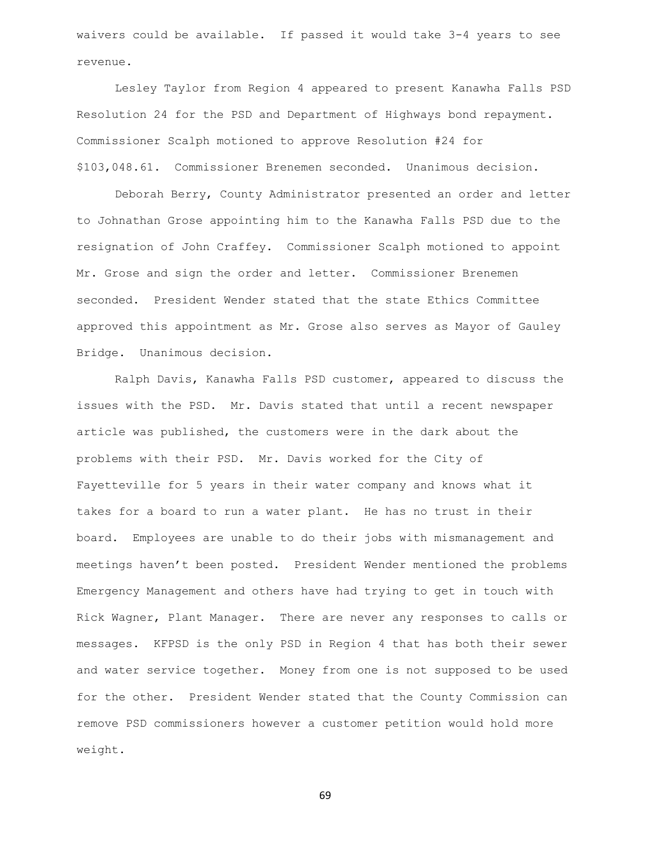waivers could be available. If passed it would take 3-4 years to see revenue.

Lesley Taylor from Region 4 appeared to present Kanawha Falls PSD Resolution 24 for the PSD and Department of Highways bond repayment. Commissioner Scalph motioned to approve Resolution #24 for \$103,048.61. Commissioner Brenemen seconded. Unanimous decision.

Deborah Berry, County Administrator presented an order and letter to Johnathan Grose appointing him to the Kanawha Falls PSD due to the resignation of John Craffey. Commissioner Scalph motioned to appoint Mr. Grose and sign the order and letter. Commissioner Brenemen seconded. President Wender stated that the state Ethics Committee approved this appointment as Mr. Grose also serves as Mayor of Gauley Bridge. Unanimous decision.

Ralph Davis, Kanawha Falls PSD customer, appeared to discuss the issues with the PSD. Mr. Davis stated that until a recent newspaper article was published, the customers were in the dark about the problems with their PSD. Mr. Davis worked for the City of Fayetteville for 5 years in their water company and knows what it takes for a board to run a water plant. He has no trust in their board. Employees are unable to do their jobs with mismanagement and meetings haven't been posted. President Wender mentioned the problems Emergency Management and others have had trying to get in touch with Rick Wagner, Plant Manager. There are never any responses to calls or messages. KFPSD is the only PSD in Region 4 that has both their sewer and water service together. Money from one is not supposed to be used for the other. President Wender stated that the County Commission can remove PSD commissioners however a customer petition would hold more weight.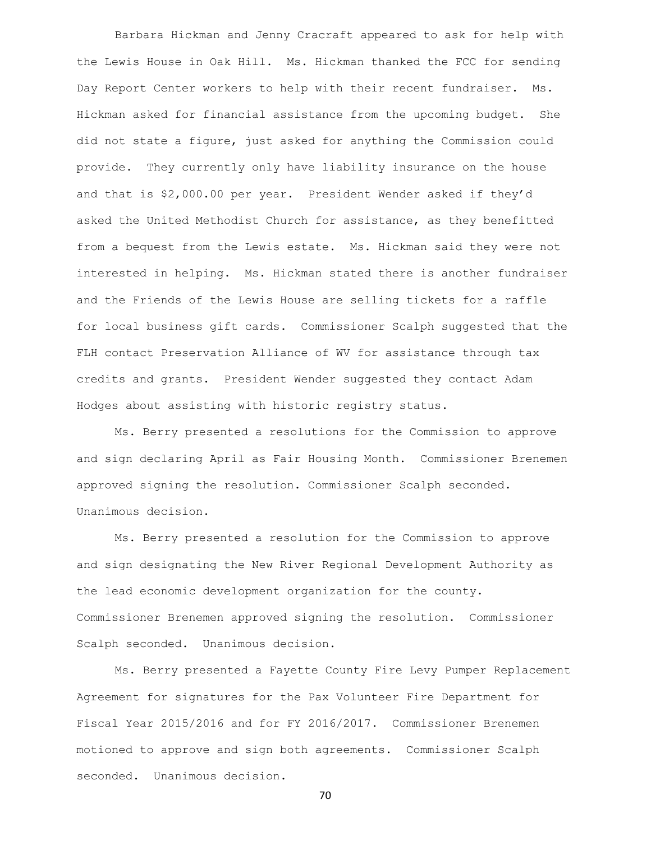Barbara Hickman and Jenny Cracraft appeared to ask for help with the Lewis House in Oak Hill. Ms. Hickman thanked the FCC for sending Day Report Center workers to help with their recent fundraiser. Ms. Hickman asked for financial assistance from the upcoming budget. She did not state a figure, just asked for anything the Commission could provide. They currently only have liability insurance on the house and that is \$2,000.00 per year. President Wender asked if they'd asked the United Methodist Church for assistance, as they benefitted from a bequest from the Lewis estate. Ms. Hickman said they were not interested in helping. Ms. Hickman stated there is another fundraiser and the Friends of the Lewis House are selling tickets for a raffle for local business gift cards. Commissioner Scalph suggested that the FLH contact Preservation Alliance of WV for assistance through tax credits and grants. President Wender suggested they contact Adam Hodges about assisting with historic registry status.

Ms. Berry presented a resolutions for the Commission to approve and sign declaring April as Fair Housing Month. Commissioner Brenemen approved signing the resolution. Commissioner Scalph seconded. Unanimous decision.

Ms. Berry presented a resolution for the Commission to approve and sign designating the New River Regional Development Authority as the lead economic development organization for the county. Commissioner Brenemen approved signing the resolution. Commissioner Scalph seconded. Unanimous decision.

Ms. Berry presented a Fayette County Fire Levy Pumper Replacement Agreement for signatures for the Pax Volunteer Fire Department for Fiscal Year 2015/2016 and for FY 2016/2017. Commissioner Brenemen motioned to approve and sign both agreements. Commissioner Scalph seconded. Unanimous decision.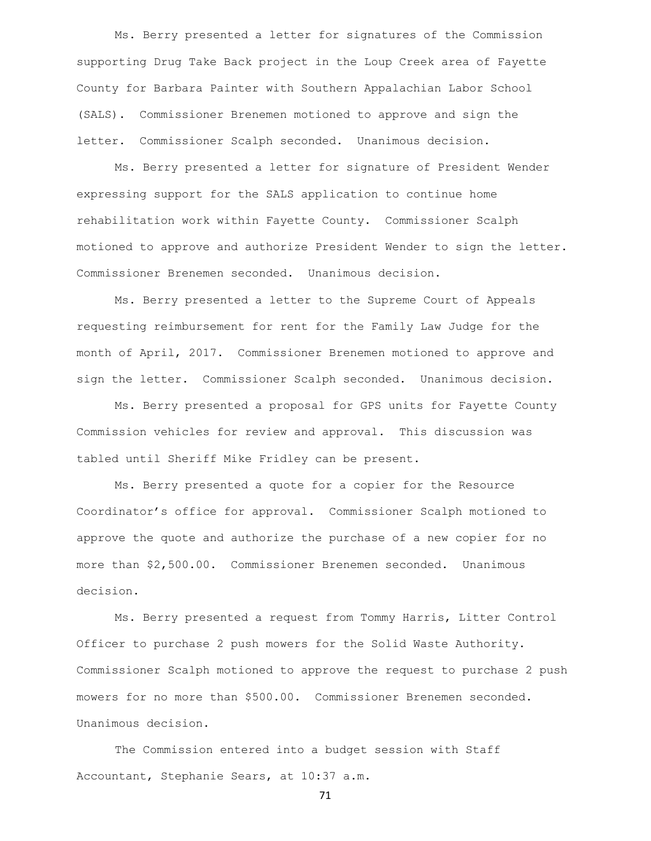Ms. Berry presented a letter for signatures of the Commission supporting Drug Take Back project in the Loup Creek area of Fayette County for Barbara Painter with Southern Appalachian Labor School (SALS). Commissioner Brenemen motioned to approve and sign the letter. Commissioner Scalph seconded. Unanimous decision.

Ms. Berry presented a letter for signature of President Wender expressing support for the SALS application to continue home rehabilitation work within Fayette County. Commissioner Scalph motioned to approve and authorize President Wender to sign the letter. Commissioner Brenemen seconded. Unanimous decision.

Ms. Berry presented a letter to the Supreme Court of Appeals requesting reimbursement for rent for the Family Law Judge for the month of April, 2017. Commissioner Brenemen motioned to approve and sign the letter. Commissioner Scalph seconded. Unanimous decision.

Ms. Berry presented a proposal for GPS units for Fayette County Commission vehicles for review and approval. This discussion was tabled until Sheriff Mike Fridley can be present.

Ms. Berry presented a quote for a copier for the Resource Coordinator's office for approval. Commissioner Scalph motioned to approve the quote and authorize the purchase of a new copier for no more than \$2,500.00. Commissioner Brenemen seconded. Unanimous decision.

Ms. Berry presented a request from Tommy Harris, Litter Control Officer to purchase 2 push mowers for the Solid Waste Authority. Commissioner Scalph motioned to approve the request to purchase 2 push mowers for no more than \$500.00. Commissioner Brenemen seconded. Unanimous decision.

The Commission entered into a budget session with Staff Accountant, Stephanie Sears, at 10:37 a.m.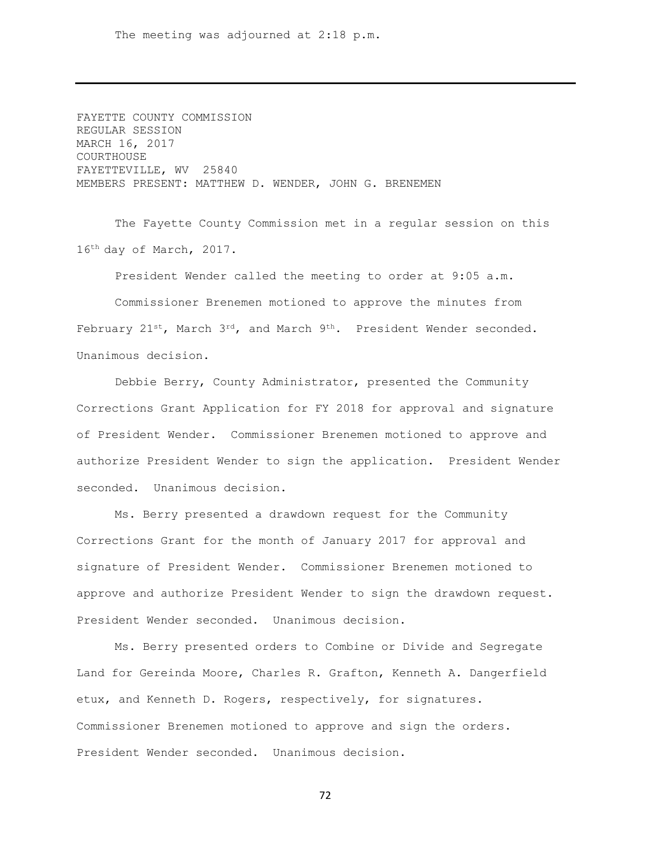The meeting was adjourned at 2:18 p.m.

FAYETTE COUNTY COMMISSION REGULAR SESSION MARCH 16, 2017 COURTHOUSE FAYETTEVILLE, WV 25840 MEMBERS PRESENT: MATTHEW D. WENDER, JOHN G. BRENEMEN

The Fayette County Commission met in a regular session on this 16th day of March, 2017.

President Wender called the meeting to order at 9:05 a.m.

Commissioner Brenemen motioned to approve the minutes from February  $21^{st}$ , March  $3^{rd}$ , and March  $9^{th}$ . President Wender seconded. Unanimous decision.

Debbie Berry, County Administrator, presented the Community Corrections Grant Application for FY 2018 for approval and signature of President Wender. Commissioner Brenemen motioned to approve and authorize President Wender to sign the application. President Wender seconded. Unanimous decision.

Ms. Berry presented a drawdown request for the Community Corrections Grant for the month of January 2017 for approval and signature of President Wender. Commissioner Brenemen motioned to approve and authorize President Wender to sign the drawdown request. President Wender seconded. Unanimous decision.

Ms. Berry presented orders to Combine or Divide and Segregate Land for Gereinda Moore, Charles R. Grafton, Kenneth A. Dangerfield etux, and Kenneth D. Rogers, respectively, for signatures. Commissioner Brenemen motioned to approve and sign the orders. President Wender seconded. Unanimous decision.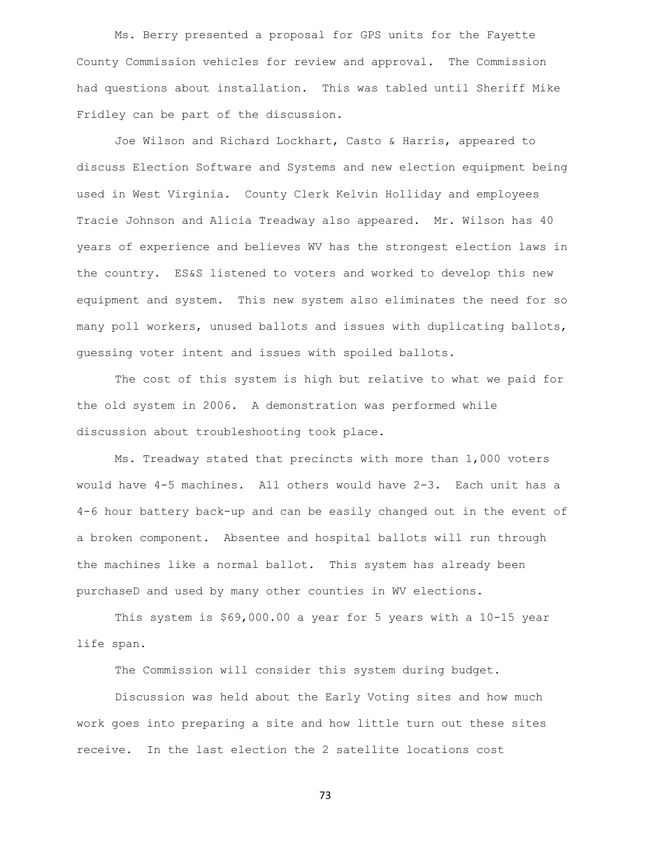Ms. Berry presented a proposal for GPS units for the Fayette County Commission vehicles for review and approval. The Commission had questions about installation. This was tabled until Sheriff Mike Fridley can be part of the discussion.

Joe Wilson and Richard Lockhart, Casto & Harris, appeared to discuss Election Software and Systems and new election equipment being used in West Virginia. County Clerk Kelvin Holliday and employees Tracie Johnson and Alicia Treadway also appeared. Mr. Wilson has 40 years of experience and believes WV has the strongest election laws in the country. ES&S listened to voters and worked to develop this new equipment and system. This new system also eliminates the need for so many poll workers, unused ballots and issues with duplicating ballots, guessing voter intent and issues with spoiled ballots.

The cost of this system is high but relative to what we paid for the old system in 2006. A demonstration was performed while discussion about troubleshooting took place.

Ms. Treadway stated that precincts with more than 1,000 voters would have 4-5 machines. All others would have 2-3. Each unit has a 4-6 hour battery back-up and can be easily changed out in the event of a broken component. Absentee and hospital ballots will run through the machines like a normal ballot. This system has already been purchaseD and used by many other counties in WV elections.

This system is \$69,000.00 a year for 5 years with a 10-15 year life span.

The Commission will consider this system during budget.

Discussion was held about the Early Voting sites and how much work goes into preparing a site and how little turn out these sites receive. In the last election the 2 satellite locations cost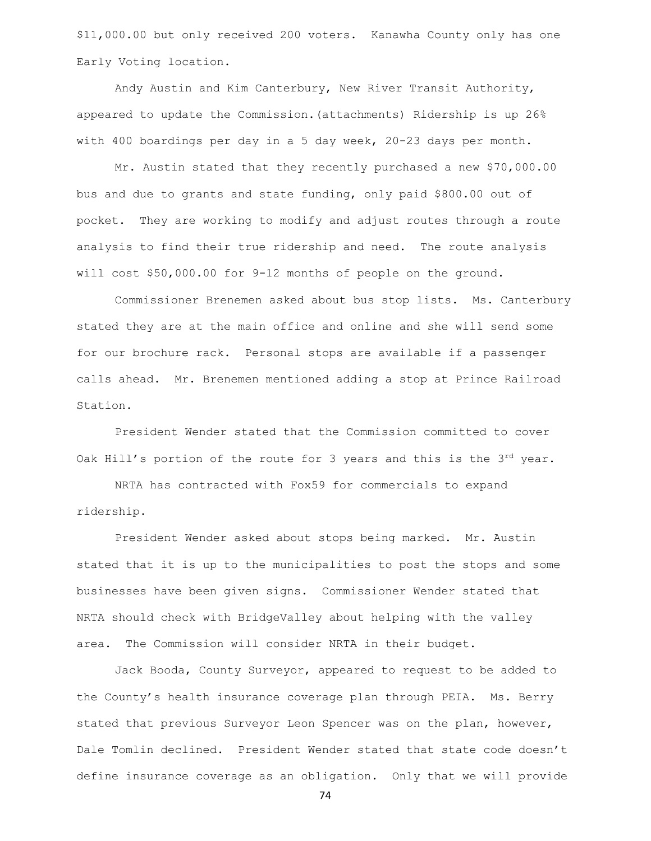\$11,000.00 but only received 200 voters. Kanawha County only has one Early Voting location.

Andy Austin and Kim Canterbury, New River Transit Authority, appeared to update the Commission.(attachments) Ridership is up 26% with 400 boardings per day in a 5 day week, 20-23 days per month.

Mr. Austin stated that they recently purchased a new \$70,000.00 bus and due to grants and state funding, only paid \$800.00 out of pocket. They are working to modify and adjust routes through a route analysis to find their true ridership and need. The route analysis will cost \$50,000.00 for 9-12 months of people on the ground.

Commissioner Brenemen asked about bus stop lists. Ms. Canterbury stated they are at the main office and online and she will send some for our brochure rack. Personal stops are available if a passenger calls ahead. Mr. Brenemen mentioned adding a stop at Prince Railroad Station.

President Wender stated that the Commission committed to cover Oak Hill's portion of the route for 3 years and this is the  $3^{rd}$  year.

NRTA has contracted with Fox59 for commercials to expand ridership.

President Wender asked about stops being marked. Mr. Austin stated that it is up to the municipalities to post the stops and some businesses have been given signs. Commissioner Wender stated that NRTA should check with BridgeValley about helping with the valley area. The Commission will consider NRTA in their budget.

Jack Booda, County Surveyor, appeared to request to be added to the County's health insurance coverage plan through PEIA. Ms. Berry stated that previous Surveyor Leon Spencer was on the plan, however, Dale Tomlin declined. President Wender stated that state code doesn't define insurance coverage as an obligation. Only that we will provide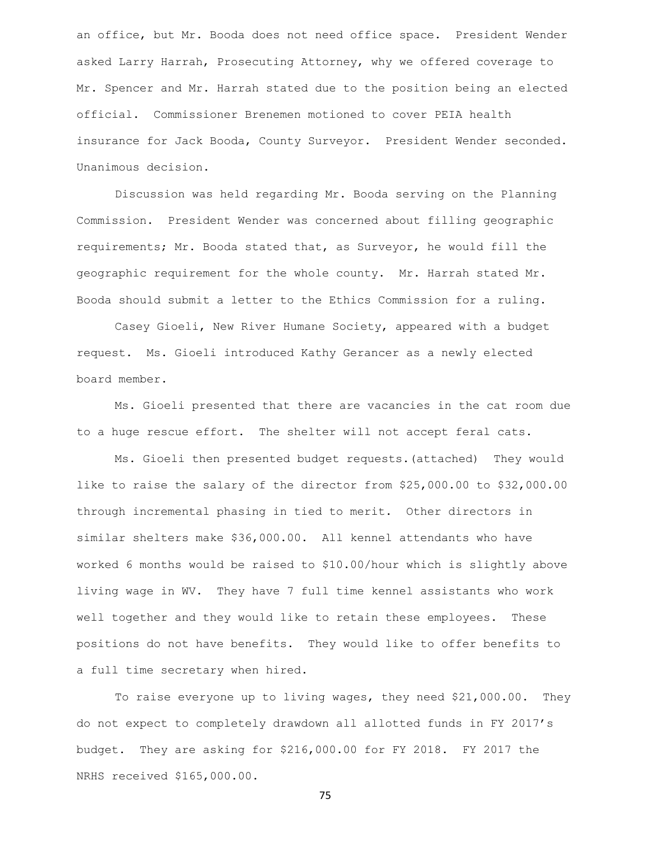an office, but Mr. Booda does not need office space. President Wender asked Larry Harrah, Prosecuting Attorney, why we offered coverage to Mr. Spencer and Mr. Harrah stated due to the position being an elected official. Commissioner Brenemen motioned to cover PEIA health insurance for Jack Booda, County Surveyor. President Wender seconded. Unanimous decision.

Discussion was held regarding Mr. Booda serving on the Planning Commission. President Wender was concerned about filling geographic requirements; Mr. Booda stated that, as Surveyor, he would fill the geographic requirement for the whole county. Mr. Harrah stated Mr. Booda should submit a letter to the Ethics Commission for a ruling.

Casey Gioeli, New River Humane Society, appeared with a budget request. Ms. Gioeli introduced Kathy Gerancer as a newly elected board member.

Ms. Gioeli presented that there are vacancies in the cat room due to a huge rescue effort. The shelter will not accept feral cats.

Ms. Gioeli then presented budget requests.(attached) They would like to raise the salary of the director from \$25,000.00 to \$32,000.00 through incremental phasing in tied to merit. Other directors in similar shelters make \$36,000.00. All kennel attendants who have worked 6 months would be raised to \$10.00/hour which is slightly above living wage in WV. They have 7 full time kennel assistants who work well together and they would like to retain these employees. These positions do not have benefits. They would like to offer benefits to a full time secretary when hired.

To raise everyone up to living wages, they need \$21,000.00. They do not expect to completely drawdown all allotted funds in FY 2017's budget. They are asking for \$216,000.00 for FY 2018. FY 2017 the NRHS received \$165,000.00.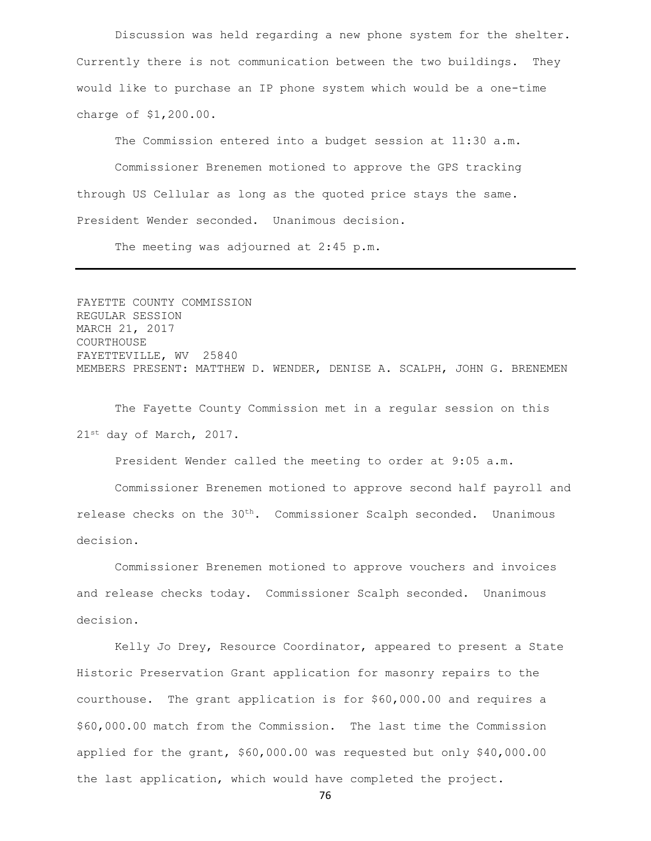Discussion was held regarding a new phone system for the shelter. Currently there is not communication between the two buildings. They would like to purchase an IP phone system which would be a one-time charge of \$1,200.00.

The Commission entered into a budget session at 11:30 a.m. Commissioner Brenemen motioned to approve the GPS tracking through US Cellular as long as the quoted price stays the same. President Wender seconded. Unanimous decision.

The meeting was adjourned at 2:45 p.m.

FAYETTE COUNTY COMMISSION REGULAR SESSION MARCH 21, 2017 COURTHOUSE FAYETTEVILLE, WV 25840 MEMBERS PRESENT: MATTHEW D. WENDER, DENISE A. SCALPH, JOHN G. BRENEMEN

The Fayette County Commission met in a regular session on this 21st day of March, 2017.

President Wender called the meeting to order at 9:05 a.m.

Commissioner Brenemen motioned to approve second half payroll and release checks on the 30<sup>th</sup>. Commissioner Scalph seconded. Unanimous decision.

Commissioner Brenemen motioned to approve vouchers and invoices and release checks today. Commissioner Scalph seconded. Unanimous decision.

Kelly Jo Drey, Resource Coordinator, appeared to present a State Historic Preservation Grant application for masonry repairs to the courthouse. The grant application is for \$60,000.00 and requires a \$60,000.00 match from the Commission. The last time the Commission applied for the grant, \$60,000.00 was requested but only \$40,000.00 the last application, which would have completed the project.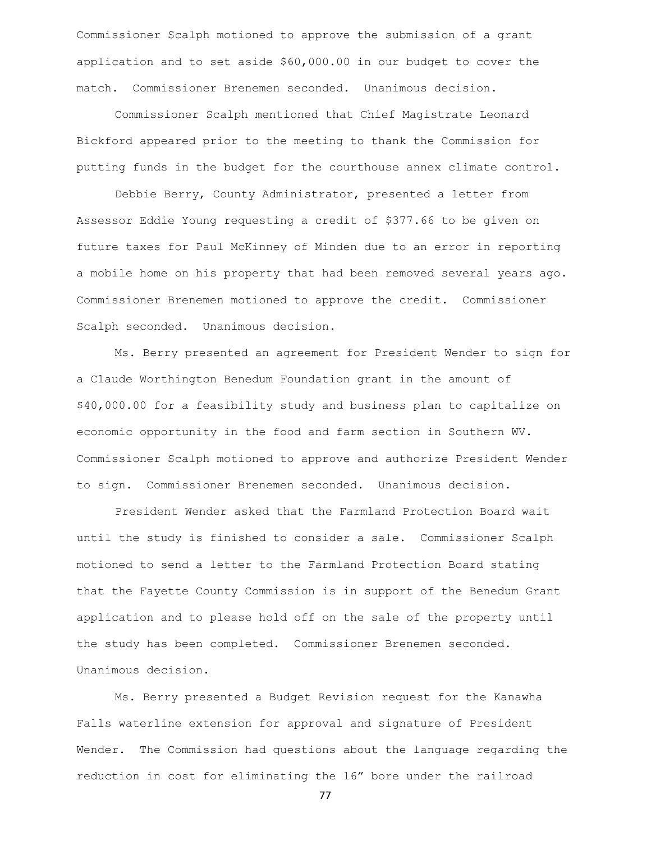Commissioner Scalph motioned to approve the submission of a grant application and to set aside \$60,000.00 in our budget to cover the match. Commissioner Brenemen seconded. Unanimous decision.

Commissioner Scalph mentioned that Chief Magistrate Leonard Bickford appeared prior to the meeting to thank the Commission for putting funds in the budget for the courthouse annex climate control.

Debbie Berry, County Administrator, presented a letter from Assessor Eddie Young requesting a credit of \$377.66 to be given on future taxes for Paul McKinney of Minden due to an error in reporting a mobile home on his property that had been removed several years ago. Commissioner Brenemen motioned to approve the credit. Commissioner Scalph seconded. Unanimous decision.

Ms. Berry presented an agreement for President Wender to sign for a Claude Worthington Benedum Foundation grant in the amount of \$40,000.00 for a feasibility study and business plan to capitalize on economic opportunity in the food and farm section in Southern WV. Commissioner Scalph motioned to approve and authorize President Wender to sign. Commissioner Brenemen seconded. Unanimous decision.

President Wender asked that the Farmland Protection Board wait until the study is finished to consider a sale. Commissioner Scalph motioned to send a letter to the Farmland Protection Board stating that the Fayette County Commission is in support of the Benedum Grant application and to please hold off on the sale of the property until the study has been completed. Commissioner Brenemen seconded. Unanimous decision.

Ms. Berry presented a Budget Revision request for the Kanawha Falls waterline extension for approval and signature of President Wender. The Commission had questions about the language regarding the reduction in cost for eliminating the 16" bore under the railroad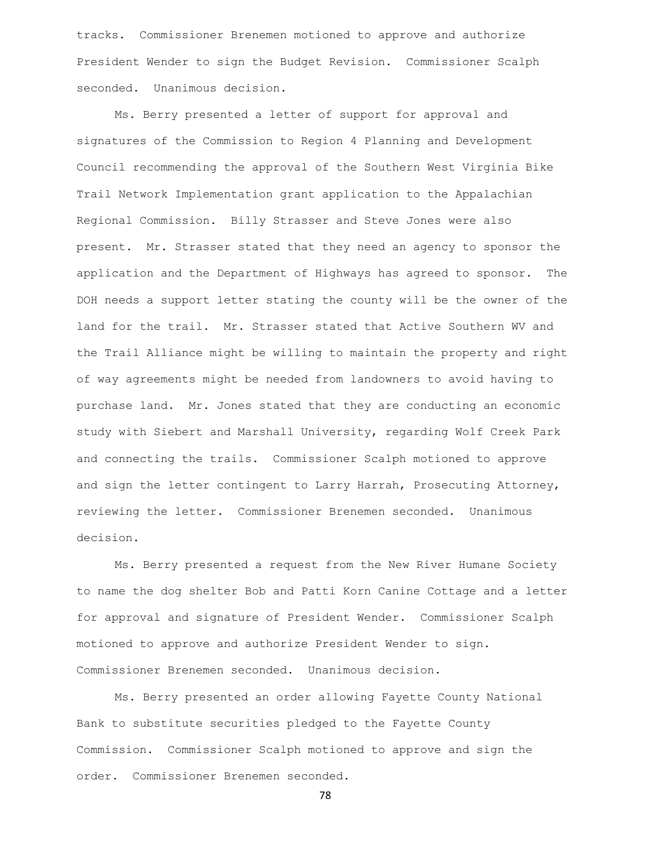tracks. Commissioner Brenemen motioned to approve and authorize President Wender to sign the Budget Revision. Commissioner Scalph seconded. Unanimous decision.

Ms. Berry presented a letter of support for approval and signatures of the Commission to Region 4 Planning and Development Council recommending the approval of the Southern West Virginia Bike Trail Network Implementation grant application to the Appalachian Regional Commission. Billy Strasser and Steve Jones were also present. Mr. Strasser stated that they need an agency to sponsor the application and the Department of Highways has agreed to sponsor. The DOH needs a support letter stating the county will be the owner of the land for the trail. Mr. Strasser stated that Active Southern WV and the Trail Alliance might be willing to maintain the property and right of way agreements might be needed from landowners to avoid having to purchase land. Mr. Jones stated that they are conducting an economic study with Siebert and Marshall University, regarding Wolf Creek Park and connecting the trails. Commissioner Scalph motioned to approve and sign the letter contingent to Larry Harrah, Prosecuting Attorney, reviewing the letter. Commissioner Brenemen seconded. Unanimous decision.

Ms. Berry presented a request from the New River Humane Society to name the dog shelter Bob and Patti Korn Canine Cottage and a letter for approval and signature of President Wender. Commissioner Scalph motioned to approve and authorize President Wender to sign. Commissioner Brenemen seconded. Unanimous decision.

Ms. Berry presented an order allowing Fayette County National Bank to substitute securities pledged to the Fayette County Commission. Commissioner Scalph motioned to approve and sign the order. Commissioner Brenemen seconded.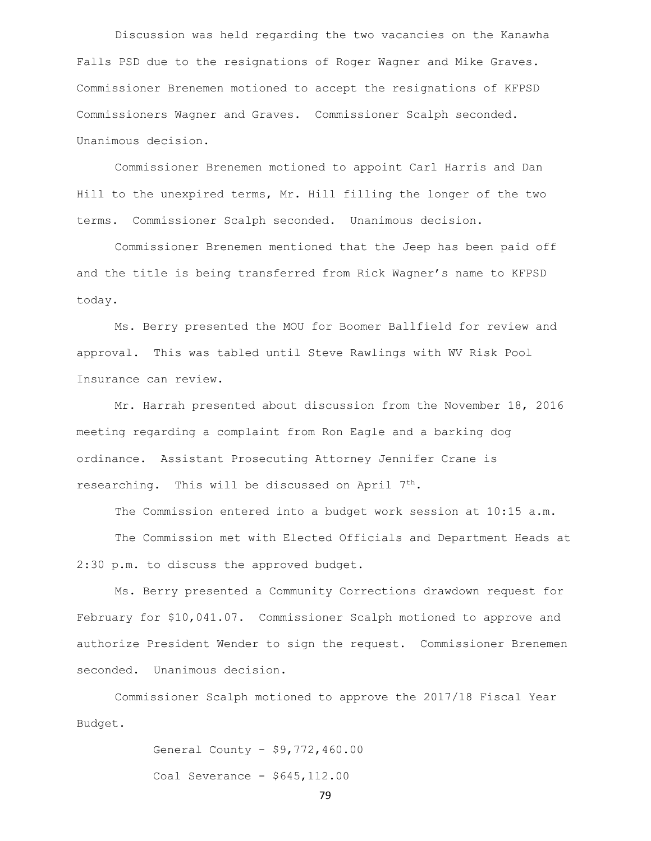Discussion was held regarding the two vacancies on the Kanawha Falls PSD due to the resignations of Roger Wagner and Mike Graves. Commissioner Brenemen motioned to accept the resignations of KFPSD Commissioners Wagner and Graves. Commissioner Scalph seconded. Unanimous decision.

Commissioner Brenemen motioned to appoint Carl Harris and Dan Hill to the unexpired terms, Mr. Hill filling the longer of the two terms. Commissioner Scalph seconded. Unanimous decision.

Commissioner Brenemen mentioned that the Jeep has been paid off and the title is being transferred from Rick Wagner's name to KFPSD today.

Ms. Berry presented the MOU for Boomer Ballfield for review and approval. This was tabled until Steve Rawlings with WV Risk Pool Insurance can review.

Mr. Harrah presented about discussion from the November 18, 2016 meeting regarding a complaint from Ron Eagle and a barking dog ordinance. Assistant Prosecuting Attorney Jennifer Crane is researching. This will be discussed on April 7<sup>th</sup>.

The Commission entered into a budget work session at 10:15 a.m.

The Commission met with Elected Officials and Department Heads at 2:30 p.m. to discuss the approved budget.

Ms. Berry presented a Community Corrections drawdown request for February for \$10,041.07. Commissioner Scalph motioned to approve and authorize President Wender to sign the request. Commissioner Brenemen seconded. Unanimous decision.

Commissioner Scalph motioned to approve the 2017/18 Fiscal Year Budget.

> General County - \$9,772,460.00 Coal Severance - \$645,112.00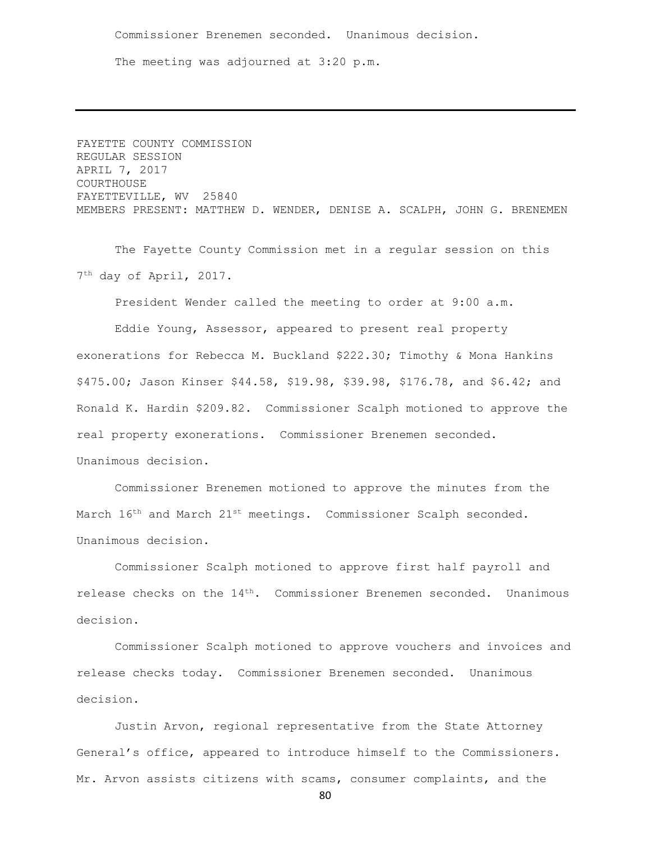Commissioner Brenemen seconded. Unanimous decision. The meeting was adjourned at 3:20 p.m.

FAYETTE COUNTY COMMISSION REGULAR SESSION APRIL 7, 2017 COURTHOUSE FAYETTEVILLE, WV 25840 MEMBERS PRESENT: MATTHEW D. WENDER, DENISE A. SCALPH, JOHN G. BRENEMEN

The Fayette County Commission met in a regular session on this 7 th day of April, 2017.

President Wender called the meeting to order at 9:00 a.m. Eddie Young, Assessor, appeared to present real property exonerations for Rebecca M. Buckland \$222.30; Timothy & Mona Hankins \$475.00; Jason Kinser \$44.58, \$19.98, \$39.98, \$176.78, and \$6.42; and Ronald K. Hardin \$209.82. Commissioner Scalph motioned to approve the real property exonerations. Commissioner Brenemen seconded. Unanimous decision.

Commissioner Brenemen motioned to approve the minutes from the March 16<sup>th</sup> and March 21<sup>st</sup> meetings. Commissioner Scalph seconded. Unanimous decision.

Commissioner Scalph motioned to approve first half payroll and release checks on the 14th. Commissioner Brenemen seconded. Unanimous decision.

Commissioner Scalph motioned to approve vouchers and invoices and release checks today. Commissioner Brenemen seconded. Unanimous decision.

Justin Arvon, regional representative from the State Attorney General's office, appeared to introduce himself to the Commissioners. Mr. Arvon assists citizens with scams, consumer complaints, and the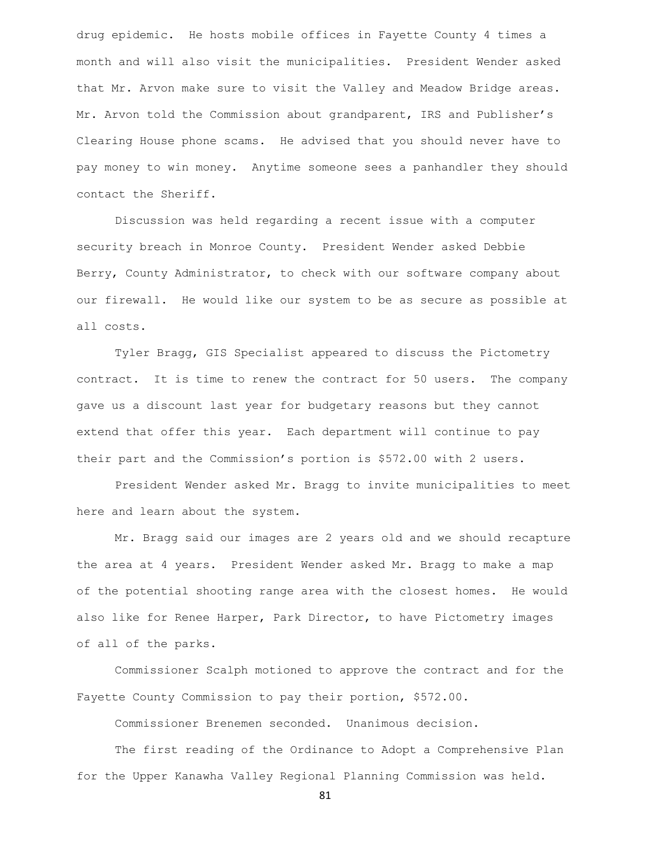drug epidemic. He hosts mobile offices in Fayette County 4 times a month and will also visit the municipalities. President Wender asked that Mr. Arvon make sure to visit the Valley and Meadow Bridge areas. Mr. Arvon told the Commission about grandparent, IRS and Publisher's Clearing House phone scams. He advised that you should never have to pay money to win money. Anytime someone sees a panhandler they should contact the Sheriff.

Discussion was held regarding a recent issue with a computer security breach in Monroe County. President Wender asked Debbie Berry, County Administrator, to check with our software company about our firewall. He would like our system to be as secure as possible at all costs.

Tyler Bragg, GIS Specialist appeared to discuss the Pictometry contract. It is time to renew the contract for 50 users. The company gave us a discount last year for budgetary reasons but they cannot extend that offer this year. Each department will continue to pay their part and the Commission's portion is \$572.00 with 2 users.

President Wender asked Mr. Bragg to invite municipalities to meet here and learn about the system.

Mr. Bragg said our images are 2 years old and we should recapture the area at 4 years. President Wender asked Mr. Bragg to make a map of the potential shooting range area with the closest homes. He would also like for Renee Harper, Park Director, to have Pictometry images of all of the parks.

Commissioner Scalph motioned to approve the contract and for the Fayette County Commission to pay their portion, \$572.00.

Commissioner Brenemen seconded. Unanimous decision.

The first reading of the Ordinance to Adopt a Comprehensive Plan for the Upper Kanawha Valley Regional Planning Commission was held.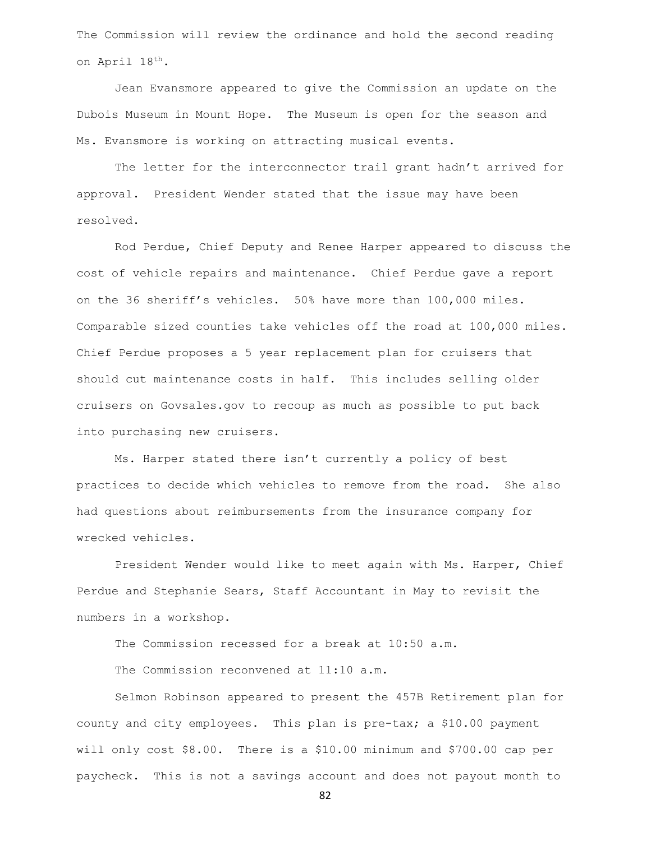The Commission will review the ordinance and hold the second reading on April 18th.

Jean Evansmore appeared to give the Commission an update on the Dubois Museum in Mount Hope. The Museum is open for the season and Ms. Evansmore is working on attracting musical events.

The letter for the interconnector trail grant hadn't arrived for approval. President Wender stated that the issue may have been resolved.

Rod Perdue, Chief Deputy and Renee Harper appeared to discuss the cost of vehicle repairs and maintenance. Chief Perdue gave a report on the 36 sheriff's vehicles. 50% have more than 100,000 miles. Comparable sized counties take vehicles off the road at 100,000 miles. Chief Perdue proposes a 5 year replacement plan for cruisers that should cut maintenance costs in half. This includes selling older cruisers on Govsales.gov to recoup as much as possible to put back into purchasing new cruisers.

Ms. Harper stated there isn't currently a policy of best practices to decide which vehicles to remove from the road. She also had questions about reimbursements from the insurance company for wrecked vehicles.

President Wender would like to meet again with Ms. Harper, Chief Perdue and Stephanie Sears, Staff Accountant in May to revisit the numbers in a workshop.

The Commission recessed for a break at 10:50 a.m.

The Commission reconvened at 11:10 a.m.

Selmon Robinson appeared to present the 457B Retirement plan for county and city employees. This plan is pre-tax; a \$10.00 payment will only cost \$8.00. There is a \$10.00 minimum and \$700.00 cap per paycheck. This is not a savings account and does not payout month to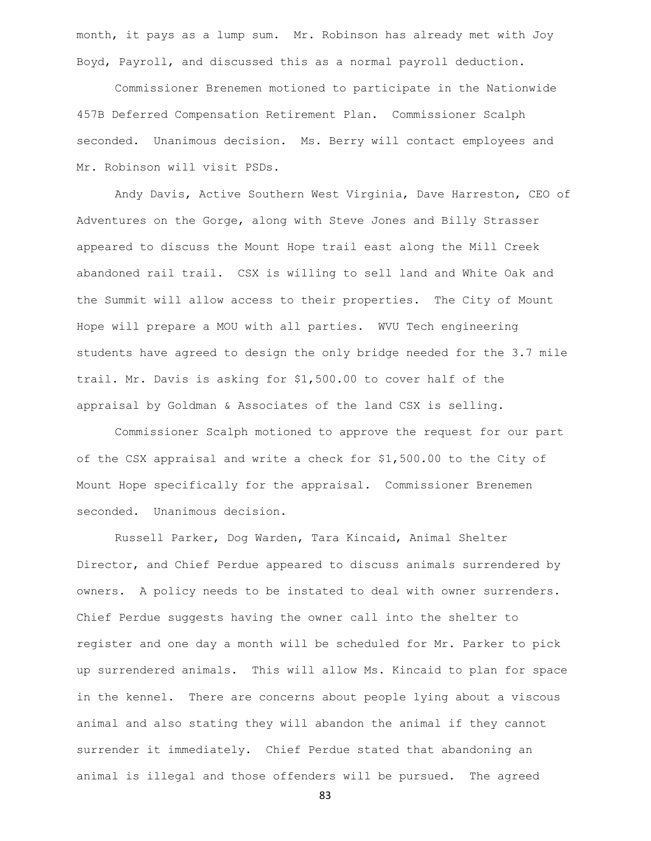month, it pays as a lump sum. Mr. Robinson has already met with Joy Boyd, Payroll, and discussed this as a normal payroll deduction.

Commissioner Brenemen motioned to participate in the Nationwide 457B Deferred Compensation Retirement Plan. Commissioner Scalph seconded. Unanimous decision. Ms. Berry will contact employees and Mr. Robinson will visit PSDs.

Andy Davis, Active Southern West Virginia, Dave Harreston, CEO of Adventures on the Gorge, along with Steve Jones and Billy Strasser appeared to discuss the Mount Hope trail east along the Mill Creek abandoned rail trail. CSX is willing to sell land and White Oak and the Summit will allow access to their properties. The City of Mount Hope will prepare a MOU with all parties. WVU Tech engineering students have agreed to design the only bridge needed for the 3.7 mile trail. Mr. Davis is asking for \$1,500.00 to cover half of the appraisal by Goldman & Associates of the land CSX is selling.

Commissioner Scalph motioned to approve the request for our part of the CSX appraisal and write a check for \$1,500.00 to the City of Mount Hope specifically for the appraisal. Commissioner Brenemen seconded. Unanimous decision.

Russell Parker, Dog Warden, Tara Kincaid, Animal Shelter Director, and Chief Perdue appeared to discuss animals surrendered by owners. A policy needs to be instated to deal with owner surrenders. Chief Perdue suggests having the owner call into the shelter to register and one day a month will be scheduled for Mr. Parker to pick up surrendered animals. This will allow Ms. Kincaid to plan for space in the kennel. There are concerns about people lying about a viscous animal and also stating they will abandon the animal if they cannot surrender it immediately. Chief Perdue stated that abandoning an animal is illegal and those offenders will be pursued. The agreed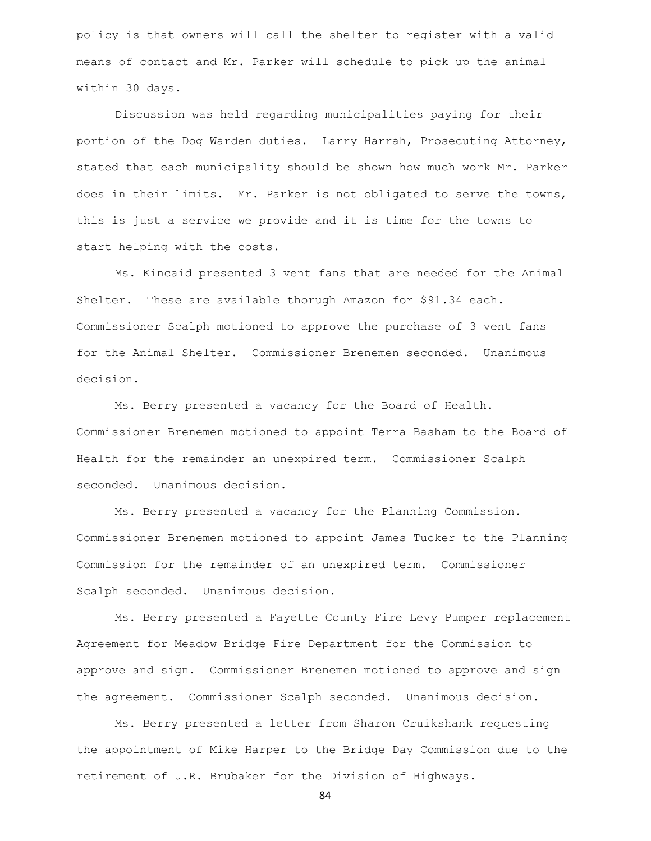policy is that owners will call the shelter to register with a valid means of contact and Mr. Parker will schedule to pick up the animal within 30 days.

Discussion was held regarding municipalities paying for their portion of the Dog Warden duties. Larry Harrah, Prosecuting Attorney, stated that each municipality should be shown how much work Mr. Parker does in their limits. Mr. Parker is not obligated to serve the towns, this is just a service we provide and it is time for the towns to start helping with the costs.

Ms. Kincaid presented 3 vent fans that are needed for the Animal Shelter. These are available thorugh Amazon for \$91.34 each. Commissioner Scalph motioned to approve the purchase of 3 vent fans for the Animal Shelter. Commissioner Brenemen seconded. Unanimous decision.

Ms. Berry presented a vacancy for the Board of Health. Commissioner Brenemen motioned to appoint Terra Basham to the Board of Health for the remainder an unexpired term. Commissioner Scalph seconded. Unanimous decision.

Ms. Berry presented a vacancy for the Planning Commission. Commissioner Brenemen motioned to appoint James Tucker to the Planning Commission for the remainder of an unexpired term. Commissioner Scalph seconded. Unanimous decision.

Ms. Berry presented a Fayette County Fire Levy Pumper replacement Agreement for Meadow Bridge Fire Department for the Commission to approve and sign. Commissioner Brenemen motioned to approve and sign the agreement. Commissioner Scalph seconded. Unanimous decision.

Ms. Berry presented a letter from Sharon Cruikshank requesting the appointment of Mike Harper to the Bridge Day Commission due to the retirement of J.R. Brubaker for the Division of Highways.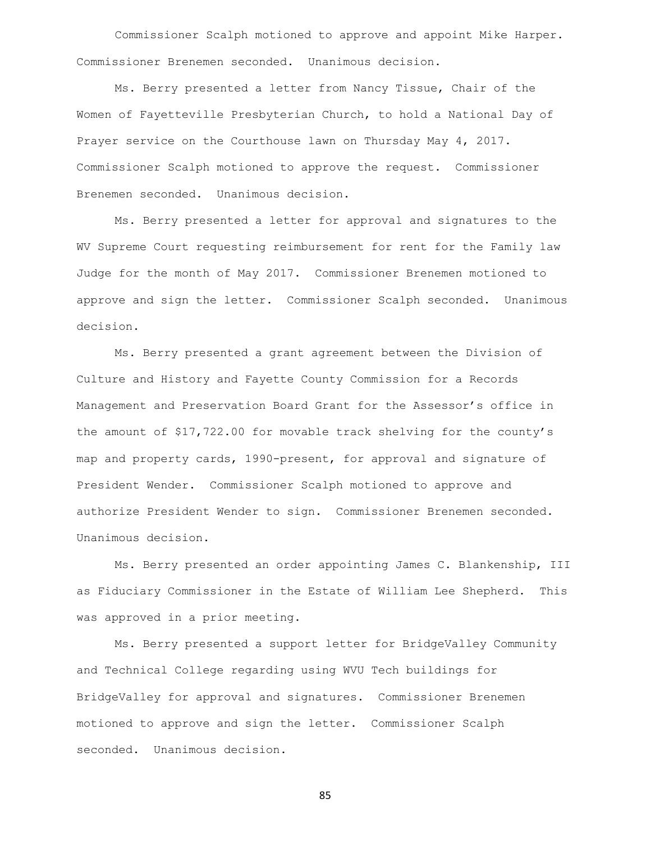Commissioner Scalph motioned to approve and appoint Mike Harper. Commissioner Brenemen seconded. Unanimous decision.

Ms. Berry presented a letter from Nancy Tissue, Chair of the Women of Fayetteville Presbyterian Church, to hold a National Day of Prayer service on the Courthouse lawn on Thursday May 4, 2017. Commissioner Scalph motioned to approve the request. Commissioner Brenemen seconded. Unanimous decision.

Ms. Berry presented a letter for approval and signatures to the WV Supreme Court requesting reimbursement for rent for the Family law Judge for the month of May 2017. Commissioner Brenemen motioned to approve and sign the letter. Commissioner Scalph seconded. Unanimous decision.

Ms. Berry presented a grant agreement between the Division of Culture and History and Fayette County Commission for a Records Management and Preservation Board Grant for the Assessor's office in the amount of \$17,722.00 for movable track shelving for the county's map and property cards, 1990-present, for approval and signature of President Wender. Commissioner Scalph motioned to approve and authorize President Wender to sign. Commissioner Brenemen seconded. Unanimous decision.

Ms. Berry presented an order appointing James C. Blankenship, III as Fiduciary Commissioner in the Estate of William Lee Shepherd. This was approved in a prior meeting.

Ms. Berry presented a support letter for BridgeValley Community and Technical College regarding using WVU Tech buildings for BridgeValley for approval and signatures. Commissioner Brenemen motioned to approve and sign the letter. Commissioner Scalph seconded. Unanimous decision.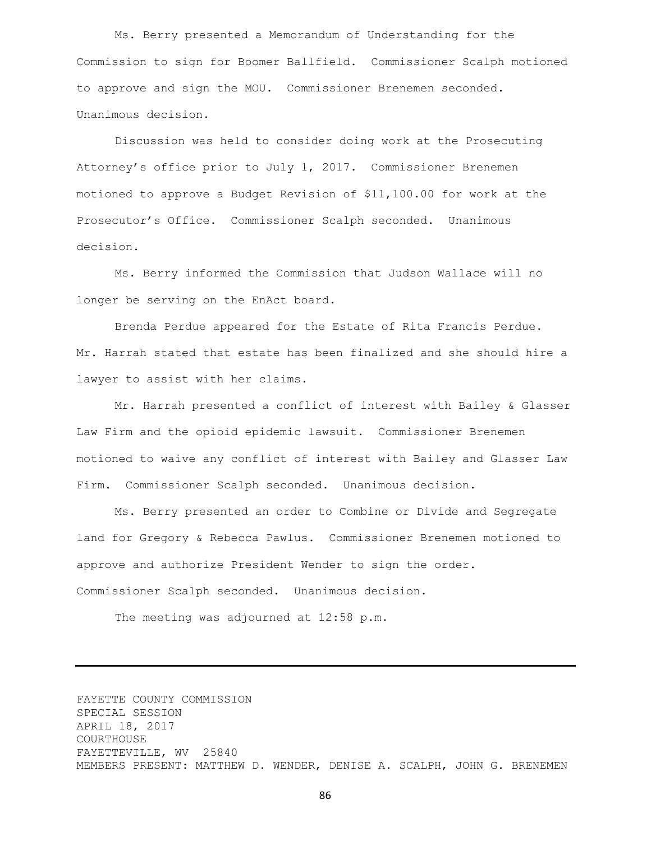Ms. Berry presented a Memorandum of Understanding for the Commission to sign for Boomer Ballfield. Commissioner Scalph motioned to approve and sign the MOU. Commissioner Brenemen seconded. Unanimous decision.

Discussion was held to consider doing work at the Prosecuting Attorney's office prior to July 1, 2017. Commissioner Brenemen motioned to approve a Budget Revision of \$11,100.00 for work at the Prosecutor's Office. Commissioner Scalph seconded. Unanimous decision.

Ms. Berry informed the Commission that Judson Wallace will no longer be serving on the EnAct board.

Brenda Perdue appeared for the Estate of Rita Francis Perdue. Mr. Harrah stated that estate has been finalized and she should hire a lawyer to assist with her claims.

Mr. Harrah presented a conflict of interest with Bailey & Glasser Law Firm and the opioid epidemic lawsuit. Commissioner Brenemen motioned to waive any conflict of interest with Bailey and Glasser Law Firm. Commissioner Scalph seconded. Unanimous decision.

Ms. Berry presented an order to Combine or Divide and Segregate land for Gregory & Rebecca Pawlus. Commissioner Brenemen motioned to approve and authorize President Wender to sign the order. Commissioner Scalph seconded. Unanimous decision.

The meeting was adjourned at 12:58 p.m.

FAYETTE COUNTY COMMISSION SPECIAL SESSION APRIL 18, 2017 COURTHOUSE FAYETTEVILLE, WV 25840 MEMBERS PRESENT: MATTHEW D. WENDER, DENISE A. SCALPH, JOHN G. BRENEMEN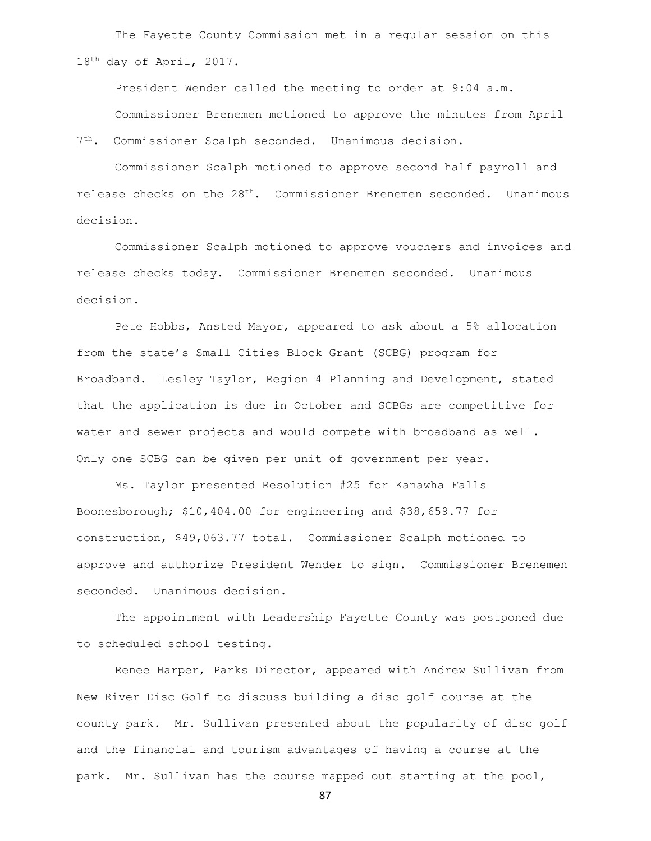The Fayette County Commission met in a regular session on this 18th day of April, 2017.

President Wender called the meeting to order at 9:04 a.m. Commissioner Brenemen motioned to approve the minutes from April

7 th. Commissioner Scalph seconded. Unanimous decision.

Commissioner Scalph motioned to approve second half payroll and release checks on the  $28<sup>th</sup>$ . Commissioner Brenemen seconded. Unanimous decision.

Commissioner Scalph motioned to approve vouchers and invoices and release checks today. Commissioner Brenemen seconded. Unanimous decision.

Pete Hobbs, Ansted Mayor, appeared to ask about a 5% allocation from the state's Small Cities Block Grant (SCBG) program for Broadband. Lesley Taylor, Region 4 Planning and Development, stated that the application is due in October and SCBGs are competitive for water and sewer projects and would compete with broadband as well. Only one SCBG can be given per unit of government per year.

Ms. Taylor presented Resolution #25 for Kanawha Falls Boonesborough; \$10,404.00 for engineering and \$38,659.77 for construction, \$49,063.77 total. Commissioner Scalph motioned to approve and authorize President Wender to sign. Commissioner Brenemen seconded. Unanimous decision.

The appointment with Leadership Fayette County was postponed due to scheduled school testing.

Renee Harper, Parks Director, appeared with Andrew Sullivan from New River Disc Golf to discuss building a disc golf course at the county park. Mr. Sullivan presented about the popularity of disc golf and the financial and tourism advantages of having a course at the park. Mr. Sullivan has the course mapped out starting at the pool,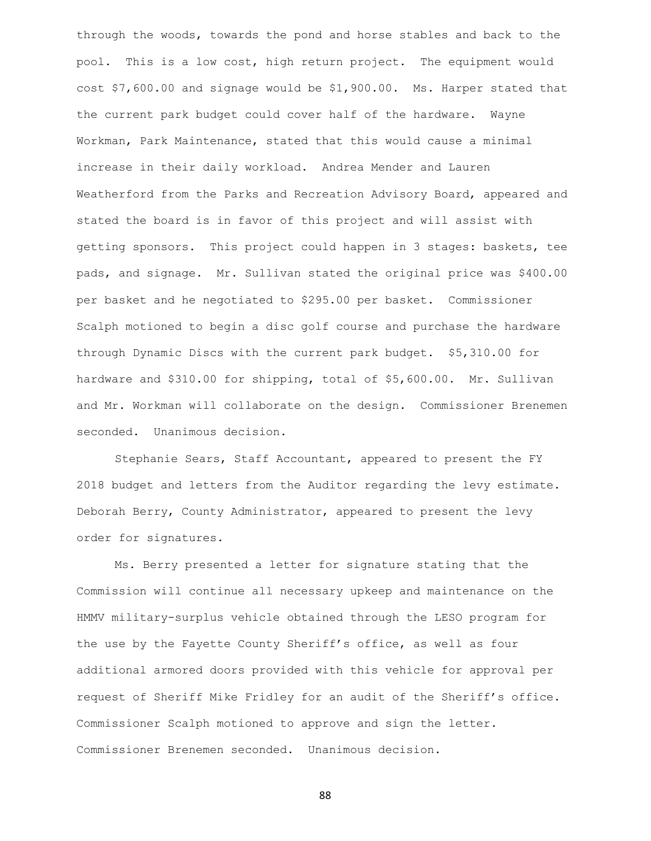through the woods, towards the pond and horse stables and back to the pool. This is a low cost, high return project. The equipment would cost \$7,600.00 and signage would be \$1,900.00. Ms. Harper stated that the current park budget could cover half of the hardware. Wayne Workman, Park Maintenance, stated that this would cause a minimal increase in their daily workload. Andrea Mender and Lauren Weatherford from the Parks and Recreation Advisory Board, appeared and stated the board is in favor of this project and will assist with getting sponsors. This project could happen in 3 stages: baskets, tee pads, and signage. Mr. Sullivan stated the original price was \$400.00 per basket and he negotiated to \$295.00 per basket. Commissioner Scalph motioned to begin a disc golf course and purchase the hardware through Dynamic Discs with the current park budget. \$5,310.00 for hardware and \$310.00 for shipping, total of \$5,600.00. Mr. Sullivan and Mr. Workman will collaborate on the design. Commissioner Brenemen seconded. Unanimous decision.

Stephanie Sears, Staff Accountant, appeared to present the FY 2018 budget and letters from the Auditor regarding the levy estimate. Deborah Berry, County Administrator, appeared to present the levy order for signatures.

Ms. Berry presented a letter for signature stating that the Commission will continue all necessary upkeep and maintenance on the HMMV military-surplus vehicle obtained through the LESO program for the use by the Fayette County Sheriff's office, as well as four additional armored doors provided with this vehicle for approval per request of Sheriff Mike Fridley for an audit of the Sheriff's office. Commissioner Scalph motioned to approve and sign the letter. Commissioner Brenemen seconded. Unanimous decision.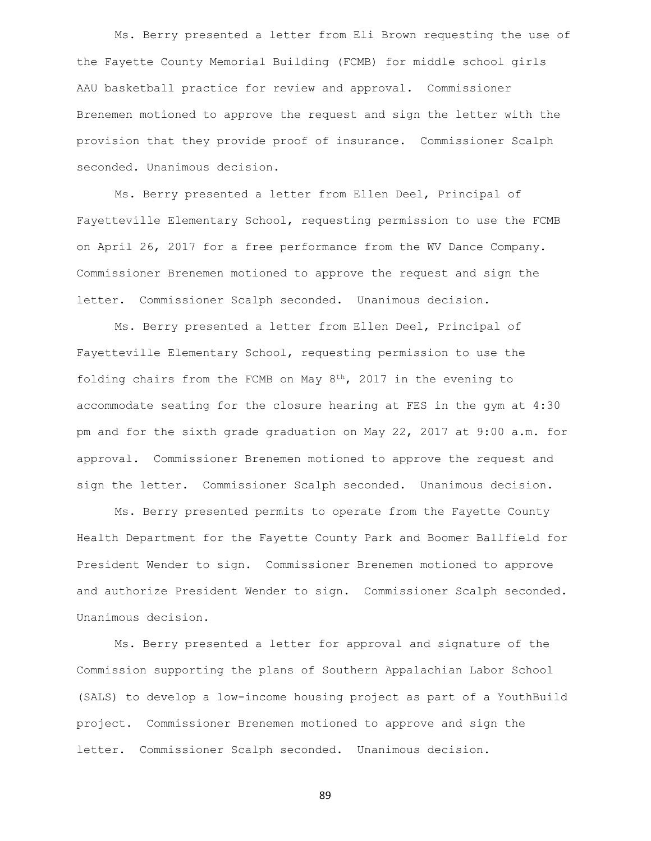Ms. Berry presented a letter from Eli Brown requesting the use of the Fayette County Memorial Building (FCMB) for middle school girls AAU basketball practice for review and approval. Commissioner Brenemen motioned to approve the request and sign the letter with the provision that they provide proof of insurance. Commissioner Scalph seconded. Unanimous decision.

Ms. Berry presented a letter from Ellen Deel, Principal of Fayetteville Elementary School, requesting permission to use the FCMB on April 26, 2017 for a free performance from the WV Dance Company. Commissioner Brenemen motioned to approve the request and sign the letter. Commissioner Scalph seconded. Unanimous decision.

Ms. Berry presented a letter from Ellen Deel, Principal of Fayetteville Elementary School, requesting permission to use the folding chairs from the FCMB on May  $8<sup>th</sup>$ , 2017 in the evening to accommodate seating for the closure hearing at FES in the gym at 4:30 pm and for the sixth grade graduation on May 22, 2017 at 9:00 a.m. for approval. Commissioner Brenemen motioned to approve the request and sign the letter. Commissioner Scalph seconded. Unanimous decision.

Ms. Berry presented permits to operate from the Fayette County Health Department for the Fayette County Park and Boomer Ballfield for President Wender to sign. Commissioner Brenemen motioned to approve and authorize President Wender to sign. Commissioner Scalph seconded. Unanimous decision.

Ms. Berry presented a letter for approval and signature of the Commission supporting the plans of Southern Appalachian Labor School (SALS) to develop a low-income housing project as part of a YouthBuild project. Commissioner Brenemen motioned to approve and sign the letter. Commissioner Scalph seconded. Unanimous decision.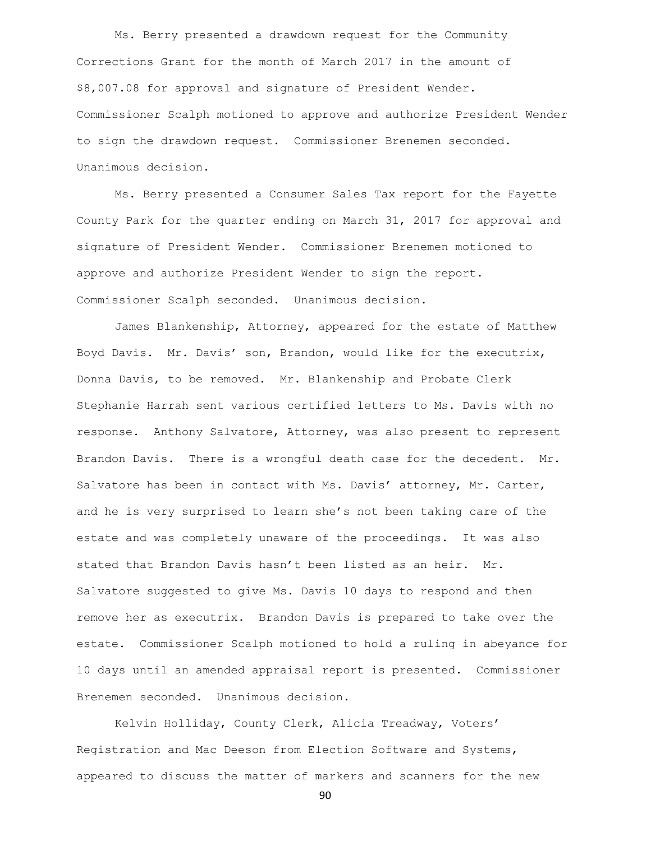Ms. Berry presented a drawdown request for the Community Corrections Grant for the month of March 2017 in the amount of \$8,007.08 for approval and signature of President Wender. Commissioner Scalph motioned to approve and authorize President Wender to sign the drawdown request. Commissioner Brenemen seconded. Unanimous decision.

Ms. Berry presented a Consumer Sales Tax report for the Fayette County Park for the quarter ending on March 31, 2017 for approval and signature of President Wender. Commissioner Brenemen motioned to approve and authorize President Wender to sign the report. Commissioner Scalph seconded. Unanimous decision.

James Blankenship, Attorney, appeared for the estate of Matthew Boyd Davis. Mr. Davis' son, Brandon, would like for the executrix, Donna Davis, to be removed. Mr. Blankenship and Probate Clerk Stephanie Harrah sent various certified letters to Ms. Davis with no response. Anthony Salvatore, Attorney, was also present to represent Brandon Davis. There is a wrongful death case for the decedent. Mr. Salvatore has been in contact with Ms. Davis' attorney, Mr. Carter, and he is very surprised to learn she's not been taking care of the estate and was completely unaware of the proceedings. It was also stated that Brandon Davis hasn't been listed as an heir. Mr. Salvatore suggested to give Ms. Davis 10 days to respond and then remove her as executrix. Brandon Davis is prepared to take over the estate. Commissioner Scalph motioned to hold a ruling in abeyance for 10 days until an amended appraisal report is presented. Commissioner Brenemen seconded. Unanimous decision.

Kelvin Holliday, County Clerk, Alicia Treadway, Voters' Registration and Mac Deeson from Election Software and Systems, appeared to discuss the matter of markers and scanners for the new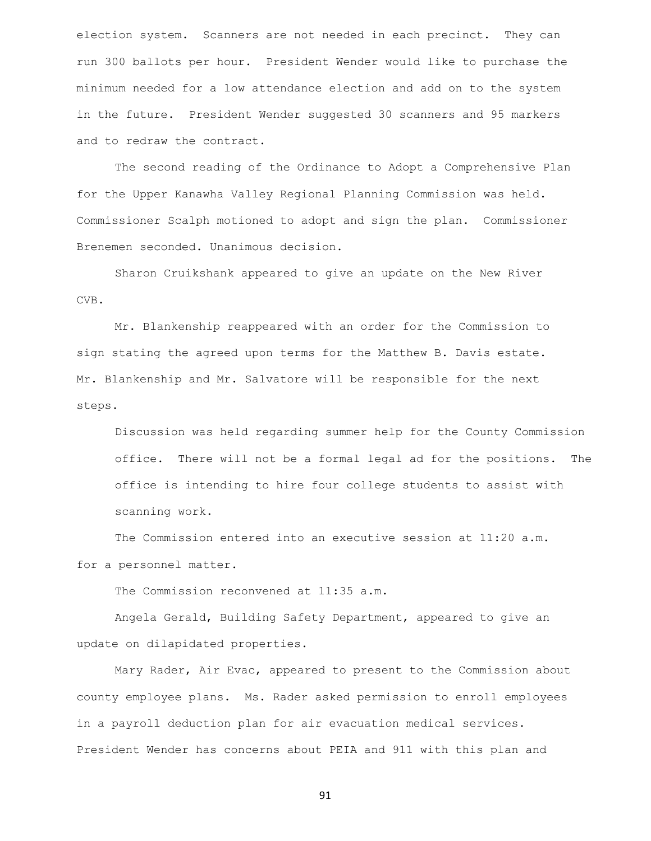election system. Scanners are not needed in each precinct. They can run 300 ballots per hour. President Wender would like to purchase the minimum needed for a low attendance election and add on to the system in the future. President Wender suggested 30 scanners and 95 markers and to redraw the contract.

The second reading of the Ordinance to Adopt a Comprehensive Plan for the Upper Kanawha Valley Regional Planning Commission was held. Commissioner Scalph motioned to adopt and sign the plan. Commissioner Brenemen seconded. Unanimous decision.

Sharon Cruikshank appeared to give an update on the New River CVB.

Mr. Blankenship reappeared with an order for the Commission to sign stating the agreed upon terms for the Matthew B. Davis estate. Mr. Blankenship and Mr. Salvatore will be responsible for the next steps.

Discussion was held regarding summer help for the County Commission office. There will not be a formal legal ad for the positions. The office is intending to hire four college students to assist with scanning work.

The Commission entered into an executive session at 11:20 a.m.

for a personnel matter.

The Commission reconvened at 11:35 a.m.

Angela Gerald, Building Safety Department, appeared to give an update on dilapidated properties.

Mary Rader, Air Evac, appeared to present to the Commission about county employee plans. Ms. Rader asked permission to enroll employees in a payroll deduction plan for air evacuation medical services. President Wender has concerns about PEIA and 911 with this plan and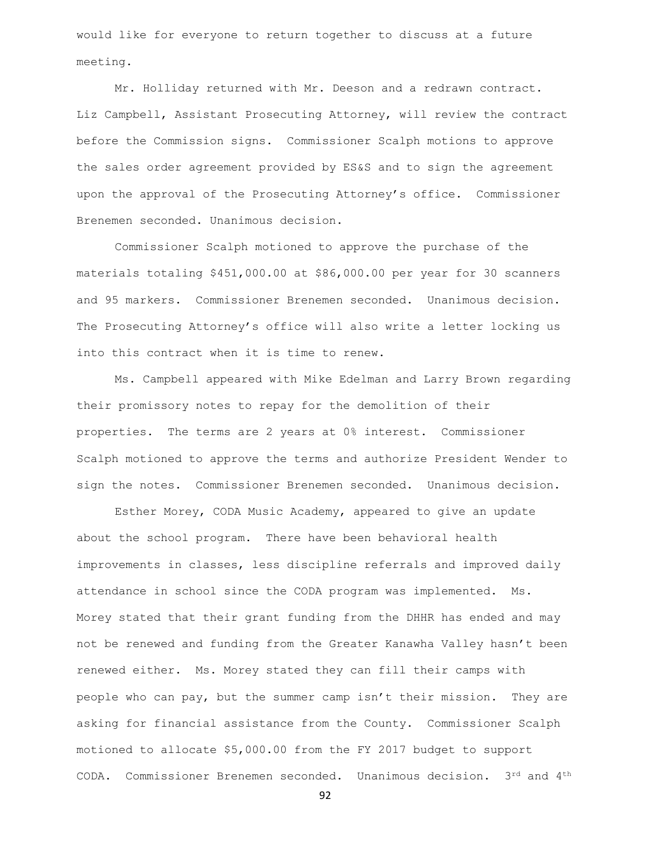would like for everyone to return together to discuss at a future meeting.

Mr. Holliday returned with Mr. Deeson and a redrawn contract. Liz Campbell, Assistant Prosecuting Attorney, will review the contract before the Commission signs. Commissioner Scalph motions to approve the sales order agreement provided by ES&S and to sign the agreement upon the approval of the Prosecuting Attorney's office. Commissioner Brenemen seconded. Unanimous decision.

Commissioner Scalph motioned to approve the purchase of the materials totaling \$451,000.00 at \$86,000.00 per year for 30 scanners and 95 markers. Commissioner Brenemen seconded. Unanimous decision. The Prosecuting Attorney's office will also write a letter locking us into this contract when it is time to renew.

Ms. Campbell appeared with Mike Edelman and Larry Brown regarding their promissory notes to repay for the demolition of their properties. The terms are 2 years at 0% interest. Commissioner Scalph motioned to approve the terms and authorize President Wender to sign the notes. Commissioner Brenemen seconded. Unanimous decision.

Esther Morey, CODA Music Academy, appeared to give an update about the school program. There have been behavioral health improvements in classes, less discipline referrals and improved daily attendance in school since the CODA program was implemented. Ms. Morey stated that their grant funding from the DHHR has ended and may not be renewed and funding from the Greater Kanawha Valley hasn't been renewed either. Ms. Morey stated they can fill their camps with people who can pay, but the summer camp isn't their mission. They are asking for financial assistance from the County. Commissioner Scalph motioned to allocate \$5,000.00 from the FY 2017 budget to support CODA. Commissioner Brenemen seconded. Unanimous decision. 3rd and 4<sup>th</sup>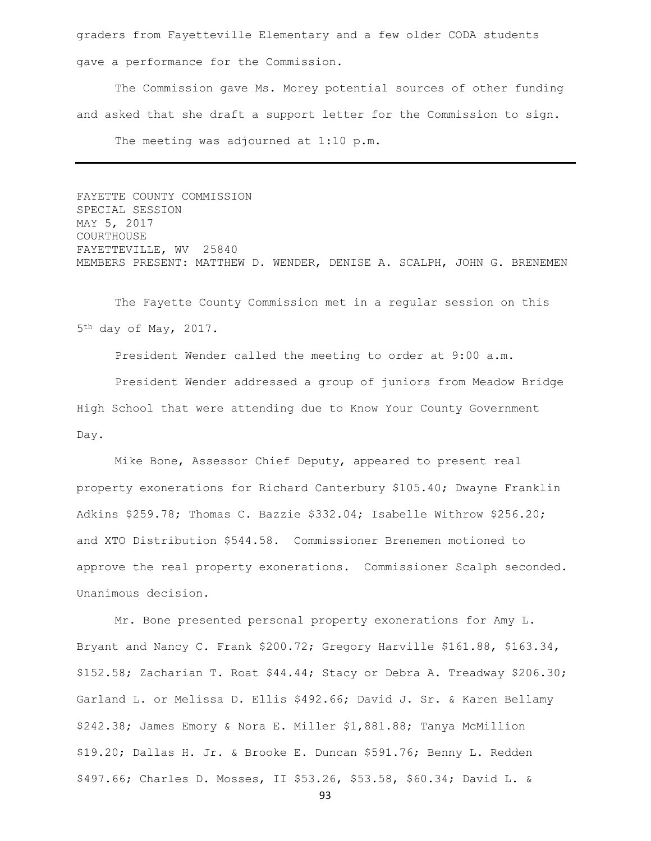graders from Fayetteville Elementary and a few older CODA students gave a performance for the Commission.

The Commission gave Ms. Morey potential sources of other funding and asked that she draft a support letter for the Commission to sign. The meeting was adjourned at 1:10 p.m.

FAYETTE COUNTY COMMISSION SPECIAL SESSION MAY 5, 2017 COURTHOUSE FAYETTEVILLE, WV 25840 MEMBERS PRESENT: MATTHEW D. WENDER, DENISE A. SCALPH, JOHN G. BRENEMEN

The Fayette County Commission met in a regular session on this 5<sup>th</sup> day of May, 2017.

President Wender called the meeting to order at 9:00 a.m. President Wender addressed a group of juniors from Meadow Bridge High School that were attending due to Know Your County Government Day.

Mike Bone, Assessor Chief Deputy, appeared to present real property exonerations for Richard Canterbury \$105.40; Dwayne Franklin Adkins \$259.78; Thomas C. Bazzie \$332.04; Isabelle Withrow \$256.20; and XTO Distribution \$544.58. Commissioner Brenemen motioned to approve the real property exonerations. Commissioner Scalph seconded. Unanimous decision.

Mr. Bone presented personal property exonerations for Amy L. Bryant and Nancy C. Frank \$200.72; Gregory Harville \$161.88, \$163.34, \$152.58; Zacharian T. Roat \$44.44; Stacy or Debra A. Treadway \$206.30; Garland L. or Melissa D. Ellis \$492.66; David J. Sr. & Karen Bellamy \$242.38; James Emory & Nora E. Miller \$1,881.88; Tanya McMillion \$19.20; Dallas H. Jr. & Brooke E. Duncan \$591.76; Benny L. Redden \$497.66; Charles D. Mosses, II \$53.26, \$53.58, \$60.34; David L. &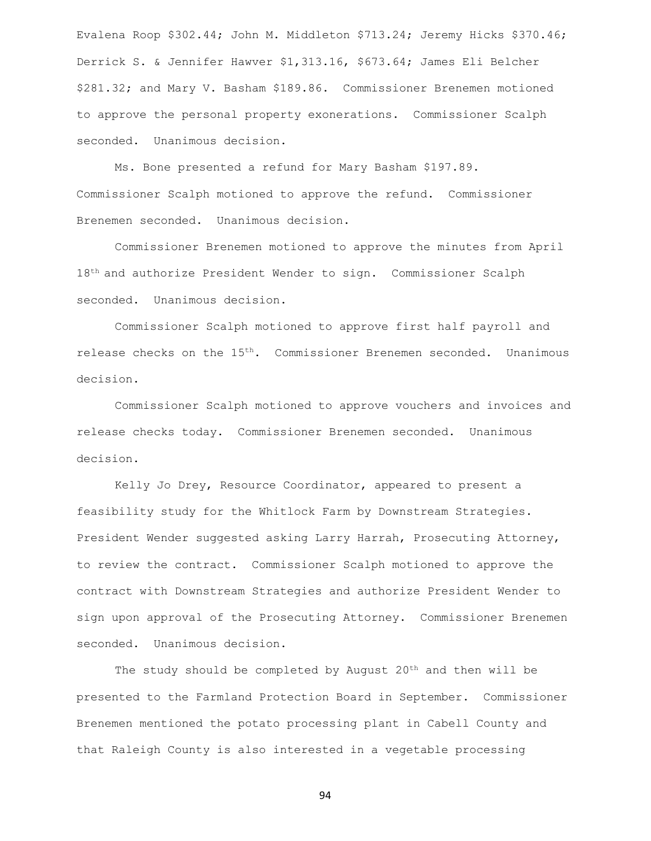Evalena Roop \$302.44; John M. Middleton \$713.24; Jeremy Hicks \$370.46; Derrick S. & Jennifer Hawver \$1,313.16, \$673.64; James Eli Belcher \$281.32; and Mary V. Basham \$189.86. Commissioner Brenemen motioned to approve the personal property exonerations. Commissioner Scalph seconded. Unanimous decision.

Ms. Bone presented a refund for Mary Basham \$197.89. Commissioner Scalph motioned to approve the refund. Commissioner Brenemen seconded. Unanimous decision.

Commissioner Brenemen motioned to approve the minutes from April 18th and authorize President Wender to sign. Commissioner Scalph seconded. Unanimous decision.

Commissioner Scalph motioned to approve first half payroll and release checks on the 15<sup>th</sup>. Commissioner Brenemen seconded. Unanimous decision.

Commissioner Scalph motioned to approve vouchers and invoices and release checks today. Commissioner Brenemen seconded. Unanimous decision.

Kelly Jo Drey, Resource Coordinator, appeared to present a feasibility study for the Whitlock Farm by Downstream Strategies. President Wender suggested asking Larry Harrah, Prosecuting Attorney, to review the contract. Commissioner Scalph motioned to approve the contract with Downstream Strategies and authorize President Wender to sign upon approval of the Prosecuting Attorney. Commissioner Brenemen seconded. Unanimous decision.

The study should be completed by August 20<sup>th</sup> and then will be presented to the Farmland Protection Board in September. Commissioner Brenemen mentioned the potato processing plant in Cabell County and that Raleigh County is also interested in a vegetable processing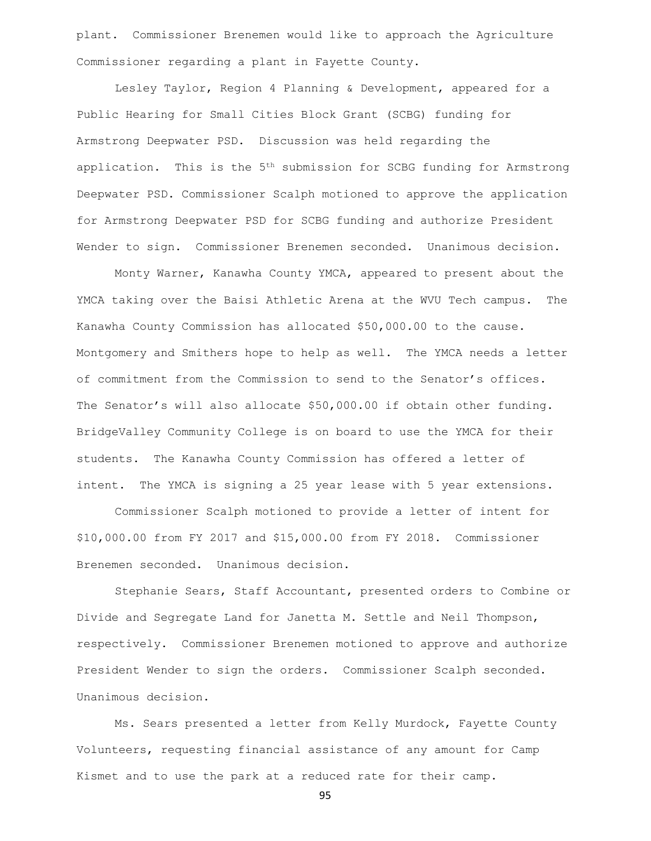plant. Commissioner Brenemen would like to approach the Agriculture Commissioner regarding a plant in Fayette County.

Lesley Taylor, Region 4 Planning & Development, appeared for a Public Hearing for Small Cities Block Grant (SCBG) funding for Armstrong Deepwater PSD. Discussion was held regarding the application. This is the 5<sup>th</sup> submission for SCBG funding for Armstrong Deepwater PSD. Commissioner Scalph motioned to approve the application for Armstrong Deepwater PSD for SCBG funding and authorize President Wender to sign. Commissioner Brenemen seconded. Unanimous decision.

Monty Warner, Kanawha County YMCA, appeared to present about the YMCA taking over the Baisi Athletic Arena at the WVU Tech campus. The Kanawha County Commission has allocated \$50,000.00 to the cause. Montgomery and Smithers hope to help as well. The YMCA needs a letter of commitment from the Commission to send to the Senator's offices. The Senator's will also allocate \$50,000.00 if obtain other funding. BridgeValley Community College is on board to use the YMCA for their students. The Kanawha County Commission has offered a letter of intent. The YMCA is signing a 25 year lease with 5 year extensions.

Commissioner Scalph motioned to provide a letter of intent for \$10,000.00 from FY 2017 and \$15,000.00 from FY 2018. Commissioner Brenemen seconded. Unanimous decision.

Stephanie Sears, Staff Accountant, presented orders to Combine or Divide and Segregate Land for Janetta M. Settle and Neil Thompson, respectively. Commissioner Brenemen motioned to approve and authorize President Wender to sign the orders. Commissioner Scalph seconded. Unanimous decision.

Ms. Sears presented a letter from Kelly Murdock, Fayette County Volunteers, requesting financial assistance of any amount for Camp Kismet and to use the park at a reduced rate for their camp.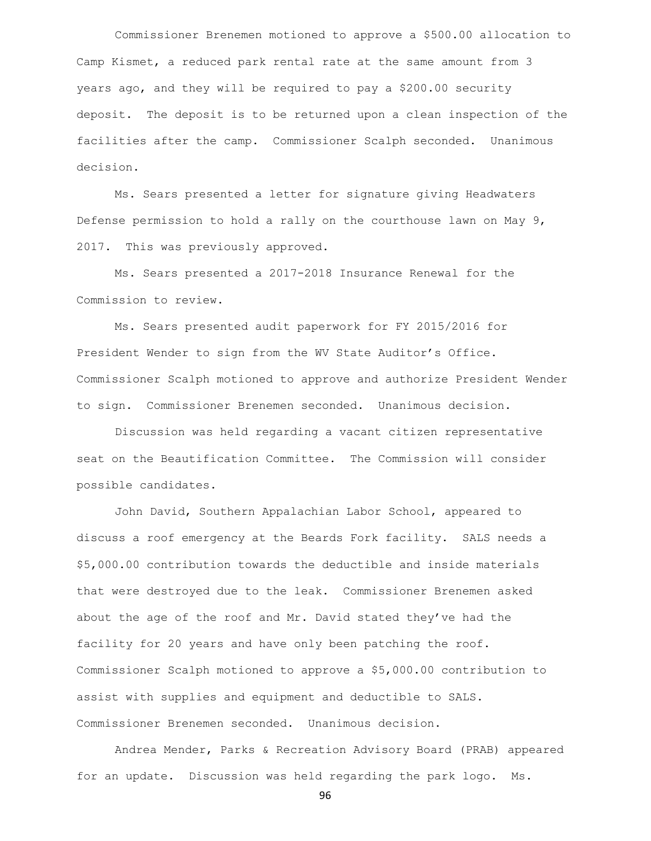Commissioner Brenemen motioned to approve a \$500.00 allocation to Camp Kismet, a reduced park rental rate at the same amount from 3 years ago, and they will be required to pay a \$200.00 security deposit. The deposit is to be returned upon a clean inspection of the facilities after the camp. Commissioner Scalph seconded. Unanimous decision.

Ms. Sears presented a letter for signature giving Headwaters Defense permission to hold a rally on the courthouse lawn on May 9, 2017. This was previously approved.

Ms. Sears presented a 2017-2018 Insurance Renewal for the Commission to review.

Ms. Sears presented audit paperwork for FY 2015/2016 for President Wender to sign from the WV State Auditor's Office. Commissioner Scalph motioned to approve and authorize President Wender to sign. Commissioner Brenemen seconded. Unanimous decision.

Discussion was held regarding a vacant citizen representative seat on the Beautification Committee. The Commission will consider possible candidates.

John David, Southern Appalachian Labor School, appeared to discuss a roof emergency at the Beards Fork facility. SALS needs a \$5,000.00 contribution towards the deductible and inside materials that were destroyed due to the leak. Commissioner Brenemen asked about the age of the roof and Mr. David stated they've had the facility for 20 years and have only been patching the roof. Commissioner Scalph motioned to approve a \$5,000.00 contribution to assist with supplies and equipment and deductible to SALS. Commissioner Brenemen seconded. Unanimous decision.

Andrea Mender, Parks & Recreation Advisory Board (PRAB) appeared for an update. Discussion was held regarding the park logo. Ms.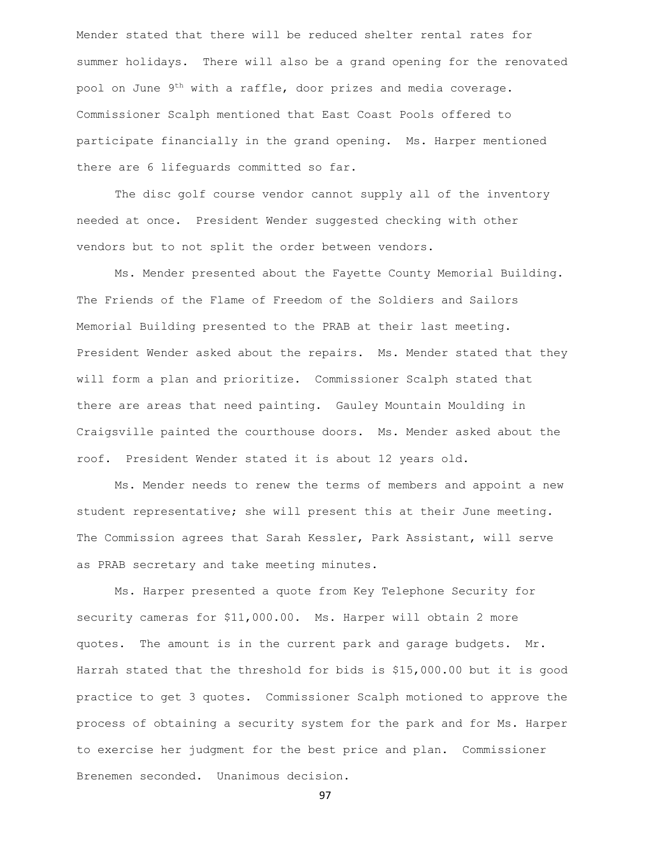Mender stated that there will be reduced shelter rental rates for summer holidays. There will also be a grand opening for the renovated pool on June 9<sup>th</sup> with a raffle, door prizes and media coverage. Commissioner Scalph mentioned that East Coast Pools offered to participate financially in the grand opening. Ms. Harper mentioned there are 6 lifeguards committed so far.

The disc golf course vendor cannot supply all of the inventory needed at once. President Wender suggested checking with other vendors but to not split the order between vendors.

Ms. Mender presented about the Fayette County Memorial Building. The Friends of the Flame of Freedom of the Soldiers and Sailors Memorial Building presented to the PRAB at their last meeting. President Wender asked about the repairs. Ms. Mender stated that they will form a plan and prioritize. Commissioner Scalph stated that there are areas that need painting. Gauley Mountain Moulding in Craigsville painted the courthouse doors. Ms. Mender asked about the roof. President Wender stated it is about 12 years old.

Ms. Mender needs to renew the terms of members and appoint a new student representative; she will present this at their June meeting. The Commission agrees that Sarah Kessler, Park Assistant, will serve as PRAB secretary and take meeting minutes.

Ms. Harper presented a quote from Key Telephone Security for security cameras for \$11,000.00. Ms. Harper will obtain 2 more quotes. The amount is in the current park and garage budgets. Mr. Harrah stated that the threshold for bids is \$15,000.00 but it is good practice to get 3 quotes. Commissioner Scalph motioned to approve the process of obtaining a security system for the park and for Ms. Harper to exercise her judgment for the best price and plan. Commissioner Brenemen seconded. Unanimous decision.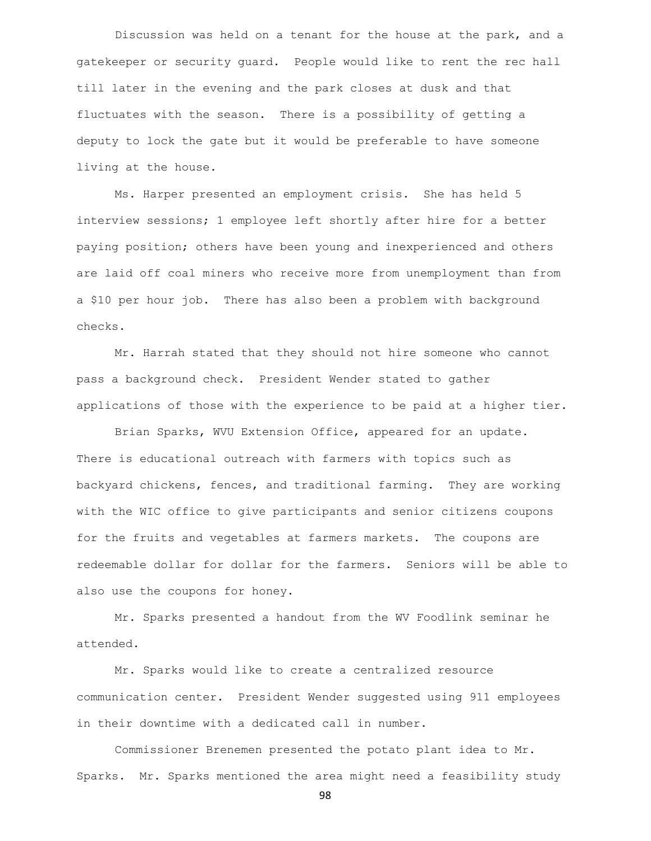Discussion was held on a tenant for the house at the park, and a gatekeeper or security guard. People would like to rent the rec hall till later in the evening and the park closes at dusk and that fluctuates with the season. There is a possibility of getting a deputy to lock the gate but it would be preferable to have someone living at the house.

Ms. Harper presented an employment crisis. She has held 5 interview sessions; 1 employee left shortly after hire for a better paying position; others have been young and inexperienced and others are laid off coal miners who receive more from unemployment than from a \$10 per hour job. There has also been a problem with background checks.

Mr. Harrah stated that they should not hire someone who cannot pass a background check. President Wender stated to gather applications of those with the experience to be paid at a higher tier.

Brian Sparks, WVU Extension Office, appeared for an update. There is educational outreach with farmers with topics such as backyard chickens, fences, and traditional farming. They are working with the WIC office to give participants and senior citizens coupons for the fruits and vegetables at farmers markets. The coupons are redeemable dollar for dollar for the farmers. Seniors will be able to also use the coupons for honey.

Mr. Sparks presented a handout from the WV Foodlink seminar he attended.

Mr. Sparks would like to create a centralized resource communication center. President Wender suggested using 911 employees in their downtime with a dedicated call in number.

Commissioner Brenemen presented the potato plant idea to Mr. Sparks. Mr. Sparks mentioned the area might need a feasibility study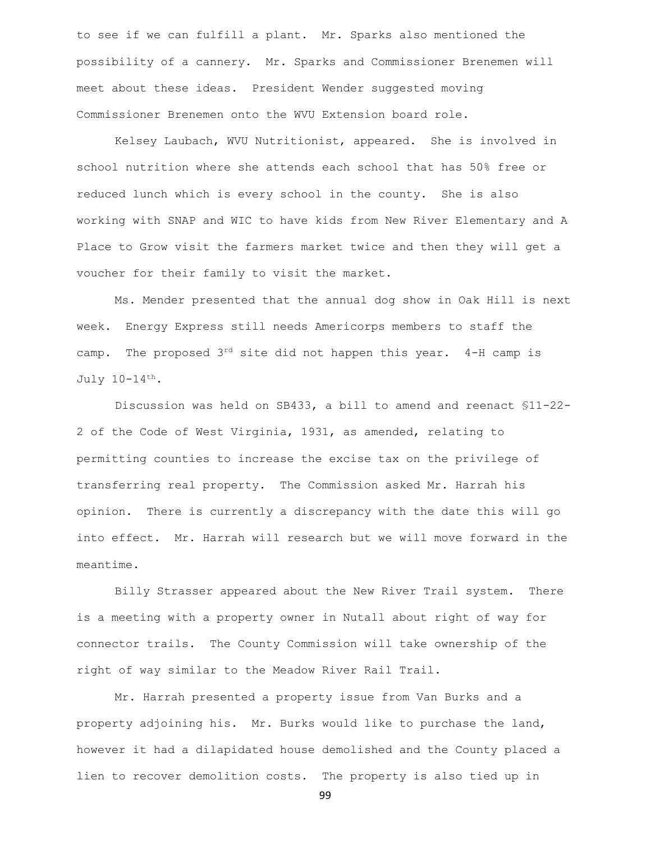to see if we can fulfill a plant. Mr. Sparks also mentioned the possibility of a cannery. Mr. Sparks and Commissioner Brenemen will meet about these ideas. President Wender suggested moving Commissioner Brenemen onto the WVU Extension board role.

Kelsey Laubach, WVU Nutritionist, appeared. She is involved in school nutrition where she attends each school that has 50% free or reduced lunch which is every school in the county. She is also working with SNAP and WIC to have kids from New River Elementary and A Place to Grow visit the farmers market twice and then they will get a voucher for their family to visit the market.

Ms. Mender presented that the annual dog show in Oak Hill is next week. Energy Express still needs Americorps members to staff the camp. The proposed  $3^{rd}$  site did not happen this year. 4-H camp is July 10-14th.

Discussion was held on SB433, a bill to amend and reenact §11-22- 2 of the Code of West Virginia, 1931, as amended, relating to permitting counties to increase the excise tax on the privilege of transferring real property. The Commission asked Mr. Harrah his opinion. There is currently a discrepancy with the date this will go into effect. Mr. Harrah will research but we will move forward in the meantime.

Billy Strasser appeared about the New River Trail system. There is a meeting with a property owner in Nutall about right of way for connector trails. The County Commission will take ownership of the right of way similar to the Meadow River Rail Trail.

Mr. Harrah presented a property issue from Van Burks and a property adjoining his. Mr. Burks would like to purchase the land, however it had a dilapidated house demolished and the County placed a lien to recover demolition costs. The property is also tied up in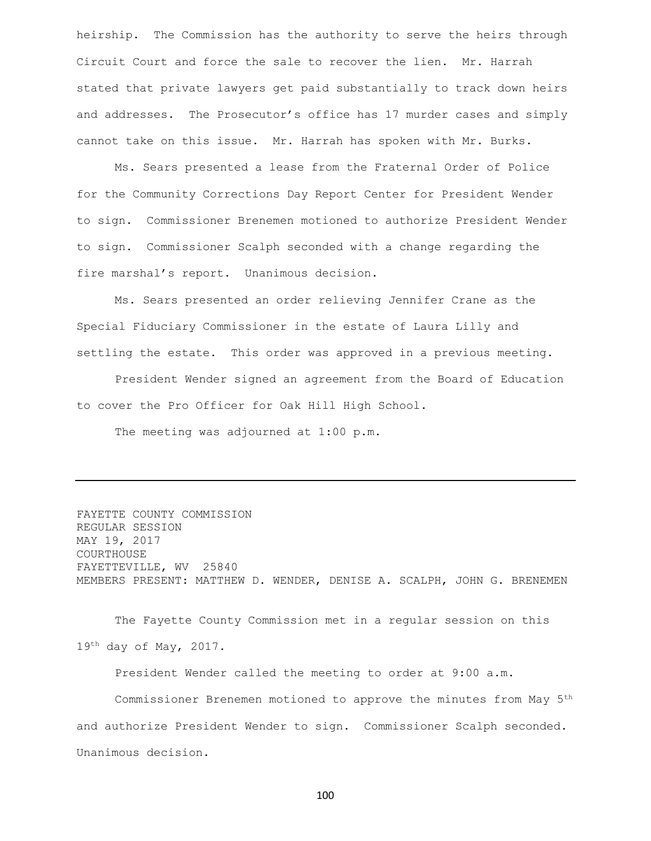heirship. The Commission has the authority to serve the heirs through Circuit Court and force the sale to recover the lien. Mr. Harrah stated that private lawyers get paid substantially to track down heirs and addresses. The Prosecutor's office has 17 murder cases and simply cannot take on this issue. Mr. Harrah has spoken with Mr. Burks.

Ms. Sears presented a lease from the Fraternal Order of Police for the Community Corrections Day Report Center for President Wender to sign. Commissioner Brenemen motioned to authorize President Wender to sign. Commissioner Scalph seconded with a change regarding the fire marshal's report. Unanimous decision.

Ms. Sears presented an order relieving Jennifer Crane as the Special Fiduciary Commissioner in the estate of Laura Lilly and settling the estate. This order was approved in a previous meeting.

President Wender signed an agreement from the Board of Education to cover the Pro Officer for Oak Hill High School.

The meeting was adjourned at 1:00 p.m.

FAYETTE COUNTY COMMISSION REGULAR SESSION MAY 19, 2017 COURTHOUSE FAYETTEVILLE, WV 25840 MEMBERS PRESENT: MATTHEW D. WENDER, DENISE A. SCALPH, JOHN G. BRENEMEN

The Fayette County Commission met in a regular session on this  $19<sup>th</sup>$  day of May, 2017.

President Wender called the meeting to order at 9:00 a.m.

Commissioner Brenemen motioned to approve the minutes from May 5th and authorize President Wender to sign. Commissioner Scalph seconded. Unanimous decision.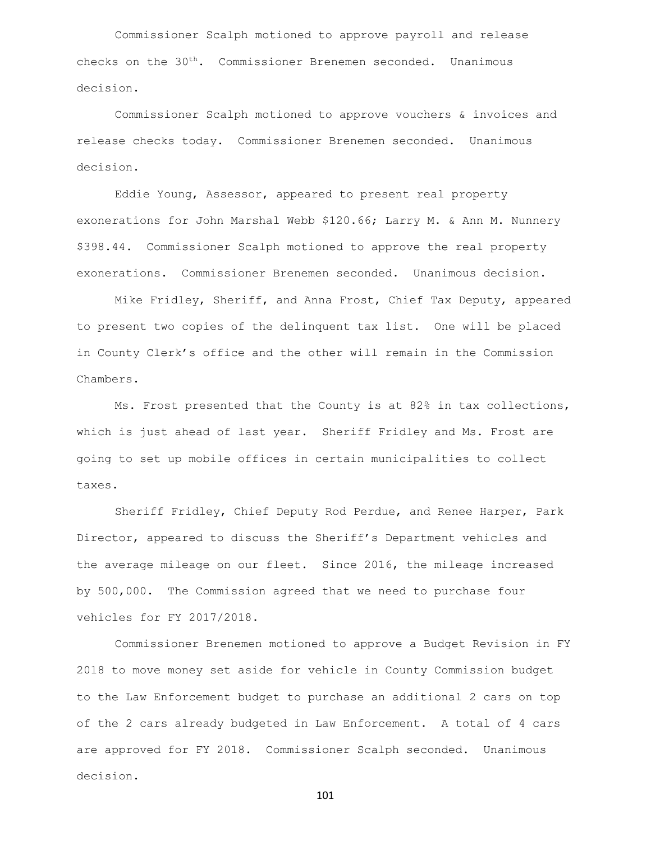Commissioner Scalph motioned to approve payroll and release checks on the 30<sup>th</sup>. Commissioner Brenemen seconded. Unanimous decision.

Commissioner Scalph motioned to approve vouchers & invoices and release checks today. Commissioner Brenemen seconded. Unanimous decision.

Eddie Young, Assessor, appeared to present real property exonerations for John Marshal Webb \$120.66; Larry M. & Ann M. Nunnery \$398.44. Commissioner Scalph motioned to approve the real property exonerations. Commissioner Brenemen seconded. Unanimous decision.

Mike Fridley, Sheriff, and Anna Frost, Chief Tax Deputy, appeared to present two copies of the delinquent tax list. One will be placed in County Clerk's office and the other will remain in the Commission Chambers.

Ms. Frost presented that the County is at 82% in tax collections, which is just ahead of last year. Sheriff Fridley and Ms. Frost are going to set up mobile offices in certain municipalities to collect taxes.

Sheriff Fridley, Chief Deputy Rod Perdue, and Renee Harper, Park Director, appeared to discuss the Sheriff's Department vehicles and the average mileage on our fleet. Since 2016, the mileage increased by 500,000. The Commission agreed that we need to purchase four vehicles for FY 2017/2018.

Commissioner Brenemen motioned to approve a Budget Revision in FY 2018 to move money set aside for vehicle in County Commission budget to the Law Enforcement budget to purchase an additional 2 cars on top of the 2 cars already budgeted in Law Enforcement. A total of 4 cars are approved for FY 2018. Commissioner Scalph seconded. Unanimous decision.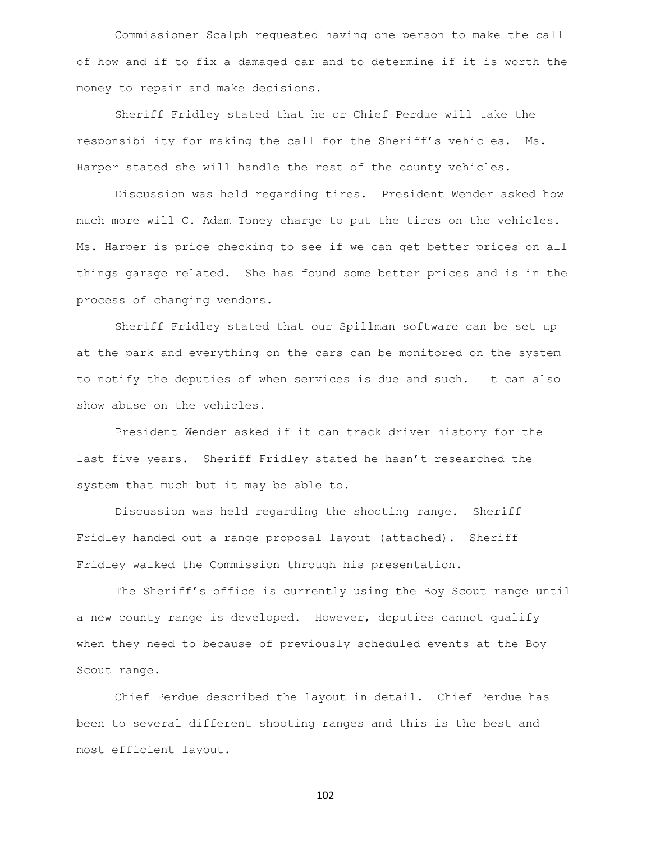Commissioner Scalph requested having one person to make the call of how and if to fix a damaged car and to determine if it is worth the money to repair and make decisions.

Sheriff Fridley stated that he or Chief Perdue will take the responsibility for making the call for the Sheriff's vehicles. Ms. Harper stated she will handle the rest of the county vehicles.

Discussion was held regarding tires. President Wender asked how much more will C. Adam Toney charge to put the tires on the vehicles. Ms. Harper is price checking to see if we can get better prices on all things garage related. She has found some better prices and is in the process of changing vendors.

Sheriff Fridley stated that our Spillman software can be set up at the park and everything on the cars can be monitored on the system to notify the deputies of when services is due and such. It can also show abuse on the vehicles.

President Wender asked if it can track driver history for the last five years. Sheriff Fridley stated he hasn't researched the system that much but it may be able to.

Discussion was held regarding the shooting range. Sheriff Fridley handed out a range proposal layout (attached). Sheriff Fridley walked the Commission through his presentation.

The Sheriff's office is currently using the Boy Scout range until a new county range is developed. However, deputies cannot qualify when they need to because of previously scheduled events at the Boy Scout range.

Chief Perdue described the layout in detail. Chief Perdue has been to several different shooting ranges and this is the best and most efficient layout.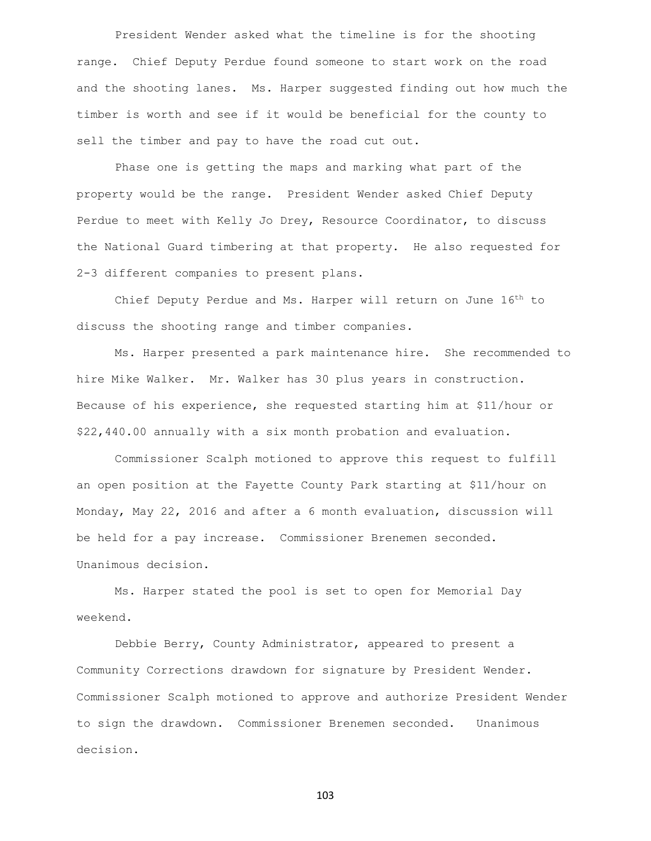President Wender asked what the timeline is for the shooting range. Chief Deputy Perdue found someone to start work on the road and the shooting lanes. Ms. Harper suggested finding out how much the timber is worth and see if it would be beneficial for the county to sell the timber and pay to have the road cut out.

Phase one is getting the maps and marking what part of the property would be the range. President Wender asked Chief Deputy Perdue to meet with Kelly Jo Drey, Resource Coordinator, to discuss the National Guard timbering at that property. He also requested for 2-3 different companies to present plans.

Chief Deputy Perdue and Ms. Harper will return on June 16<sup>th</sup> to discuss the shooting range and timber companies.

Ms. Harper presented a park maintenance hire. She recommended to hire Mike Walker. Mr. Walker has 30 plus years in construction. Because of his experience, she requested starting him at \$11/hour or \$22,440.00 annually with a six month probation and evaluation.

Commissioner Scalph motioned to approve this request to fulfill an open position at the Fayette County Park starting at \$11/hour on Monday, May 22, 2016 and after a 6 month evaluation, discussion will be held for a pay increase. Commissioner Brenemen seconded. Unanimous decision.

Ms. Harper stated the pool is set to open for Memorial Day weekend.

Debbie Berry, County Administrator, appeared to present a Community Corrections drawdown for signature by President Wender. Commissioner Scalph motioned to approve and authorize President Wender to sign the drawdown. Commissioner Brenemen seconded. Unanimous decision.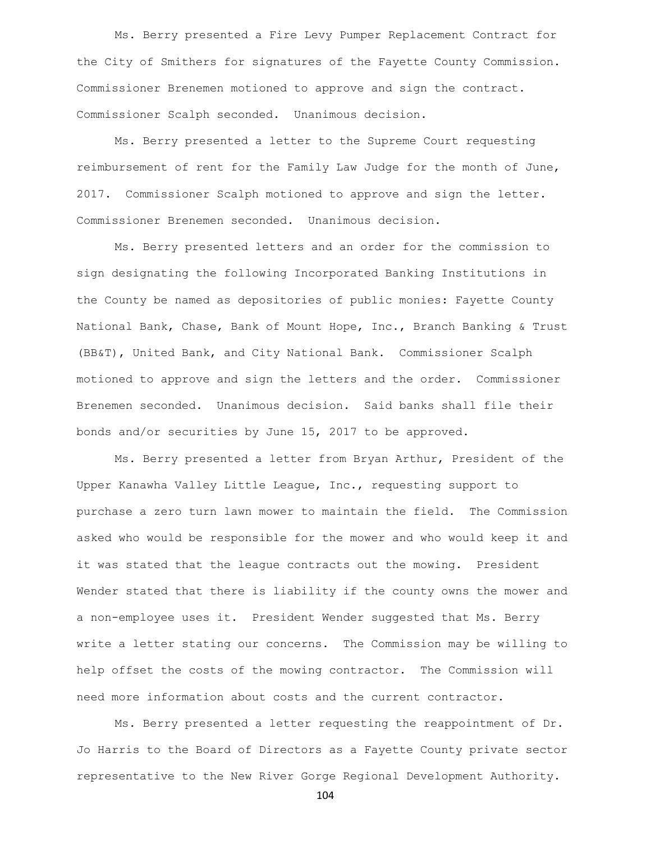Ms. Berry presented a Fire Levy Pumper Replacement Contract for the City of Smithers for signatures of the Fayette County Commission. Commissioner Brenemen motioned to approve and sign the contract. Commissioner Scalph seconded. Unanimous decision.

Ms. Berry presented a letter to the Supreme Court requesting reimbursement of rent for the Family Law Judge for the month of June, 2017. Commissioner Scalph motioned to approve and sign the letter. Commissioner Brenemen seconded. Unanimous decision.

Ms. Berry presented letters and an order for the commission to sign designating the following Incorporated Banking Institutions in the County be named as depositories of public monies: Fayette County National Bank, Chase, Bank of Mount Hope, Inc., Branch Banking & Trust (BB&T), United Bank, and City National Bank. Commissioner Scalph motioned to approve and sign the letters and the order. Commissioner Brenemen seconded. Unanimous decision. Said banks shall file their bonds and/or securities by June 15, 2017 to be approved.

Ms. Berry presented a letter from Bryan Arthur, President of the Upper Kanawha Valley Little League, Inc., requesting support to purchase a zero turn lawn mower to maintain the field. The Commission asked who would be responsible for the mower and who would keep it and it was stated that the league contracts out the mowing. President Wender stated that there is liability if the county owns the mower and a non-employee uses it. President Wender suggested that Ms. Berry write a letter stating our concerns. The Commission may be willing to help offset the costs of the mowing contractor. The Commission will need more information about costs and the current contractor.

Ms. Berry presented a letter requesting the reappointment of Dr. Jo Harris to the Board of Directors as a Fayette County private sector representative to the New River Gorge Regional Development Authority.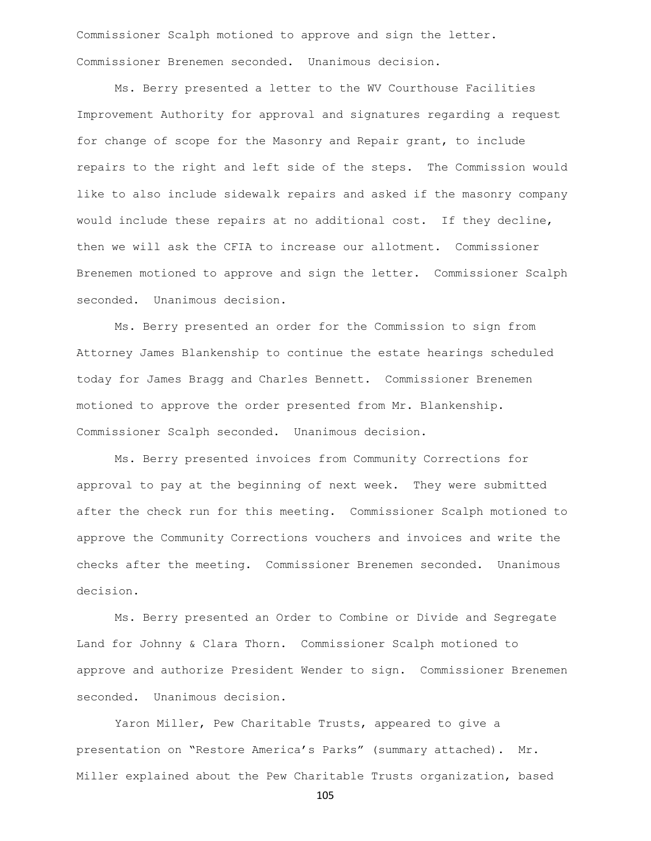Commissioner Scalph motioned to approve and sign the letter. Commissioner Brenemen seconded. Unanimous decision.

Ms. Berry presented a letter to the WV Courthouse Facilities Improvement Authority for approval and signatures regarding a request for change of scope for the Masonry and Repair grant, to include repairs to the right and left side of the steps. The Commission would like to also include sidewalk repairs and asked if the masonry company would include these repairs at no additional cost. If they decline, then we will ask the CFIA to increase our allotment. Commissioner Brenemen motioned to approve and sign the letter. Commissioner Scalph seconded. Unanimous decision.

Ms. Berry presented an order for the Commission to sign from Attorney James Blankenship to continue the estate hearings scheduled today for James Bragg and Charles Bennett. Commissioner Brenemen motioned to approve the order presented from Mr. Blankenship. Commissioner Scalph seconded. Unanimous decision.

Ms. Berry presented invoices from Community Corrections for approval to pay at the beginning of next week. They were submitted after the check run for this meeting. Commissioner Scalph motioned to approve the Community Corrections vouchers and invoices and write the checks after the meeting. Commissioner Brenemen seconded. Unanimous decision.

Ms. Berry presented an Order to Combine or Divide and Segregate Land for Johnny & Clara Thorn. Commissioner Scalph motioned to approve and authorize President Wender to sign. Commissioner Brenemen seconded. Unanimous decision.

Yaron Miller, Pew Charitable Trusts, appeared to give a presentation on "Restore America's Parks" (summary attached). Mr. Miller explained about the Pew Charitable Trusts organization, based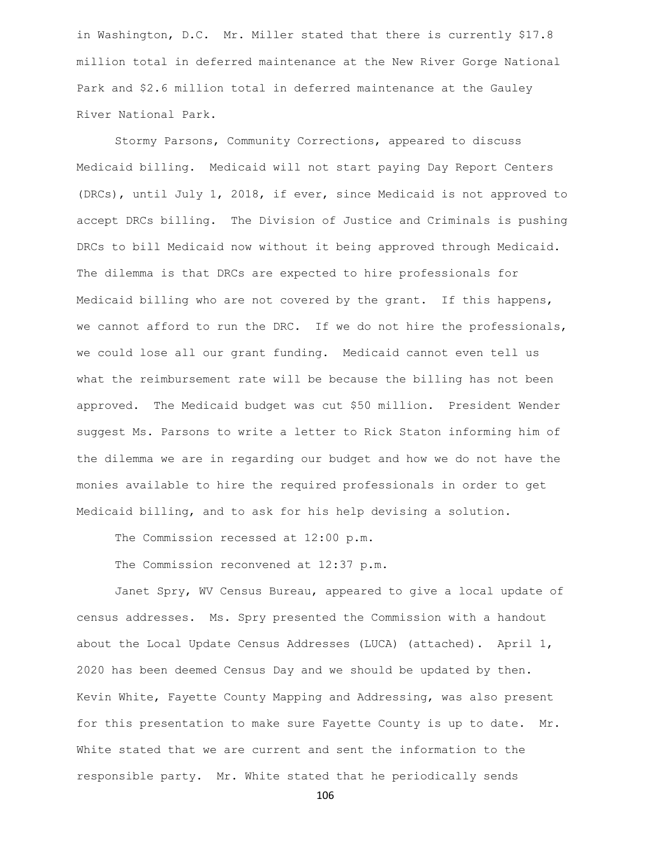in Washington, D.C. Mr. Miller stated that there is currently \$17.8 million total in deferred maintenance at the New River Gorge National Park and \$2.6 million total in deferred maintenance at the Gauley River National Park.

Stormy Parsons, Community Corrections, appeared to discuss Medicaid billing. Medicaid will not start paying Day Report Centers (DRCs), until July 1, 2018, if ever, since Medicaid is not approved to accept DRCs billing. The Division of Justice and Criminals is pushing DRCs to bill Medicaid now without it being approved through Medicaid. The dilemma is that DRCs are expected to hire professionals for Medicaid billing who are not covered by the grant. If this happens, we cannot afford to run the DRC. If we do not hire the professionals, we could lose all our grant funding. Medicaid cannot even tell us what the reimbursement rate will be because the billing has not been approved. The Medicaid budget was cut \$50 million. President Wender suggest Ms. Parsons to write a letter to Rick Staton informing him of the dilemma we are in regarding our budget and how we do not have the monies available to hire the required professionals in order to get Medicaid billing, and to ask for his help devising a solution.

The Commission recessed at 12:00 p.m.

The Commission reconvened at 12:37 p.m.

Janet Spry, WV Census Bureau, appeared to give a local update of census addresses. Ms. Spry presented the Commission with a handout about the Local Update Census Addresses (LUCA) (attached). April 1, 2020 has been deemed Census Day and we should be updated by then. Kevin White, Fayette County Mapping and Addressing, was also present for this presentation to make sure Fayette County is up to date. Mr. White stated that we are current and sent the information to the responsible party. Mr. White stated that he periodically sends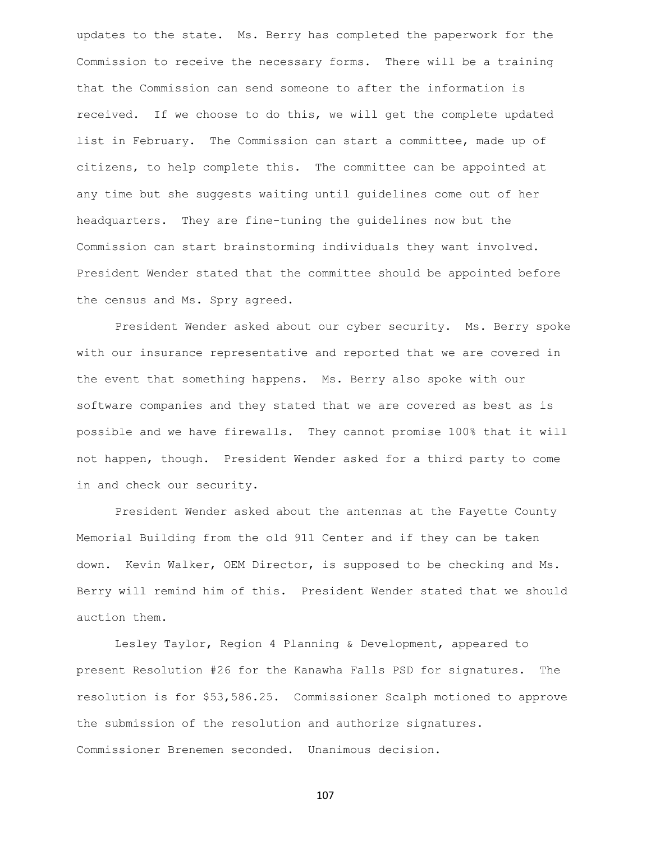updates to the state. Ms. Berry has completed the paperwork for the Commission to receive the necessary forms. There will be a training that the Commission can send someone to after the information is received. If we choose to do this, we will get the complete updated list in February. The Commission can start a committee, made up of citizens, to help complete this. The committee can be appointed at any time but she suggests waiting until guidelines come out of her headquarters. They are fine-tuning the guidelines now but the Commission can start brainstorming individuals they want involved. President Wender stated that the committee should be appointed before the census and Ms. Spry agreed.

President Wender asked about our cyber security. Ms. Berry spoke with our insurance representative and reported that we are covered in the event that something happens. Ms. Berry also spoke with our software companies and they stated that we are covered as best as is possible and we have firewalls. They cannot promise 100% that it will not happen, though. President Wender asked for a third party to come in and check our security.

President Wender asked about the antennas at the Fayette County Memorial Building from the old 911 Center and if they can be taken down. Kevin Walker, OEM Director, is supposed to be checking and Ms. Berry will remind him of this. President Wender stated that we should auction them.

Lesley Taylor, Region 4 Planning & Development, appeared to present Resolution #26 for the Kanawha Falls PSD for signatures. The resolution is for \$53,586.25. Commissioner Scalph motioned to approve the submission of the resolution and authorize signatures. Commissioner Brenemen seconded. Unanimous decision.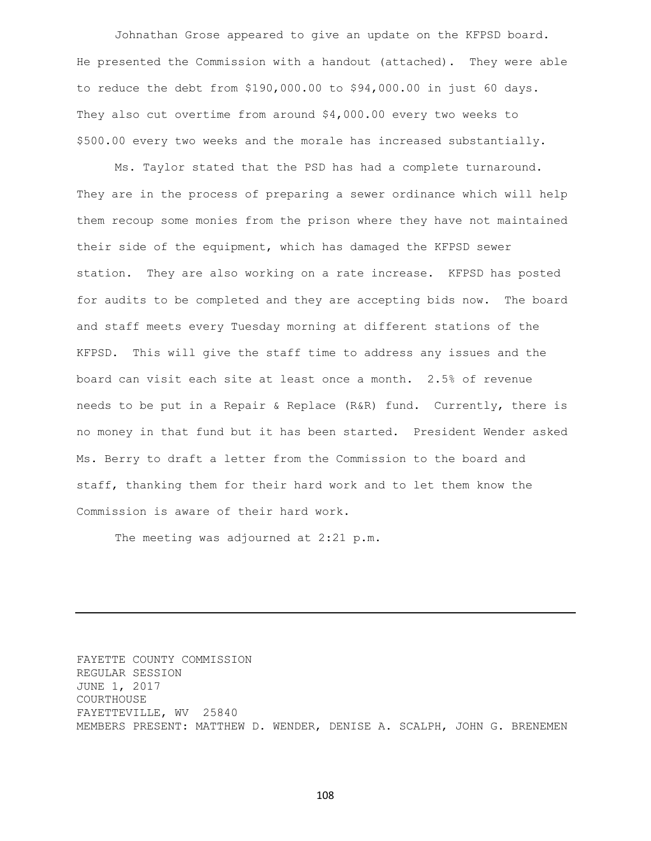Johnathan Grose appeared to give an update on the KFPSD board. He presented the Commission with a handout (attached). They were able to reduce the debt from \$190,000.00 to \$94,000.00 in just 60 days. They also cut overtime from around \$4,000.00 every two weeks to \$500.00 every two weeks and the morale has increased substantially.

Ms. Taylor stated that the PSD has had a complete turnaround. They are in the process of preparing a sewer ordinance which will help them recoup some monies from the prison where they have not maintained their side of the equipment, which has damaged the KFPSD sewer station. They are also working on a rate increase. KFPSD has posted for audits to be completed and they are accepting bids now. The board and staff meets every Tuesday morning at different stations of the KFPSD. This will give the staff time to address any issues and the board can visit each site at least once a month. 2.5% of revenue needs to be put in a Repair & Replace (R&R) fund. Currently, there is no money in that fund but it has been started. President Wender asked Ms. Berry to draft a letter from the Commission to the board and staff, thanking them for their hard work and to let them know the Commission is aware of their hard work.

The meeting was adjourned at 2:21 p.m.

FAYETTE COUNTY COMMISSION REGULAR SESSION JUNE 1, 2017 COURTHOUSE FAYETTEVILLE, WV 25840 MEMBERS PRESENT: MATTHEW D. WENDER, DENISE A. SCALPH, JOHN G. BRENEMEN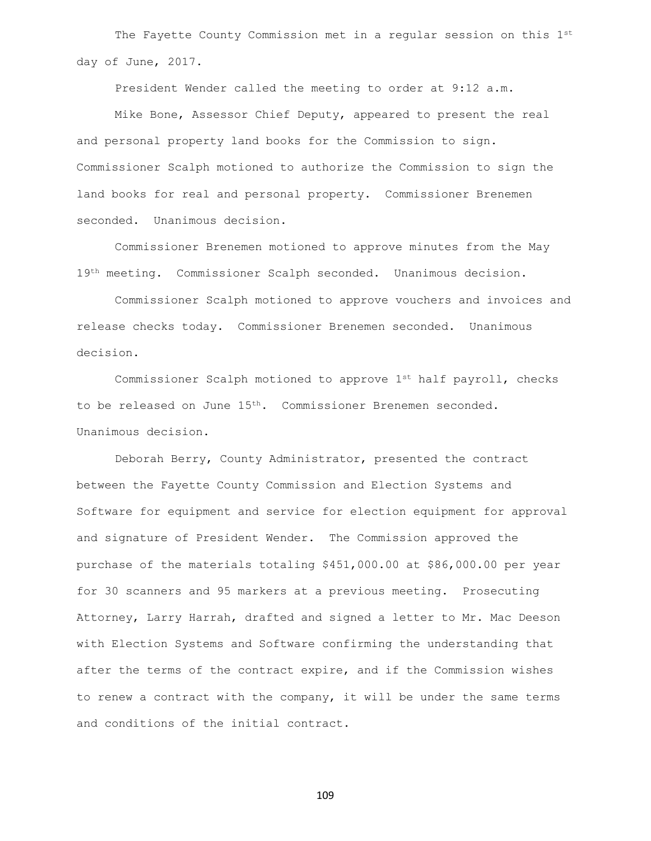The Fayette County Commission met in a regular session on this 1st day of June, 2017.

President Wender called the meeting to order at 9:12 a.m.

Mike Bone, Assessor Chief Deputy, appeared to present the real and personal property land books for the Commission to sign. Commissioner Scalph motioned to authorize the Commission to sign the land books for real and personal property. Commissioner Brenemen seconded. Unanimous decision.

Commissioner Brenemen motioned to approve minutes from the May 19th meeting. Commissioner Scalph seconded. Unanimous decision.

Commissioner Scalph motioned to approve vouchers and invoices and release checks today. Commissioner Brenemen seconded. Unanimous decision.

Commissioner Scalph motioned to approve 1st half payroll, checks to be released on June 15<sup>th</sup>. Commissioner Brenemen seconded. Unanimous decision.

Deborah Berry, County Administrator, presented the contract between the Fayette County Commission and Election Systems and Software for equipment and service for election equipment for approval and signature of President Wender. The Commission approved the purchase of the materials totaling \$451,000.00 at \$86,000.00 per year for 30 scanners and 95 markers at a previous meeting. Prosecuting Attorney, Larry Harrah, drafted and signed a letter to Mr. Mac Deeson with Election Systems and Software confirming the understanding that after the terms of the contract expire, and if the Commission wishes to renew a contract with the company, it will be under the same terms and conditions of the initial contract.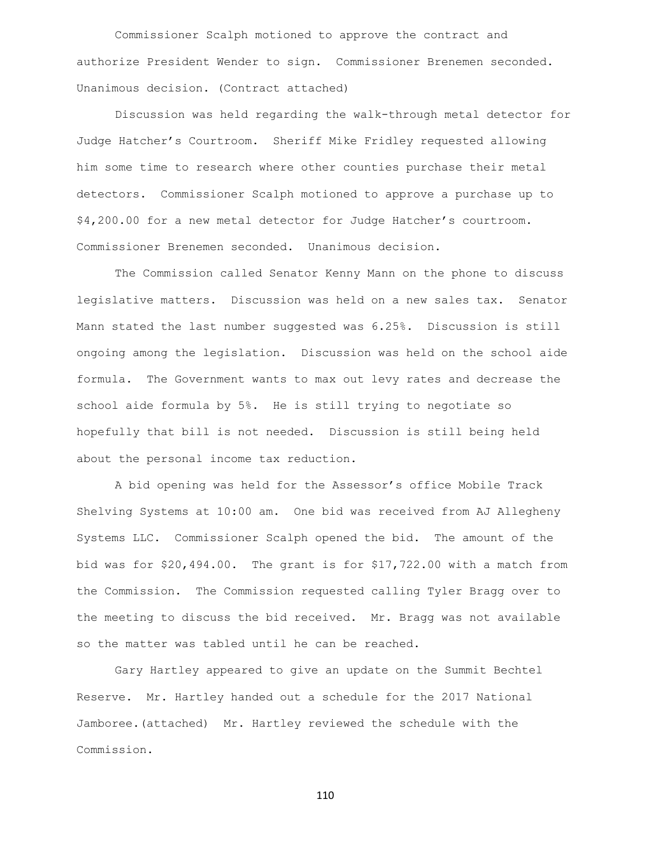Commissioner Scalph motioned to approve the contract and authorize President Wender to sign. Commissioner Brenemen seconded. Unanimous decision. (Contract attached)

Discussion was held regarding the walk-through metal detector for Judge Hatcher's Courtroom. Sheriff Mike Fridley requested allowing him some time to research where other counties purchase their metal detectors. Commissioner Scalph motioned to approve a purchase up to \$4,200.00 for a new metal detector for Judge Hatcher's courtroom. Commissioner Brenemen seconded. Unanimous decision.

The Commission called Senator Kenny Mann on the phone to discuss legislative matters. Discussion was held on a new sales tax. Senator Mann stated the last number suggested was 6.25%. Discussion is still ongoing among the legislation. Discussion was held on the school aide formula. The Government wants to max out levy rates and decrease the school aide formula by 5%. He is still trying to negotiate so hopefully that bill is not needed. Discussion is still being held about the personal income tax reduction.

A bid opening was held for the Assessor's office Mobile Track Shelving Systems at 10:00 am. One bid was received from AJ Allegheny Systems LLC. Commissioner Scalph opened the bid. The amount of the bid was for \$20,494.00. The grant is for \$17,722.00 with a match from the Commission. The Commission requested calling Tyler Bragg over to the meeting to discuss the bid received. Mr. Bragg was not available so the matter was tabled until he can be reached.

Gary Hartley appeared to give an update on the Summit Bechtel Reserve. Mr. Hartley handed out a schedule for the 2017 National Jamboree.(attached) Mr. Hartley reviewed the schedule with the Commission.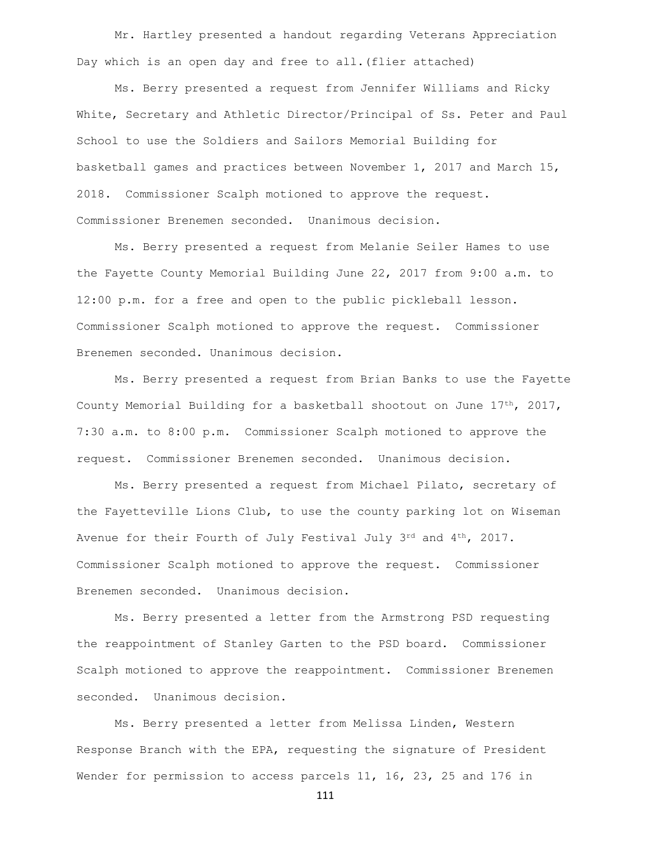Mr. Hartley presented a handout regarding Veterans Appreciation Day which is an open day and free to all.(flier attached)

Ms. Berry presented a request from Jennifer Williams and Ricky White, Secretary and Athletic Director/Principal of Ss. Peter and Paul School to use the Soldiers and Sailors Memorial Building for basketball games and practices between November 1, 2017 and March 15, 2018. Commissioner Scalph motioned to approve the request. Commissioner Brenemen seconded. Unanimous decision.

Ms. Berry presented a request from Melanie Seiler Hames to use the Fayette County Memorial Building June 22, 2017 from 9:00 a.m. to 12:00 p.m. for a free and open to the public pickleball lesson. Commissioner Scalph motioned to approve the request. Commissioner Brenemen seconded. Unanimous decision.

Ms. Berry presented a request from Brian Banks to use the Fayette County Memorial Building for a basketball shootout on June  $17<sup>th</sup>$ , 2017, 7:30 a.m. to 8:00 p.m. Commissioner Scalph motioned to approve the request. Commissioner Brenemen seconded. Unanimous decision.

Ms. Berry presented a request from Michael Pilato, secretary of the Fayetteville Lions Club, to use the county parking lot on Wiseman Avenue for their Fourth of July Festival July  $3^{rd}$  and  $4^{th}$ , 2017. Commissioner Scalph motioned to approve the request. Commissioner Brenemen seconded. Unanimous decision.

Ms. Berry presented a letter from the Armstrong PSD requesting the reappointment of Stanley Garten to the PSD board. Commissioner Scalph motioned to approve the reappointment. Commissioner Brenemen seconded. Unanimous decision.

Ms. Berry presented a letter from Melissa Linden, Western Response Branch with the EPA, requesting the signature of President Wender for permission to access parcels 11, 16, 23, 25 and 176 in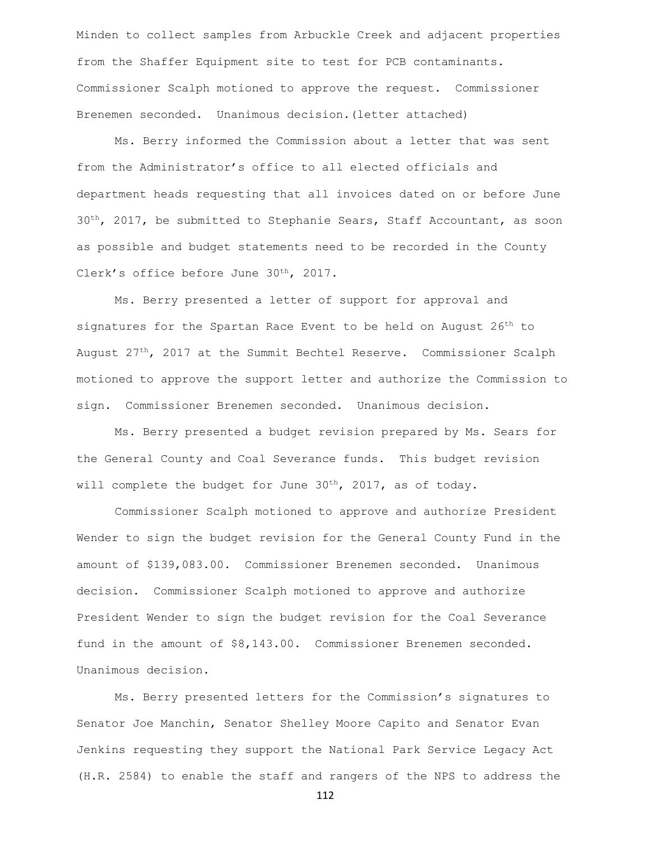Minden to collect samples from Arbuckle Creek and adjacent properties from the Shaffer Equipment site to test for PCB contaminants. Commissioner Scalph motioned to approve the request. Commissioner Brenemen seconded. Unanimous decision.(letter attached)

Ms. Berry informed the Commission about a letter that was sent from the Administrator's office to all elected officials and department heads requesting that all invoices dated on or before June  $30<sup>th</sup>$ , 2017, be submitted to Stephanie Sears, Staff Accountant, as soon as possible and budget statements need to be recorded in the County Clerk's office before June 30<sup>th</sup>, 2017.

Ms. Berry presented a letter of support for approval and signatures for the Spartan Race Event to be held on August 26<sup>th</sup> to August 27<sup>th</sup>, 2017 at the Summit Bechtel Reserve. Commissioner Scalph motioned to approve the support letter and authorize the Commission to sign. Commissioner Brenemen seconded. Unanimous decision.

Ms. Berry presented a budget revision prepared by Ms. Sears for the General County and Coal Severance funds. This budget revision will complete the budget for June 30<sup>th</sup>, 2017, as of today.

Commissioner Scalph motioned to approve and authorize President Wender to sign the budget revision for the General County Fund in the amount of \$139,083.00. Commissioner Brenemen seconded. Unanimous decision. Commissioner Scalph motioned to approve and authorize President Wender to sign the budget revision for the Coal Severance fund in the amount of \$8,143.00. Commissioner Brenemen seconded. Unanimous decision.

Ms. Berry presented letters for the Commission's signatures to Senator Joe Manchin, Senator Shelley Moore Capito and Senator Evan Jenkins requesting they support the National Park Service Legacy Act (H.R. 2584) to enable the staff and rangers of the NPS to address the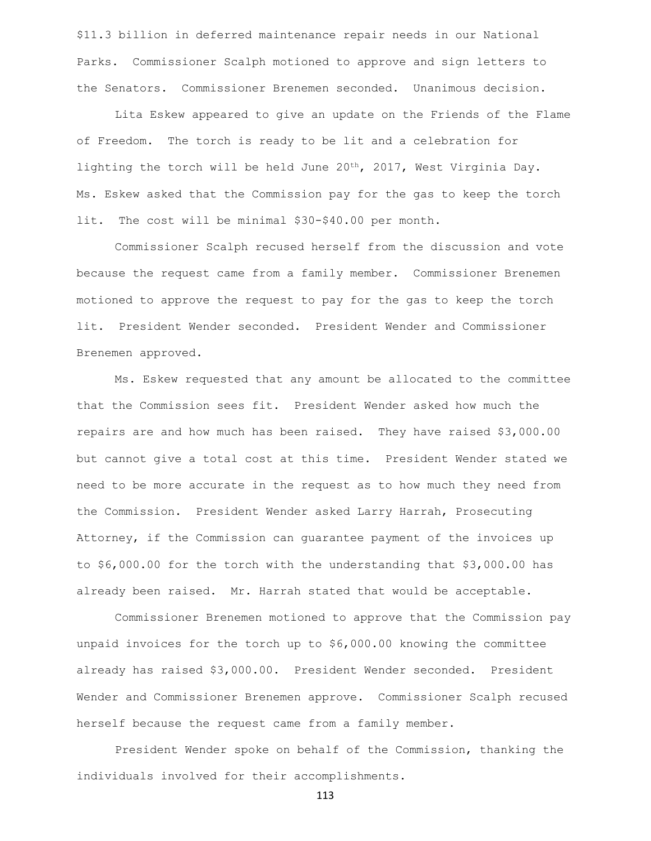\$11.3 billion in deferred maintenance repair needs in our National Parks. Commissioner Scalph motioned to approve and sign letters to the Senators. Commissioner Brenemen seconded. Unanimous decision.

Lita Eskew appeared to give an update on the Friends of the Flame of Freedom. The torch is ready to be lit and a celebration for lighting the torch will be held June 20th, 2017, West Virginia Day. Ms. Eskew asked that the Commission pay for the gas to keep the torch lit. The cost will be minimal \$30-\$40.00 per month.

Commissioner Scalph recused herself from the discussion and vote because the request came from a family member. Commissioner Brenemen motioned to approve the request to pay for the gas to keep the torch lit. President Wender seconded. President Wender and Commissioner Brenemen approved.

Ms. Eskew requested that any amount be allocated to the committee that the Commission sees fit. President Wender asked how much the repairs are and how much has been raised. They have raised \$3,000.00 but cannot give a total cost at this time. President Wender stated we need to be more accurate in the request as to how much they need from the Commission. President Wender asked Larry Harrah, Prosecuting Attorney, if the Commission can guarantee payment of the invoices up to \$6,000.00 for the torch with the understanding that \$3,000.00 has already been raised. Mr. Harrah stated that would be acceptable.

Commissioner Brenemen motioned to approve that the Commission pay unpaid invoices for the torch up to \$6,000.00 knowing the committee already has raised \$3,000.00. President Wender seconded. President Wender and Commissioner Brenemen approve. Commissioner Scalph recused herself because the request came from a family member.

President Wender spoke on behalf of the Commission, thanking the individuals involved for their accomplishments.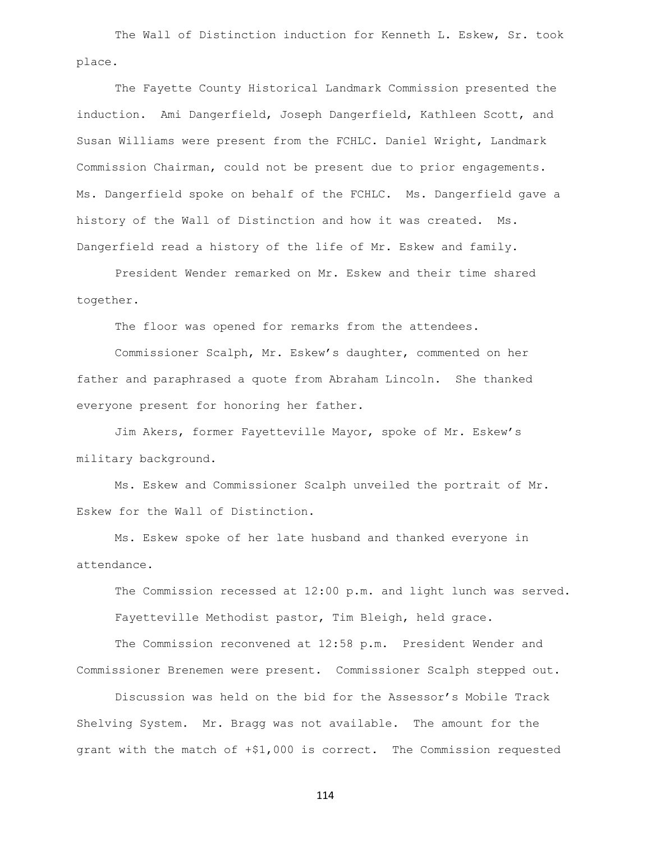The Wall of Distinction induction for Kenneth L. Eskew, Sr. took place.

The Fayette County Historical Landmark Commission presented the induction. Ami Dangerfield, Joseph Dangerfield, Kathleen Scott, and Susan Williams were present from the FCHLC. Daniel Wright, Landmark Commission Chairman, could not be present due to prior engagements. Ms. Dangerfield spoke on behalf of the FCHLC. Ms. Dangerfield gave a history of the Wall of Distinction and how it was created. Ms. Dangerfield read a history of the life of Mr. Eskew and family.

President Wender remarked on Mr. Eskew and their time shared together.

The floor was opened for remarks from the attendees.

Commissioner Scalph, Mr. Eskew's daughter, commented on her father and paraphrased a quote from Abraham Lincoln. She thanked everyone present for honoring her father.

Jim Akers, former Fayetteville Mayor, spoke of Mr. Eskew's military background.

Ms. Eskew and Commissioner Scalph unveiled the portrait of Mr. Eskew for the Wall of Distinction.

Ms. Eskew spoke of her late husband and thanked everyone in attendance.

The Commission recessed at 12:00 p.m. and light lunch was served. Fayetteville Methodist pastor, Tim Bleigh, held grace.

The Commission reconvened at 12:58 p.m. President Wender and Commissioner Brenemen were present. Commissioner Scalph stepped out.

Discussion was held on the bid for the Assessor's Mobile Track Shelving System. Mr. Bragg was not available. The amount for the grant with the match of +\$1,000 is correct. The Commission requested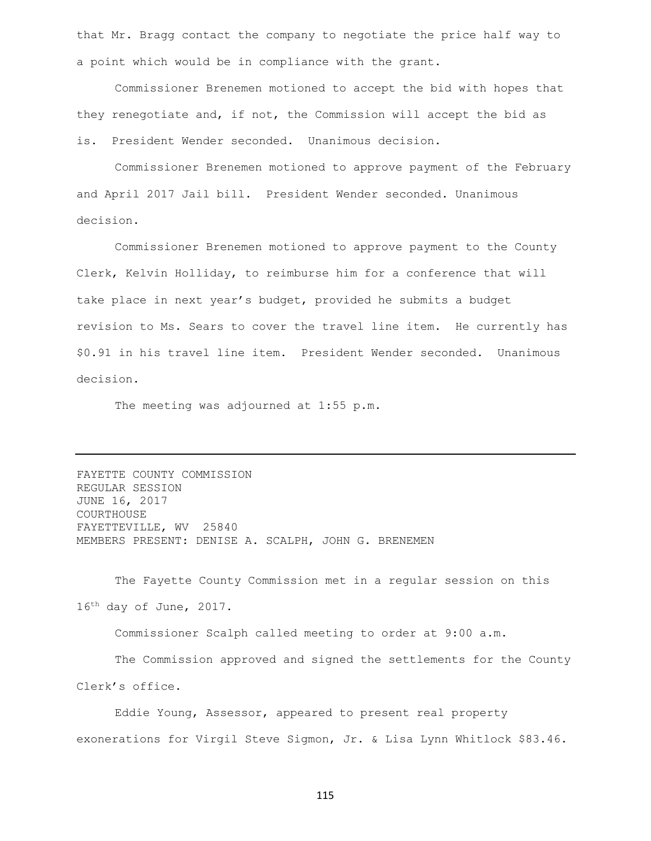that Mr. Bragg contact the company to negotiate the price half way to a point which would be in compliance with the grant.

Commissioner Brenemen motioned to accept the bid with hopes that they renegotiate and, if not, the Commission will accept the bid as is. President Wender seconded. Unanimous decision.

Commissioner Brenemen motioned to approve payment of the February and April 2017 Jail bill. President Wender seconded. Unanimous decision.

Commissioner Brenemen motioned to approve payment to the County Clerk, Kelvin Holliday, to reimburse him for a conference that will take place in next year's budget, provided he submits a budget revision to Ms. Sears to cover the travel line item. He currently has \$0.91 in his travel line item. President Wender seconded. Unanimous decision.

The meeting was adjourned at 1:55 p.m.

FAYETTE COUNTY COMMISSION REGULAR SESSION JUNE 16, 2017 COURTHOUSE FAYETTEVILLE, WV 25840 MEMBERS PRESENT: DENISE A. SCALPH, JOHN G. BRENEMEN

The Fayette County Commission met in a regular session on this 16th day of June, 2017.

Commissioner Scalph called meeting to order at 9:00 a.m.

The Commission approved and signed the settlements for the County Clerk's office.

Eddie Young, Assessor, appeared to present real property exonerations for Virgil Steve Sigmon, Jr. & Lisa Lynn Whitlock \$83.46.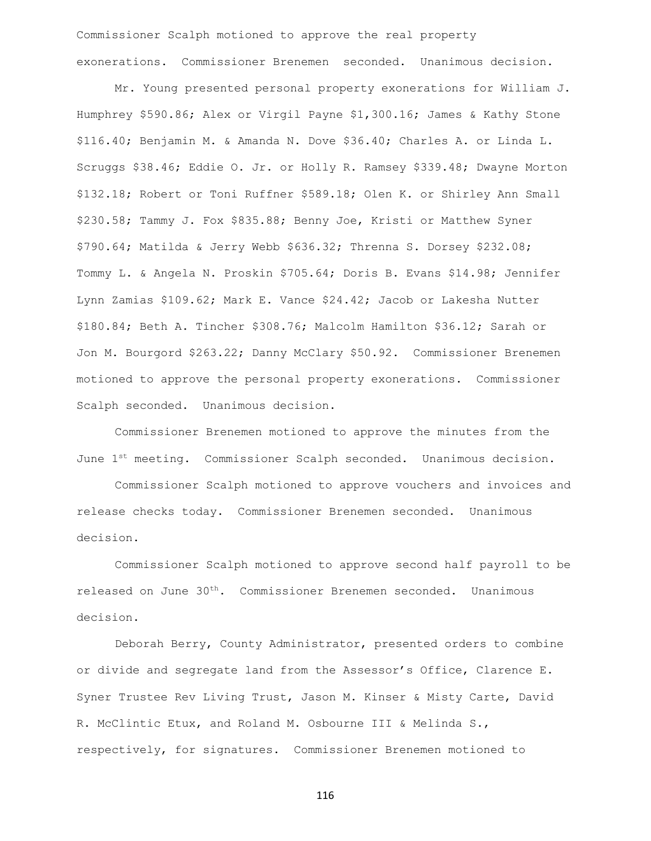Commissioner Scalph motioned to approve the real property exonerations. Commissioner Brenemen seconded. Unanimous decision.

Mr. Young presented personal property exonerations for William J. Humphrey \$590.86; Alex or Virgil Payne \$1,300.16; James & Kathy Stone \$116.40; Benjamin M. & Amanda N. Dove \$36.40; Charles A. or Linda L. Scruggs \$38.46; Eddie O. Jr. or Holly R. Ramsey \$339.48; Dwayne Morton \$132.18; Robert or Toni Ruffner \$589.18; Olen K. or Shirley Ann Small \$230.58; Tammy J. Fox \$835.88; Benny Joe, Kristi or Matthew Syner \$790.64; Matilda & Jerry Webb \$636.32; Threnna S. Dorsey \$232.08; Tommy L. & Angela N. Proskin \$705.64; Doris B. Evans \$14.98; Jennifer Lynn Zamias \$109.62; Mark E. Vance \$24.42; Jacob or Lakesha Nutter \$180.84; Beth A. Tincher \$308.76; Malcolm Hamilton \$36.12; Sarah or Jon M. Bourgord \$263.22; Danny McClary \$50.92. Commissioner Brenemen motioned to approve the personal property exonerations. Commissioner Scalph seconded. Unanimous decision.

Commissioner Brenemen motioned to approve the minutes from the June  $1^{st}$  meeting. Commissioner Scalph seconded. Unanimous decision.

Commissioner Scalph motioned to approve vouchers and invoices and release checks today. Commissioner Brenemen seconded. Unanimous decision.

Commissioner Scalph motioned to approve second half payroll to be released on June 30<sup>th</sup>. Commissioner Brenemen seconded. Unanimous decision.

Deborah Berry, County Administrator, presented orders to combine or divide and segregate land from the Assessor's Office, Clarence E. Syner Trustee Rev Living Trust, Jason M. Kinser & Misty Carte, David R. McClintic Etux, and Roland M. Osbourne III & Melinda S., respectively, for signatures. Commissioner Brenemen motioned to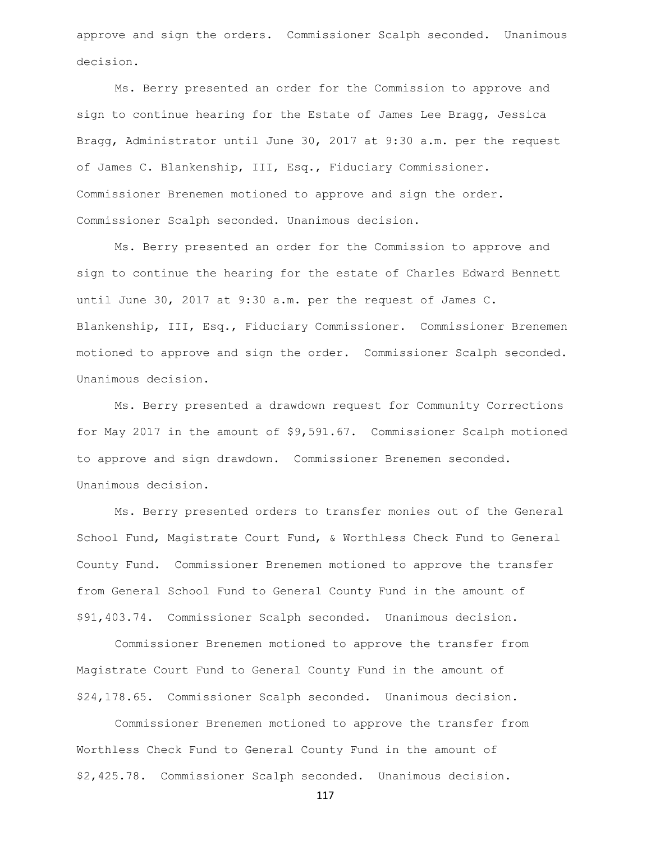approve and sign the orders. Commissioner Scalph seconded. Unanimous decision.

Ms. Berry presented an order for the Commission to approve and sign to continue hearing for the Estate of James Lee Bragg, Jessica Bragg, Administrator until June 30, 2017 at 9:30 a.m. per the request of James C. Blankenship, III, Esq., Fiduciary Commissioner. Commissioner Brenemen motioned to approve and sign the order. Commissioner Scalph seconded. Unanimous decision.

Ms. Berry presented an order for the Commission to approve and sign to continue the hearing for the estate of Charles Edward Bennett until June 30, 2017 at 9:30 a.m. per the request of James C. Blankenship, III, Esq., Fiduciary Commissioner. Commissioner Brenemen motioned to approve and sign the order. Commissioner Scalph seconded. Unanimous decision.

Ms. Berry presented a drawdown request for Community Corrections for May 2017 in the amount of \$9,591.67. Commissioner Scalph motioned to approve and sign drawdown. Commissioner Brenemen seconded. Unanimous decision.

Ms. Berry presented orders to transfer monies out of the General School Fund, Magistrate Court Fund, & Worthless Check Fund to General County Fund. Commissioner Brenemen motioned to approve the transfer from General School Fund to General County Fund in the amount of \$91,403.74. Commissioner Scalph seconded. Unanimous decision.

Commissioner Brenemen motioned to approve the transfer from Magistrate Court Fund to General County Fund in the amount of \$24,178.65. Commissioner Scalph seconded. Unanimous decision.

Commissioner Brenemen motioned to approve the transfer from Worthless Check Fund to General County Fund in the amount of \$2,425.78. Commissioner Scalph seconded. Unanimous decision.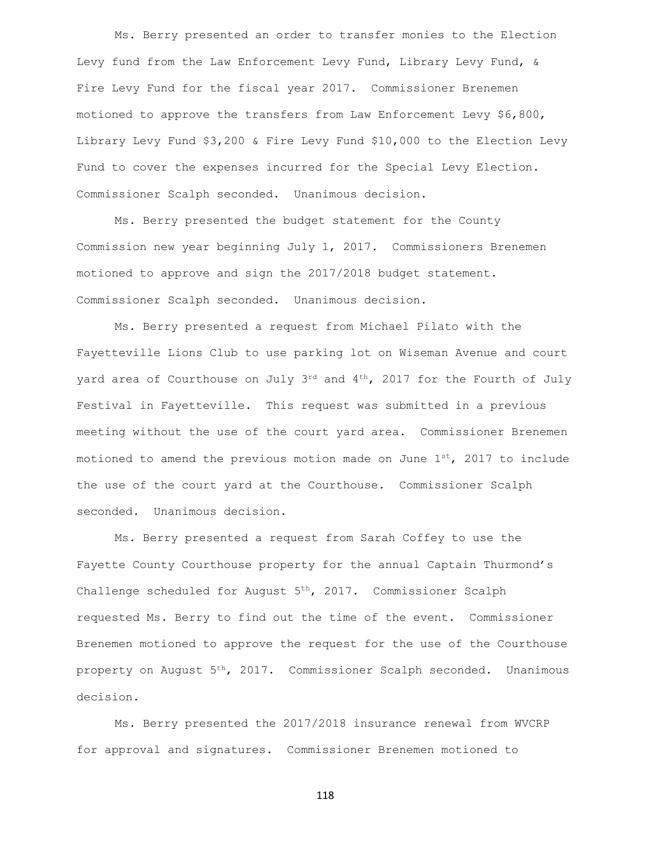Ms. Berry presented an order to transfer monies to the Election Levy fund from the Law Enforcement Levy Fund, Library Levy Fund, & Fire Levy Fund for the fiscal year 2017. Commissioner Brenemen motioned to approve the transfers from Law Enforcement Levy \$6,800, Library Levy Fund \$3,200 & Fire Levy Fund \$10,000 to the Election Levy Fund to cover the expenses incurred for the Special Levy Election. Commissioner Scalph seconded. Unanimous decision.

Ms. Berry presented the budget statement for the County Commission new year beginning July 1, 2017. Commissioners Brenemen motioned to approve and sign the 2017/2018 budget statement. Commissioner Scalph seconded. Unanimous decision.

Ms. Berry presented a request from Michael Pilato with the Fayetteville Lions Club to use parking lot on Wiseman Avenue and court yard area of Courthouse on July 3rd and 4<sup>th</sup>, 2017 for the Fourth of July Festival in Fayetteville. This request was submitted in a previous meeting without the use of the court yard area. Commissioner Brenemen motioned to amend the previous motion made on June  $1^{st}$ , 2017 to include the use of the court yard at the Courthouse. Commissioner Scalph seconded. Unanimous decision.

Ms. Berry presented a request from Sarah Coffey to use the Fayette County Courthouse property for the annual Captain Thurmond's Challenge scheduled for August  $5<sup>th</sup>$ , 2017. Commissioner Scalph requested Ms. Berry to find out the time of the event. Commissioner Brenemen motioned to approve the request for the use of the Courthouse property on August 5<sup>th</sup>, 2017. Commissioner Scalph seconded. Unanimous decision.

Ms. Berry presented the 2017/2018 insurance renewal from WVCRP for approval and signatures. Commissioner Brenemen motioned to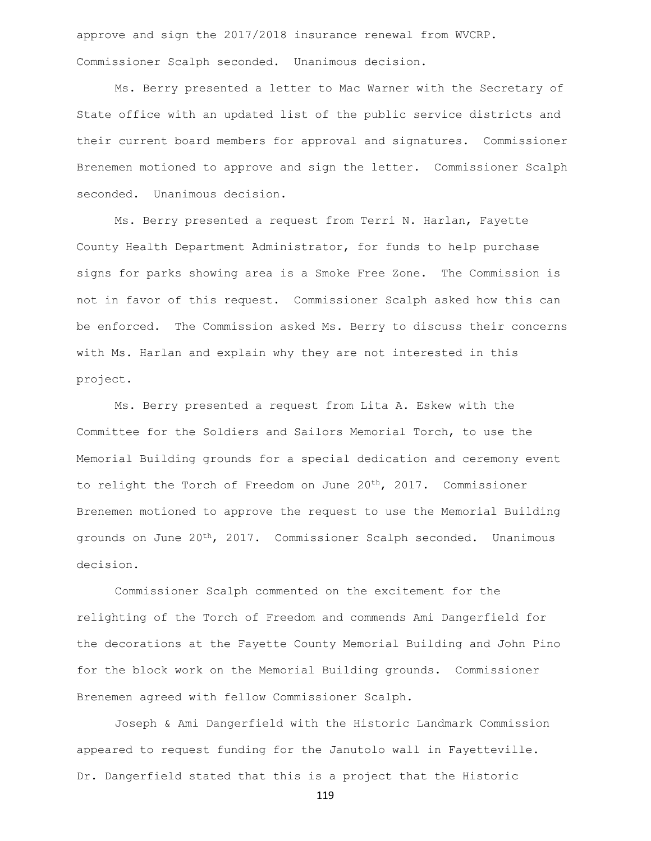approve and sign the 2017/2018 insurance renewal from WVCRP. Commissioner Scalph seconded. Unanimous decision.

Ms. Berry presented a letter to Mac Warner with the Secretary of State office with an updated list of the public service districts and their current board members for approval and signatures. Commissioner Brenemen motioned to approve and sign the letter. Commissioner Scalph seconded. Unanimous decision.

Ms. Berry presented a request from Terri N. Harlan, Fayette County Health Department Administrator, for funds to help purchase signs for parks showing area is a Smoke Free Zone. The Commission is not in favor of this request. Commissioner Scalph asked how this can be enforced. The Commission asked Ms. Berry to discuss their concerns with Ms. Harlan and explain why they are not interested in this project.

Ms. Berry presented a request from Lita A. Eskew with the Committee for the Soldiers and Sailors Memorial Torch, to use the Memorial Building grounds for a special dedication and ceremony event to relight the Torch of Freedom on June 20<sup>th</sup>, 2017. Commissioner Brenemen motioned to approve the request to use the Memorial Building grounds on June 20th, 2017. Commissioner Scalph seconded. Unanimous decision.

Commissioner Scalph commented on the excitement for the relighting of the Torch of Freedom and commends Ami Dangerfield for the decorations at the Fayette County Memorial Building and John Pino for the block work on the Memorial Building grounds. Commissioner Brenemen agreed with fellow Commissioner Scalph.

Joseph & Ami Dangerfield with the Historic Landmark Commission appeared to request funding for the Janutolo wall in Fayetteville. Dr. Dangerfield stated that this is a project that the Historic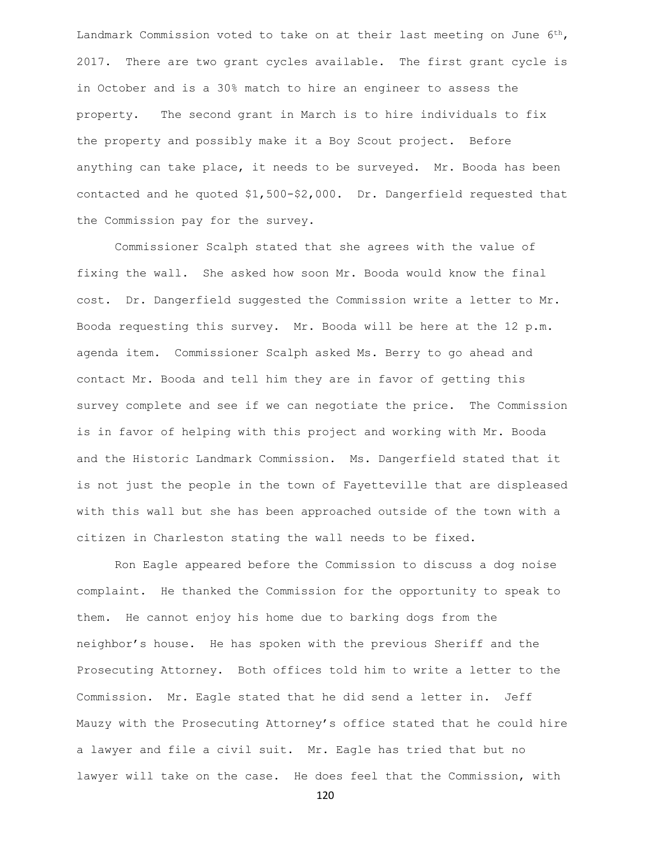Landmark Commission voted to take on at their last meeting on June 6<sup>th</sup>, 2017. There are two grant cycles available. The first grant cycle is in October and is a 30% match to hire an engineer to assess the property. The second grant in March is to hire individuals to fix the property and possibly make it a Boy Scout project. Before anything can take place, it needs to be surveyed. Mr. Booda has been contacted and he quoted \$1,500-\$2,000. Dr. Dangerfield requested that the Commission pay for the survey.

Commissioner Scalph stated that she agrees with the value of fixing the wall. She asked how soon Mr. Booda would know the final cost. Dr. Dangerfield suggested the Commission write a letter to Mr. Booda requesting this survey. Mr. Booda will be here at the 12 p.m. agenda item. Commissioner Scalph asked Ms. Berry to go ahead and contact Mr. Booda and tell him they are in favor of getting this survey complete and see if we can negotiate the price. The Commission is in favor of helping with this project and working with Mr. Booda and the Historic Landmark Commission. Ms. Dangerfield stated that it is not just the people in the town of Fayetteville that are displeased with this wall but she has been approached outside of the town with a citizen in Charleston stating the wall needs to be fixed.

Ron Eagle appeared before the Commission to discuss a dog noise complaint. He thanked the Commission for the opportunity to speak to them. He cannot enjoy his home due to barking dogs from the neighbor's house. He has spoken with the previous Sheriff and the Prosecuting Attorney. Both offices told him to write a letter to the Commission. Mr. Eagle stated that he did send a letter in. Jeff Mauzy with the Prosecuting Attorney's office stated that he could hire a lawyer and file a civil suit. Mr. Eagle has tried that but no lawyer will take on the case. He does feel that the Commission, with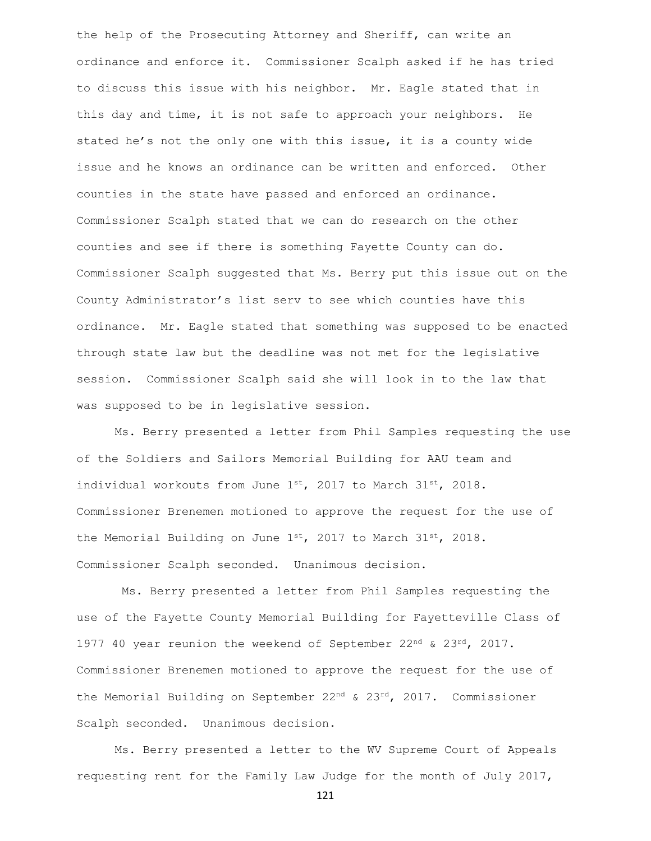the help of the Prosecuting Attorney and Sheriff, can write an ordinance and enforce it. Commissioner Scalph asked if he has tried to discuss this issue with his neighbor. Mr. Eagle stated that in this day and time, it is not safe to approach your neighbors. He stated he's not the only one with this issue, it is a county wide issue and he knows an ordinance can be written and enforced. Other counties in the state have passed and enforced an ordinance. Commissioner Scalph stated that we can do research on the other counties and see if there is something Fayette County can do. Commissioner Scalph suggested that Ms. Berry put this issue out on the County Administrator's list serv to see which counties have this ordinance. Mr. Eagle stated that something was supposed to be enacted through state law but the deadline was not met for the legislative session. Commissioner Scalph said she will look in to the law that was supposed to be in legislative session.

Ms. Berry presented a letter from Phil Samples requesting the use of the Soldiers and Sailors Memorial Building for AAU team and individual workouts from June  $1^{st}$ , 2017 to March 31 $^{st}$ , 2018. Commissioner Brenemen motioned to approve the request for the use of the Memorial Building on June  $1^{st}$ , 2017 to March 31 $^{st}$ , 2018. Commissioner Scalph seconded. Unanimous decision.

Ms. Berry presented a letter from Phil Samples requesting the use of the Fayette County Memorial Building for Fayetteville Class of 1977 40 year reunion the weekend of September 22<sup>nd</sup> & 23<sup>rd</sup>, 2017. Commissioner Brenemen motioned to approve the request for the use of the Memorial Building on September  $22^{nd}$  &  $23^{rd}$ , 2017. Commissioner Scalph seconded. Unanimous decision.

Ms. Berry presented a letter to the WV Supreme Court of Appeals requesting rent for the Family Law Judge for the month of July 2017,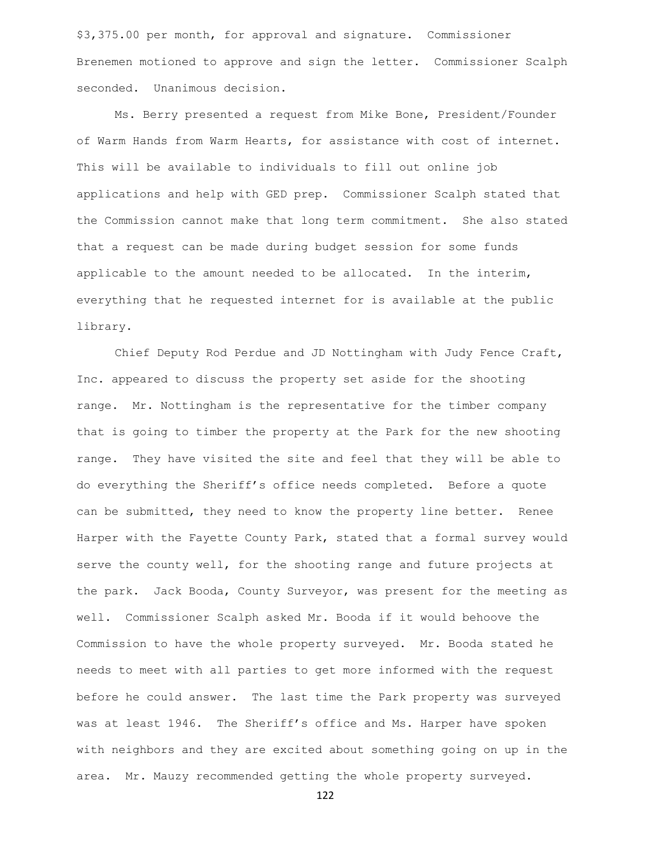\$3,375.00 per month, for approval and signature. Commissioner Brenemen motioned to approve and sign the letter. Commissioner Scalph seconded. Unanimous decision.

Ms. Berry presented a request from Mike Bone, President/Founder of Warm Hands from Warm Hearts, for assistance with cost of internet. This will be available to individuals to fill out online job applications and help with GED prep. Commissioner Scalph stated that the Commission cannot make that long term commitment. She also stated that a request can be made during budget session for some funds applicable to the amount needed to be allocated. In the interim, everything that he requested internet for is available at the public library.

Chief Deputy Rod Perdue and JD Nottingham with Judy Fence Craft, Inc. appeared to discuss the property set aside for the shooting range. Mr. Nottingham is the representative for the timber company that is going to timber the property at the Park for the new shooting range. They have visited the site and feel that they will be able to do everything the Sheriff's office needs completed. Before a quote can be submitted, they need to know the property line better. Renee Harper with the Fayette County Park, stated that a formal survey would serve the county well, for the shooting range and future projects at the park. Jack Booda, County Surveyor, was present for the meeting as well. Commissioner Scalph asked Mr. Booda if it would behoove the Commission to have the whole property surveyed. Mr. Booda stated he needs to meet with all parties to get more informed with the request before he could answer. The last time the Park property was surveyed was at least 1946. The Sheriff's office and Ms. Harper have spoken with neighbors and they are excited about something going on up in the area. Mr. Mauzy recommended getting the whole property surveyed.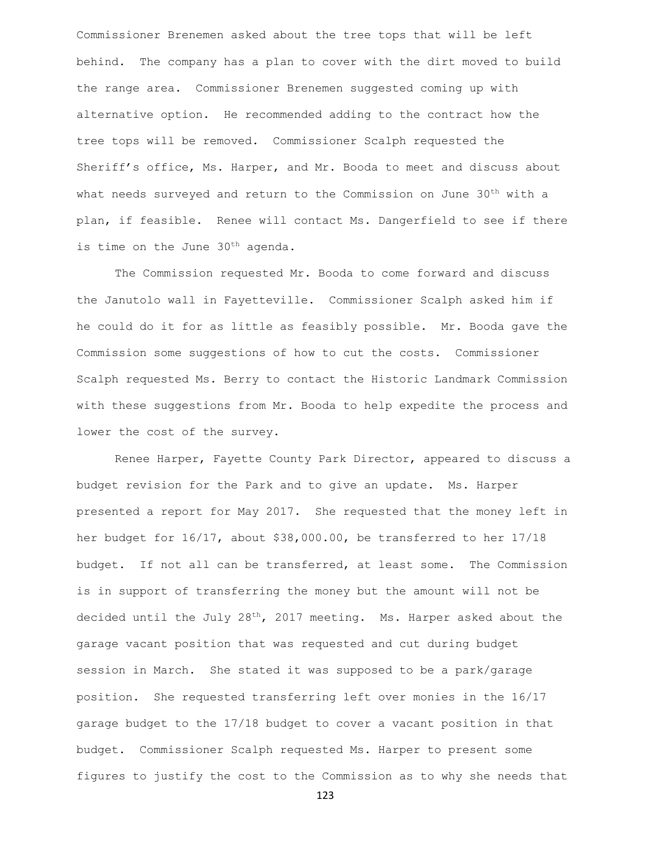Commissioner Brenemen asked about the tree tops that will be left behind. The company has a plan to cover with the dirt moved to build the range area. Commissioner Brenemen suggested coming up with alternative option. He recommended adding to the contract how the tree tops will be removed. Commissioner Scalph requested the Sheriff's office, Ms. Harper, and Mr. Booda to meet and discuss about what needs surveyed and return to the Commission on June 30<sup>th</sup> with a plan, if feasible. Renee will contact Ms. Dangerfield to see if there is time on the June 30<sup>th</sup> agenda.

The Commission requested Mr. Booda to come forward and discuss the Janutolo wall in Fayetteville. Commissioner Scalph asked him if he could do it for as little as feasibly possible. Mr. Booda gave the Commission some suggestions of how to cut the costs. Commissioner Scalph requested Ms. Berry to contact the Historic Landmark Commission with these suggestions from Mr. Booda to help expedite the process and lower the cost of the survey.

Renee Harper, Fayette County Park Director, appeared to discuss a budget revision for the Park and to give an update. Ms. Harper presented a report for May 2017. She requested that the money left in her budget for 16/17, about \$38,000.00, be transferred to her 17/18 budget. If not all can be transferred, at least some. The Commission is in support of transferring the money but the amount will not be decided until the July 28<sup>th</sup>, 2017 meeting. Ms. Harper asked about the garage vacant position that was requested and cut during budget session in March. She stated it was supposed to be a park/garage position. She requested transferring left over monies in the 16/17 garage budget to the 17/18 budget to cover a vacant position in that budget. Commissioner Scalph requested Ms. Harper to present some figures to justify the cost to the Commission as to why she needs that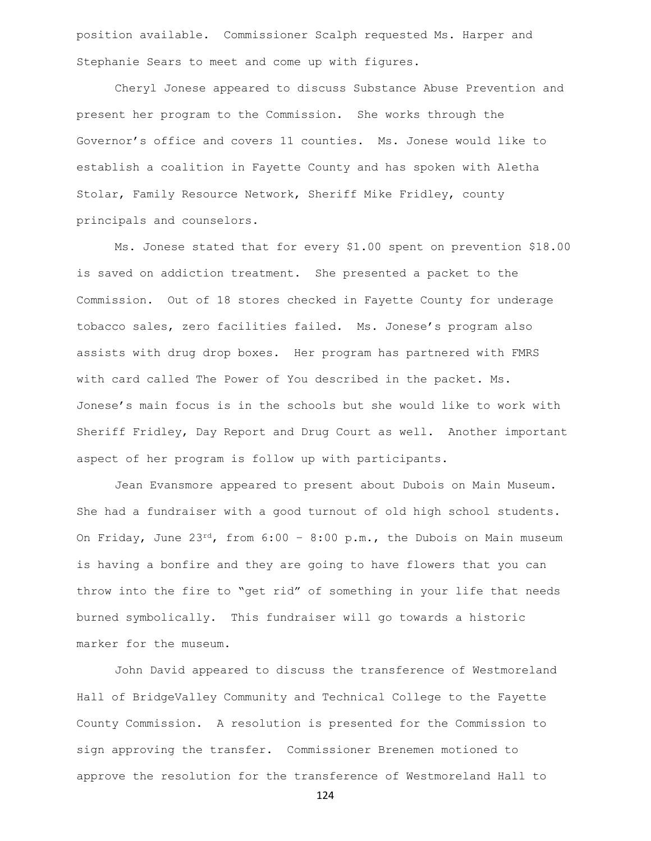position available. Commissioner Scalph requested Ms. Harper and Stephanie Sears to meet and come up with figures.

Cheryl Jonese appeared to discuss Substance Abuse Prevention and present her program to the Commission. She works through the Governor's office and covers 11 counties. Ms. Jonese would like to establish a coalition in Fayette County and has spoken with Aletha Stolar, Family Resource Network, Sheriff Mike Fridley, county principals and counselors.

Ms. Jonese stated that for every \$1.00 spent on prevention \$18.00 is saved on addiction treatment. She presented a packet to the Commission. Out of 18 stores checked in Fayette County for underage tobacco sales, zero facilities failed. Ms. Jonese's program also assists with drug drop boxes. Her program has partnered with FMRS with card called The Power of You described in the packet. Ms. Jonese's main focus is in the schools but she would like to work with Sheriff Fridley, Day Report and Drug Court as well. Another important aspect of her program is follow up with participants.

Jean Evansmore appeared to present about Dubois on Main Museum. She had a fundraiser with a good turnout of old high school students. On Friday, June  $23^{rd}$ , from  $6:00 - 8:00$  p.m., the Dubois on Main museum is having a bonfire and they are going to have flowers that you can throw into the fire to "get rid" of something in your life that needs burned symbolically. This fundraiser will go towards a historic marker for the museum.

John David appeared to discuss the transference of Westmoreland Hall of BridgeValley Community and Technical College to the Fayette County Commission. A resolution is presented for the Commission to sign approving the transfer. Commissioner Brenemen motioned to approve the resolution for the transference of Westmoreland Hall to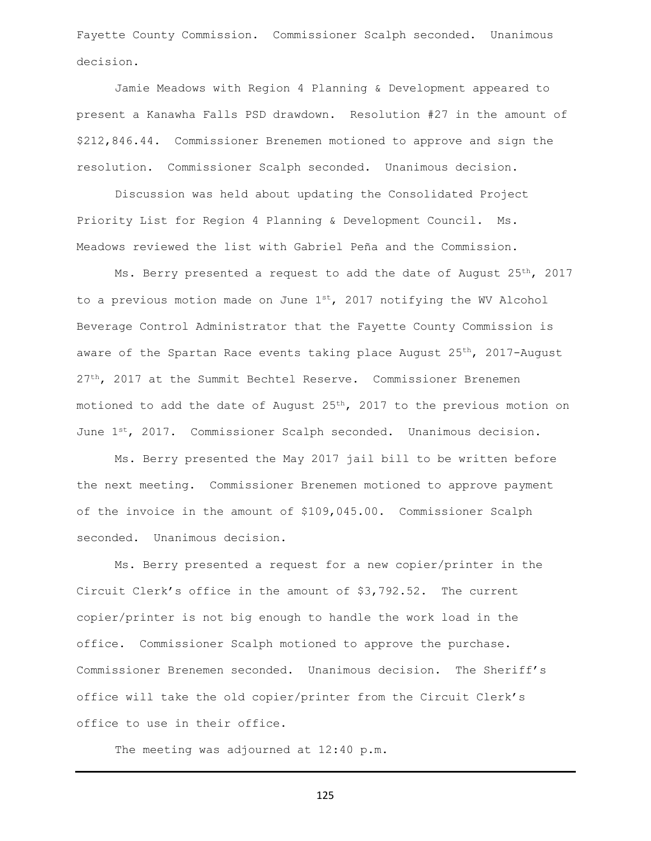Fayette County Commission. Commissioner Scalph seconded. Unanimous decision.

Jamie Meadows with Region 4 Planning & Development appeared to present a Kanawha Falls PSD drawdown. Resolution #27 in the amount of \$212,846.44. Commissioner Brenemen motioned to approve and sign the resolution. Commissioner Scalph seconded. Unanimous decision.

Discussion was held about updating the Consolidated Project Priority List for Region 4 Planning & Development Council. Ms. Meadows reviewed the list with Gabriel Peña and the Commission.

Ms. Berry presented a request to add the date of August 25<sup>th</sup>, 2017 to a previous motion made on June  $1^{st}$ , 2017 notifying the WV Alcohol Beverage Control Administrator that the Fayette County Commission is aware of the Spartan Race events taking place August  $25<sup>th</sup>$ , 2017-August 27<sup>th</sup>, 2017 at the Summit Bechtel Reserve. Commissioner Brenemen motioned to add the date of August  $25<sup>th</sup>$ , 2017 to the previous motion on June 1st, 2017. Commissioner Scalph seconded. Unanimous decision.

Ms. Berry presented the May 2017 jail bill to be written before the next meeting. Commissioner Brenemen motioned to approve payment of the invoice in the amount of \$109,045.00. Commissioner Scalph seconded. Unanimous decision.

Ms. Berry presented a request for a new copier/printer in the Circuit Clerk's office in the amount of \$3,792.52. The current copier/printer is not big enough to handle the work load in the office. Commissioner Scalph motioned to approve the purchase. Commissioner Brenemen seconded. Unanimous decision. The Sheriff's office will take the old copier/printer from the Circuit Clerk's office to use in their office.

The meeting was adjourned at 12:40 p.m.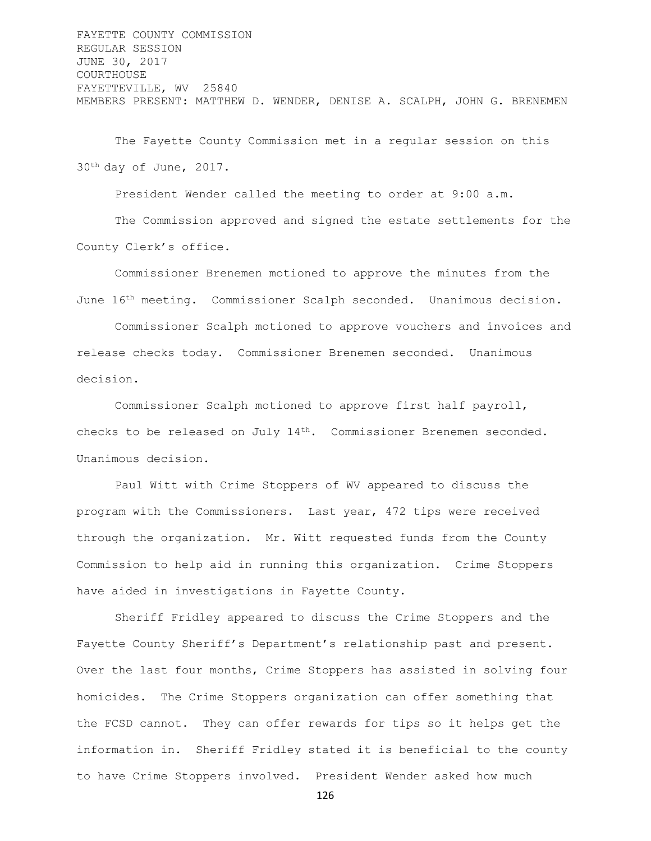FAYETTE COUNTY COMMISSION REGULAR SESSION JUNE 30, 2017 COURTHOUSE FAYETTEVILLE, WV 25840 MEMBERS PRESENT: MATTHEW D. WENDER, DENISE A. SCALPH, JOHN G. BRENEMEN

The Fayette County Commission met in a regular session on this 30th day of June, 2017.

President Wender called the meeting to order at 9:00 a.m.

The Commission approved and signed the estate settlements for the County Clerk's office.

Commissioner Brenemen motioned to approve the minutes from the June 16th meeting. Commissioner Scalph seconded. Unanimous decision.

Commissioner Scalph motioned to approve vouchers and invoices and release checks today. Commissioner Brenemen seconded. Unanimous decision.

Commissioner Scalph motioned to approve first half payroll, checks to be released on July 14<sup>th</sup>. Commissioner Brenemen seconded. Unanimous decision.

Paul Witt with Crime Stoppers of WV appeared to discuss the program with the Commissioners. Last year, 472 tips were received through the organization. Mr. Witt requested funds from the County Commission to help aid in running this organization. Crime Stoppers have aided in investigations in Fayette County.

Sheriff Fridley appeared to discuss the Crime Stoppers and the Fayette County Sheriff's Department's relationship past and present. Over the last four months, Crime Stoppers has assisted in solving four homicides. The Crime Stoppers organization can offer something that the FCSD cannot. They can offer rewards for tips so it helps get the information in. Sheriff Fridley stated it is beneficial to the county to have Crime Stoppers involved. President Wender asked how much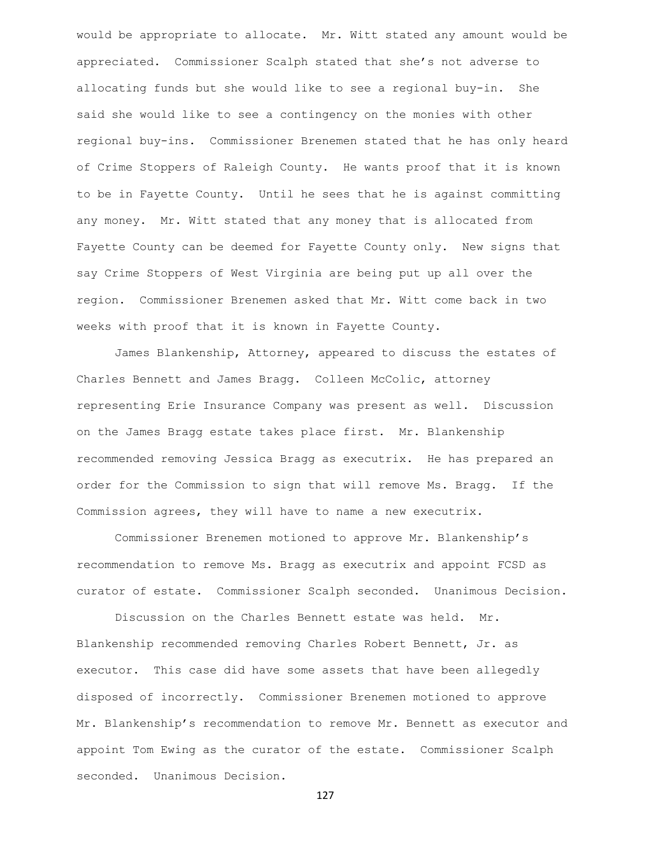would be appropriate to allocate. Mr. Witt stated any amount would be appreciated. Commissioner Scalph stated that she's not adverse to allocating funds but she would like to see a regional buy-in. She said she would like to see a contingency on the monies with other regional buy-ins. Commissioner Brenemen stated that he has only heard of Crime Stoppers of Raleigh County. He wants proof that it is known to be in Fayette County. Until he sees that he is against committing any money. Mr. Witt stated that any money that is allocated from Fayette County can be deemed for Fayette County only. New signs that say Crime Stoppers of West Virginia are being put up all over the region. Commissioner Brenemen asked that Mr. Witt come back in two weeks with proof that it is known in Fayette County.

James Blankenship, Attorney, appeared to discuss the estates of Charles Bennett and James Bragg. Colleen McColic, attorney representing Erie Insurance Company was present as well. Discussion on the James Bragg estate takes place first. Mr. Blankenship recommended removing Jessica Bragg as executrix. He has prepared an order for the Commission to sign that will remove Ms. Bragg. If the Commission agrees, they will have to name a new executrix.

Commissioner Brenemen motioned to approve Mr. Blankenship's recommendation to remove Ms. Bragg as executrix and appoint FCSD as curator of estate. Commissioner Scalph seconded. Unanimous Decision.

Discussion on the Charles Bennett estate was held. Mr. Blankenship recommended removing Charles Robert Bennett, Jr. as executor. This case did have some assets that have been allegedly disposed of incorrectly. Commissioner Brenemen motioned to approve Mr. Blankenship's recommendation to remove Mr. Bennett as executor and appoint Tom Ewing as the curator of the estate. Commissioner Scalph seconded. Unanimous Decision.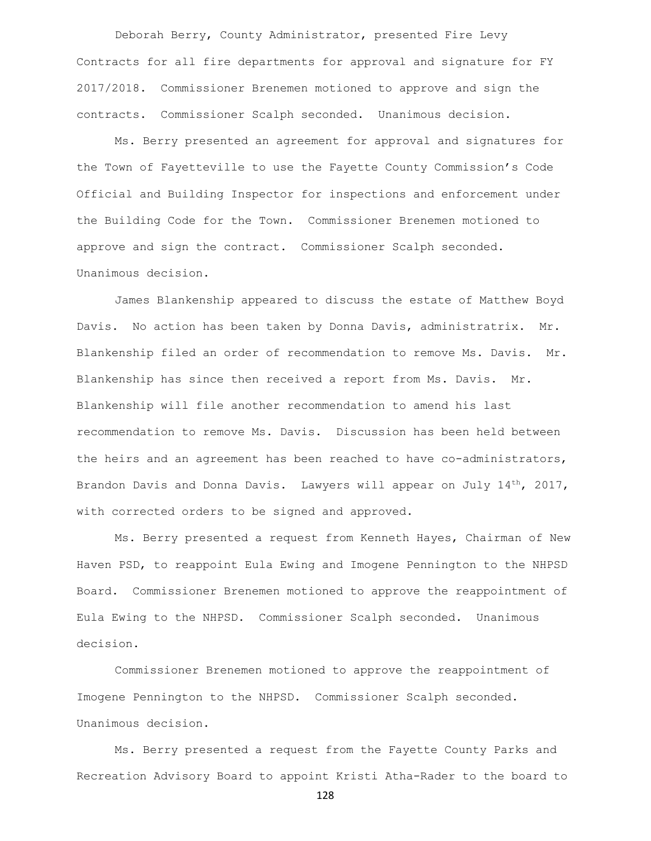Deborah Berry, County Administrator, presented Fire Levy Contracts for all fire departments for approval and signature for FY 2017/2018. Commissioner Brenemen motioned to approve and sign the contracts. Commissioner Scalph seconded. Unanimous decision.

Ms. Berry presented an agreement for approval and signatures for the Town of Fayetteville to use the Fayette County Commission's Code Official and Building Inspector for inspections and enforcement under the Building Code for the Town. Commissioner Brenemen motioned to approve and sign the contract. Commissioner Scalph seconded. Unanimous decision.

James Blankenship appeared to discuss the estate of Matthew Boyd Davis. No action has been taken by Donna Davis, administratrix. Mr. Blankenship filed an order of recommendation to remove Ms. Davis. Mr. Blankenship has since then received a report from Ms. Davis. Mr. Blankenship will file another recommendation to amend his last recommendation to remove Ms. Davis. Discussion has been held between the heirs and an agreement has been reached to have co-administrators, Brandon Davis and Donna Davis. Lawyers will appear on July  $14^{th}$ , 2017, with corrected orders to be signed and approved.

Ms. Berry presented a request from Kenneth Hayes, Chairman of New Haven PSD, to reappoint Eula Ewing and Imogene Pennington to the NHPSD Board. Commissioner Brenemen motioned to approve the reappointment of Eula Ewing to the NHPSD. Commissioner Scalph seconded. Unanimous decision.

Commissioner Brenemen motioned to approve the reappointment of Imogene Pennington to the NHPSD. Commissioner Scalph seconded. Unanimous decision.

Ms. Berry presented a request from the Fayette County Parks and Recreation Advisory Board to appoint Kristi Atha-Rader to the board to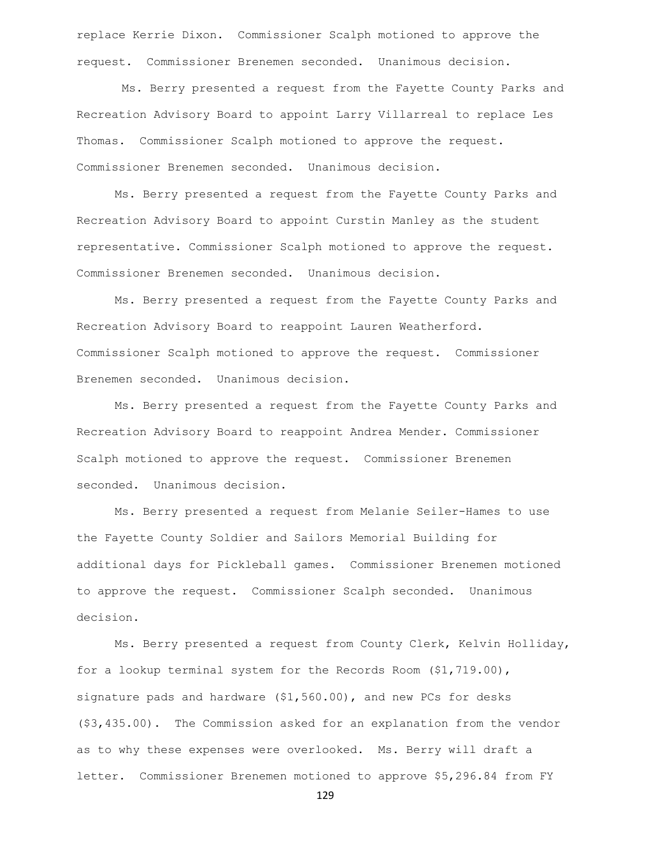replace Kerrie Dixon. Commissioner Scalph motioned to approve the request. Commissioner Brenemen seconded. Unanimous decision.

Ms. Berry presented a request from the Fayette County Parks and Recreation Advisory Board to appoint Larry Villarreal to replace Les Thomas. Commissioner Scalph motioned to approve the request. Commissioner Brenemen seconded. Unanimous decision.

Ms. Berry presented a request from the Fayette County Parks and Recreation Advisory Board to appoint Curstin Manley as the student representative. Commissioner Scalph motioned to approve the request. Commissioner Brenemen seconded. Unanimous decision.

Ms. Berry presented a request from the Fayette County Parks and Recreation Advisory Board to reappoint Lauren Weatherford. Commissioner Scalph motioned to approve the request. Commissioner Brenemen seconded. Unanimous decision.

Ms. Berry presented a request from the Fayette County Parks and Recreation Advisory Board to reappoint Andrea Mender. Commissioner Scalph motioned to approve the request. Commissioner Brenemen seconded. Unanimous decision.

Ms. Berry presented a request from Melanie Seiler-Hames to use the Fayette County Soldier and Sailors Memorial Building for additional days for Pickleball games. Commissioner Brenemen motioned to approve the request. Commissioner Scalph seconded. Unanimous decision.

Ms. Berry presented a request from County Clerk, Kelvin Holliday, for a lookup terminal system for the Records Room (\$1,719.00), signature pads and hardware (\$1,560.00), and new PCs for desks (\$3,435.00). The Commission asked for an explanation from the vendor as to why these expenses were overlooked. Ms. Berry will draft a letter. Commissioner Brenemen motioned to approve \$5,296.84 from FY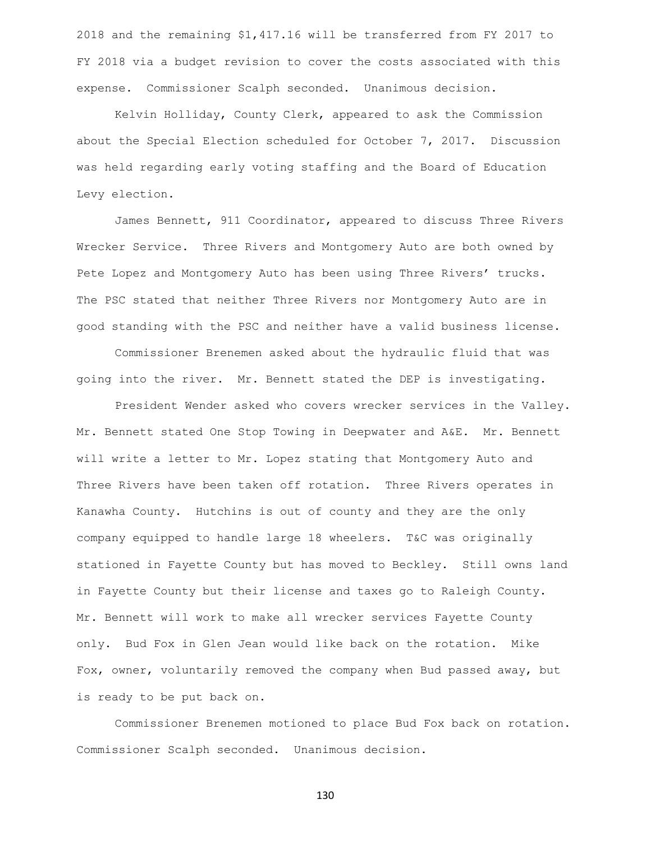2018 and the remaining \$1,417.16 will be transferred from FY 2017 to FY 2018 via a budget revision to cover the costs associated with this expense. Commissioner Scalph seconded. Unanimous decision.

Kelvin Holliday, County Clerk, appeared to ask the Commission about the Special Election scheduled for October 7, 2017. Discussion was held regarding early voting staffing and the Board of Education Levy election.

James Bennett, 911 Coordinator, appeared to discuss Three Rivers Wrecker Service. Three Rivers and Montgomery Auto are both owned by Pete Lopez and Montgomery Auto has been using Three Rivers' trucks. The PSC stated that neither Three Rivers nor Montgomery Auto are in good standing with the PSC and neither have a valid business license.

Commissioner Brenemen asked about the hydraulic fluid that was going into the river. Mr. Bennett stated the DEP is investigating.

President Wender asked who covers wrecker services in the Valley. Mr. Bennett stated One Stop Towing in Deepwater and A&E. Mr. Bennett will write a letter to Mr. Lopez stating that Montgomery Auto and Three Rivers have been taken off rotation. Three Rivers operates in Kanawha County. Hutchins is out of county and they are the only company equipped to handle large 18 wheelers. T&C was originally stationed in Fayette County but has moved to Beckley. Still owns land in Fayette County but their license and taxes go to Raleigh County. Mr. Bennett will work to make all wrecker services Fayette County only. Bud Fox in Glen Jean would like back on the rotation. Mike Fox, owner, voluntarily removed the company when Bud passed away, but is ready to be put back on.

Commissioner Brenemen motioned to place Bud Fox back on rotation. Commissioner Scalph seconded. Unanimous decision.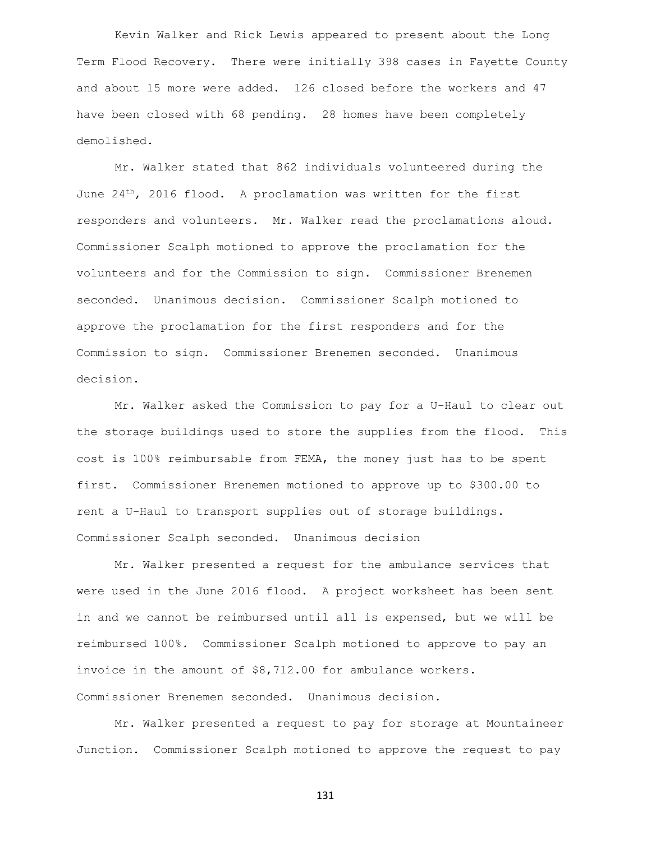Kevin Walker and Rick Lewis appeared to present about the Long Term Flood Recovery. There were initially 398 cases in Fayette County and about 15 more were added. 126 closed before the workers and 47 have been closed with 68 pending. 28 homes have been completely demolished.

Mr. Walker stated that 862 individuals volunteered during the June  $24<sup>th</sup>$ , 2016 flood. A proclamation was written for the first responders and volunteers. Mr. Walker read the proclamations aloud. Commissioner Scalph motioned to approve the proclamation for the volunteers and for the Commission to sign. Commissioner Brenemen seconded. Unanimous decision. Commissioner Scalph motioned to approve the proclamation for the first responders and for the Commission to sign. Commissioner Brenemen seconded. Unanimous decision.

Mr. Walker asked the Commission to pay for a U-Haul to clear out the storage buildings used to store the supplies from the flood. This cost is 100% reimbursable from FEMA, the money just has to be spent first. Commissioner Brenemen motioned to approve up to \$300.00 to rent a U-Haul to transport supplies out of storage buildings. Commissioner Scalph seconded. Unanimous decision

Mr. Walker presented a request for the ambulance services that were used in the June 2016 flood. A project worksheet has been sent in and we cannot be reimbursed until all is expensed, but we will be reimbursed 100%. Commissioner Scalph motioned to approve to pay an invoice in the amount of \$8,712.00 for ambulance workers. Commissioner Brenemen seconded. Unanimous decision.

Mr. Walker presented a request to pay for storage at Mountaineer Junction. Commissioner Scalph motioned to approve the request to pay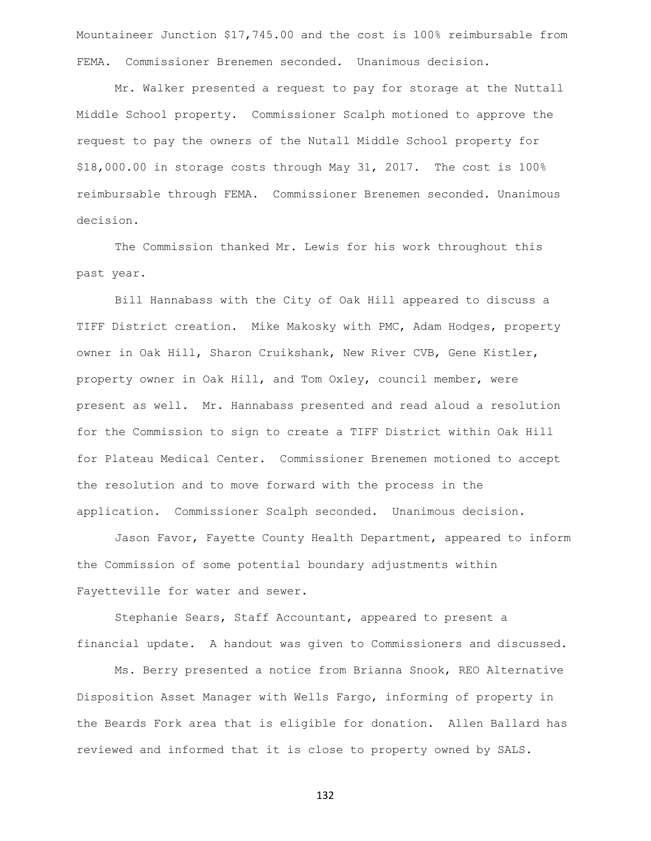Mountaineer Junction \$17,745.00 and the cost is 100% reimbursable from FEMA. Commissioner Brenemen seconded. Unanimous decision.

Mr. Walker presented a request to pay for storage at the Nuttall Middle School property. Commissioner Scalph motioned to approve the request to pay the owners of the Nutall Middle School property for \$18,000.00 in storage costs through May 31, 2017. The cost is 100% reimbursable through FEMA. Commissioner Brenemen seconded. Unanimous decision.

The Commission thanked Mr. Lewis for his work throughout this past year.

Bill Hannabass with the City of Oak Hill appeared to discuss a TIFF District creation. Mike Makosky with PMC, Adam Hodges, property owner in Oak Hill, Sharon Cruikshank, New River CVB, Gene Kistler, property owner in Oak Hill, and Tom Oxley, council member, were present as well. Mr. Hannabass presented and read aloud a resolution for the Commission to sign to create a TIFF District within Oak Hill for Plateau Medical Center. Commissioner Brenemen motioned to accept the resolution and to move forward with the process in the application. Commissioner Scalph seconded. Unanimous decision.

Jason Favor, Fayette County Health Department, appeared to inform the Commission of some potential boundary adjustments within Fayetteville for water and sewer.

Stephanie Sears, Staff Accountant, appeared to present a financial update. A handout was given to Commissioners and discussed.

Ms. Berry presented a notice from Brianna Snook, REO Alternative Disposition Asset Manager with Wells Fargo, informing of property in the Beards Fork area that is eligible for donation. Allen Ballard has reviewed and informed that it is close to property owned by SALS.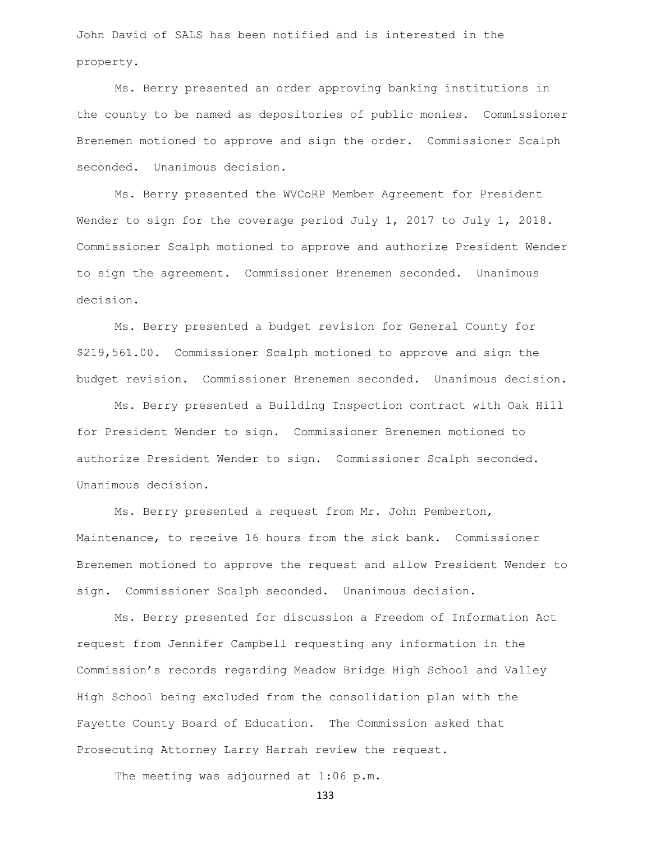John David of SALS has been notified and is interested in the property.

Ms. Berry presented an order approving banking institutions in the county to be named as depositories of public monies. Commissioner Brenemen motioned to approve and sign the order. Commissioner Scalph seconded. Unanimous decision.

Ms. Berry presented the WVCoRP Member Agreement for President Wender to sign for the coverage period July 1, 2017 to July 1, 2018. Commissioner Scalph motioned to approve and authorize President Wender to sign the agreement. Commissioner Brenemen seconded. Unanimous decision.

Ms. Berry presented a budget revision for General County for \$219,561.00. Commissioner Scalph motioned to approve and sign the budget revision. Commissioner Brenemen seconded. Unanimous decision.

Ms. Berry presented a Building Inspection contract with Oak Hill for President Wender to sign. Commissioner Brenemen motioned to authorize President Wender to sign. Commissioner Scalph seconded. Unanimous decision.

Ms. Berry presented a request from Mr. John Pemberton, Maintenance, to receive 16 hours from the sick bank. Commissioner Brenemen motioned to approve the request and allow President Wender to sign. Commissioner Scalph seconded. Unanimous decision.

Ms. Berry presented for discussion a Freedom of Information Act request from Jennifer Campbell requesting any information in the Commission's records regarding Meadow Bridge High School and Valley High School being excluded from the consolidation plan with the Fayette County Board of Education. The Commission asked that Prosecuting Attorney Larry Harrah review the request.

The meeting was adjourned at 1:06 p.m.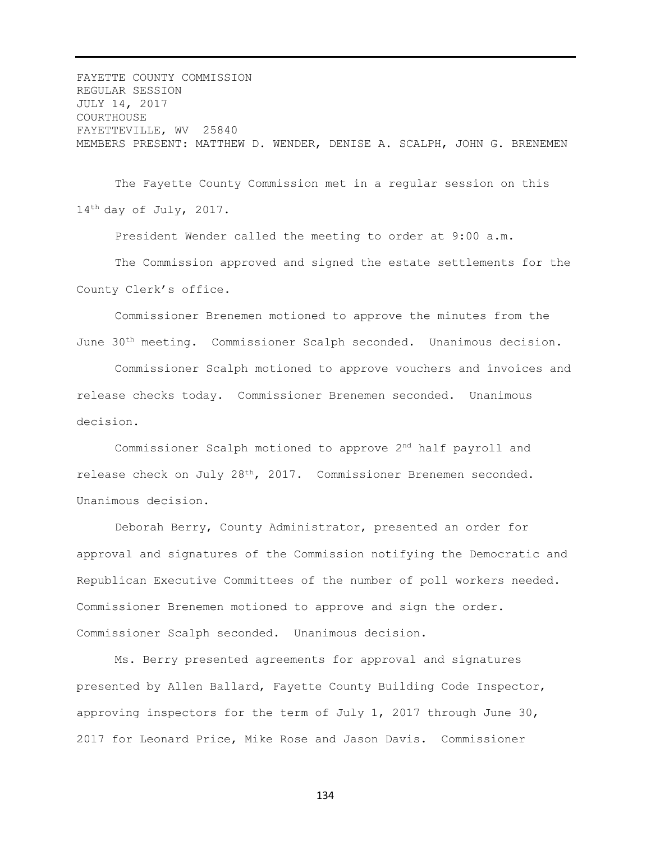FAYETTE COUNTY COMMISSION REGULAR SESSION JULY 14, 2017 COURTHOUSE FAYETTEVILLE, WV 25840 MEMBERS PRESENT: MATTHEW D. WENDER, DENISE A. SCALPH, JOHN G. BRENEMEN

The Fayette County Commission met in a regular session on this 14th day of July, 2017.

President Wender called the meeting to order at 9:00 a.m. The Commission approved and signed the estate settlements for the County Clerk's office.

Commissioner Brenemen motioned to approve the minutes from the June 30th meeting. Commissioner Scalph seconded. Unanimous decision.

Commissioner Scalph motioned to approve vouchers and invoices and release checks today. Commissioner Brenemen seconded. Unanimous decision.

Commissioner Scalph motioned to approve 2nd half payroll and release check on July 28th, 2017. Commissioner Brenemen seconded. Unanimous decision.

Deborah Berry, County Administrator, presented an order for approval and signatures of the Commission notifying the Democratic and Republican Executive Committees of the number of poll workers needed. Commissioner Brenemen motioned to approve and sign the order. Commissioner Scalph seconded. Unanimous decision.

Ms. Berry presented agreements for approval and signatures presented by Allen Ballard, Fayette County Building Code Inspector, approving inspectors for the term of July 1, 2017 through June 30, 2017 for Leonard Price, Mike Rose and Jason Davis. Commissioner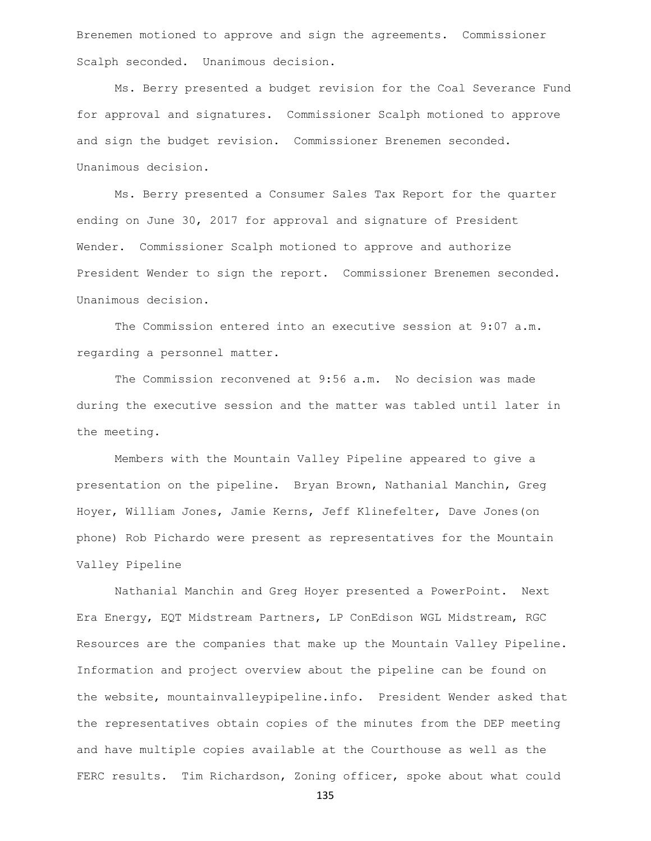Brenemen motioned to approve and sign the agreements. Commissioner Scalph seconded. Unanimous decision.

Ms. Berry presented a budget revision for the Coal Severance Fund for approval and signatures. Commissioner Scalph motioned to approve and sign the budget revision. Commissioner Brenemen seconded. Unanimous decision.

Ms. Berry presented a Consumer Sales Tax Report for the quarter ending on June 30, 2017 for approval and signature of President Wender. Commissioner Scalph motioned to approve and authorize President Wender to sign the report. Commissioner Brenemen seconded. Unanimous decision.

The Commission entered into an executive session at 9:07 a.m. regarding a personnel matter.

The Commission reconvened at 9:56 a.m. No decision was made during the executive session and the matter was tabled until later in the meeting.

Members with the Mountain Valley Pipeline appeared to give a presentation on the pipeline. Bryan Brown, Nathanial Manchin, Greg Hoyer, William Jones, Jamie Kerns, Jeff Klinefelter, Dave Jones(on phone) Rob Pichardo were present as representatives for the Mountain Valley Pipeline

Nathanial Manchin and Greg Hoyer presented a PowerPoint. Next Era Energy, EQT Midstream Partners, LP ConEdison WGL Midstream, RGC Resources are the companies that make up the Mountain Valley Pipeline. Information and project overview about the pipeline can be found on the website, mountainvalleypipeline.info. President Wender asked that the representatives obtain copies of the minutes from the DEP meeting and have multiple copies available at the Courthouse as well as the FERC results. Tim Richardson, Zoning officer, spoke about what could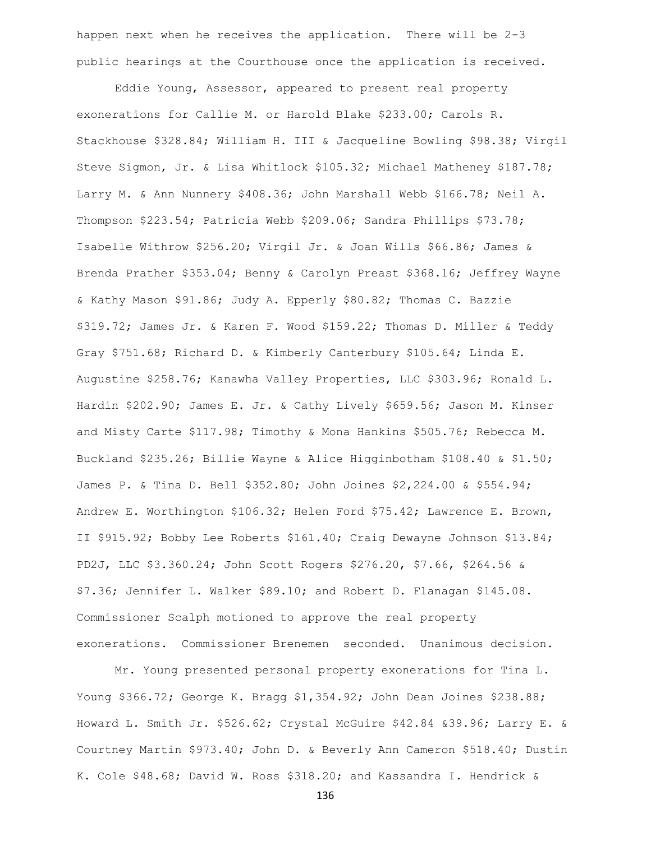happen next when he receives the application. There will be 2-3 public hearings at the Courthouse once the application is received.

Eddie Young, Assessor, appeared to present real property exonerations for Callie M. or Harold Blake \$233.00; Carols R. Stackhouse \$328.84; William H. III & Jacqueline Bowling \$98.38; Virgil Steve Sigmon, Jr. & Lisa Whitlock \$105.32; Michael Matheney \$187.78; Larry M. & Ann Nunnery \$408.36; John Marshall Webb \$166.78; Neil A. Thompson \$223.54; Patricia Webb \$209.06; Sandra Phillips \$73.78; Isabelle Withrow \$256.20; Virgil Jr. & Joan Wills \$66.86; James & Brenda Prather \$353.04; Benny & Carolyn Preast \$368.16; Jeffrey Wayne & Kathy Mason \$91.86; Judy A. Epperly \$80.82; Thomas C. Bazzie \$319.72; James Jr. & Karen F. Wood \$159.22; Thomas D. Miller & Teddy Gray \$751.68; Richard D. & Kimberly Canterbury \$105.64; Linda E. Augustine \$258.76; Kanawha Valley Properties, LLC \$303.96; Ronald L. Hardin \$202.90; James E. Jr. & Cathy Lively \$659.56; Jason M. Kinser and Misty Carte \$117.98; Timothy & Mona Hankins \$505.76; Rebecca M. Buckland \$235.26; Billie Wayne & Alice Higginbotham \$108.40 & \$1.50; James P. & Tina D. Bell \$352.80; John Joines \$2,224.00 & \$554.94; Andrew E. Worthington \$106.32; Helen Ford \$75.42; Lawrence E. Brown, II \$915.92; Bobby Lee Roberts \$161.40; Craig Dewayne Johnson \$13.84; PD2J, LLC \$3.360.24; John Scott Rogers \$276.20, \$7.66, \$264.56 & \$7.36; Jennifer L. Walker \$89.10; and Robert D. Flanagan \$145.08. Commissioner Scalph motioned to approve the real property exonerations. Commissioner Brenemen seconded. Unanimous decision.

Mr. Young presented personal property exonerations for Tina L. Young \$366.72; George K. Bragg \$1,354.92; John Dean Joines \$238.88; Howard L. Smith Jr. \$526.62; Crystal McGuire \$42.84 &39.96; Larry E. & Courtney Martin \$973.40; John D. & Beverly Ann Cameron \$518.40; Dustin K. Cole \$48.68; David W. Ross \$318.20; and Kassandra I. Hendrick &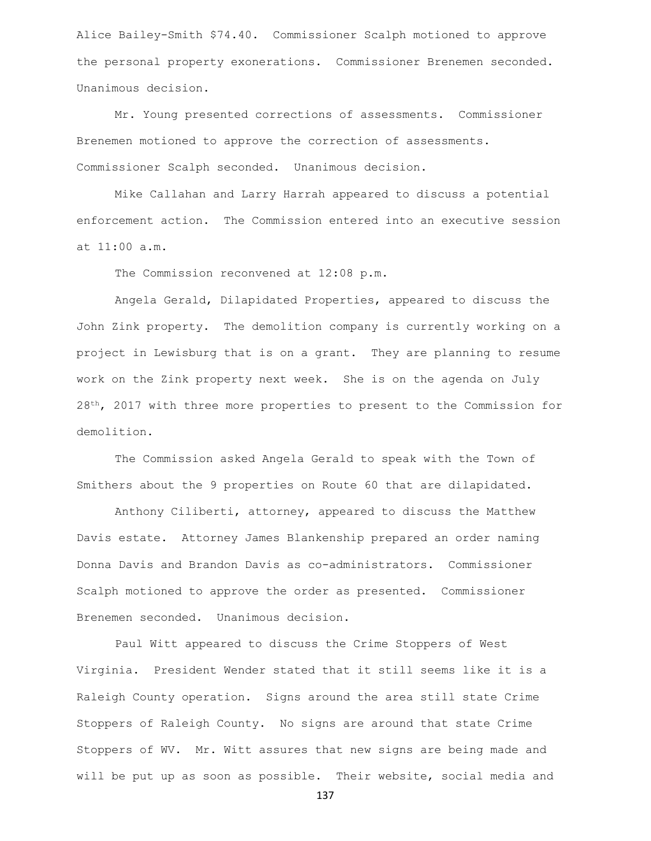Alice Bailey-Smith \$74.40. Commissioner Scalph motioned to approve the personal property exonerations. Commissioner Brenemen seconded. Unanimous decision.

Mr. Young presented corrections of assessments. Commissioner Brenemen motioned to approve the correction of assessments. Commissioner Scalph seconded. Unanimous decision.

Mike Callahan and Larry Harrah appeared to discuss a potential enforcement action. The Commission entered into an executive session at 11:00 a.m.

The Commission reconvened at 12:08 p.m.

Angela Gerald, Dilapidated Properties, appeared to discuss the John Zink property. The demolition company is currently working on a project in Lewisburg that is on a grant. They are planning to resume work on the Zink property next week. She is on the agenda on July  $28<sup>th</sup>$ , 2017 with three more properties to present to the Commission for demolition.

The Commission asked Angela Gerald to speak with the Town of Smithers about the 9 properties on Route 60 that are dilapidated.

Anthony Ciliberti, attorney, appeared to discuss the Matthew Davis estate. Attorney James Blankenship prepared an order naming Donna Davis and Brandon Davis as co-administrators. Commissioner Scalph motioned to approve the order as presented. Commissioner Brenemen seconded. Unanimous decision.

Paul Witt appeared to discuss the Crime Stoppers of West Virginia. President Wender stated that it still seems like it is a Raleigh County operation. Signs around the area still state Crime Stoppers of Raleigh County. No signs are around that state Crime Stoppers of WV. Mr. Witt assures that new signs are being made and will be put up as soon as possible. Their website, social media and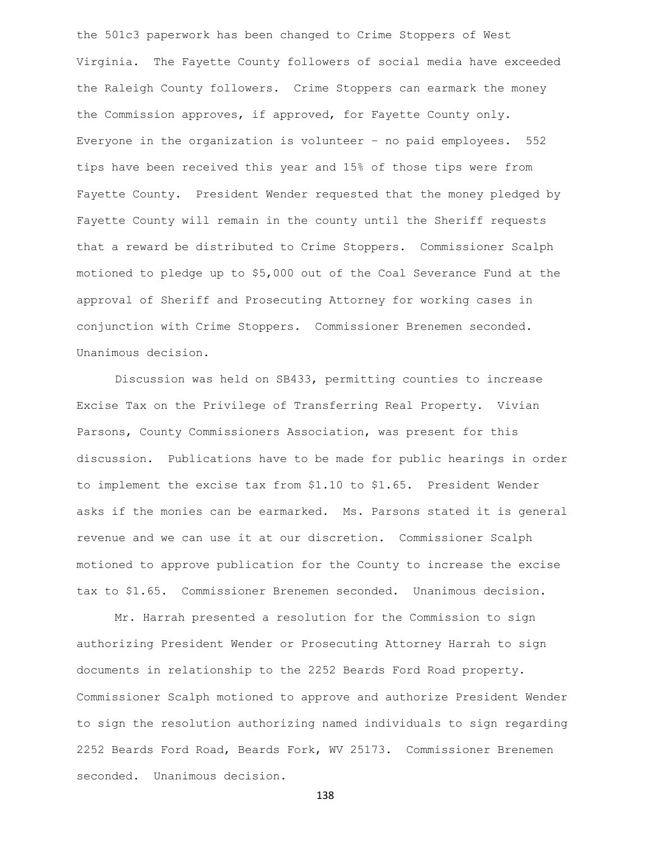the 501c3 paperwork has been changed to Crime Stoppers of West Virginia. The Fayette County followers of social media have exceeded the Raleigh County followers. Crime Stoppers can earmark the money the Commission approves, if approved, for Fayette County only. Everyone in the organization is volunteer – no paid employees. 552 tips have been received this year and 15% of those tips were from Fayette County. President Wender requested that the money pledged by Fayette County will remain in the county until the Sheriff requests that a reward be distributed to Crime Stoppers. Commissioner Scalph motioned to pledge up to \$5,000 out of the Coal Severance Fund at the approval of Sheriff and Prosecuting Attorney for working cases in conjunction with Crime Stoppers. Commissioner Brenemen seconded. Unanimous decision.

Discussion was held on SB433, permitting counties to increase Excise Tax on the Privilege of Transferring Real Property. Vivian Parsons, County Commissioners Association, was present for this discussion. Publications have to be made for public hearings in order to implement the excise tax from \$1.10 to \$1.65. President Wender asks if the monies can be earmarked. Ms. Parsons stated it is general revenue and we can use it at our discretion. Commissioner Scalph motioned to approve publication for the County to increase the excise tax to \$1.65. Commissioner Brenemen seconded. Unanimous decision.

Mr. Harrah presented a resolution for the Commission to sign authorizing President Wender or Prosecuting Attorney Harrah to sign documents in relationship to the 2252 Beards Ford Road property. Commissioner Scalph motioned to approve and authorize President Wender to sign the resolution authorizing named individuals to sign regarding 2252 Beards Ford Road, Beards Fork, WV 25173. Commissioner Brenemen seconded. Unanimous decision.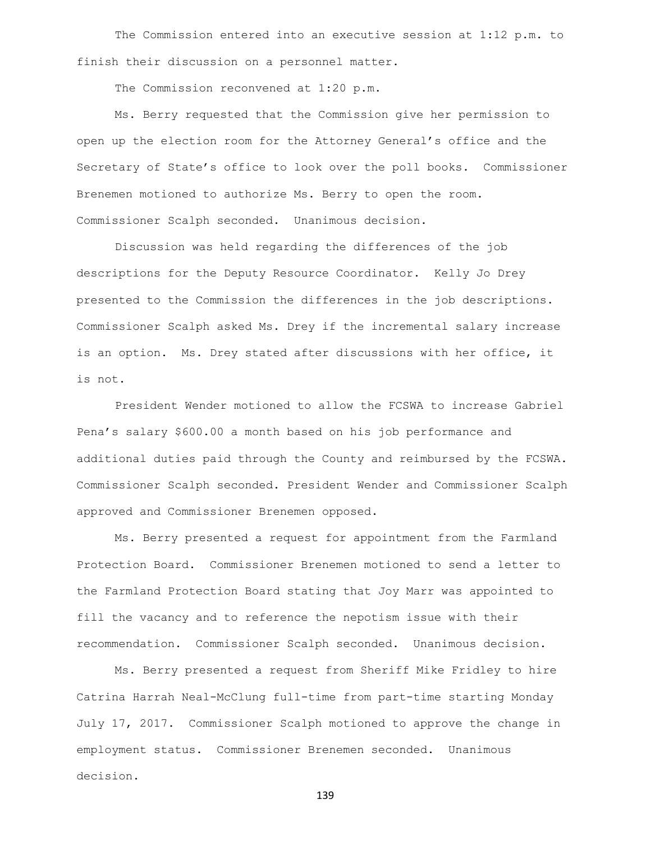The Commission entered into an executive session at 1:12 p.m. to finish their discussion on a personnel matter.

The Commission reconvened at 1:20 p.m.

Ms. Berry requested that the Commission give her permission to open up the election room for the Attorney General's office and the Secretary of State's office to look over the poll books. Commissioner Brenemen motioned to authorize Ms. Berry to open the room. Commissioner Scalph seconded. Unanimous decision.

Discussion was held regarding the differences of the job descriptions for the Deputy Resource Coordinator. Kelly Jo Drey presented to the Commission the differences in the job descriptions. Commissioner Scalph asked Ms. Drey if the incremental salary increase is an option. Ms. Drey stated after discussions with her office, it is not.

President Wender motioned to allow the FCSWA to increase Gabriel Pena's salary \$600.00 a month based on his job performance and additional duties paid through the County and reimbursed by the FCSWA. Commissioner Scalph seconded. President Wender and Commissioner Scalph approved and Commissioner Brenemen opposed.

Ms. Berry presented a request for appointment from the Farmland Protection Board. Commissioner Brenemen motioned to send a letter to the Farmland Protection Board stating that Joy Marr was appointed to fill the vacancy and to reference the nepotism issue with their recommendation. Commissioner Scalph seconded. Unanimous decision.

Ms. Berry presented a request from Sheriff Mike Fridley to hire Catrina Harrah Neal-McClung full-time from part-time starting Monday July 17, 2017. Commissioner Scalph motioned to approve the change in employment status. Commissioner Brenemen seconded. Unanimous decision.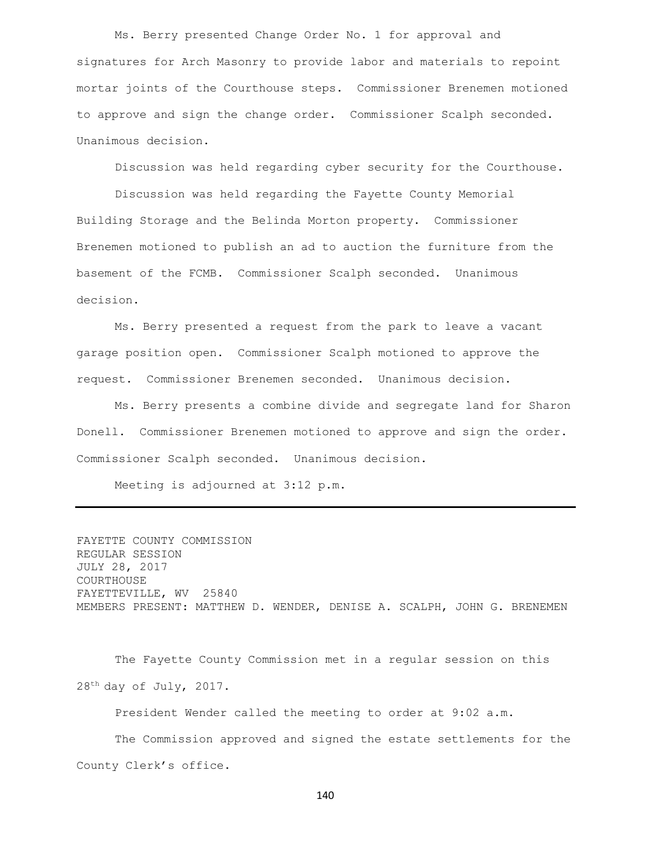Ms. Berry presented Change Order No. 1 for approval and signatures for Arch Masonry to provide labor and materials to repoint mortar joints of the Courthouse steps. Commissioner Brenemen motioned to approve and sign the change order. Commissioner Scalph seconded. Unanimous decision.

Discussion was held regarding cyber security for the Courthouse.

Discussion was held regarding the Fayette County Memorial Building Storage and the Belinda Morton property. Commissioner Brenemen motioned to publish an ad to auction the furniture from the basement of the FCMB. Commissioner Scalph seconded. Unanimous decision.

Ms. Berry presented a request from the park to leave a vacant garage position open. Commissioner Scalph motioned to approve the request. Commissioner Brenemen seconded. Unanimous decision.

Ms. Berry presents a combine divide and segregate land for Sharon Donell. Commissioner Brenemen motioned to approve and sign the order. Commissioner Scalph seconded. Unanimous decision.

Meeting is adjourned at 3:12 p.m.

FAYETTE COUNTY COMMISSION REGULAR SESSION JULY 28, 2017 COURTHOUSE FAYETTEVILLE, WV 25840 MEMBERS PRESENT: MATTHEW D. WENDER, DENISE A. SCALPH, JOHN G. BRENEMEN

The Fayette County Commission met in a regular session on this 28th day of July, 2017.

President Wender called the meeting to order at 9:02 a.m.

The Commission approved and signed the estate settlements for the County Clerk's office.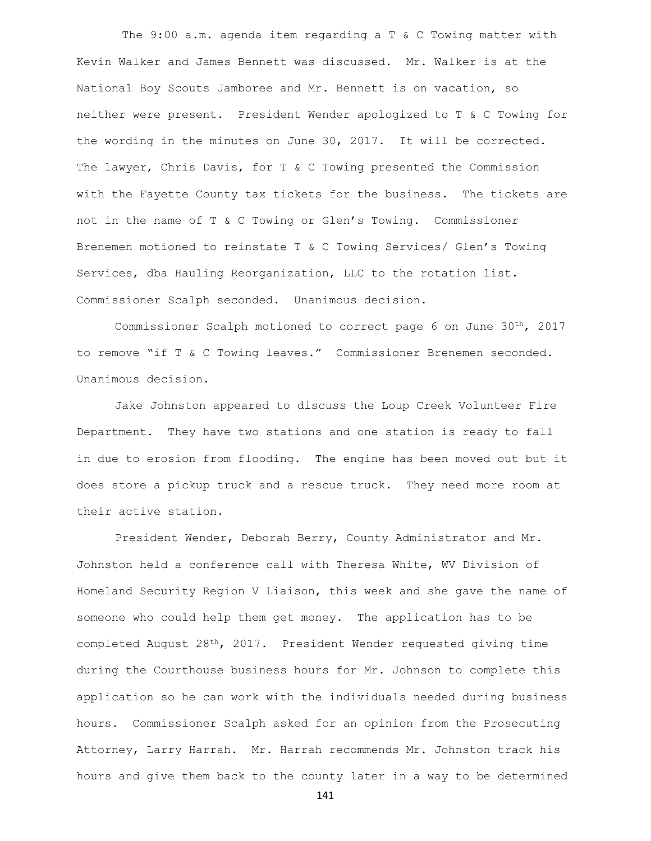The 9:00 a.m. agenda item regarding a T & C Towing matter with Kevin Walker and James Bennett was discussed. Mr. Walker is at the National Boy Scouts Jamboree and Mr. Bennett is on vacation, so neither were present. President Wender apologized to T & C Towing for the wording in the minutes on June 30, 2017. It will be corrected. The lawyer, Chris Davis, for T & C Towing presented the Commission with the Fayette County tax tickets for the business. The tickets are not in the name of T & C Towing or Glen's Towing. Commissioner Brenemen motioned to reinstate T & C Towing Services/ Glen's Towing Services, dba Hauling Reorganization, LLC to the rotation list. Commissioner Scalph seconded. Unanimous decision.

Commissioner Scalph motioned to correct page 6 on June 30th, 2017 to remove "if T & C Towing leaves." Commissioner Brenemen seconded. Unanimous decision.

Jake Johnston appeared to discuss the Loup Creek Volunteer Fire Department. They have two stations and one station is ready to fall in due to erosion from flooding. The engine has been moved out but it does store a pickup truck and a rescue truck. They need more room at their active station.

President Wender, Deborah Berry, County Administrator and Mr. Johnston held a conference call with Theresa White, WV Division of Homeland Security Region V Liaison, this week and she gave the name of someone who could help them get money. The application has to be completed August 28th, 2017. President Wender requested giving time during the Courthouse business hours for Mr. Johnson to complete this application so he can work with the individuals needed during business hours. Commissioner Scalph asked for an opinion from the Prosecuting Attorney, Larry Harrah. Mr. Harrah recommends Mr. Johnston track his hours and give them back to the county later in a way to be determined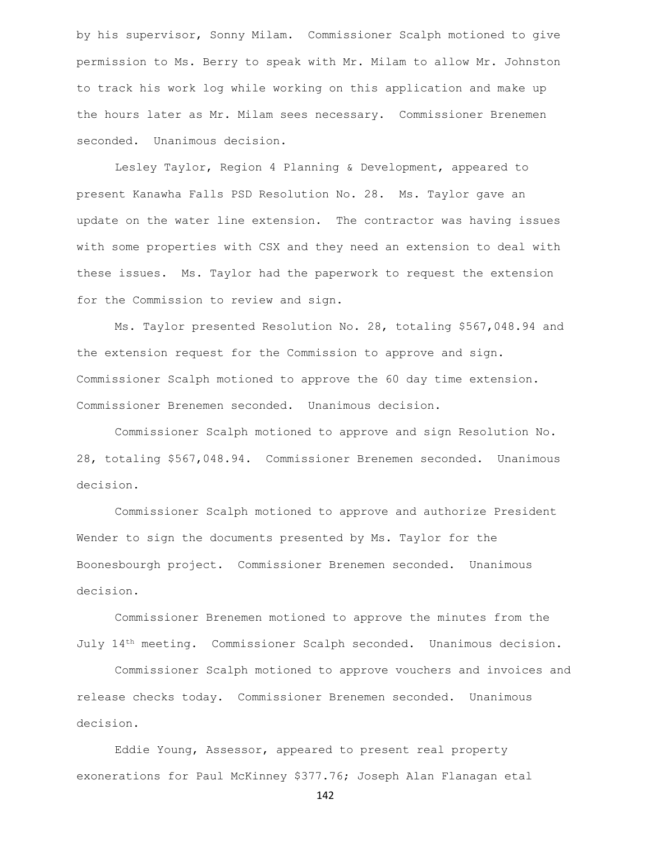by his supervisor, Sonny Milam. Commissioner Scalph motioned to give permission to Ms. Berry to speak with Mr. Milam to allow Mr. Johnston to track his work log while working on this application and make up the hours later as Mr. Milam sees necessary. Commissioner Brenemen seconded. Unanimous decision.

Lesley Taylor, Region 4 Planning & Development, appeared to present Kanawha Falls PSD Resolution No. 28. Ms. Taylor gave an update on the water line extension. The contractor was having issues with some properties with CSX and they need an extension to deal with these issues. Ms. Taylor had the paperwork to request the extension for the Commission to review and sign.

Ms. Taylor presented Resolution No. 28, totaling \$567,048.94 and the extension request for the Commission to approve and sign. Commissioner Scalph motioned to approve the 60 day time extension. Commissioner Brenemen seconded. Unanimous decision.

Commissioner Scalph motioned to approve and sign Resolution No. 28, totaling \$567,048.94. Commissioner Brenemen seconded. Unanimous decision.

Commissioner Scalph motioned to approve and authorize President Wender to sign the documents presented by Ms. Taylor for the Boonesbourgh project. Commissioner Brenemen seconded. Unanimous decision.

Commissioner Brenemen motioned to approve the minutes from the July 14th meeting. Commissioner Scalph seconded. Unanimous decision.

Commissioner Scalph motioned to approve vouchers and invoices and release checks today. Commissioner Brenemen seconded. Unanimous decision.

Eddie Young, Assessor, appeared to present real property exonerations for Paul McKinney \$377.76; Joseph Alan Flanagan etal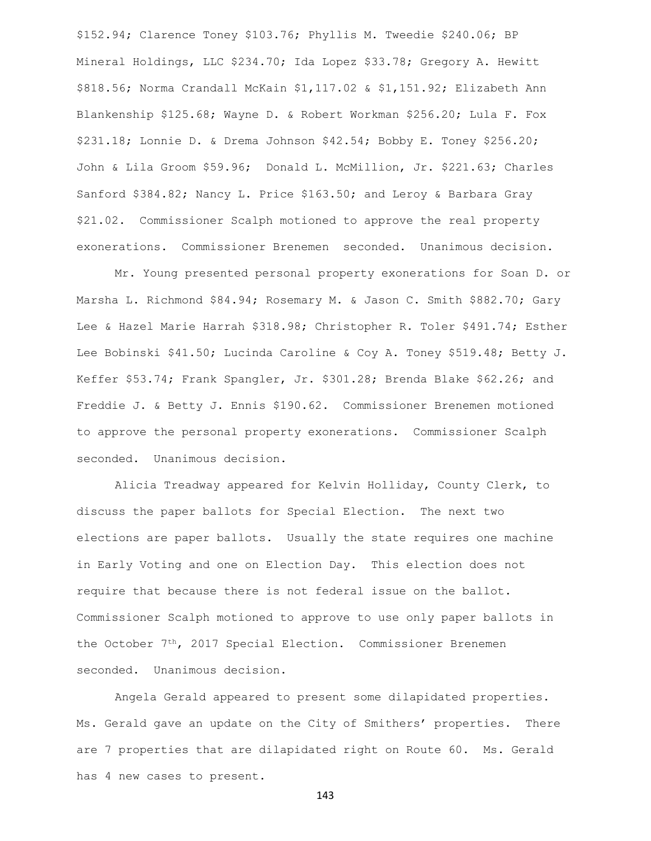\$152.94; Clarence Toney \$103.76; Phyllis M. Tweedie \$240.06; BP Mineral Holdings, LLC \$234.70; Ida Lopez \$33.78; Gregory A. Hewitt \$818.56; Norma Crandall McKain \$1,117.02 & \$1,151.92; Elizabeth Ann Blankenship \$125.68; Wayne D. & Robert Workman \$256.20; Lula F. Fox \$231.18; Lonnie D. & Drema Johnson \$42.54; Bobby E. Toney \$256.20; John & Lila Groom \$59.96; Donald L. McMillion, Jr. \$221.63; Charles Sanford \$384.82; Nancy L. Price \$163.50; and Leroy & Barbara Gray \$21.02. Commissioner Scalph motioned to approve the real property exonerations. Commissioner Brenemen seconded. Unanimous decision.

Mr. Young presented personal property exonerations for Soan D. or Marsha L. Richmond \$84.94; Rosemary M. & Jason C. Smith \$882.70; Gary Lee & Hazel Marie Harrah \$318.98; Christopher R. Toler \$491.74; Esther Lee Bobinski \$41.50; Lucinda Caroline & Coy A. Toney \$519.48; Betty J. Keffer \$53.74; Frank Spangler, Jr. \$301.28; Brenda Blake \$62.26; and Freddie J. & Betty J. Ennis \$190.62. Commissioner Brenemen motioned to approve the personal property exonerations. Commissioner Scalph seconded. Unanimous decision.

Alicia Treadway appeared for Kelvin Holliday, County Clerk, to discuss the paper ballots for Special Election. The next two elections are paper ballots. Usually the state requires one machine in Early Voting and one on Election Day. This election does not require that because there is not federal issue on the ballot. Commissioner Scalph motioned to approve to use only paper ballots in the October  $7<sup>th</sup>$ , 2017 Special Election. Commissioner Brenemen seconded. Unanimous decision.

Angela Gerald appeared to present some dilapidated properties. Ms. Gerald gave an update on the City of Smithers' properties. There are 7 properties that are dilapidated right on Route 60. Ms. Gerald has 4 new cases to present.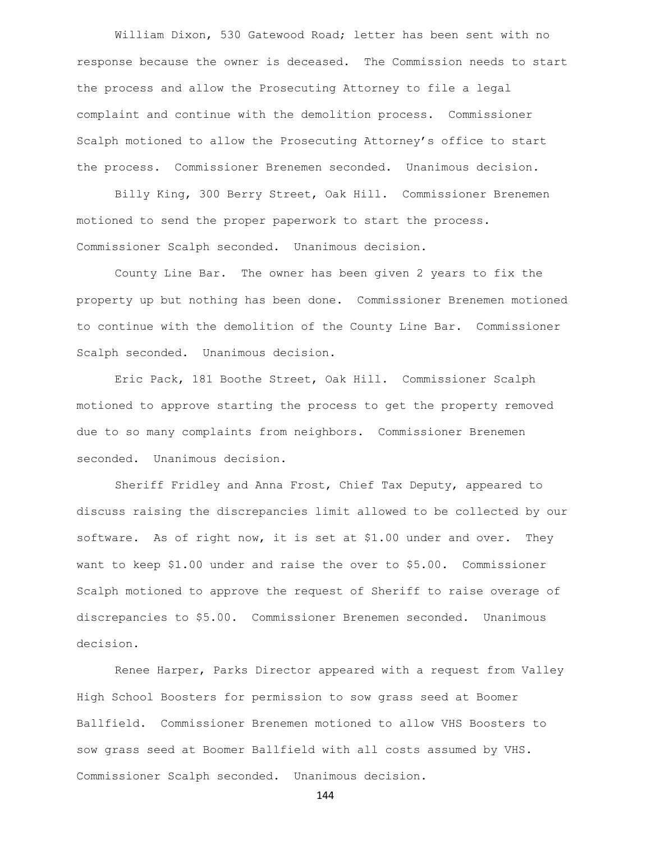William Dixon, 530 Gatewood Road; letter has been sent with no response because the owner is deceased. The Commission needs to start the process and allow the Prosecuting Attorney to file a legal complaint and continue with the demolition process. Commissioner Scalph motioned to allow the Prosecuting Attorney's office to start the process. Commissioner Brenemen seconded. Unanimous decision.

Billy King, 300 Berry Street, Oak Hill. Commissioner Brenemen motioned to send the proper paperwork to start the process. Commissioner Scalph seconded. Unanimous decision.

County Line Bar. The owner has been given 2 years to fix the property up but nothing has been done. Commissioner Brenemen motioned to continue with the demolition of the County Line Bar. Commissioner Scalph seconded. Unanimous decision.

Eric Pack, 181 Boothe Street, Oak Hill. Commissioner Scalph motioned to approve starting the process to get the property removed due to so many complaints from neighbors. Commissioner Brenemen seconded. Unanimous decision.

Sheriff Fridley and Anna Frost, Chief Tax Deputy, appeared to discuss raising the discrepancies limit allowed to be collected by our software. As of right now, it is set at \$1.00 under and over. They want to keep \$1.00 under and raise the over to \$5.00. Commissioner Scalph motioned to approve the request of Sheriff to raise overage of discrepancies to \$5.00. Commissioner Brenemen seconded. Unanimous decision.

Renee Harper, Parks Director appeared with a request from Valley High School Boosters for permission to sow grass seed at Boomer Ballfield. Commissioner Brenemen motioned to allow VHS Boosters to sow grass seed at Boomer Ballfield with all costs assumed by VHS. Commissioner Scalph seconded. Unanimous decision.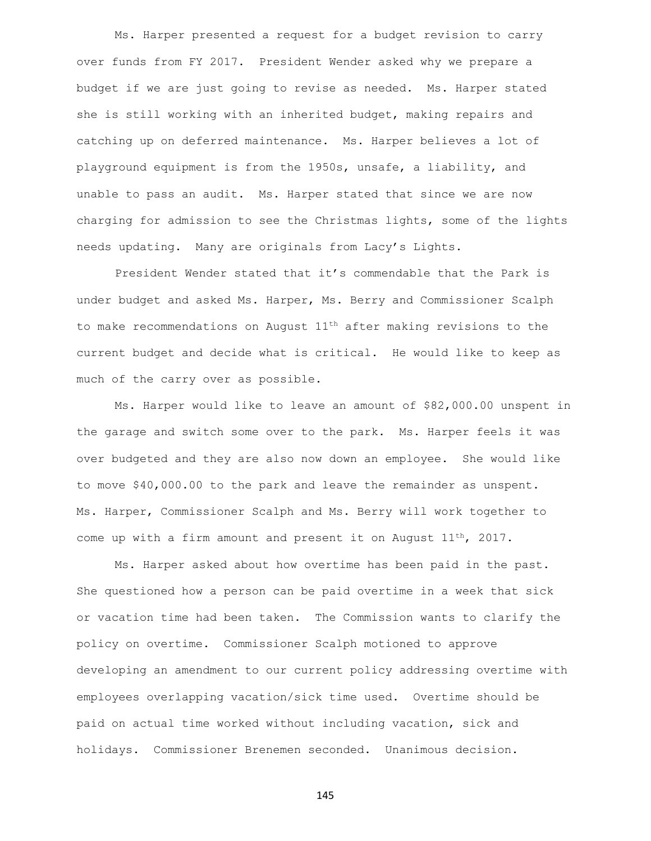Ms. Harper presented a request for a budget revision to carry over funds from FY 2017. President Wender asked why we prepare a budget if we are just going to revise as needed. Ms. Harper stated she is still working with an inherited budget, making repairs and catching up on deferred maintenance. Ms. Harper believes a lot of playground equipment is from the 1950s, unsafe, a liability, and unable to pass an audit. Ms. Harper stated that since we are now charging for admission to see the Christmas lights, some of the lights needs updating. Many are originals from Lacy's Lights.

President Wender stated that it's commendable that the Park is under budget and asked Ms. Harper, Ms. Berry and Commissioner Scalph to make recommendations on August 11th after making revisions to the current budget and decide what is critical. He would like to keep as much of the carry over as possible.

Ms. Harper would like to leave an amount of \$82,000.00 unspent in the garage and switch some over to the park. Ms. Harper feels it was over budgeted and they are also now down an employee. She would like to move \$40,000.00 to the park and leave the remainder as unspent. Ms. Harper, Commissioner Scalph and Ms. Berry will work together to come up with a firm amount and present it on August  $11^{th}$ , 2017.

Ms. Harper asked about how overtime has been paid in the past. She questioned how a person can be paid overtime in a week that sick or vacation time had been taken. The Commission wants to clarify the policy on overtime. Commissioner Scalph motioned to approve developing an amendment to our current policy addressing overtime with employees overlapping vacation/sick time used. Overtime should be paid on actual time worked without including vacation, sick and holidays. Commissioner Brenemen seconded. Unanimous decision.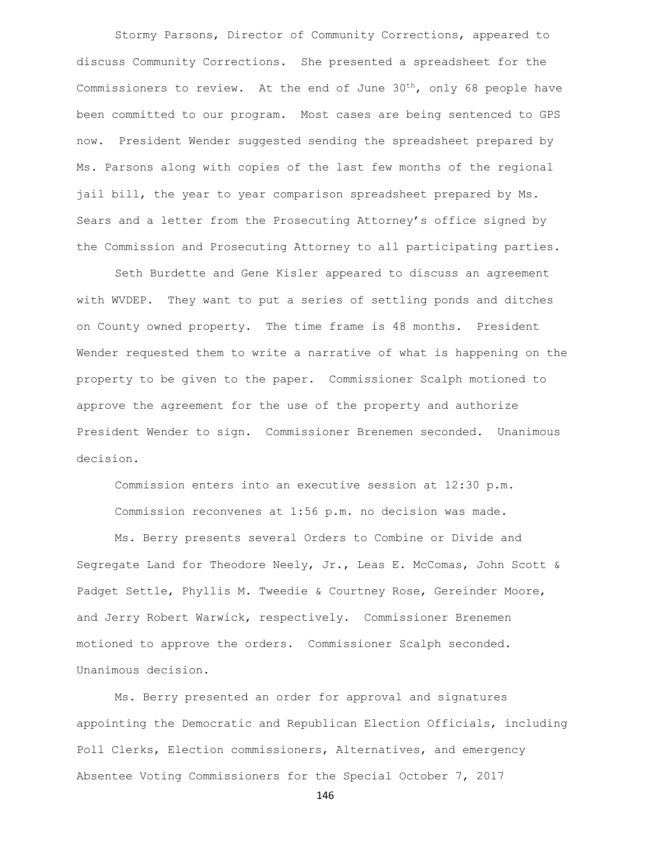Stormy Parsons, Director of Community Corrections, appeared to discuss Community Corrections. She presented a spreadsheet for the Commissioners to review. At the end of June  $30<sup>th</sup>$ , only 68 people have been committed to our program. Most cases are being sentenced to GPS now. President Wender suggested sending the spreadsheet prepared by Ms. Parsons along with copies of the last few months of the regional jail bill, the year to year comparison spreadsheet prepared by Ms. Sears and a letter from the Prosecuting Attorney's office signed by the Commission and Prosecuting Attorney to all participating parties.

Seth Burdette and Gene Kisler appeared to discuss an agreement with WVDEP. They want to put a series of settling ponds and ditches on County owned property. The time frame is 48 months. President Wender requested them to write a narrative of what is happening on the property to be given to the paper. Commissioner Scalph motioned to approve the agreement for the use of the property and authorize President Wender to sign. Commissioner Brenemen seconded. Unanimous decision.

Commission enters into an executive session at 12:30 p.m. Commission reconvenes at 1:56 p.m. no decision was made.

Ms. Berry presents several Orders to Combine or Divide and Segregate Land for Theodore Neely, Jr., Leas E. McComas, John Scott & Padget Settle, Phyllis M. Tweedie & Courtney Rose, Gereinder Moore, and Jerry Robert Warwick, respectively. Commissioner Brenemen motioned to approve the orders. Commissioner Scalph seconded. Unanimous decision.

Ms. Berry presented an order for approval and signatures appointing the Democratic and Republican Election Officials, including Poll Clerks, Election commissioners, Alternatives, and emergency Absentee Voting Commissioners for the Special October 7, 2017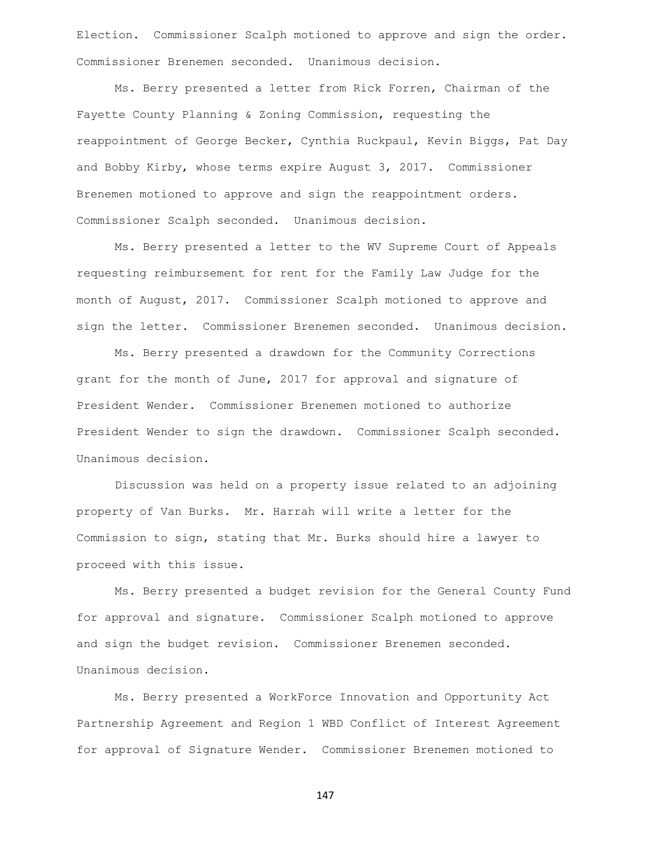Election. Commissioner Scalph motioned to approve and sign the order. Commissioner Brenemen seconded. Unanimous decision.

Ms. Berry presented a letter from Rick Forren, Chairman of the Fayette County Planning & Zoning Commission, requesting the reappointment of George Becker, Cynthia Ruckpaul, Kevin Biggs, Pat Day and Bobby Kirby, whose terms expire August 3, 2017. Commissioner Brenemen motioned to approve and sign the reappointment orders. Commissioner Scalph seconded. Unanimous decision.

Ms. Berry presented a letter to the WV Supreme Court of Appeals requesting reimbursement for rent for the Family Law Judge for the month of August, 2017. Commissioner Scalph motioned to approve and sign the letter. Commissioner Brenemen seconded. Unanimous decision.

Ms. Berry presented a drawdown for the Community Corrections grant for the month of June, 2017 for approval and signature of President Wender. Commissioner Brenemen motioned to authorize President Wender to sign the drawdown. Commissioner Scalph seconded. Unanimous decision.

Discussion was held on a property issue related to an adjoining property of Van Burks. Mr. Harrah will write a letter for the Commission to sign, stating that Mr. Burks should hire a lawyer to proceed with this issue.

Ms. Berry presented a budget revision for the General County Fund for approval and signature. Commissioner Scalph motioned to approve and sign the budget revision. Commissioner Brenemen seconded. Unanimous decision.

Ms. Berry presented a WorkForce Innovation and Opportunity Act Partnership Agreement and Region 1 WBD Conflict of Interest Agreement for approval of Signature Wender. Commissioner Brenemen motioned to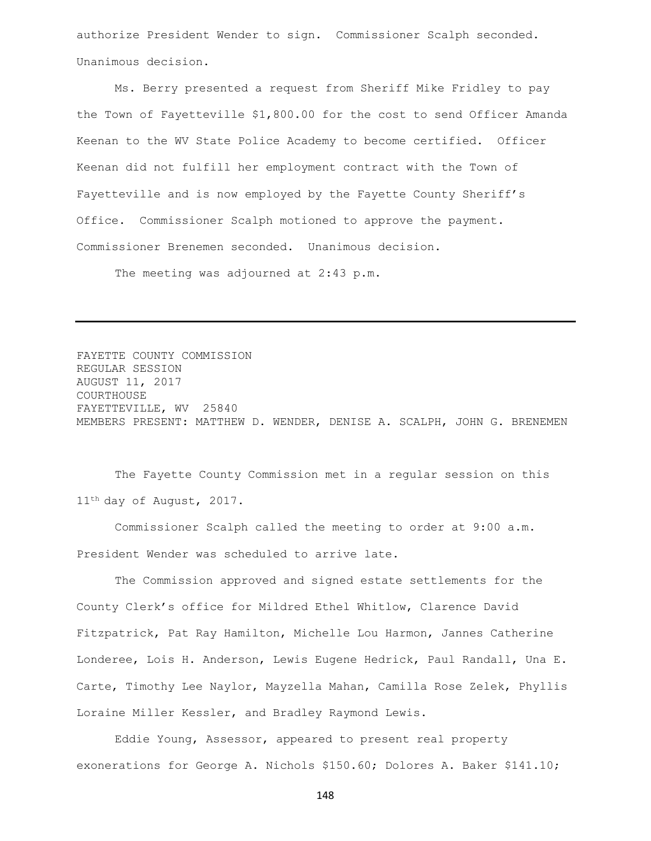authorize President Wender to sign. Commissioner Scalph seconded. Unanimous decision.

Ms. Berry presented a request from Sheriff Mike Fridley to pay the Town of Fayetteville \$1,800.00 for the cost to send Officer Amanda Keenan to the WV State Police Academy to become certified. Officer Keenan did not fulfill her employment contract with the Town of Fayetteville and is now employed by the Fayette County Sheriff's Office. Commissioner Scalph motioned to approve the payment. Commissioner Brenemen seconded. Unanimous decision.

The meeting was adjourned at 2:43 p.m.

FAYETTE COUNTY COMMISSION REGULAR SESSION AUGUST 11, 2017 COURTHOUSE FAYETTEVILLE, WV 25840 MEMBERS PRESENT: MATTHEW D. WENDER, DENISE A. SCALPH, JOHN G. BRENEMEN

The Fayette County Commission met in a regular session on this 11<sup>th</sup> day of August, 2017.

Commissioner Scalph called the meeting to order at 9:00 a.m. President Wender was scheduled to arrive late.

The Commission approved and signed estate settlements for the County Clerk's office for Mildred Ethel Whitlow, Clarence David Fitzpatrick, Pat Ray Hamilton, Michelle Lou Harmon, Jannes Catherine Londeree, Lois H. Anderson, Lewis Eugene Hedrick, Paul Randall, Una E. Carte, Timothy Lee Naylor, Mayzella Mahan, Camilla Rose Zelek, Phyllis Loraine Miller Kessler, and Bradley Raymond Lewis.

Eddie Young, Assessor, appeared to present real property exonerations for George A. Nichols \$150.60; Dolores A. Baker \$141.10;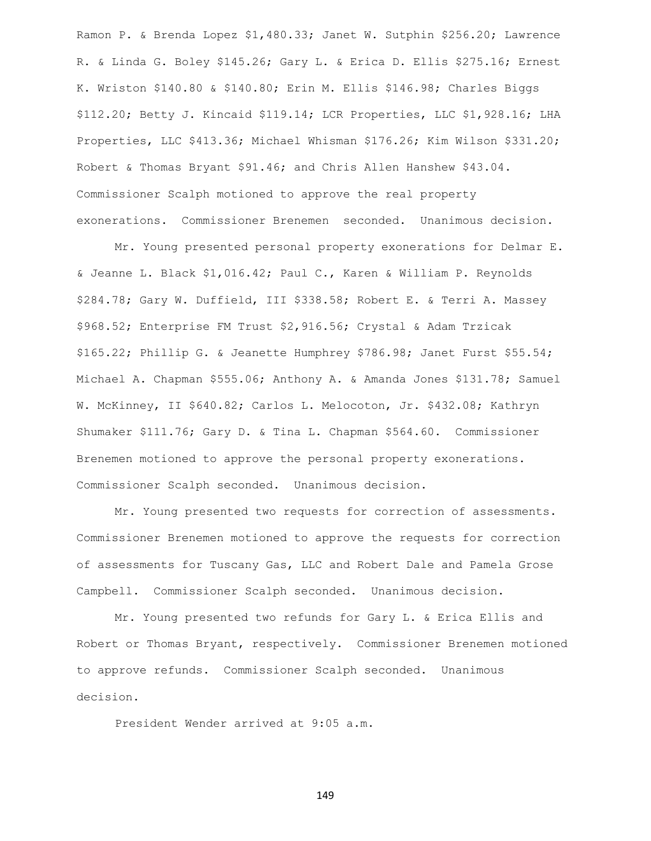Ramon P. & Brenda Lopez \$1,480.33; Janet W. Sutphin \$256.20; Lawrence R. & Linda G. Boley \$145.26; Gary L. & Erica D. Ellis \$275.16; Ernest K. Wriston \$140.80 & \$140.80; Erin M. Ellis \$146.98; Charles Biggs \$112.20; Betty J. Kincaid \$119.14; LCR Properties, LLC \$1,928.16; LHA Properties, LLC \$413.36; Michael Whisman \$176.26; Kim Wilson \$331.20; Robert & Thomas Bryant \$91.46; and Chris Allen Hanshew \$43.04. Commissioner Scalph motioned to approve the real property exonerations. Commissioner Brenemen seconded. Unanimous decision.

Mr. Young presented personal property exonerations for Delmar E. & Jeanne L. Black \$1,016.42; Paul C., Karen & William P. Reynolds \$284.78; Gary W. Duffield, III \$338.58; Robert E. & Terri A. Massey \$968.52; Enterprise FM Trust \$2,916.56; Crystal & Adam Trzicak \$165.22; Phillip G. & Jeanette Humphrey \$786.98; Janet Furst \$55.54; Michael A. Chapman \$555.06; Anthony A. & Amanda Jones \$131.78; Samuel W. McKinney, II \$640.82; Carlos L. Melocoton, Jr. \$432.08; Kathryn Shumaker \$111.76; Gary D. & Tina L. Chapman \$564.60. Commissioner Brenemen motioned to approve the personal property exonerations. Commissioner Scalph seconded. Unanimous decision.

Mr. Young presented two requests for correction of assessments. Commissioner Brenemen motioned to approve the requests for correction of assessments for Tuscany Gas, LLC and Robert Dale and Pamela Grose Campbell. Commissioner Scalph seconded. Unanimous decision.

Mr. Young presented two refunds for Gary L. & Erica Ellis and Robert or Thomas Bryant, respectively. Commissioner Brenemen motioned to approve refunds. Commissioner Scalph seconded. Unanimous decision.

President Wender arrived at 9:05 a.m.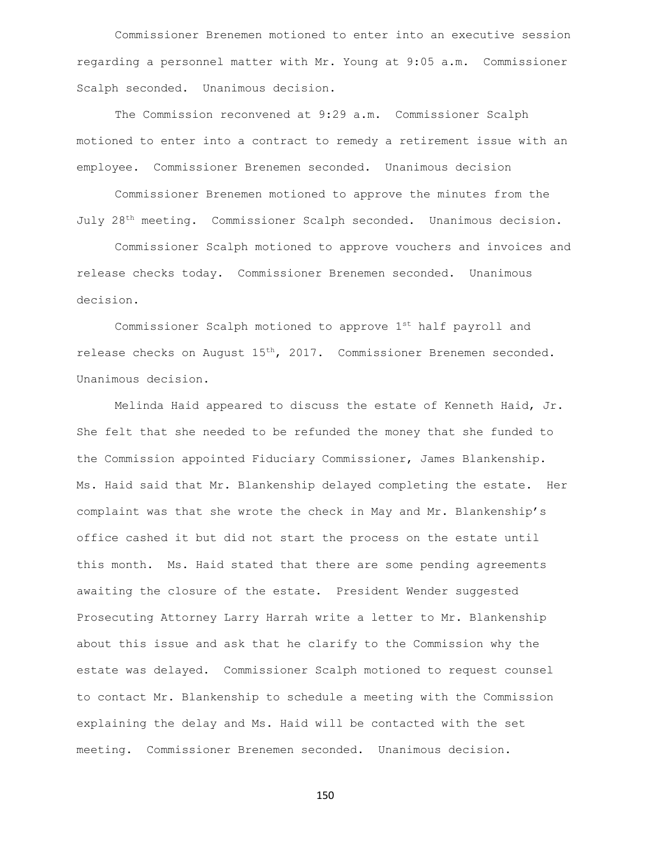Commissioner Brenemen motioned to enter into an executive session regarding a personnel matter with Mr. Young at 9:05 a.m. Commissioner Scalph seconded. Unanimous decision.

The Commission reconvened at 9:29 a.m. Commissioner Scalph motioned to enter into a contract to remedy a retirement issue with an employee. Commissioner Brenemen seconded. Unanimous decision

Commissioner Brenemen motioned to approve the minutes from the July 28th meeting. Commissioner Scalph seconded. Unanimous decision.

Commissioner Scalph motioned to approve vouchers and invoices and release checks today. Commissioner Brenemen seconded. Unanimous decision.

Commissioner Scalph motioned to approve 1st half payroll and release checks on August 15th, 2017. Commissioner Brenemen seconded. Unanimous decision.

Melinda Haid appeared to discuss the estate of Kenneth Haid, Jr. She felt that she needed to be refunded the money that she funded to the Commission appointed Fiduciary Commissioner, James Blankenship. Ms. Haid said that Mr. Blankenship delayed completing the estate. Her complaint was that she wrote the check in May and Mr. Blankenship's office cashed it but did not start the process on the estate until this month. Ms. Haid stated that there are some pending agreements awaiting the closure of the estate. President Wender suggested Prosecuting Attorney Larry Harrah write a letter to Mr. Blankenship about this issue and ask that he clarify to the Commission why the estate was delayed. Commissioner Scalph motioned to request counsel to contact Mr. Blankenship to schedule a meeting with the Commission explaining the delay and Ms. Haid will be contacted with the set meeting. Commissioner Brenemen seconded. Unanimous decision.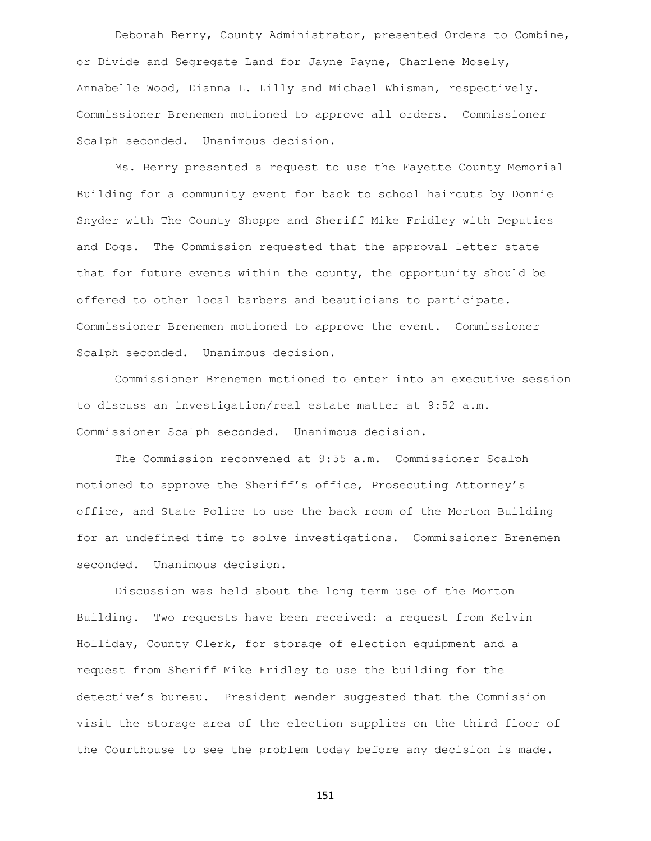Deborah Berry, County Administrator, presented Orders to Combine, or Divide and Segregate Land for Jayne Payne, Charlene Mosely, Annabelle Wood, Dianna L. Lilly and Michael Whisman, respectively. Commissioner Brenemen motioned to approve all orders. Commissioner Scalph seconded. Unanimous decision.

Ms. Berry presented a request to use the Fayette County Memorial Building for a community event for back to school haircuts by Donnie Snyder with The County Shoppe and Sheriff Mike Fridley with Deputies and Dogs. The Commission requested that the approval letter state that for future events within the county, the opportunity should be offered to other local barbers and beauticians to participate. Commissioner Brenemen motioned to approve the event. Commissioner Scalph seconded. Unanimous decision.

Commissioner Brenemen motioned to enter into an executive session to discuss an investigation/real estate matter at 9:52 a.m. Commissioner Scalph seconded. Unanimous decision.

The Commission reconvened at 9:55 a.m. Commissioner Scalph motioned to approve the Sheriff's office, Prosecuting Attorney's office, and State Police to use the back room of the Morton Building for an undefined time to solve investigations. Commissioner Brenemen seconded. Unanimous decision.

Discussion was held about the long term use of the Morton Building. Two requests have been received: a request from Kelvin Holliday, County Clerk, for storage of election equipment and a request from Sheriff Mike Fridley to use the building for the detective's bureau. President Wender suggested that the Commission visit the storage area of the election supplies on the third floor of the Courthouse to see the problem today before any decision is made.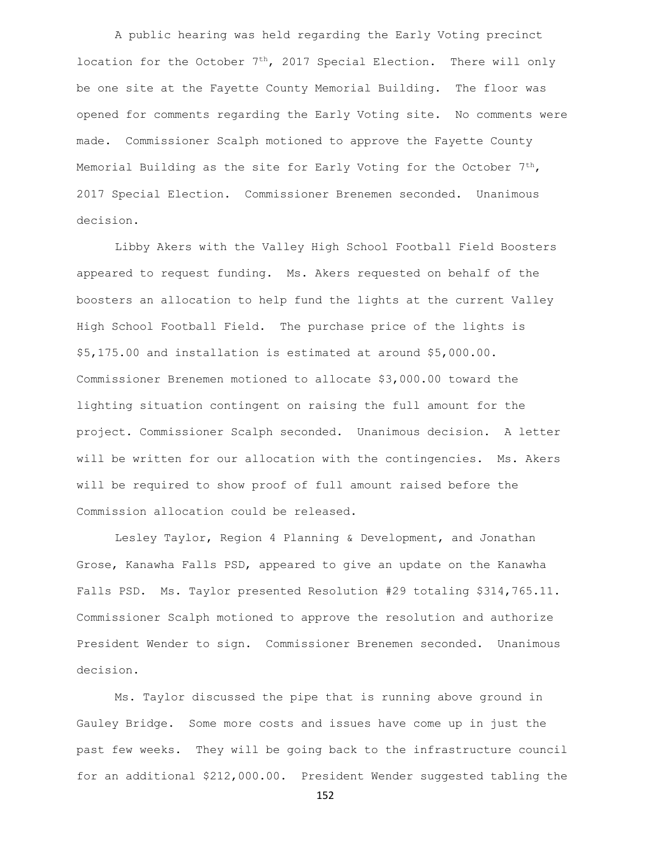A public hearing was held regarding the Early Voting precinct location for the October  $7<sup>th</sup>$ , 2017 Special Election. There will only be one site at the Fayette County Memorial Building. The floor was opened for comments regarding the Early Voting site. No comments were made. Commissioner Scalph motioned to approve the Fayette County Memorial Building as the site for Early Voting for the October  $7<sup>th</sup>$ , 2017 Special Election. Commissioner Brenemen seconded. Unanimous decision.

Libby Akers with the Valley High School Football Field Boosters appeared to request funding. Ms. Akers requested on behalf of the boosters an allocation to help fund the lights at the current Valley High School Football Field. The purchase price of the lights is \$5,175.00 and installation is estimated at around \$5,000.00. Commissioner Brenemen motioned to allocate \$3,000.00 toward the lighting situation contingent on raising the full amount for the project. Commissioner Scalph seconded. Unanimous decision. A letter will be written for our allocation with the contingencies. Ms. Akers will be required to show proof of full amount raised before the Commission allocation could be released.

Lesley Taylor, Region 4 Planning & Development, and Jonathan Grose, Kanawha Falls PSD, appeared to give an update on the Kanawha Falls PSD. Ms. Taylor presented Resolution #29 totaling \$314,765.11. Commissioner Scalph motioned to approve the resolution and authorize President Wender to sign. Commissioner Brenemen seconded. Unanimous decision.

Ms. Taylor discussed the pipe that is running above ground in Gauley Bridge. Some more costs and issues have come up in just the past few weeks. They will be going back to the infrastructure council for an additional \$212,000.00. President Wender suggested tabling the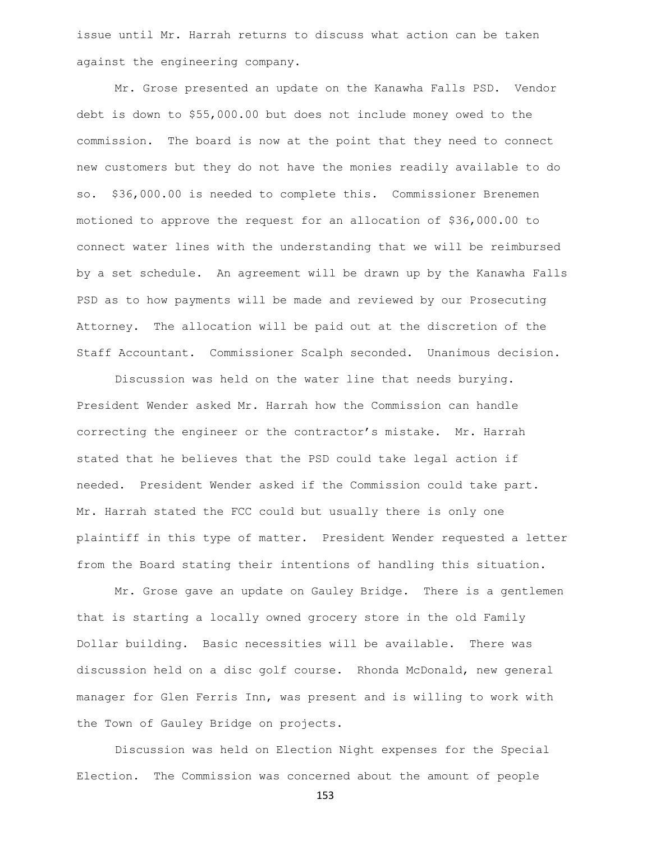issue until Mr. Harrah returns to discuss what action can be taken against the engineering company.

Mr. Grose presented an update on the Kanawha Falls PSD. Vendor debt is down to \$55,000.00 but does not include money owed to the commission. The board is now at the point that they need to connect new customers but they do not have the monies readily available to do so. \$36,000.00 is needed to complete this. Commissioner Brenemen motioned to approve the request for an allocation of \$36,000.00 to connect water lines with the understanding that we will be reimbursed by a set schedule. An agreement will be drawn up by the Kanawha Falls PSD as to how payments will be made and reviewed by our Prosecuting Attorney. The allocation will be paid out at the discretion of the Staff Accountant. Commissioner Scalph seconded. Unanimous decision.

Discussion was held on the water line that needs burying. President Wender asked Mr. Harrah how the Commission can handle correcting the engineer or the contractor's mistake. Mr. Harrah stated that he believes that the PSD could take legal action if needed. President Wender asked if the Commission could take part. Mr. Harrah stated the FCC could but usually there is only one plaintiff in this type of matter. President Wender requested a letter from the Board stating their intentions of handling this situation.

Mr. Grose gave an update on Gauley Bridge. There is a gentlemen that is starting a locally owned grocery store in the old Family Dollar building. Basic necessities will be available. There was discussion held on a disc golf course. Rhonda McDonald, new general manager for Glen Ferris Inn, was present and is willing to work with the Town of Gauley Bridge on projects.

Discussion was held on Election Night expenses for the Special Election. The Commission was concerned about the amount of people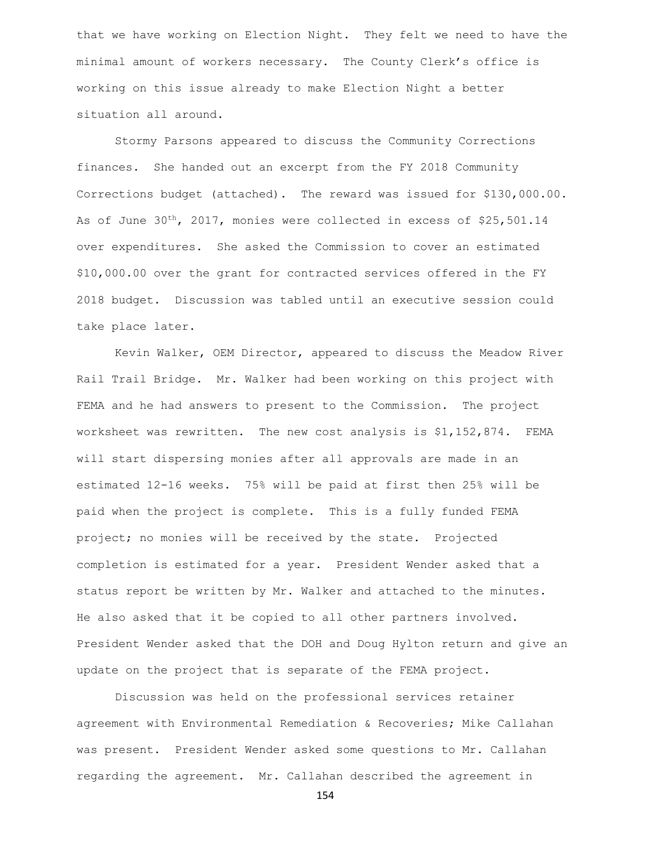that we have working on Election Night. They felt we need to have the minimal amount of workers necessary. The County Clerk's office is working on this issue already to make Election Night a better situation all around.

Stormy Parsons appeared to discuss the Community Corrections finances. She handed out an excerpt from the FY 2018 Community Corrections budget (attached). The reward was issued for \$130,000.00. As of June  $30^{th}$ , 2017, monies were collected in excess of \$25,501.14 over expenditures. She asked the Commission to cover an estimated \$10,000.00 over the grant for contracted services offered in the FY 2018 budget. Discussion was tabled until an executive session could take place later.

Kevin Walker, OEM Director, appeared to discuss the Meadow River Rail Trail Bridge. Mr. Walker had been working on this project with FEMA and he had answers to present to the Commission. The project worksheet was rewritten. The new cost analysis is \$1,152,874. FEMA will start dispersing monies after all approvals are made in an estimated 12-16 weeks. 75% will be paid at first then 25% will be paid when the project is complete. This is a fully funded FEMA project; no monies will be received by the state. Projected completion is estimated for a year. President Wender asked that a status report be written by Mr. Walker and attached to the minutes. He also asked that it be copied to all other partners involved. President Wender asked that the DOH and Doug Hylton return and give an update on the project that is separate of the FEMA project.

Discussion was held on the professional services retainer agreement with Environmental Remediation & Recoveries; Mike Callahan was present. President Wender asked some questions to Mr. Callahan regarding the agreement. Mr. Callahan described the agreement in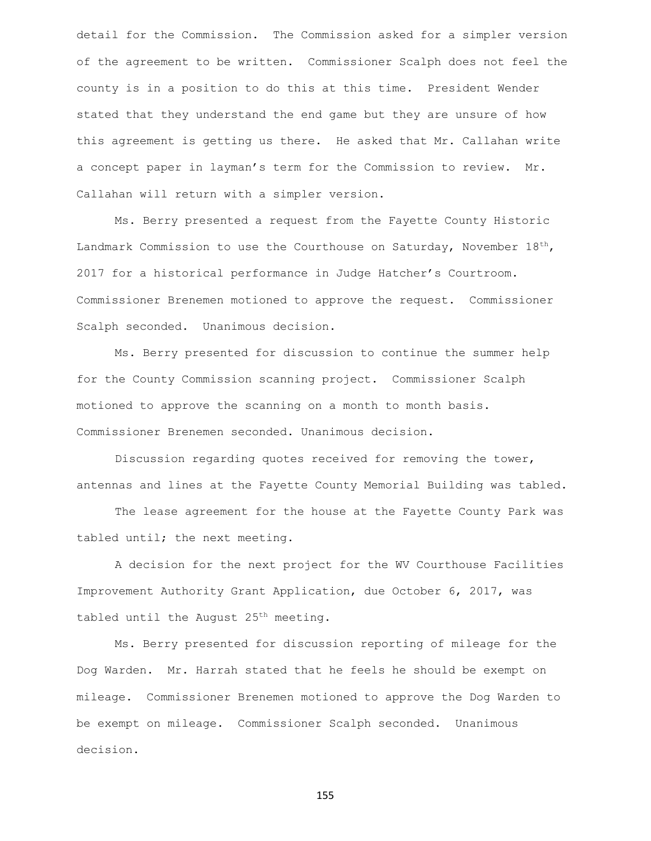detail for the Commission. The Commission asked for a simpler version of the agreement to be written. Commissioner Scalph does not feel the county is in a position to do this at this time. President Wender stated that they understand the end game but they are unsure of how this agreement is getting us there. He asked that Mr. Callahan write a concept paper in layman's term for the Commission to review. Mr. Callahan will return with a simpler version.

Ms. Berry presented a request from the Fayette County Historic Landmark Commission to use the Courthouse on Saturday, November  $18<sup>th</sup>$ , 2017 for a historical performance in Judge Hatcher's Courtroom. Commissioner Brenemen motioned to approve the request. Commissioner Scalph seconded. Unanimous decision.

Ms. Berry presented for discussion to continue the summer help for the County Commission scanning project. Commissioner Scalph motioned to approve the scanning on a month to month basis. Commissioner Brenemen seconded. Unanimous decision.

Discussion regarding quotes received for removing the tower, antennas and lines at the Fayette County Memorial Building was tabled.

The lease agreement for the house at the Fayette County Park was tabled until; the next meeting.

A decision for the next project for the WV Courthouse Facilities Improvement Authority Grant Application, due October 6, 2017, was tabled until the August 25<sup>th</sup> meeting.

Ms. Berry presented for discussion reporting of mileage for the Dog Warden. Mr. Harrah stated that he feels he should be exempt on mileage. Commissioner Brenemen motioned to approve the Dog Warden to be exempt on mileage. Commissioner Scalph seconded. Unanimous decision.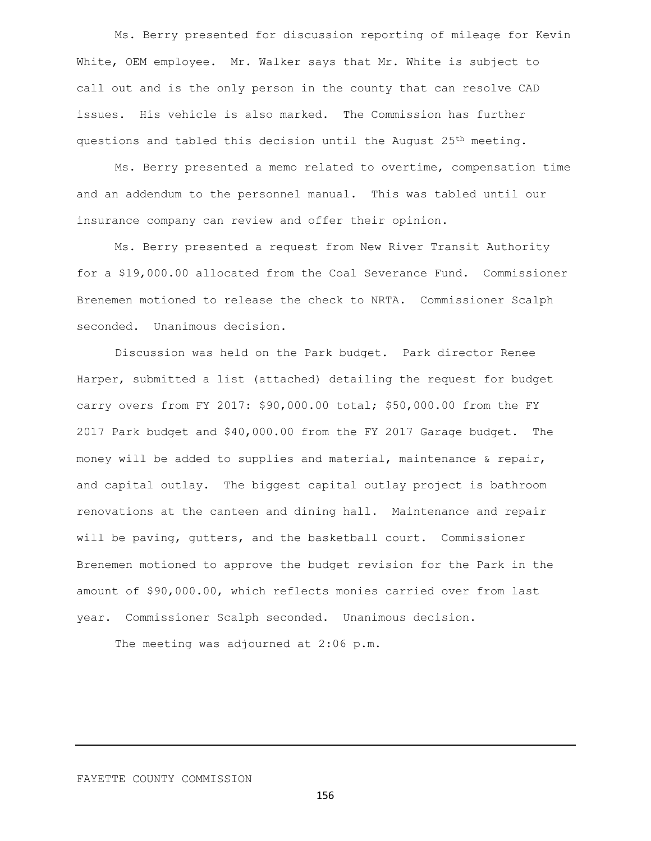Ms. Berry presented for discussion reporting of mileage for Kevin White, OEM employee. Mr. Walker says that Mr. White is subject to call out and is the only person in the county that can resolve CAD issues. His vehicle is also marked. The Commission has further questions and tabled this decision until the August  $25<sup>th</sup>$  meeting.

Ms. Berry presented a memo related to overtime, compensation time and an addendum to the personnel manual. This was tabled until our insurance company can review and offer their opinion.

Ms. Berry presented a request from New River Transit Authority for a \$19,000.00 allocated from the Coal Severance Fund. Commissioner Brenemen motioned to release the check to NRTA. Commissioner Scalph seconded. Unanimous decision.

Discussion was held on the Park budget. Park director Renee Harper, submitted a list (attached) detailing the request for budget carry overs from FY 2017: \$90,000.00 total; \$50,000.00 from the FY 2017 Park budget and \$40,000.00 from the FY 2017 Garage budget. The money will be added to supplies and material, maintenance & repair, and capital outlay. The biggest capital outlay project is bathroom renovations at the canteen and dining hall. Maintenance and repair will be paving, gutters, and the basketball court. Commissioner Brenemen motioned to approve the budget revision for the Park in the amount of \$90,000.00, which reflects monies carried over from last year. Commissioner Scalph seconded. Unanimous decision.

The meeting was adjourned at 2:06 p.m.

FAYETTE COUNTY COMMISSION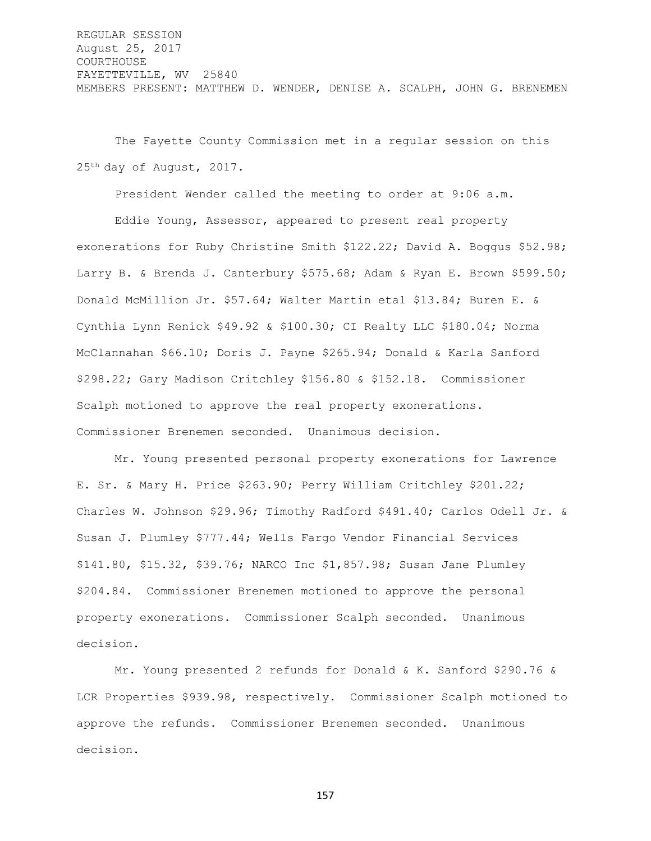REGULAR SESSION August 25, 2017 COURTHOUSE FAYETTEVILLE, WV 25840 MEMBERS PRESENT: MATTHEW D. WENDER, DENISE A. SCALPH, JOHN G. BRENEMEN

The Fayette County Commission met in a regular session on this 25th day of August, 2017.

President Wender called the meeting to order at 9:06 a.m.

Eddie Young, Assessor, appeared to present real property exonerations for Ruby Christine Smith \$122.22; David A. Boggus \$52.98; Larry B. & Brenda J. Canterbury \$575.68; Adam & Ryan E. Brown \$599.50; Donald McMillion Jr. \$57.64; Walter Martin etal \$13.84; Buren E. & Cynthia Lynn Renick \$49.92 & \$100.30; CI Realty LLC \$180.04; Norma McClannahan \$66.10; Doris J. Payne \$265.94; Donald & Karla Sanford \$298.22; Gary Madison Critchley \$156.80 & \$152.18. Commissioner Scalph motioned to approve the real property exonerations. Commissioner Brenemen seconded. Unanimous decision.

Mr. Young presented personal property exonerations for Lawrence E. Sr. & Mary H. Price \$263.90; Perry William Critchley \$201.22; Charles W. Johnson \$29.96; Timothy Radford \$491.40; Carlos Odell Jr. & Susan J. Plumley \$777.44; Wells Fargo Vendor Financial Services \$141.80, \$15.32, \$39.76; NARCO Inc \$1,857.98; Susan Jane Plumley \$204.84. Commissioner Brenemen motioned to approve the personal property exonerations. Commissioner Scalph seconded. Unanimous decision.

Mr. Young presented 2 refunds for Donald & K. Sanford \$290.76 & LCR Properties \$939.98, respectively. Commissioner Scalph motioned to approve the refunds. Commissioner Brenemen seconded. Unanimous decision.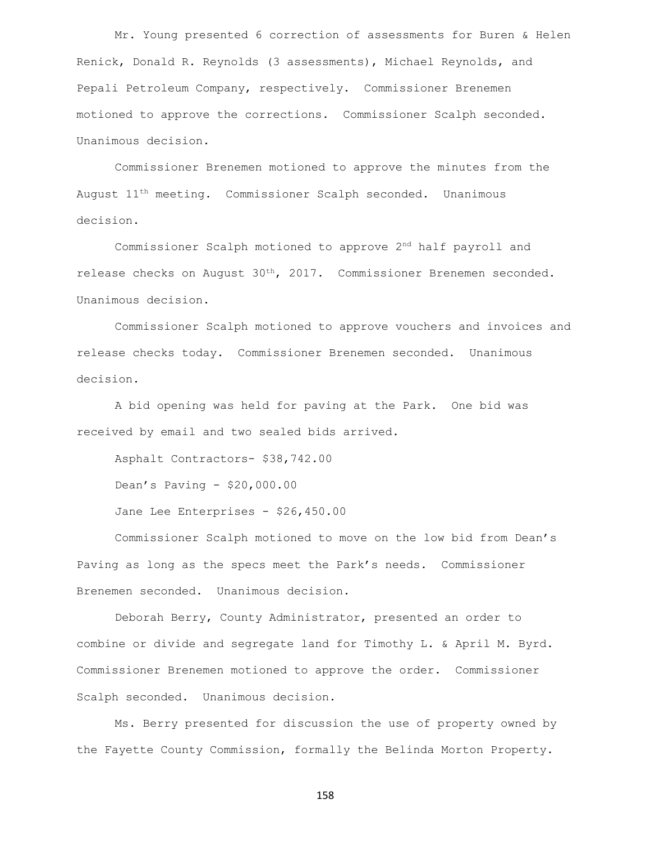Mr. Young presented 6 correction of assessments for Buren & Helen Renick, Donald R. Reynolds (3 assessments), Michael Reynolds, and Pepali Petroleum Company, respectively. Commissioner Brenemen motioned to approve the corrections. Commissioner Scalph seconded. Unanimous decision.

Commissioner Brenemen motioned to approve the minutes from the August  $11<sup>th</sup>$  meeting. Commissioner Scalph seconded. Unanimous decision.

Commissioner Scalph motioned to approve 2nd half payroll and release checks on August 30th, 2017. Commissioner Brenemen seconded. Unanimous decision.

Commissioner Scalph motioned to approve vouchers and invoices and release checks today. Commissioner Brenemen seconded. Unanimous decision.

A bid opening was held for paving at the Park. One bid was received by email and two sealed bids arrived.

Asphalt Contractors- \$38,742.00

Dean's Paving - \$20,000.00

Jane Lee Enterprises - \$26,450.00

Commissioner Scalph motioned to move on the low bid from Dean's Paving as long as the specs meet the Park's needs. Commissioner Brenemen seconded. Unanimous decision.

Deborah Berry, County Administrator, presented an order to combine or divide and segregate land for Timothy L. & April M. Byrd. Commissioner Brenemen motioned to approve the order. Commissioner Scalph seconded. Unanimous decision.

Ms. Berry presented for discussion the use of property owned by the Fayette County Commission, formally the Belinda Morton Property.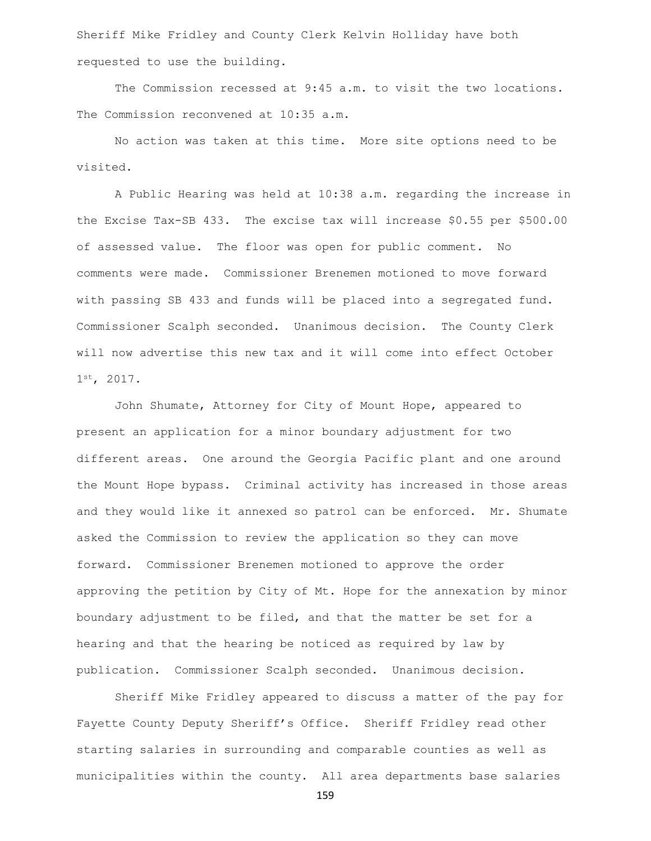Sheriff Mike Fridley and County Clerk Kelvin Holliday have both requested to use the building.

The Commission recessed at 9:45 a.m. to visit the two locations. The Commission reconvened at 10:35 a.m.

No action was taken at this time. More site options need to be visited.

A Public Hearing was held at 10:38 a.m. regarding the increase in the Excise Tax-SB 433. The excise tax will increase \$0.55 per \$500.00 of assessed value. The floor was open for public comment. No comments were made. Commissioner Brenemen motioned to move forward with passing SB 433 and funds will be placed into a segregated fund. Commissioner Scalph seconded. Unanimous decision. The County Clerk will now advertise this new tax and it will come into effect October 1st, 2017.

John Shumate, Attorney for City of Mount Hope, appeared to present an application for a minor boundary adjustment for two different areas. One around the Georgia Pacific plant and one around the Mount Hope bypass. Criminal activity has increased in those areas and they would like it annexed so patrol can be enforced. Mr. Shumate asked the Commission to review the application so they can move forward. Commissioner Brenemen motioned to approve the order approving the petition by City of Mt. Hope for the annexation by minor boundary adjustment to be filed, and that the matter be set for a hearing and that the hearing be noticed as required by law by publication. Commissioner Scalph seconded. Unanimous decision.

Sheriff Mike Fridley appeared to discuss a matter of the pay for Fayette County Deputy Sheriff's Office. Sheriff Fridley read other starting salaries in surrounding and comparable counties as well as municipalities within the county. All area departments base salaries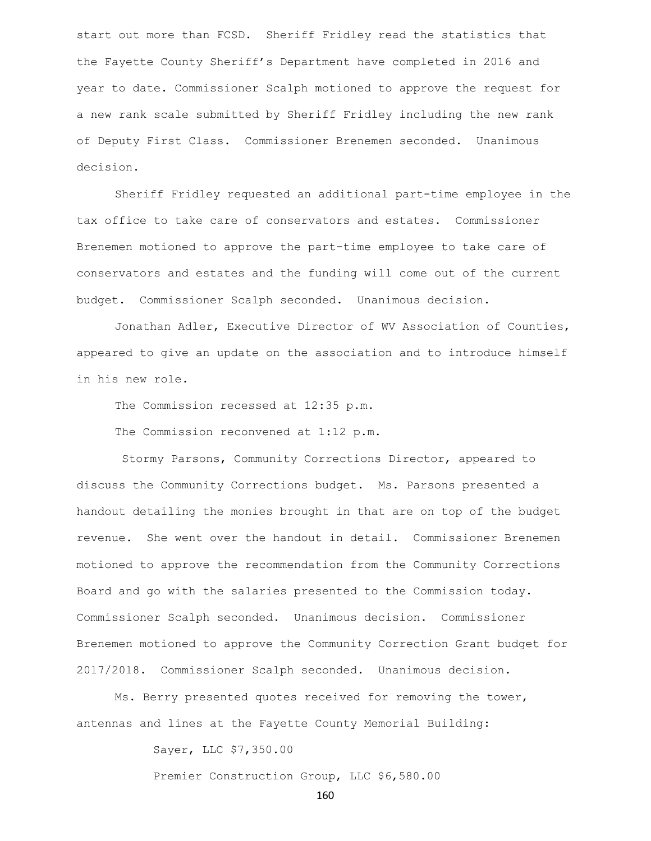start out more than FCSD. Sheriff Fridley read the statistics that the Fayette County Sheriff's Department have completed in 2016 and year to date. Commissioner Scalph motioned to approve the request for a new rank scale submitted by Sheriff Fridley including the new rank of Deputy First Class. Commissioner Brenemen seconded. Unanimous decision.

Sheriff Fridley requested an additional part-time employee in the tax office to take care of conservators and estates. Commissioner Brenemen motioned to approve the part-time employee to take care of conservators and estates and the funding will come out of the current budget. Commissioner Scalph seconded. Unanimous decision.

Jonathan Adler, Executive Director of WV Association of Counties, appeared to give an update on the association and to introduce himself in his new role.

The Commission recessed at 12:35 p.m.

The Commission reconvened at 1:12 p.m.

Stormy Parsons, Community Corrections Director, appeared to discuss the Community Corrections budget. Ms. Parsons presented a handout detailing the monies brought in that are on top of the budget revenue. She went over the handout in detail. Commissioner Brenemen motioned to approve the recommendation from the Community Corrections Board and go with the salaries presented to the Commission today. Commissioner Scalph seconded. Unanimous decision. Commissioner Brenemen motioned to approve the Community Correction Grant budget for 2017/2018. Commissioner Scalph seconded. Unanimous decision.

Ms. Berry presented quotes received for removing the tower, antennas and lines at the Fayette County Memorial Building:

Sayer, LLC \$7,350.00

Premier Construction Group, LLC \$6,580.00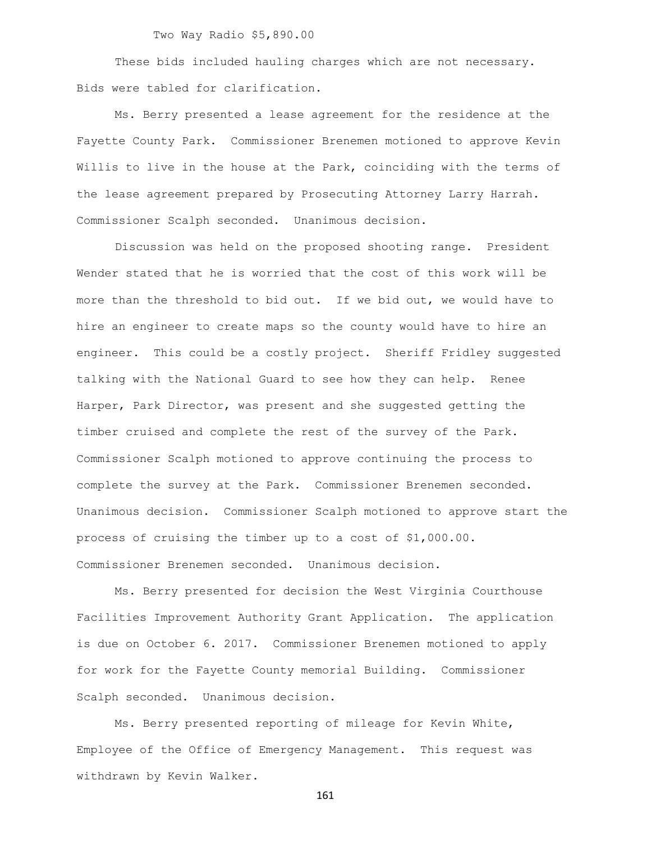Two Way Radio \$5,890.00

These bids included hauling charges which are not necessary. Bids were tabled for clarification.

Ms. Berry presented a lease agreement for the residence at the Fayette County Park. Commissioner Brenemen motioned to approve Kevin Willis to live in the house at the Park, coinciding with the terms of the lease agreement prepared by Prosecuting Attorney Larry Harrah. Commissioner Scalph seconded. Unanimous decision.

Discussion was held on the proposed shooting range. President Wender stated that he is worried that the cost of this work will be more than the threshold to bid out. If we bid out, we would have to hire an engineer to create maps so the county would have to hire an engineer. This could be a costly project. Sheriff Fridley suggested talking with the National Guard to see how they can help. Renee Harper, Park Director, was present and she suggested getting the timber cruised and complete the rest of the survey of the Park. Commissioner Scalph motioned to approve continuing the process to complete the survey at the Park. Commissioner Brenemen seconded. Unanimous decision. Commissioner Scalph motioned to approve start the process of cruising the timber up to a cost of \$1,000.00. Commissioner Brenemen seconded. Unanimous decision.

Ms. Berry presented for decision the West Virginia Courthouse Facilities Improvement Authority Grant Application. The application is due on October 6. 2017. Commissioner Brenemen motioned to apply for work for the Fayette County memorial Building. Commissioner Scalph seconded. Unanimous decision.

Ms. Berry presented reporting of mileage for Kevin White, Employee of the Office of Emergency Management. This request was withdrawn by Kevin Walker.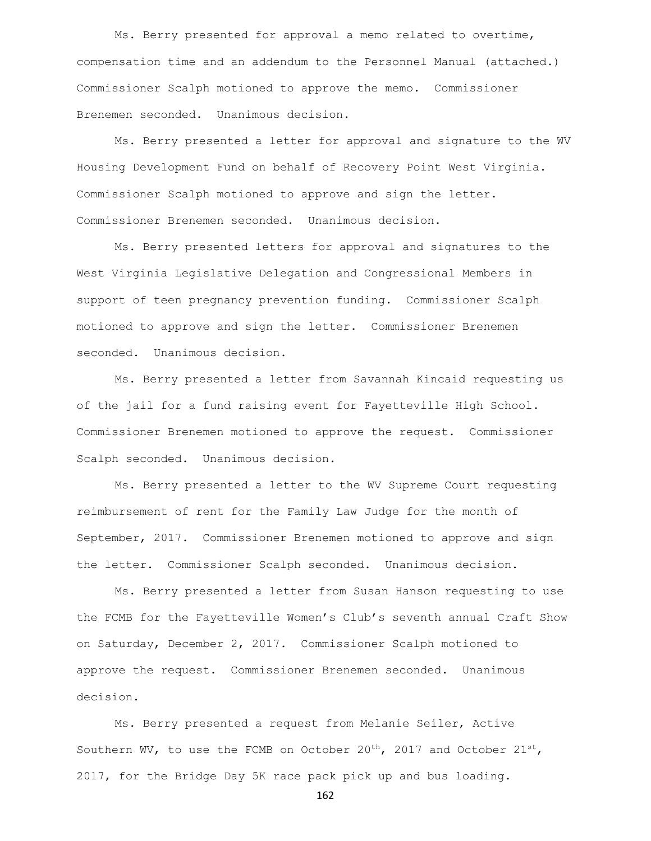Ms. Berry presented for approval a memo related to overtime, compensation time and an addendum to the Personnel Manual (attached.) Commissioner Scalph motioned to approve the memo. Commissioner Brenemen seconded. Unanimous decision.

Ms. Berry presented a letter for approval and signature to the WV Housing Development Fund on behalf of Recovery Point West Virginia. Commissioner Scalph motioned to approve and sign the letter. Commissioner Brenemen seconded. Unanimous decision.

Ms. Berry presented letters for approval and signatures to the West Virginia Legislative Delegation and Congressional Members in support of teen pregnancy prevention funding. Commissioner Scalph motioned to approve and sign the letter. Commissioner Brenemen seconded. Unanimous decision.

Ms. Berry presented a letter from Savannah Kincaid requesting us of the jail for a fund raising event for Fayetteville High School. Commissioner Brenemen motioned to approve the request. Commissioner Scalph seconded. Unanimous decision.

Ms. Berry presented a letter to the WV Supreme Court requesting reimbursement of rent for the Family Law Judge for the month of September, 2017. Commissioner Brenemen motioned to approve and sign the letter. Commissioner Scalph seconded. Unanimous decision.

Ms. Berry presented a letter from Susan Hanson requesting to use the FCMB for the Fayetteville Women's Club's seventh annual Craft Show on Saturday, December 2, 2017. Commissioner Scalph motioned to approve the request. Commissioner Brenemen seconded. Unanimous decision.

Ms. Berry presented a request from Melanie Seiler, Active Southern WV, to use the FCMB on October  $20^{th}$ , 2017 and October  $21^{st}$ , 2017, for the Bridge Day 5K race pack pick up and bus loading.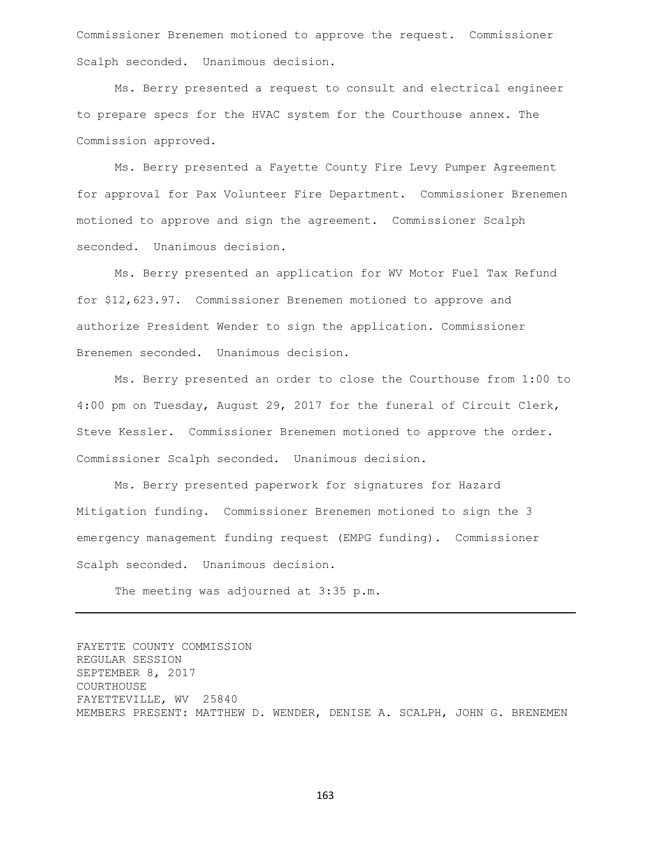Commissioner Brenemen motioned to approve the request. Commissioner Scalph seconded. Unanimous decision.

Ms. Berry presented a request to consult and electrical engineer to prepare specs for the HVAC system for the Courthouse annex. The Commission approved.

Ms. Berry presented a Fayette County Fire Levy Pumper Agreement for approval for Pax Volunteer Fire Department. Commissioner Brenemen motioned to approve and sign the agreement. Commissioner Scalph seconded. Unanimous decision.

Ms. Berry presented an application for WV Motor Fuel Tax Refund for \$12,623.97. Commissioner Brenemen motioned to approve and authorize President Wender to sign the application. Commissioner Brenemen seconded. Unanimous decision.

Ms. Berry presented an order to close the Courthouse from 1:00 to 4:00 pm on Tuesday, August 29, 2017 for the funeral of Circuit Clerk, Steve Kessler. Commissioner Brenemen motioned to approve the order. Commissioner Scalph seconded. Unanimous decision.

Ms. Berry presented paperwork for signatures for Hazard Mitigation funding. Commissioner Brenemen motioned to sign the 3 emergency management funding request (EMPG funding). Commissioner Scalph seconded. Unanimous decision.

The meeting was adjourned at 3:35 p.m.

FAYETTE COUNTY COMMISSION REGULAR SESSION SEPTEMBER 8, 2017 COURTHOUSE FAYETTEVILLE, WV 25840 MEMBERS PRESENT: MATTHEW D. WENDER, DENISE A. SCALPH, JOHN G. BRENEMEN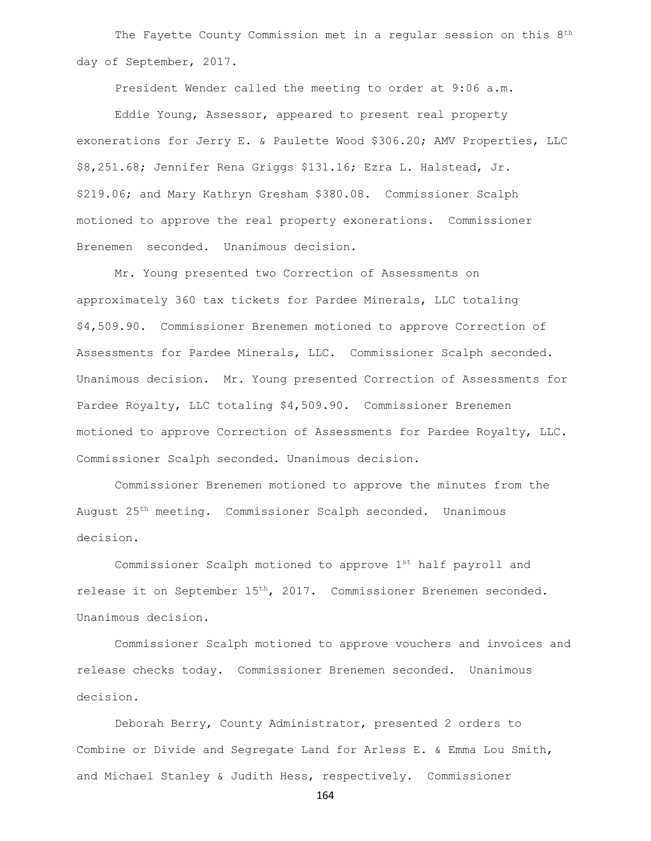The Fayette County Commission met in a regular session on this 8<sup>th</sup> day of September, 2017.

President Wender called the meeting to order at 9:06 a.m.

Eddie Young, Assessor, appeared to present real property exonerations for Jerry E. & Paulette Wood \$306.20; AMV Properties, LLC \$8,251.68; Jennifer Rena Griggs \$131.16; Ezra L. Halstead, Jr. \$219.06; and Mary Kathryn Gresham \$380.08. Commissioner Scalph motioned to approve the real property exonerations. Commissioner Brenemen seconded. Unanimous decision.

Mr. Young presented two Correction of Assessments on approximately 360 tax tickets for Pardee Minerals, LLC totaling \$4,509.90. Commissioner Brenemen motioned to approve Correction of Assessments for Pardee Minerals, LLC. Commissioner Scalph seconded. Unanimous decision. Mr. Young presented Correction of Assessments for Pardee Royalty, LLC totaling \$4,509.90. Commissioner Brenemen motioned to approve Correction of Assessments for Pardee Royalty, LLC. Commissioner Scalph seconded. Unanimous decision.

Commissioner Brenemen motioned to approve the minutes from the August 25th meeting. Commissioner Scalph seconded. Unanimous decision.

Commissioner Scalph motioned to approve 1st half payroll and release it on September 15<sup>th</sup>, 2017. Commissioner Brenemen seconded. Unanimous decision.

Commissioner Scalph motioned to approve vouchers and invoices and release checks today. Commissioner Brenemen seconded. Unanimous decision.

Deborah Berry, County Administrator, presented 2 orders to Combine or Divide and Segregate Land for Arless E. & Emma Lou Smith, and Michael Stanley & Judith Hess, respectively. Commissioner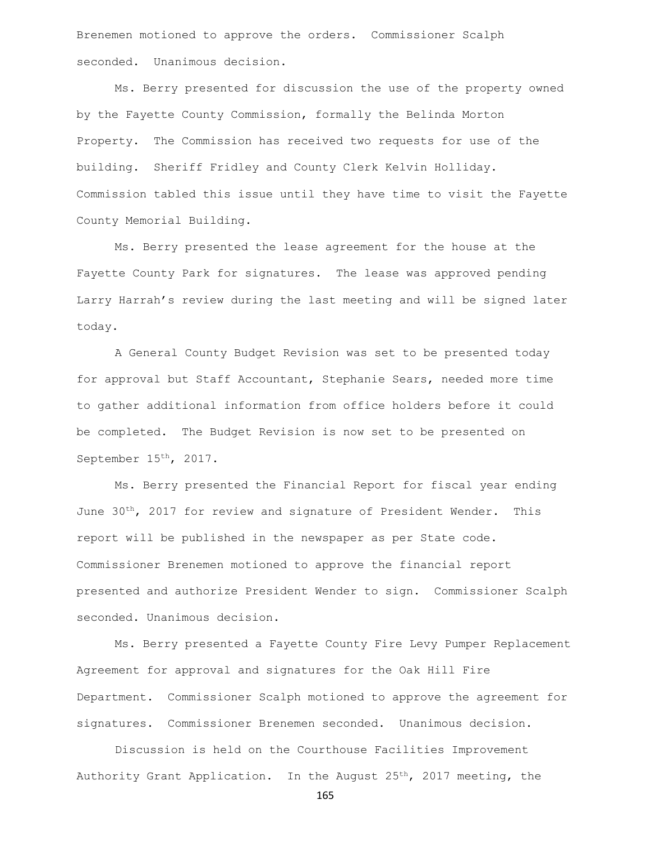Brenemen motioned to approve the orders. Commissioner Scalph seconded. Unanimous decision.

Ms. Berry presented for discussion the use of the property owned by the Fayette County Commission, formally the Belinda Morton Property. The Commission has received two requests for use of the building. Sheriff Fridley and County Clerk Kelvin Holliday. Commission tabled this issue until they have time to visit the Fayette County Memorial Building.

Ms. Berry presented the lease agreement for the house at the Fayette County Park for signatures. The lease was approved pending Larry Harrah's review during the last meeting and will be signed later today.

A General County Budget Revision was set to be presented today for approval but Staff Accountant, Stephanie Sears, needed more time to gather additional information from office holders before it could be completed. The Budget Revision is now set to be presented on September 15<sup>th</sup>, 2017.

Ms. Berry presented the Financial Report for fiscal year ending June 30<sup>th</sup>, 2017 for review and signature of President Wender. This report will be published in the newspaper as per State code. Commissioner Brenemen motioned to approve the financial report presented and authorize President Wender to sign. Commissioner Scalph seconded. Unanimous decision.

Ms. Berry presented a Fayette County Fire Levy Pumper Replacement Agreement for approval and signatures for the Oak Hill Fire Department. Commissioner Scalph motioned to approve the agreement for signatures. Commissioner Brenemen seconded. Unanimous decision.

Discussion is held on the Courthouse Facilities Improvement Authority Grant Application. In the August 25<sup>th</sup>, 2017 meeting, the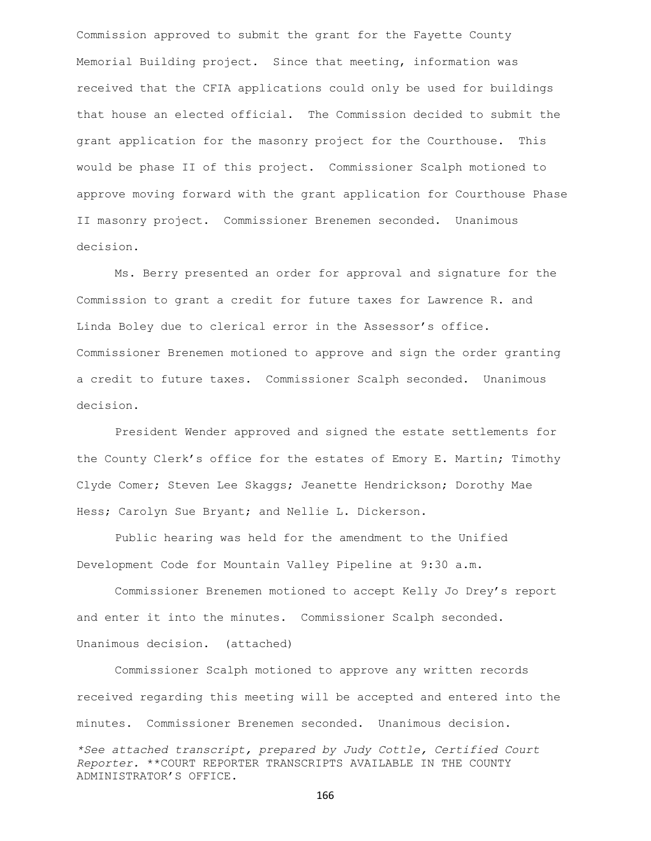Commission approved to submit the grant for the Fayette County Memorial Building project. Since that meeting, information was received that the CFIA applications could only be used for buildings that house an elected official. The Commission decided to submit the grant application for the masonry project for the Courthouse. This would be phase II of this project. Commissioner Scalph motioned to approve moving forward with the grant application for Courthouse Phase II masonry project. Commissioner Brenemen seconded. Unanimous decision.

Ms. Berry presented an order for approval and signature for the Commission to grant a credit for future taxes for Lawrence R. and Linda Boley due to clerical error in the Assessor's office. Commissioner Brenemen motioned to approve and sign the order granting a credit to future taxes. Commissioner Scalph seconded. Unanimous decision.

President Wender approved and signed the estate settlements for the County Clerk's office for the estates of Emory E. Martin; Timothy Clyde Comer; Steven Lee Skaggs; Jeanette Hendrickson; Dorothy Mae Hess; Carolyn Sue Bryant; and Nellie L. Dickerson.

Public hearing was held for the amendment to the Unified Development Code for Mountain Valley Pipeline at 9:30 a.m.

Commissioner Brenemen motioned to accept Kelly Jo Drey's report and enter it into the minutes. Commissioner Scalph seconded. Unanimous decision. (attached)

Commissioner Scalph motioned to approve any written records received regarding this meeting will be accepted and entered into the minutes. Commissioner Brenemen seconded. Unanimous decision.

*\*See attached transcript, prepared by Judy Cottle, Certified Court Reporter.* \*\*COURT REPORTER TRANSCRIPTS AVAILABLE IN THE COUNTY ADMINISTRATOR'S OFFICE.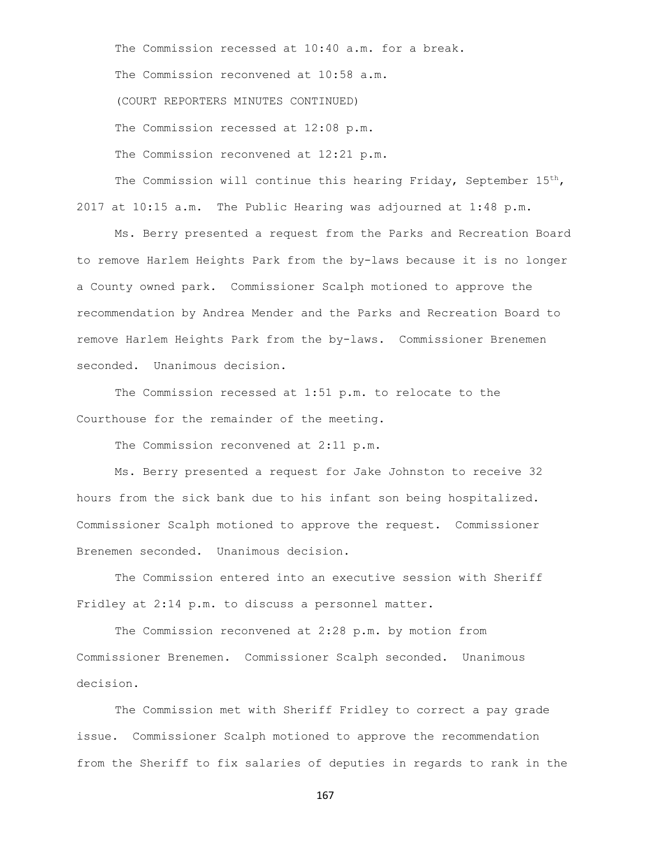The Commission recessed at 10:40 a.m. for a break. The Commission reconvened at 10:58 a.m. (COURT REPORTERS MINUTES CONTINUED) The Commission recessed at 12:08 p.m. The Commission reconvened at 12:21 p.m.

The Commission will continue this hearing Friday, September  $15<sup>th</sup>$ , 2017 at 10:15 a.m. The Public Hearing was adjourned at 1:48 p.m.

Ms. Berry presented a request from the Parks and Recreation Board to remove Harlem Heights Park from the by-laws because it is no longer a County owned park. Commissioner Scalph motioned to approve the recommendation by Andrea Mender and the Parks and Recreation Board to remove Harlem Heights Park from the by-laws. Commissioner Brenemen seconded. Unanimous decision.

The Commission recessed at 1:51 p.m. to relocate to the Courthouse for the remainder of the meeting.

The Commission reconvened at 2:11 p.m.

Ms. Berry presented a request for Jake Johnston to receive 32 hours from the sick bank due to his infant son being hospitalized. Commissioner Scalph motioned to approve the request. Commissioner Brenemen seconded. Unanimous decision.

The Commission entered into an executive session with Sheriff Fridley at 2:14 p.m. to discuss a personnel matter.

The Commission reconvened at 2:28 p.m. by motion from Commissioner Brenemen. Commissioner Scalph seconded. Unanimous decision.

The Commission met with Sheriff Fridley to correct a pay grade issue. Commissioner Scalph motioned to approve the recommendation from the Sheriff to fix salaries of deputies in regards to rank in the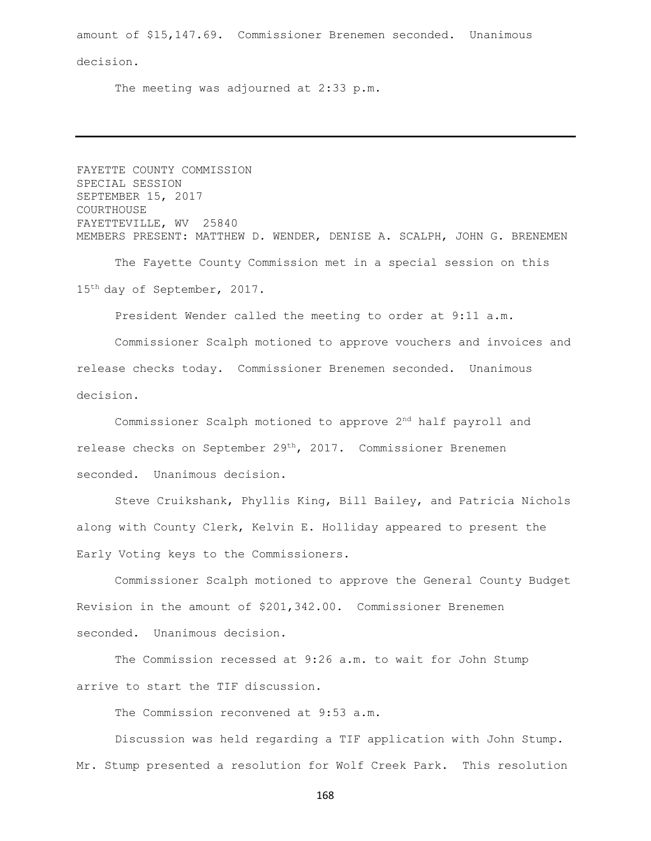amount of \$15,147.69. Commissioner Brenemen seconded. Unanimous decision.

The meeting was adjourned at 2:33 p.m.

FAYETTE COUNTY COMMISSION SPECIAL SESSION SEPTEMBER 15, 2017 COURTHOUSE FAYETTEVILLE, WV 25840 MEMBERS PRESENT: MATTHEW D. WENDER, DENISE A. SCALPH, JOHN G. BRENEMEN

The Fayette County Commission met in a special session on this 15th day of September, 2017.

President Wender called the meeting to order at 9:11 a.m.

Commissioner Scalph motioned to approve vouchers and invoices and release checks today. Commissioner Brenemen seconded. Unanimous decision.

Commissioner Scalph motioned to approve 2nd half payroll and release checks on September 29th, 2017. Commissioner Brenemen seconded. Unanimous decision.

Steve Cruikshank, Phyllis King, Bill Bailey, and Patricia Nichols along with County Clerk, Kelvin E. Holliday appeared to present the Early Voting keys to the Commissioners.

Commissioner Scalph motioned to approve the General County Budget Revision in the amount of \$201,342.00. Commissioner Brenemen seconded. Unanimous decision.

The Commission recessed at 9:26 a.m. to wait for John Stump arrive to start the TIF discussion.

The Commission reconvened at 9:53 a.m.

Discussion was held regarding a TIF application with John Stump. Mr. Stump presented a resolution for Wolf Creek Park. This resolution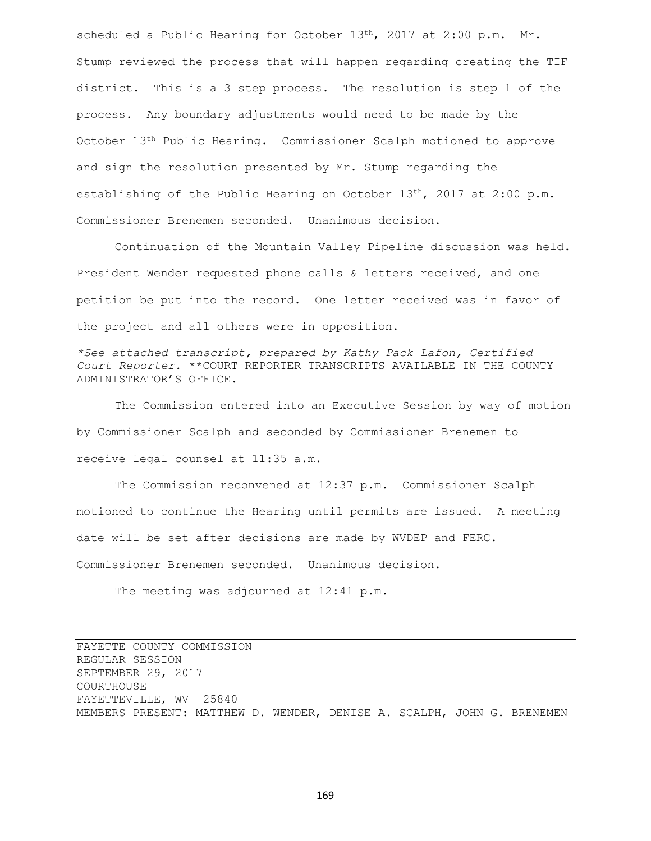scheduled a Public Hearing for October 13<sup>th</sup>, 2017 at 2:00 p.m. Mr. Stump reviewed the process that will happen regarding creating the TIF district. This is a 3 step process. The resolution is step 1 of the process. Any boundary adjustments would need to be made by the October 13th Public Hearing. Commissioner Scalph motioned to approve and sign the resolution presented by Mr. Stump regarding the establishing of the Public Hearing on October  $13<sup>th</sup>$ , 2017 at 2:00 p.m. Commissioner Brenemen seconded. Unanimous decision.

Continuation of the Mountain Valley Pipeline discussion was held. President Wender requested phone calls & letters received, and one petition be put into the record. One letter received was in favor of the project and all others were in opposition.

*\*See attached transcript, prepared by Kathy Pack Lafon, Certified Court Reporter.* \*\*COURT REPORTER TRANSCRIPTS AVAILABLE IN THE COUNTY ADMINISTRATOR'S OFFICE.

The Commission entered into an Executive Session by way of motion by Commissioner Scalph and seconded by Commissioner Brenemen to receive legal counsel at 11:35 a.m.

The Commission reconvened at 12:37 p.m. Commissioner Scalph motioned to continue the Hearing until permits are issued. A meeting date will be set after decisions are made by WVDEP and FERC. Commissioner Brenemen seconded. Unanimous decision.

The meeting was adjourned at 12:41 p.m.

FAYETTE COUNTY COMMISSION REGULAR SESSION SEPTEMBER 29, 2017 COURTHOUSE FAYETTEVILLE, WV 25840 MEMBERS PRESENT: MATTHEW D. WENDER, DENISE A. SCALPH, JOHN G. BRENEMEN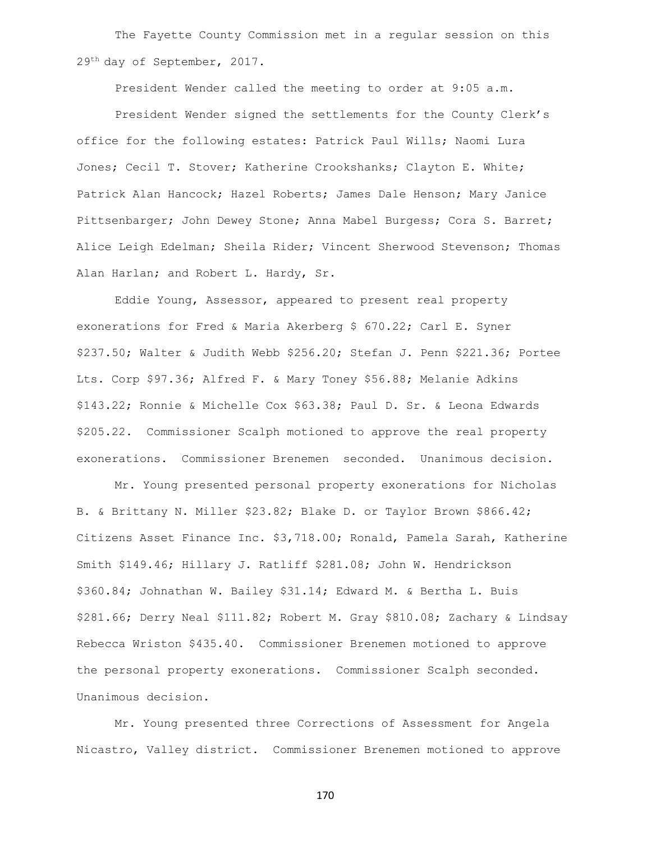The Fayette County Commission met in a regular session on this 29th day of September, 2017.

President Wender called the meeting to order at 9:05 a.m.

President Wender signed the settlements for the County Clerk's office for the following estates: Patrick Paul Wills; Naomi Lura Jones; Cecil T. Stover; Katherine Crookshanks; Clayton E. White; Patrick Alan Hancock; Hazel Roberts; James Dale Henson; Mary Janice Pittsenbarger; John Dewey Stone; Anna Mabel Burgess; Cora S. Barret; Alice Leigh Edelman; Sheila Rider; Vincent Sherwood Stevenson; Thomas Alan Harlan; and Robert L. Hardy, Sr.

Eddie Young, Assessor, appeared to present real property exonerations for Fred & Maria Akerberg \$ 670.22; Carl E. Syner \$237.50; Walter & Judith Webb \$256.20; Stefan J. Penn \$221.36; Portee Lts. Corp \$97.36; Alfred F. & Mary Toney \$56.88; Melanie Adkins \$143.22; Ronnie & Michelle Cox \$63.38; Paul D. Sr. & Leona Edwards \$205.22. Commissioner Scalph motioned to approve the real property exonerations. Commissioner Brenemen seconded. Unanimous decision.

Mr. Young presented personal property exonerations for Nicholas B. & Brittany N. Miller \$23.82; Blake D. or Taylor Brown \$866.42; Citizens Asset Finance Inc. \$3,718.00; Ronald, Pamela Sarah, Katherine Smith \$149.46; Hillary J. Ratliff \$281.08; John W. Hendrickson \$360.84; Johnathan W. Bailey \$31.14; Edward M. & Bertha L. Buis \$281.66; Derry Neal \$111.82; Robert M. Gray \$810.08; Zachary & Lindsay Rebecca Wriston \$435.40. Commissioner Brenemen motioned to approve the personal property exonerations. Commissioner Scalph seconded. Unanimous decision.

Mr. Young presented three Corrections of Assessment for Angela Nicastro, Valley district. Commissioner Brenemen motioned to approve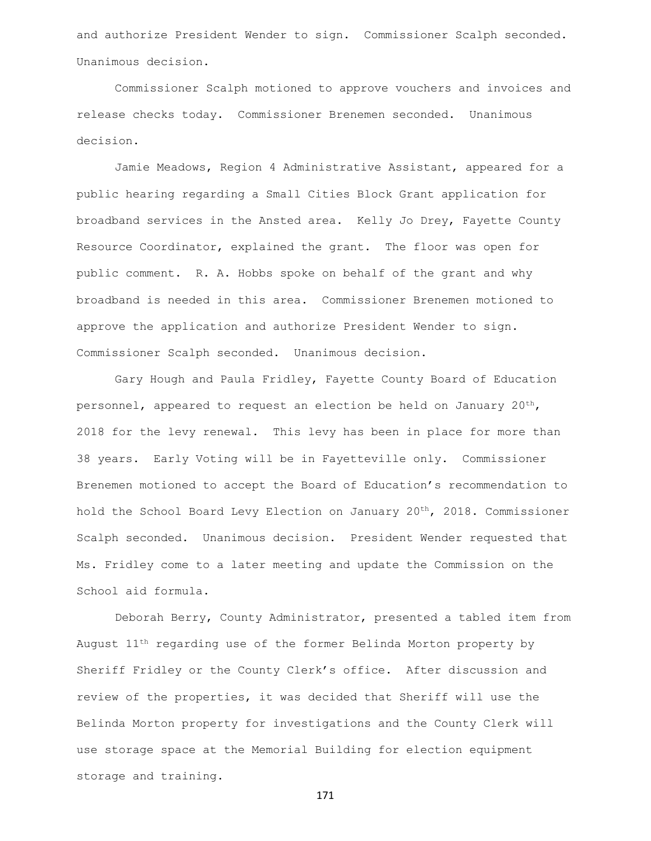and authorize President Wender to sign. Commissioner Scalph seconded. Unanimous decision.

Commissioner Scalph motioned to approve vouchers and invoices and release checks today. Commissioner Brenemen seconded. Unanimous decision.

Jamie Meadows, Region 4 Administrative Assistant, appeared for a public hearing regarding a Small Cities Block Grant application for broadband services in the Ansted area. Kelly Jo Drey, Fayette County Resource Coordinator, explained the grant. The floor was open for public comment. R. A. Hobbs spoke on behalf of the grant and why broadband is needed in this area. Commissioner Brenemen motioned to approve the application and authorize President Wender to sign. Commissioner Scalph seconded. Unanimous decision.

Gary Hough and Paula Fridley, Fayette County Board of Education personnel, appeared to request an election be held on January  $20^{th}$ , 2018 for the levy renewal. This levy has been in place for more than 38 years. Early Voting will be in Fayetteville only. Commissioner Brenemen motioned to accept the Board of Education's recommendation to hold the School Board Levy Election on January 20<sup>th</sup>, 2018. Commissioner Scalph seconded. Unanimous decision. President Wender requested that Ms. Fridley come to a later meeting and update the Commission on the School aid formula.

Deborah Berry, County Administrator, presented a tabled item from August 11th regarding use of the former Belinda Morton property by Sheriff Fridley or the County Clerk's office. After discussion and review of the properties, it was decided that Sheriff will use the Belinda Morton property for investigations and the County Clerk will use storage space at the Memorial Building for election equipment storage and training.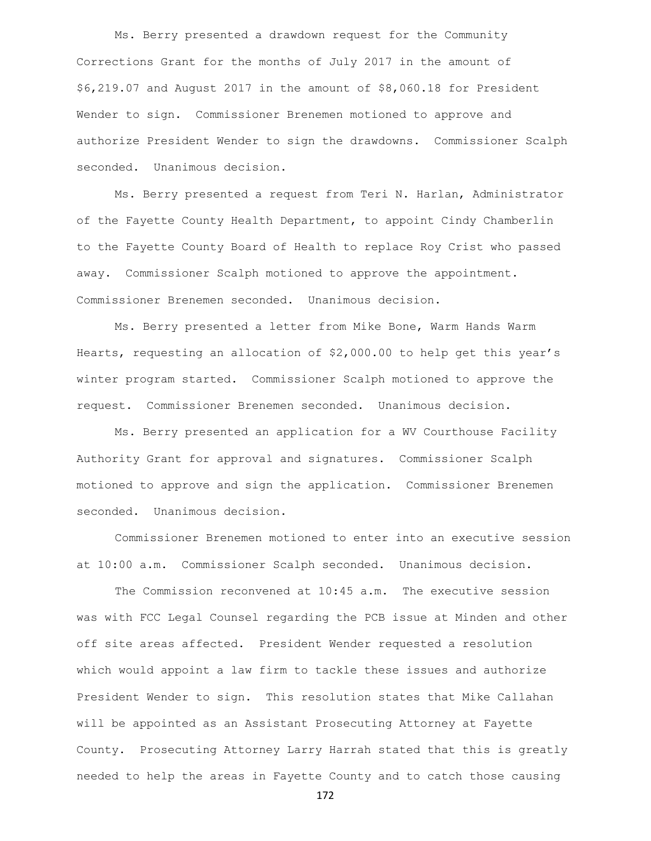Ms. Berry presented a drawdown request for the Community Corrections Grant for the months of July 2017 in the amount of \$6,219.07 and August 2017 in the amount of \$8,060.18 for President Wender to sign. Commissioner Brenemen motioned to approve and authorize President Wender to sign the drawdowns. Commissioner Scalph seconded. Unanimous decision.

Ms. Berry presented a request from Teri N. Harlan, Administrator of the Fayette County Health Department, to appoint Cindy Chamberlin to the Fayette County Board of Health to replace Roy Crist who passed away. Commissioner Scalph motioned to approve the appointment. Commissioner Brenemen seconded. Unanimous decision.

Ms. Berry presented a letter from Mike Bone, Warm Hands Warm Hearts, requesting an allocation of \$2,000.00 to help get this year's winter program started. Commissioner Scalph motioned to approve the request. Commissioner Brenemen seconded. Unanimous decision.

Ms. Berry presented an application for a WV Courthouse Facility Authority Grant for approval and signatures. Commissioner Scalph motioned to approve and sign the application. Commissioner Brenemen seconded. Unanimous decision.

Commissioner Brenemen motioned to enter into an executive session at 10:00 a.m. Commissioner Scalph seconded. Unanimous decision.

The Commission reconvened at 10:45 a.m. The executive session was with FCC Legal Counsel regarding the PCB issue at Minden and other off site areas affected. President Wender requested a resolution which would appoint a law firm to tackle these issues and authorize President Wender to sign. This resolution states that Mike Callahan will be appointed as an Assistant Prosecuting Attorney at Fayette County. Prosecuting Attorney Larry Harrah stated that this is greatly needed to help the areas in Fayette County and to catch those causing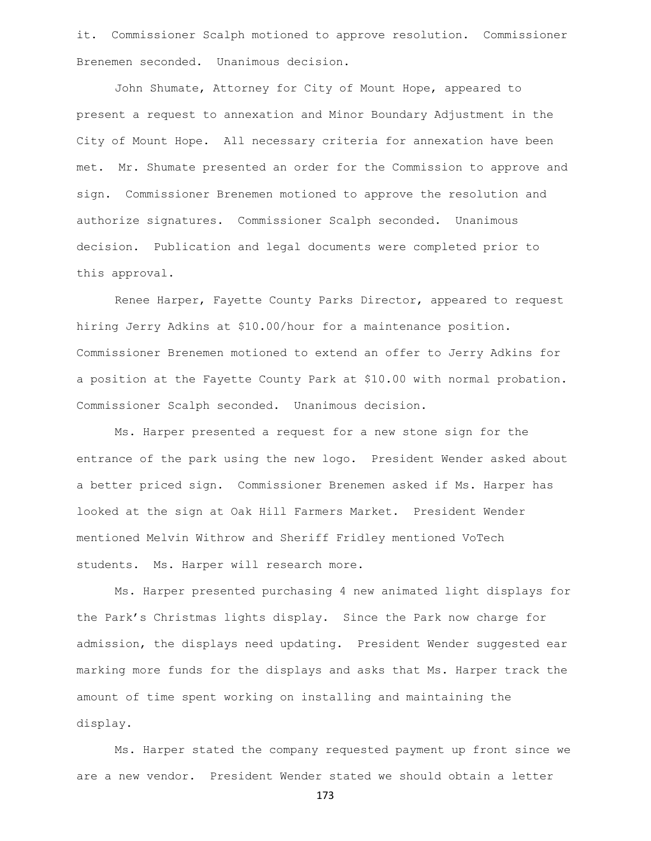it. Commissioner Scalph motioned to approve resolution. Commissioner Brenemen seconded. Unanimous decision.

John Shumate, Attorney for City of Mount Hope, appeared to present a request to annexation and Minor Boundary Adjustment in the City of Mount Hope. All necessary criteria for annexation have been met. Mr. Shumate presented an order for the Commission to approve and sign. Commissioner Brenemen motioned to approve the resolution and authorize signatures. Commissioner Scalph seconded. Unanimous decision. Publication and legal documents were completed prior to this approval.

Renee Harper, Fayette County Parks Director, appeared to request hiring Jerry Adkins at \$10.00/hour for a maintenance position. Commissioner Brenemen motioned to extend an offer to Jerry Adkins for a position at the Fayette County Park at \$10.00 with normal probation. Commissioner Scalph seconded. Unanimous decision.

Ms. Harper presented a request for a new stone sign for the entrance of the park using the new logo. President Wender asked about a better priced sign. Commissioner Brenemen asked if Ms. Harper has looked at the sign at Oak Hill Farmers Market. President Wender mentioned Melvin Withrow and Sheriff Fridley mentioned VoTech students. Ms. Harper will research more.

Ms. Harper presented purchasing 4 new animated light displays for the Park's Christmas lights display. Since the Park now charge for admission, the displays need updating. President Wender suggested ear marking more funds for the displays and asks that Ms. Harper track the amount of time spent working on installing and maintaining the display.

Ms. Harper stated the company requested payment up front since we are a new vendor. President Wender stated we should obtain a letter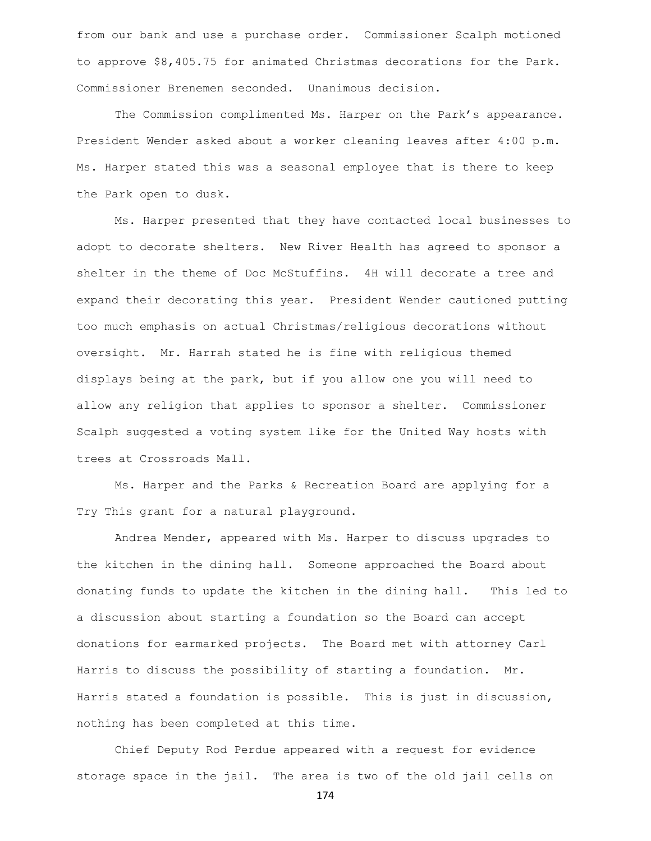from our bank and use a purchase order. Commissioner Scalph motioned to approve \$8,405.75 for animated Christmas decorations for the Park. Commissioner Brenemen seconded. Unanimous decision.

The Commission complimented Ms. Harper on the Park's appearance. President Wender asked about a worker cleaning leaves after 4:00 p.m. Ms. Harper stated this was a seasonal employee that is there to keep the Park open to dusk.

Ms. Harper presented that they have contacted local businesses to adopt to decorate shelters. New River Health has agreed to sponsor a shelter in the theme of Doc McStuffins. 4H will decorate a tree and expand their decorating this year. President Wender cautioned putting too much emphasis on actual Christmas/religious decorations without oversight. Mr. Harrah stated he is fine with religious themed displays being at the park, but if you allow one you will need to allow any religion that applies to sponsor a shelter. Commissioner Scalph suggested a voting system like for the United Way hosts with trees at Crossroads Mall.

Ms. Harper and the Parks & Recreation Board are applying for a Try This grant for a natural playground.

Andrea Mender, appeared with Ms. Harper to discuss upgrades to the kitchen in the dining hall. Someone approached the Board about donating funds to update the kitchen in the dining hall. This led to a discussion about starting a foundation so the Board can accept donations for earmarked projects. The Board met with attorney Carl Harris to discuss the possibility of starting a foundation. Mr. Harris stated a foundation is possible. This is just in discussion, nothing has been completed at this time.

Chief Deputy Rod Perdue appeared with a request for evidence storage space in the jail. The area is two of the old jail cells on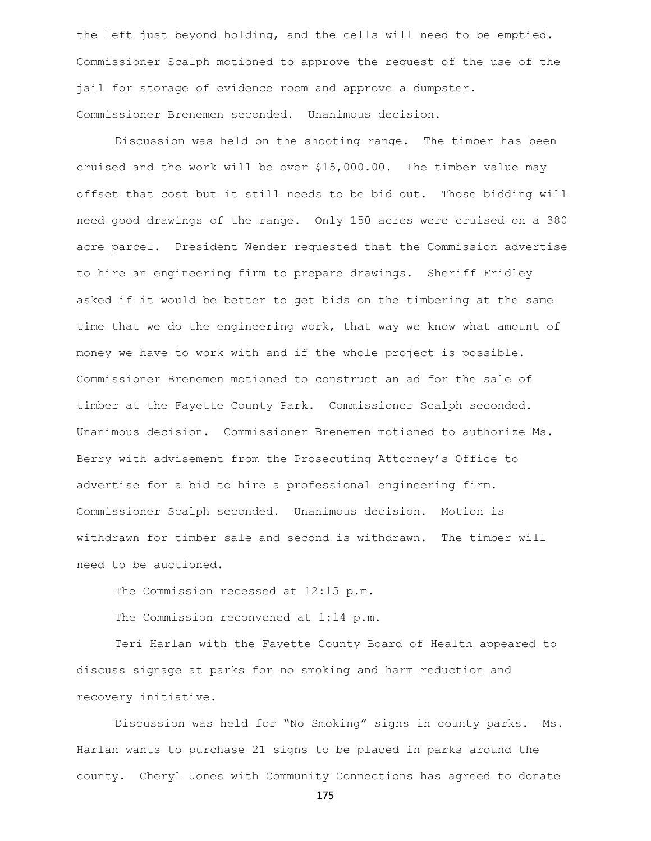the left just beyond holding, and the cells will need to be emptied. Commissioner Scalph motioned to approve the request of the use of the jail for storage of evidence room and approve a dumpster. Commissioner Brenemen seconded. Unanimous decision.

Discussion was held on the shooting range. The timber has been cruised and the work will be over \$15,000.00. The timber value may offset that cost but it still needs to be bid out. Those bidding will need good drawings of the range. Only 150 acres were cruised on a 380 acre parcel. President Wender requested that the Commission advertise to hire an engineering firm to prepare drawings. Sheriff Fridley asked if it would be better to get bids on the timbering at the same time that we do the engineering work, that way we know what amount of money we have to work with and if the whole project is possible. Commissioner Brenemen motioned to construct an ad for the sale of timber at the Fayette County Park. Commissioner Scalph seconded. Unanimous decision. Commissioner Brenemen motioned to authorize Ms. Berry with advisement from the Prosecuting Attorney's Office to advertise for a bid to hire a professional engineering firm. Commissioner Scalph seconded. Unanimous decision. Motion is withdrawn for timber sale and second is withdrawn. The timber will need to be auctioned.

The Commission recessed at 12:15 p.m.

The Commission reconvened at 1:14 p.m.

Teri Harlan with the Fayette County Board of Health appeared to discuss signage at parks for no smoking and harm reduction and recovery initiative.

Discussion was held for "No Smoking" signs in county parks. Ms. Harlan wants to purchase 21 signs to be placed in parks around the county. Cheryl Jones with Community Connections has agreed to donate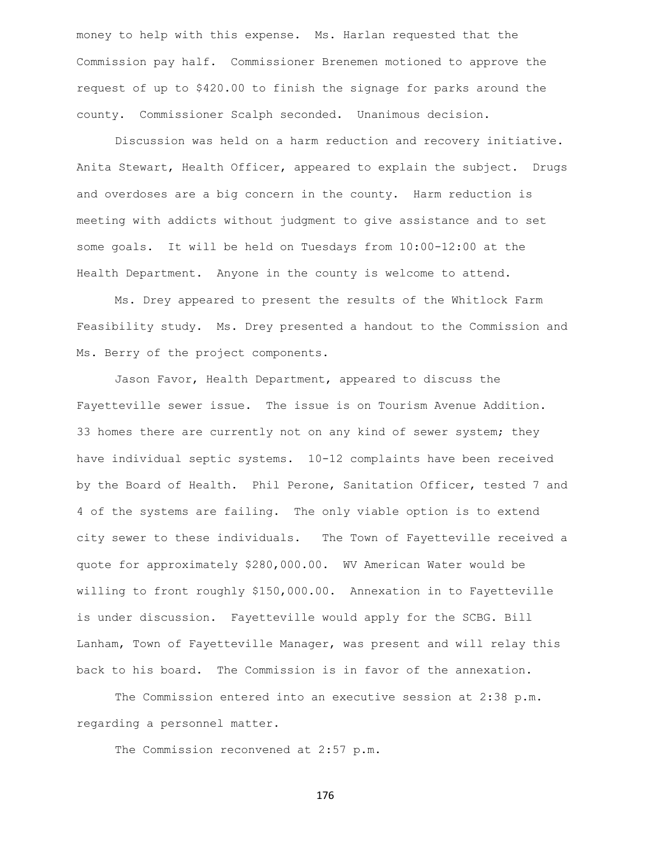money to help with this expense. Ms. Harlan requested that the Commission pay half. Commissioner Brenemen motioned to approve the request of up to \$420.00 to finish the signage for parks around the county. Commissioner Scalph seconded. Unanimous decision.

Discussion was held on a harm reduction and recovery initiative. Anita Stewart, Health Officer, appeared to explain the subject. Drugs and overdoses are a big concern in the county. Harm reduction is meeting with addicts without judgment to give assistance and to set some goals. It will be held on Tuesdays from 10:00-12:00 at the Health Department. Anyone in the county is welcome to attend.

Ms. Drey appeared to present the results of the Whitlock Farm Feasibility study. Ms. Drey presented a handout to the Commission and Ms. Berry of the project components.

Jason Favor, Health Department, appeared to discuss the Fayetteville sewer issue. The issue is on Tourism Avenue Addition. 33 homes there are currently not on any kind of sewer system; they have individual septic systems. 10-12 complaints have been received by the Board of Health. Phil Perone, Sanitation Officer, tested 7 and 4 of the systems are failing. The only viable option is to extend city sewer to these individuals. The Town of Fayetteville received a quote for approximately \$280,000.00. WV American Water would be willing to front roughly \$150,000.00. Annexation in to Fayetteville is under discussion. Fayetteville would apply for the SCBG. Bill Lanham, Town of Fayetteville Manager, was present and will relay this back to his board. The Commission is in favor of the annexation.

The Commission entered into an executive session at 2:38 p.m. regarding a personnel matter.

The Commission reconvened at 2:57 p.m.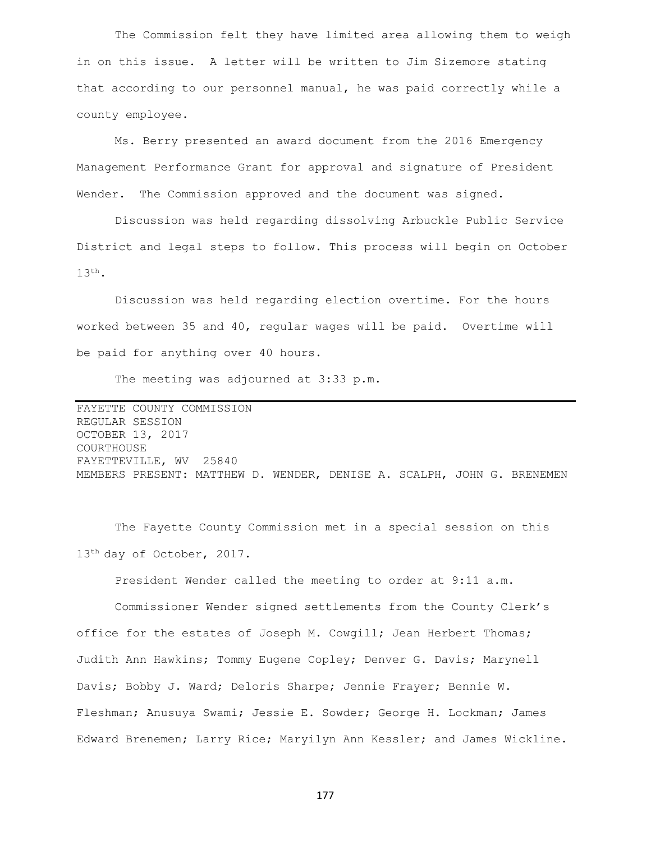The Commission felt they have limited area allowing them to weigh in on this issue. A letter will be written to Jim Sizemore stating that according to our personnel manual, he was paid correctly while a county employee.

Ms. Berry presented an award document from the 2016 Emergency Management Performance Grant for approval and signature of President Wender. The Commission approved and the document was signed.

Discussion was held regarding dissolving Arbuckle Public Service District and legal steps to follow. This process will begin on October 13th.

Discussion was held regarding election overtime. For the hours worked between 35 and 40, regular wages will be paid. Overtime will be paid for anything over 40 hours.

The meeting was adjourned at 3:33 p.m.

FAYETTE COUNTY COMMISSION REGULAR SESSION OCTOBER 13, 2017 COURTHOUSE FAYETTEVILLE, WV 25840 MEMBERS PRESENT: MATTHEW D. WENDER, DENISE A. SCALPH, JOHN G. BRENEMEN

The Fayette County Commission met in a special session on this 13th day of October, 2017.

President Wender called the meeting to order at 9:11 a.m.

Commissioner Wender signed settlements from the County Clerk's office for the estates of Joseph M. Cowgill; Jean Herbert Thomas; Judith Ann Hawkins; Tommy Eugene Copley; Denver G. Davis; Marynell Davis; Bobby J. Ward; Deloris Sharpe; Jennie Frayer; Bennie W. Fleshman; Anusuya Swami; Jessie E. Sowder; George H. Lockman; James Edward Brenemen; Larry Rice; Maryilyn Ann Kessler; and James Wickline.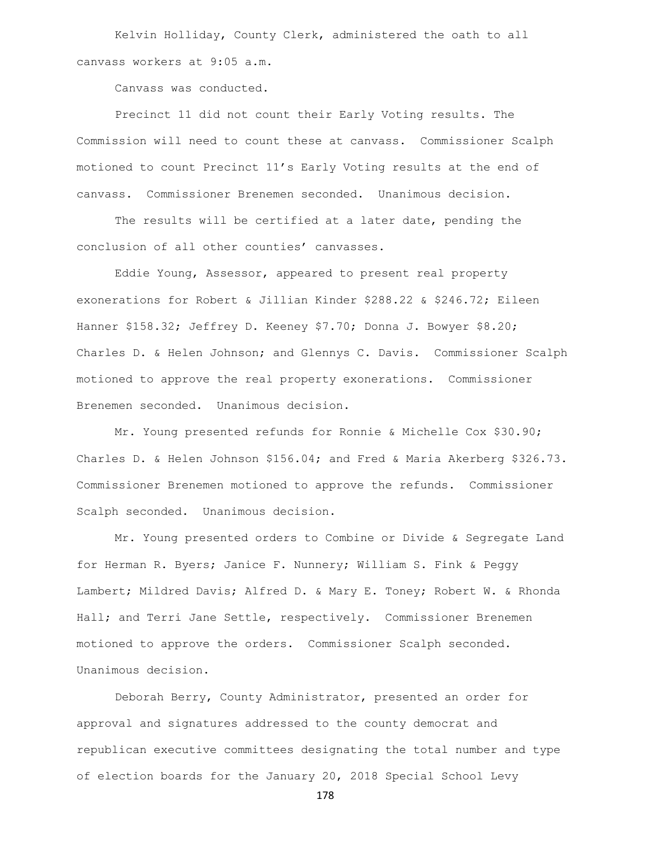Kelvin Holliday, County Clerk, administered the oath to all canvass workers at 9:05 a.m.

Canvass was conducted.

Precinct 11 did not count their Early Voting results. The Commission will need to count these at canvass. Commissioner Scalph motioned to count Precinct 11's Early Voting results at the end of canvass. Commissioner Brenemen seconded. Unanimous decision.

The results will be certified at a later date, pending the conclusion of all other counties' canvasses.

Eddie Young, Assessor, appeared to present real property exonerations for Robert & Jillian Kinder \$288.22 & \$246.72; Eileen Hanner \$158.32; Jeffrey D. Keeney \$7.70; Donna J. Bowyer \$8.20; Charles D. & Helen Johnson; and Glennys C. Davis. Commissioner Scalph motioned to approve the real property exonerations. Commissioner Brenemen seconded. Unanimous decision.

Mr. Young presented refunds for Ronnie & Michelle Cox \$30.90; Charles D. & Helen Johnson \$156.04; and Fred & Maria Akerberg \$326.73. Commissioner Brenemen motioned to approve the refunds. Commissioner Scalph seconded. Unanimous decision.

Mr. Young presented orders to Combine or Divide & Segregate Land for Herman R. Byers; Janice F. Nunnery; William S. Fink & Peggy Lambert; Mildred Davis; Alfred D. & Mary E. Toney; Robert W. & Rhonda Hall; and Terri Jane Settle, respectively. Commissioner Brenemen motioned to approve the orders. Commissioner Scalph seconded. Unanimous decision.

Deborah Berry, County Administrator, presented an order for approval and signatures addressed to the county democrat and republican executive committees designating the total number and type of election boards for the January 20, 2018 Special School Levy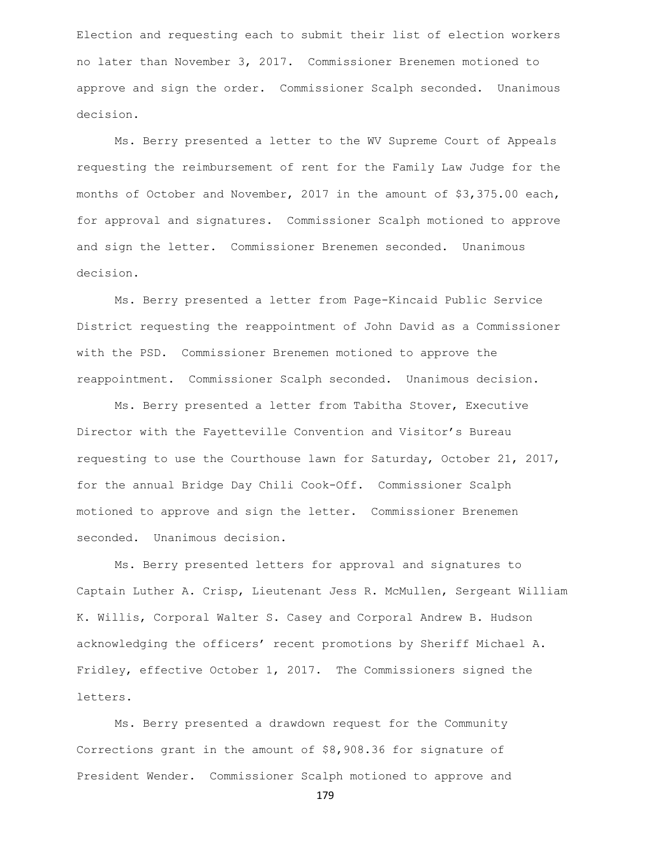Election and requesting each to submit their list of election workers no later than November 3, 2017. Commissioner Brenemen motioned to approve and sign the order. Commissioner Scalph seconded. Unanimous decision.

Ms. Berry presented a letter to the WV Supreme Court of Appeals requesting the reimbursement of rent for the Family Law Judge for the months of October and November, 2017 in the amount of \$3,375.00 each, for approval and signatures. Commissioner Scalph motioned to approve and sign the letter. Commissioner Brenemen seconded. Unanimous decision.

Ms. Berry presented a letter from Page-Kincaid Public Service District requesting the reappointment of John David as a Commissioner with the PSD. Commissioner Brenemen motioned to approve the reappointment. Commissioner Scalph seconded. Unanimous decision.

Ms. Berry presented a letter from Tabitha Stover, Executive Director with the Fayetteville Convention and Visitor's Bureau requesting to use the Courthouse lawn for Saturday, October 21, 2017, for the annual Bridge Day Chili Cook-Off. Commissioner Scalph motioned to approve and sign the letter. Commissioner Brenemen seconded. Unanimous decision.

Ms. Berry presented letters for approval and signatures to Captain Luther A. Crisp, Lieutenant Jess R. McMullen, Sergeant William K. Willis, Corporal Walter S. Casey and Corporal Andrew B. Hudson acknowledging the officers' recent promotions by Sheriff Michael A. Fridley, effective October 1, 2017. The Commissioners signed the letters.

Ms. Berry presented a drawdown request for the Community Corrections grant in the amount of \$8,908.36 for signature of President Wender. Commissioner Scalph motioned to approve and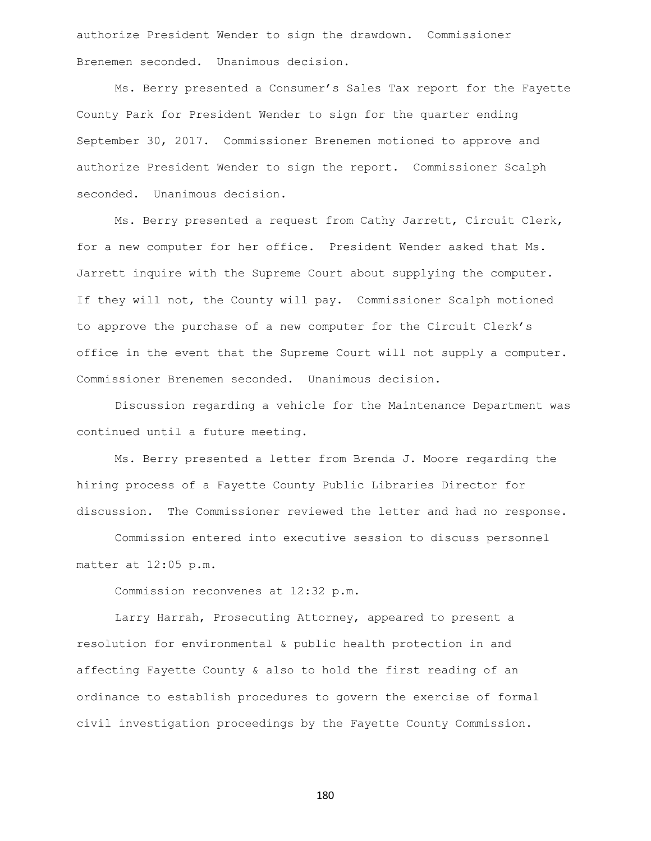authorize President Wender to sign the drawdown. Commissioner Brenemen seconded. Unanimous decision.

Ms. Berry presented a Consumer's Sales Tax report for the Fayette County Park for President Wender to sign for the quarter ending September 30, 2017. Commissioner Brenemen motioned to approve and authorize President Wender to sign the report. Commissioner Scalph seconded. Unanimous decision.

Ms. Berry presented a request from Cathy Jarrett, Circuit Clerk, for a new computer for her office. President Wender asked that Ms. Jarrett inquire with the Supreme Court about supplying the computer. If they will not, the County will pay. Commissioner Scalph motioned to approve the purchase of a new computer for the Circuit Clerk's office in the event that the Supreme Court will not supply a computer. Commissioner Brenemen seconded. Unanimous decision.

Discussion regarding a vehicle for the Maintenance Department was continued until a future meeting.

Ms. Berry presented a letter from Brenda J. Moore regarding the hiring process of a Fayette County Public Libraries Director for discussion. The Commissioner reviewed the letter and had no response.

Commission entered into executive session to discuss personnel matter at 12:05 p.m.

Commission reconvenes at 12:32 p.m.

Larry Harrah, Prosecuting Attorney, appeared to present a resolution for environmental & public health protection in and affecting Fayette County & also to hold the first reading of an ordinance to establish procedures to govern the exercise of formal civil investigation proceedings by the Fayette County Commission.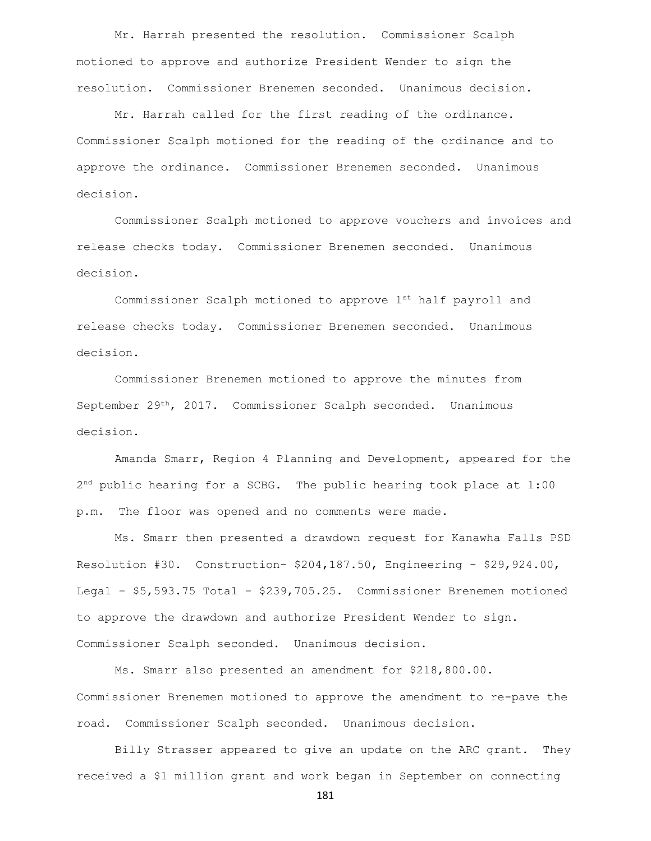Mr. Harrah presented the resolution. Commissioner Scalph motioned to approve and authorize President Wender to sign the resolution. Commissioner Brenemen seconded. Unanimous decision.

Mr. Harrah called for the first reading of the ordinance. Commissioner Scalph motioned for the reading of the ordinance and to approve the ordinance. Commissioner Brenemen seconded. Unanimous decision.

Commissioner Scalph motioned to approve vouchers and invoices and release checks today. Commissioner Brenemen seconded. Unanimous decision.

Commissioner Scalph motioned to approve 1st half payroll and release checks today. Commissioner Brenemen seconded. Unanimous decision.

Commissioner Brenemen motioned to approve the minutes from September 29th, 2017. Commissioner Scalph seconded. Unanimous decision.

Amanda Smarr, Region 4 Planning and Development, appeared for the 2<sup>nd</sup> public hearing for a SCBG. The public hearing took place at 1:00 p.m. The floor was opened and no comments were made.

Ms. Smarr then presented a drawdown request for Kanawha Falls PSD Resolution #30. Construction- \$204,187.50, Engineering - \$29,924.00, Legal – \$5,593.75 Total – \$239,705.25. Commissioner Brenemen motioned to approve the drawdown and authorize President Wender to sign. Commissioner Scalph seconded. Unanimous decision.

Ms. Smarr also presented an amendment for \$218,800.00. Commissioner Brenemen motioned to approve the amendment to re-pave the road. Commissioner Scalph seconded. Unanimous decision.

Billy Strasser appeared to give an update on the ARC grant. They received a \$1 million grant and work began in September on connecting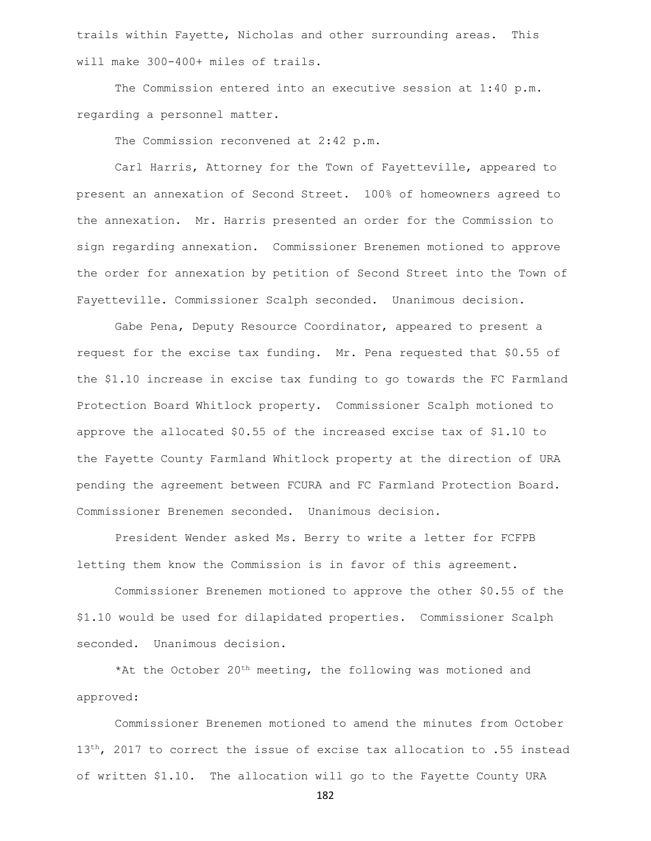trails within Fayette, Nicholas and other surrounding areas. This will make 300-400+ miles of trails.

The Commission entered into an executive session at 1:40 p.m. regarding a personnel matter.

The Commission reconvened at 2:42 p.m.

Carl Harris, Attorney for the Town of Fayetteville, appeared to present an annexation of Second Street. 100% of homeowners agreed to the annexation. Mr. Harris presented an order for the Commission to sign regarding annexation. Commissioner Brenemen motioned to approve the order for annexation by petition of Second Street into the Town of Fayetteville. Commissioner Scalph seconded. Unanimous decision.

Gabe Pena, Deputy Resource Coordinator, appeared to present a request for the excise tax funding. Mr. Pena requested that \$0.55 of the \$1.10 increase in excise tax funding to go towards the FC Farmland Protection Board Whitlock property. Commissioner Scalph motioned to approve the allocated \$0.55 of the increased excise tax of \$1.10 to the Fayette County Farmland Whitlock property at the direction of URA pending the agreement between FCURA and FC Farmland Protection Board. Commissioner Brenemen seconded. Unanimous decision.

President Wender asked Ms. Berry to write a letter for FCFPB letting them know the Commission is in favor of this agreement.

Commissioner Brenemen motioned to approve the other \$0.55 of the \$1.10 would be used for dilapidated properties. Commissioner Scalph seconded. Unanimous decision.

\*At the October  $20^{th}$  meeting, the following was motioned and approved:

Commissioner Brenemen motioned to amend the minutes from October 13<sup>th</sup>, 2017 to correct the issue of excise tax allocation to .55 instead of written \$1.10. The allocation will go to the Fayette County URA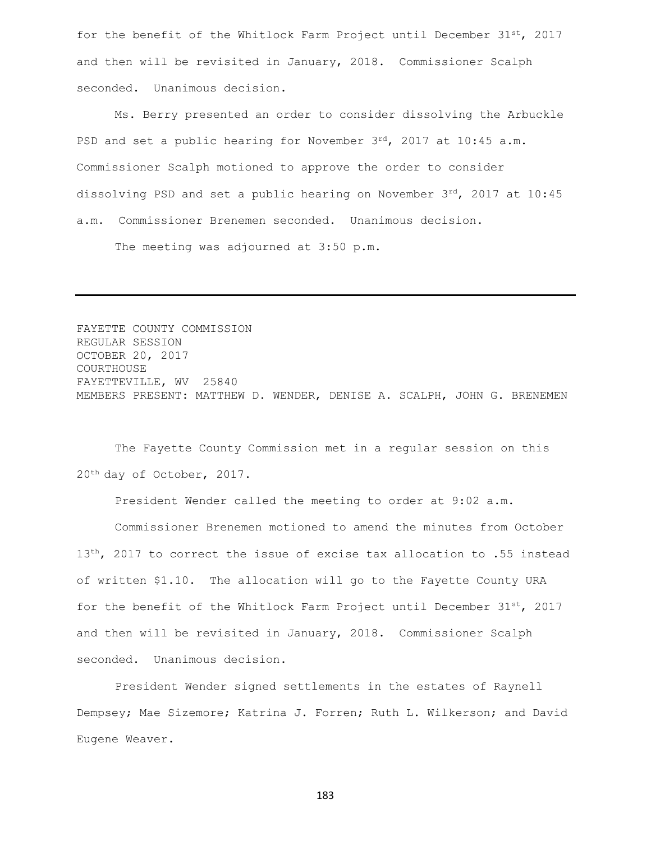for the benefit of the Whitlock Farm Project until December  $31^{st}$ , 2017 and then will be revisited in January, 2018. Commissioner Scalph seconded. Unanimous decision.

Ms. Berry presented an order to consider dissolving the Arbuckle PSD and set a public hearing for November  $3^{rd}$ , 2017 at 10:45 a.m. Commissioner Scalph motioned to approve the order to consider dissolving PSD and set a public hearing on November  $3^{rd}$ , 2017 at 10:45 a.m. Commissioner Brenemen seconded. Unanimous decision.

The meeting was adjourned at 3:50 p.m.

FAYETTE COUNTY COMMISSION REGULAR SESSION OCTOBER 20, 2017 COURTHOUSE FAYETTEVILLE, WV 25840 MEMBERS PRESENT: MATTHEW D. WENDER, DENISE A. SCALPH, JOHN G. BRENEMEN

The Fayette County Commission met in a regular session on this 20th day of October, 2017.

President Wender called the meeting to order at 9:02 a.m.

Commissioner Brenemen motioned to amend the minutes from October  $13<sup>th</sup>$ , 2017 to correct the issue of excise tax allocation to .55 instead of written \$1.10. The allocation will go to the Fayette County URA for the benefit of the Whitlock Farm Project until December  $31^{st}$ , 2017 and then will be revisited in January, 2018. Commissioner Scalph seconded. Unanimous decision.

President Wender signed settlements in the estates of Raynell Dempsey; Mae Sizemore; Katrina J. Forren; Ruth L. Wilkerson; and David Eugene Weaver.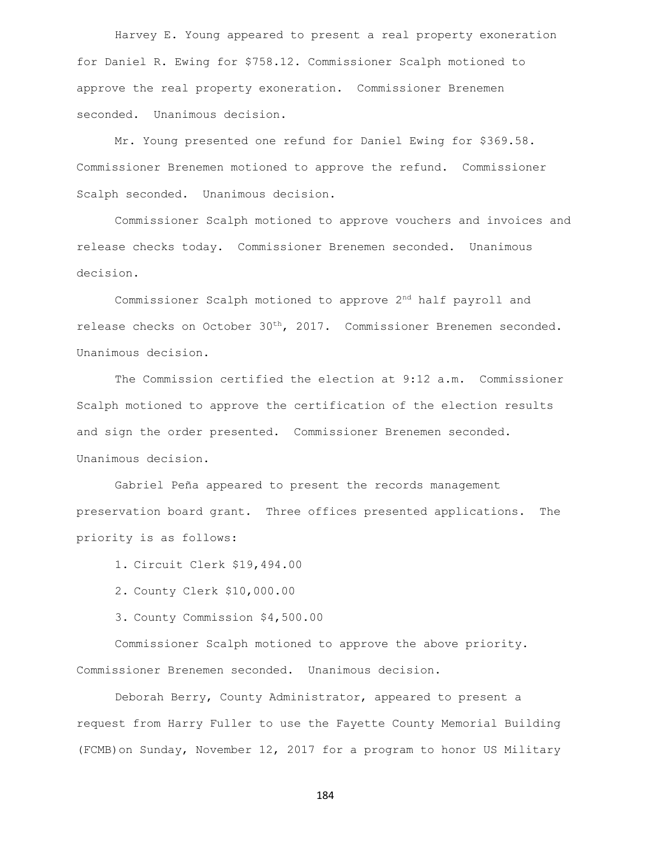Harvey E. Young appeared to present a real property exoneration for Daniel R. Ewing for \$758.12. Commissioner Scalph motioned to approve the real property exoneration. Commissioner Brenemen seconded. Unanimous decision.

Mr. Young presented one refund for Daniel Ewing for \$369.58. Commissioner Brenemen motioned to approve the refund. Commissioner Scalph seconded. Unanimous decision.

Commissioner Scalph motioned to approve vouchers and invoices and release checks today. Commissioner Brenemen seconded. Unanimous decision.

Commissioner Scalph motioned to approve 2nd half payroll and release checks on October 30th, 2017. Commissioner Brenemen seconded. Unanimous decision.

The Commission certified the election at 9:12 a.m. Commissioner Scalph motioned to approve the certification of the election results and sign the order presented. Commissioner Brenemen seconded. Unanimous decision.

Gabriel Peña appeared to present the records management preservation board grant. Three offices presented applications. The priority is as follows:

1. Circuit Clerk \$19,494.00

- 2. County Clerk \$10,000.00
- 3. County Commission \$4,500.00

Commissioner Scalph motioned to approve the above priority. Commissioner Brenemen seconded. Unanimous decision.

Deborah Berry, County Administrator, appeared to present a request from Harry Fuller to use the Fayette County Memorial Building (FCMB)on Sunday, November 12, 2017 for a program to honor US Military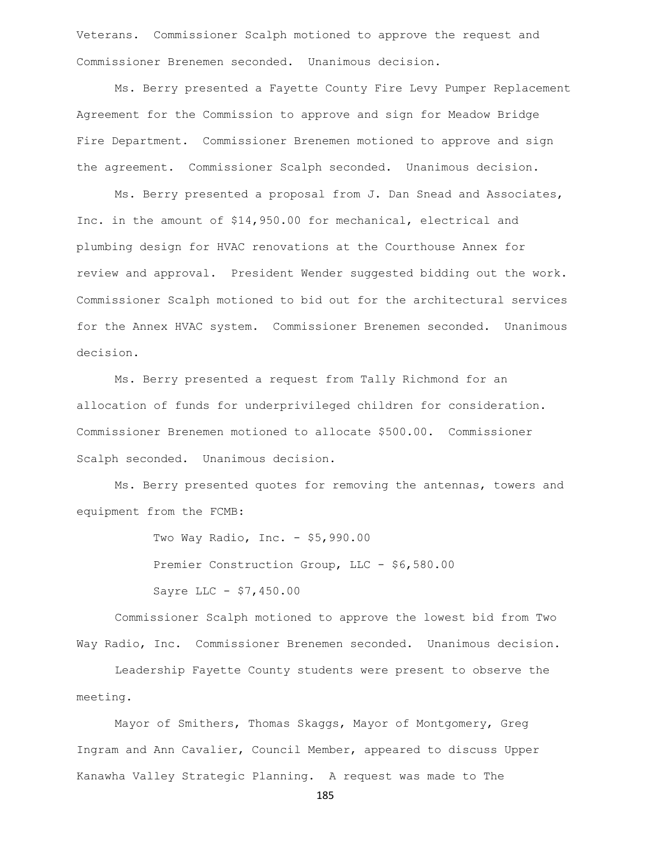Veterans. Commissioner Scalph motioned to approve the request and Commissioner Brenemen seconded. Unanimous decision.

Ms. Berry presented a Fayette County Fire Levy Pumper Replacement Agreement for the Commission to approve and sign for Meadow Bridge Fire Department. Commissioner Brenemen motioned to approve and sign the agreement. Commissioner Scalph seconded. Unanimous decision.

Ms. Berry presented a proposal from J. Dan Snead and Associates, Inc. in the amount of \$14,950.00 for mechanical, electrical and plumbing design for HVAC renovations at the Courthouse Annex for review and approval. President Wender suggested bidding out the work. Commissioner Scalph motioned to bid out for the architectural services for the Annex HVAC system. Commissioner Brenemen seconded. Unanimous decision.

Ms. Berry presented a request from Tally Richmond for an allocation of funds for underprivileged children for consideration. Commissioner Brenemen motioned to allocate \$500.00. Commissioner Scalph seconded. Unanimous decision.

Ms. Berry presented quotes for removing the antennas, towers and equipment from the FCMB:

> Two Way Radio, Inc. - \$5,990.00 Premier Construction Group, LLC - \$6,580.00 Sayre LLC - \$7,450.00

Commissioner Scalph motioned to approve the lowest bid from Two Way Radio, Inc. Commissioner Brenemen seconded. Unanimous decision.

Leadership Fayette County students were present to observe the meeting.

Mayor of Smithers, Thomas Skaggs, Mayor of Montgomery, Greg Ingram and Ann Cavalier, Council Member, appeared to discuss Upper Kanawha Valley Strategic Planning. A request was made to The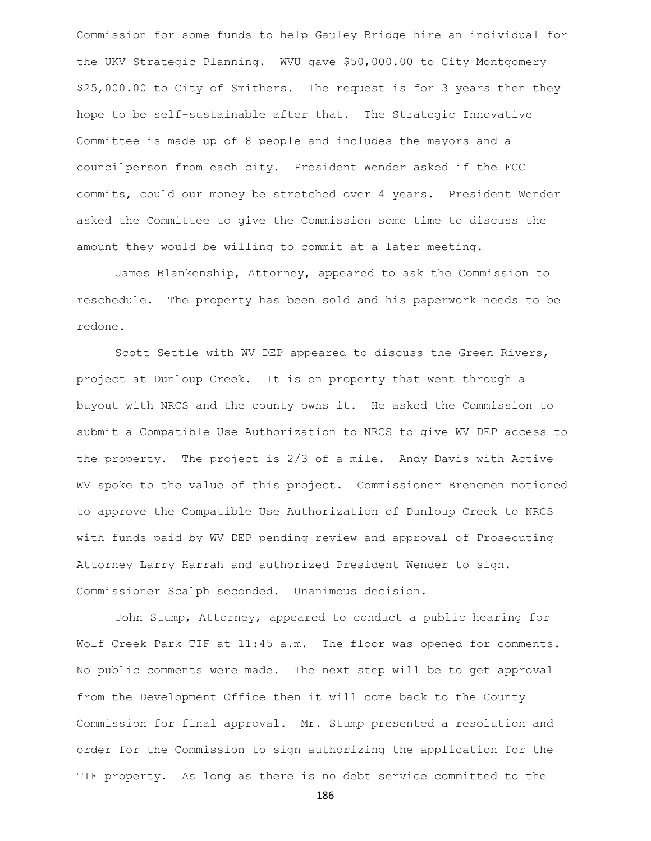Commission for some funds to help Gauley Bridge hire an individual for the UKV Strategic Planning. WVU gave \$50,000.00 to City Montgomery \$25,000.00 to City of Smithers. The request is for 3 years then they hope to be self-sustainable after that. The Strategic Innovative Committee is made up of 8 people and includes the mayors and a councilperson from each city. President Wender asked if the FCC commits, could our money be stretched over 4 years. President Wender asked the Committee to give the Commission some time to discuss the amount they would be willing to commit at a later meeting.

James Blankenship, Attorney, appeared to ask the Commission to reschedule. The property has been sold and his paperwork needs to be redone.

Scott Settle with WV DEP appeared to discuss the Green Rivers, project at Dunloup Creek. It is on property that went through a buyout with NRCS and the county owns it. He asked the Commission to submit a Compatible Use Authorization to NRCS to give WV DEP access to the property. The project is 2/3 of a mile. Andy Davis with Active WV spoke to the value of this project. Commissioner Brenemen motioned to approve the Compatible Use Authorization of Dunloup Creek to NRCS with funds paid by WV DEP pending review and approval of Prosecuting Attorney Larry Harrah and authorized President Wender to sign. Commissioner Scalph seconded. Unanimous decision.

John Stump, Attorney, appeared to conduct a public hearing for Wolf Creek Park TIF at 11:45 a.m. The floor was opened for comments. No public comments were made. The next step will be to get approval from the Development Office then it will come back to the County Commission for final approval. Mr. Stump presented a resolution and order for the Commission to sign authorizing the application for the TIF property. As long as there is no debt service committed to the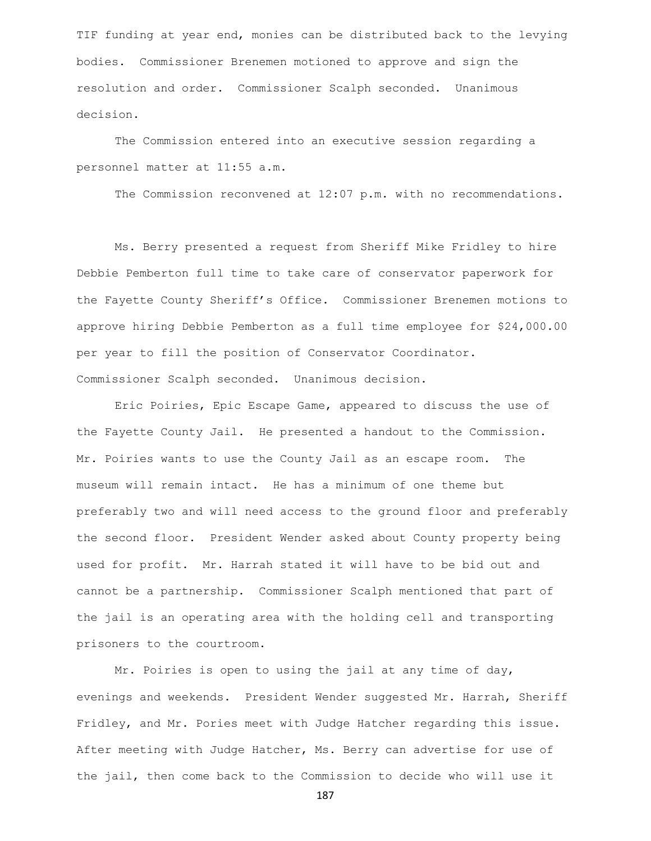TIF funding at year end, monies can be distributed back to the levying bodies. Commissioner Brenemen motioned to approve and sign the resolution and order. Commissioner Scalph seconded. Unanimous decision.

The Commission entered into an executive session regarding a personnel matter at 11:55 a.m.

The Commission reconvened at 12:07 p.m. with no recommendations.

Ms. Berry presented a request from Sheriff Mike Fridley to hire Debbie Pemberton full time to take care of conservator paperwork for the Fayette County Sheriff's Office. Commissioner Brenemen motions to approve hiring Debbie Pemberton as a full time employee for \$24,000.00 per year to fill the position of Conservator Coordinator. Commissioner Scalph seconded. Unanimous decision.

Eric Poiries, Epic Escape Game, appeared to discuss the use of the Fayette County Jail. He presented a handout to the Commission. Mr. Poiries wants to use the County Jail as an escape room. The museum will remain intact. He has a minimum of one theme but preferably two and will need access to the ground floor and preferably the second floor. President Wender asked about County property being used for profit. Mr. Harrah stated it will have to be bid out and cannot be a partnership. Commissioner Scalph mentioned that part of the jail is an operating area with the holding cell and transporting prisoners to the courtroom.

Mr. Poiries is open to using the jail at any time of day, evenings and weekends. President Wender suggested Mr. Harrah, Sheriff Fridley, and Mr. Pories meet with Judge Hatcher regarding this issue. After meeting with Judge Hatcher, Ms. Berry can advertise for use of the jail, then come back to the Commission to decide who will use it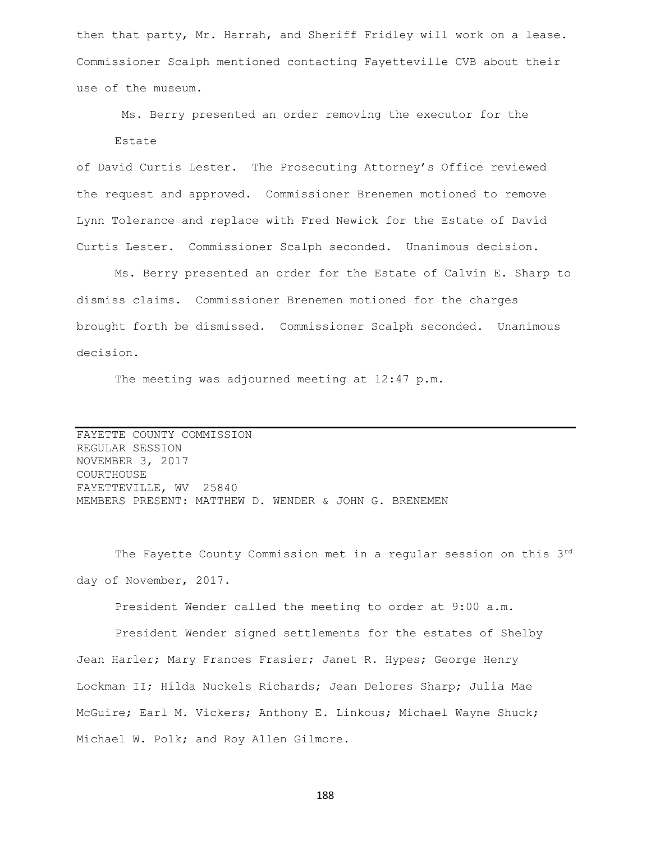then that party, Mr. Harrah, and Sheriff Fridley will work on a lease. Commissioner Scalph mentioned contacting Fayetteville CVB about their use of the museum.

Ms. Berry presented an order removing the executor for the Estate

of David Curtis Lester. The Prosecuting Attorney's Office reviewed the request and approved. Commissioner Brenemen motioned to remove Lynn Tolerance and replace with Fred Newick for the Estate of David Curtis Lester. Commissioner Scalph seconded. Unanimous decision.

Ms. Berry presented an order for the Estate of Calvin E. Sharp to dismiss claims. Commissioner Brenemen motioned for the charges brought forth be dismissed. Commissioner Scalph seconded. Unanimous decision.

The meeting was adjourned meeting at 12:47 p.m.

FAYETTE COUNTY COMMISSION REGULAR SESSION NOVEMBER 3, 2017 COURTHOUSE FAYETTEVILLE, WV 25840 MEMBERS PRESENT: MATTHEW D. WENDER & JOHN G. BRENEMEN

The Fayette County Commission met in a regular session on this 3rd day of November, 2017.

President Wender called the meeting to order at 9:00 a.m.

President Wender signed settlements for the estates of Shelby Jean Harler; Mary Frances Frasier; Janet R. Hypes; George Henry Lockman II; Hilda Nuckels Richards; Jean Delores Sharp; Julia Mae McGuire; Earl M. Vickers; Anthony E. Linkous; Michael Wayne Shuck; Michael W. Polk; and Roy Allen Gilmore.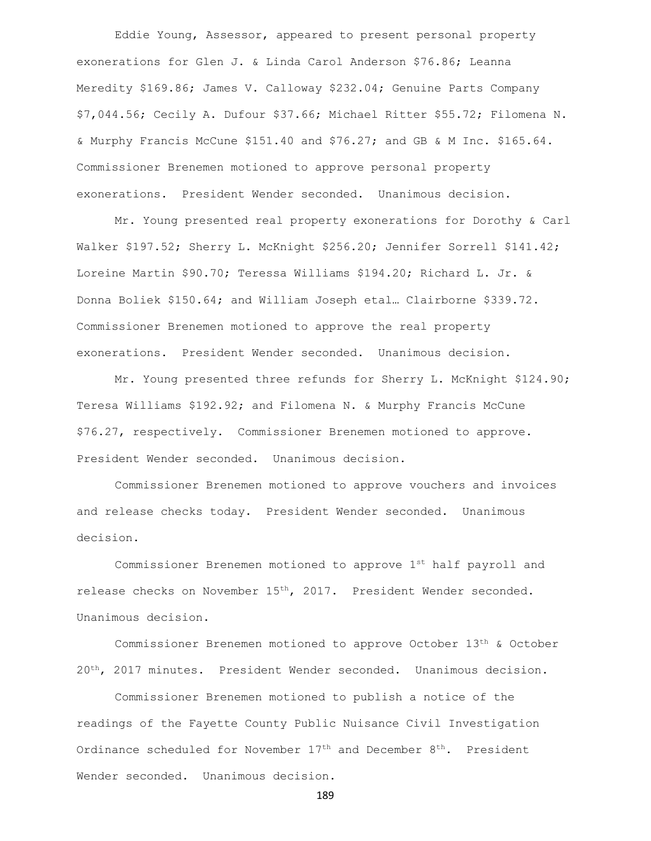Eddie Young, Assessor, appeared to present personal property exonerations for Glen J. & Linda Carol Anderson \$76.86; Leanna Meredity \$169.86; James V. Calloway \$232.04; Genuine Parts Company \$7,044.56; Cecily A. Dufour \$37.66; Michael Ritter \$55.72; Filomena N. & Murphy Francis McCune \$151.40 and \$76.27; and GB & M Inc. \$165.64. Commissioner Brenemen motioned to approve personal property exonerations. President Wender seconded. Unanimous decision.

Mr. Young presented real property exonerations for Dorothy & Carl Walker \$197.52; Sherry L. McKnight \$256.20; Jennifer Sorrell \$141.42; Loreine Martin \$90.70; Teressa Williams \$194.20; Richard L. Jr. & Donna Boliek \$150.64; and William Joseph etal… Clairborne \$339.72. Commissioner Brenemen motioned to approve the real property exonerations. President Wender seconded. Unanimous decision.

Mr. Young presented three refunds for Sherry L. McKnight \$124.90; Teresa Williams \$192.92; and Filomena N. & Murphy Francis McCune \$76.27, respectively. Commissioner Brenemen motioned to approve. President Wender seconded. Unanimous decision.

Commissioner Brenemen motioned to approve vouchers and invoices and release checks today. President Wender seconded. Unanimous decision.

Commissioner Brenemen motioned to approve 1st half payroll and release checks on November 15<sup>th</sup>, 2017. President Wender seconded. Unanimous decision.

Commissioner Brenemen motioned to approve October 13th & October 20th, 2017 minutes. President Wender seconded. Unanimous decision.

Commissioner Brenemen motioned to publish a notice of the readings of the Fayette County Public Nuisance Civil Investigation Ordinance scheduled for November  $17<sup>th</sup>$  and December  $8<sup>th</sup>$ . President Wender seconded. Unanimous decision.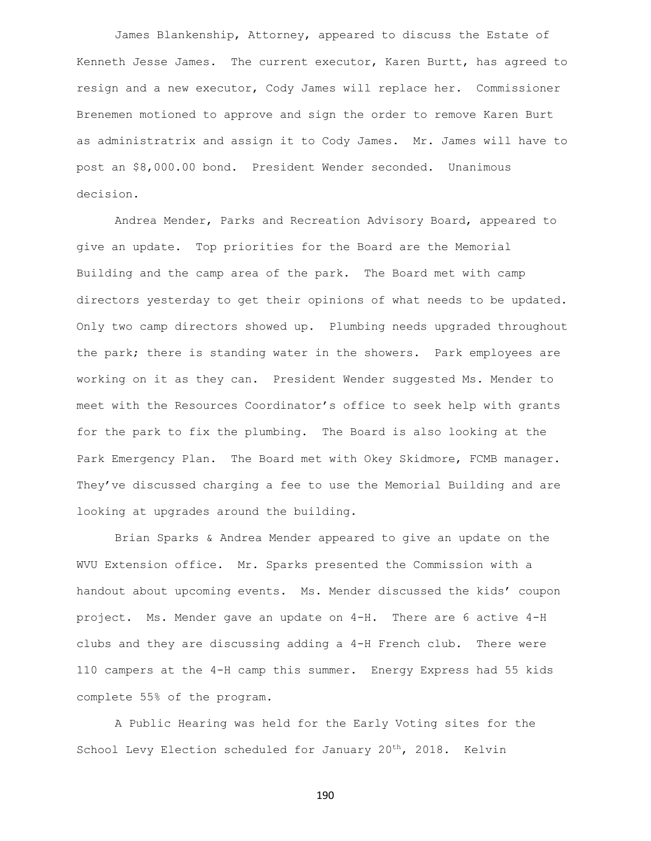James Blankenship, Attorney, appeared to discuss the Estate of Kenneth Jesse James. The current executor, Karen Burtt, has agreed to resign and a new executor, Cody James will replace her. Commissioner Brenemen motioned to approve and sign the order to remove Karen Burt as administratrix and assign it to Cody James. Mr. James will have to post an \$8,000.00 bond. President Wender seconded. Unanimous decision.

Andrea Mender, Parks and Recreation Advisory Board, appeared to give an update. Top priorities for the Board are the Memorial Building and the camp area of the park. The Board met with camp directors yesterday to get their opinions of what needs to be updated. Only two camp directors showed up. Plumbing needs upgraded throughout the park; there is standing water in the showers. Park employees are working on it as they can. President Wender suggested Ms. Mender to meet with the Resources Coordinator's office to seek help with grants for the park to fix the plumbing. The Board is also looking at the Park Emergency Plan. The Board met with Okey Skidmore, FCMB manager. They've discussed charging a fee to use the Memorial Building and are looking at upgrades around the building.

Brian Sparks & Andrea Mender appeared to give an update on the WVU Extension office. Mr. Sparks presented the Commission with a handout about upcoming events. Ms. Mender discussed the kids' coupon project. Ms. Mender gave an update on 4-H. There are 6 active 4-H clubs and they are discussing adding a 4-H French club. There were 110 campers at the 4-H camp this summer. Energy Express had 55 kids complete 55% of the program.

A Public Hearing was held for the Early Voting sites for the School Levy Election scheduled for January 20<sup>th</sup>, 2018. Kelvin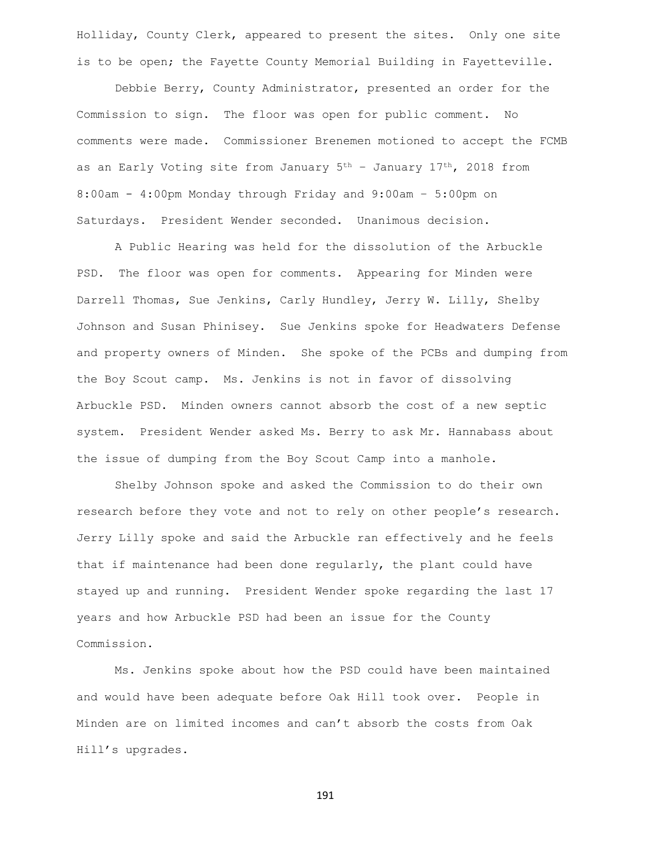Holliday, County Clerk, appeared to present the sites. Only one site is to be open; the Fayette County Memorial Building in Fayetteville.

Debbie Berry, County Administrator, presented an order for the Commission to sign. The floor was open for public comment. No comments were made. Commissioner Brenemen motioned to accept the FCMB as an Early Voting site from January  $5<sup>th</sup>$  - January  $17<sup>th</sup>$ , 2018 from 8:00am - 4:00pm Monday through Friday and 9:00am – 5:00pm on Saturdays. President Wender seconded. Unanimous decision.

A Public Hearing was held for the dissolution of the Arbuckle PSD. The floor was open for comments. Appearing for Minden were Darrell Thomas, Sue Jenkins, Carly Hundley, Jerry W. Lilly, Shelby Johnson and Susan Phinisey. Sue Jenkins spoke for Headwaters Defense and property owners of Minden. She spoke of the PCBs and dumping from the Boy Scout camp. Ms. Jenkins is not in favor of dissolving Arbuckle PSD. Minden owners cannot absorb the cost of a new septic system. President Wender asked Ms. Berry to ask Mr. Hannabass about the issue of dumping from the Boy Scout Camp into a manhole.

Shelby Johnson spoke and asked the Commission to do their own research before they vote and not to rely on other people's research. Jerry Lilly spoke and said the Arbuckle ran effectively and he feels that if maintenance had been done regularly, the plant could have stayed up and running. President Wender spoke regarding the last 17 years and how Arbuckle PSD had been an issue for the County Commission.

Ms. Jenkins spoke about how the PSD could have been maintained and would have been adequate before Oak Hill took over. People in Minden are on limited incomes and can't absorb the costs from Oak Hill's upgrades.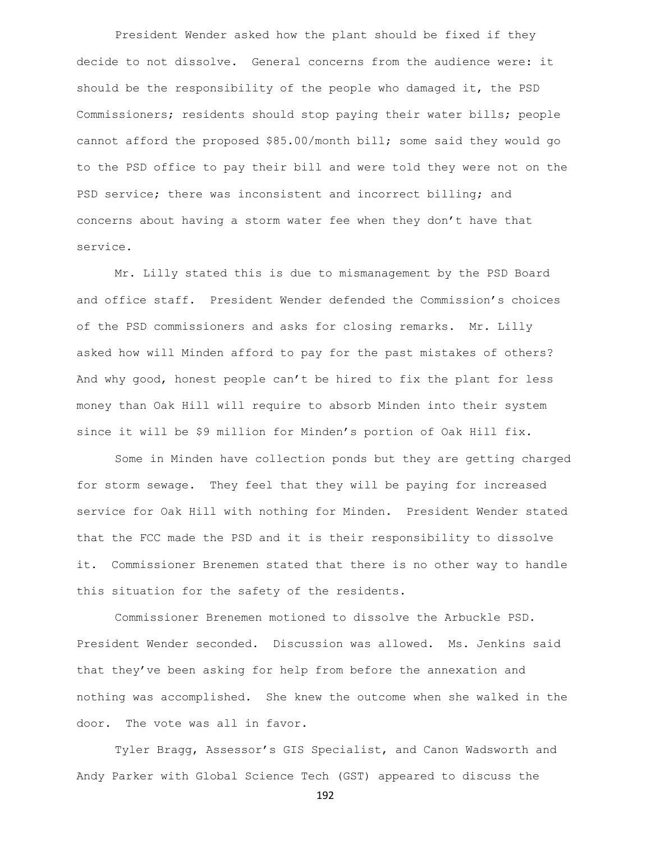President Wender asked how the plant should be fixed if they decide to not dissolve. General concerns from the audience were: it should be the responsibility of the people who damaged it, the PSD Commissioners; residents should stop paying their water bills; people cannot afford the proposed \$85.00/month bill; some said they would go to the PSD office to pay their bill and were told they were not on the PSD service; there was inconsistent and incorrect billing; and concerns about having a storm water fee when they don't have that service.

Mr. Lilly stated this is due to mismanagement by the PSD Board and office staff. President Wender defended the Commission's choices of the PSD commissioners and asks for closing remarks. Mr. Lilly asked how will Minden afford to pay for the past mistakes of others? And why good, honest people can't be hired to fix the plant for less money than Oak Hill will require to absorb Minden into their system since it will be \$9 million for Minden's portion of Oak Hill fix.

Some in Minden have collection ponds but they are getting charged for storm sewage. They feel that they will be paying for increased service for Oak Hill with nothing for Minden. President Wender stated that the FCC made the PSD and it is their responsibility to dissolve it. Commissioner Brenemen stated that there is no other way to handle this situation for the safety of the residents.

Commissioner Brenemen motioned to dissolve the Arbuckle PSD. President Wender seconded. Discussion was allowed. Ms. Jenkins said that they've been asking for help from before the annexation and nothing was accomplished. She knew the outcome when she walked in the door. The vote was all in favor.

Tyler Bragg, Assessor's GIS Specialist, and Canon Wadsworth and Andy Parker with Global Science Tech (GST) appeared to discuss the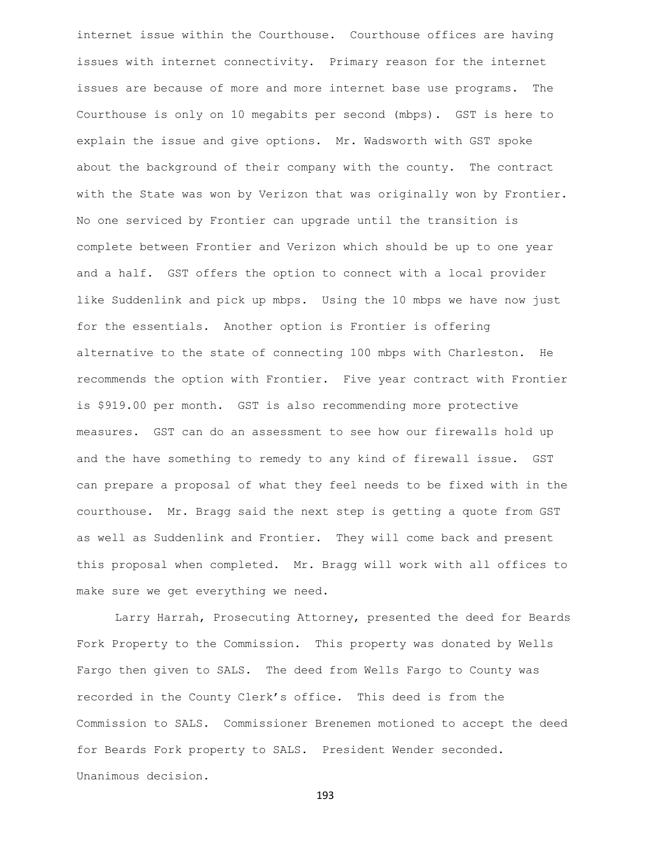internet issue within the Courthouse. Courthouse offices are having issues with internet connectivity. Primary reason for the internet issues are because of more and more internet base use programs. The Courthouse is only on 10 megabits per second (mbps). GST is here to explain the issue and give options. Mr. Wadsworth with GST spoke about the background of their company with the county. The contract with the State was won by Verizon that was originally won by Frontier. No one serviced by Frontier can upgrade until the transition is complete between Frontier and Verizon which should be up to one year and a half. GST offers the option to connect with a local provider like Suddenlink and pick up mbps. Using the 10 mbps we have now just for the essentials. Another option is Frontier is offering alternative to the state of connecting 100 mbps with Charleston. He recommends the option with Frontier. Five year contract with Frontier is \$919.00 per month. GST is also recommending more protective measures. GST can do an assessment to see how our firewalls hold up and the have something to remedy to any kind of firewall issue. GST can prepare a proposal of what they feel needs to be fixed with in the courthouse. Mr. Bragg said the next step is getting a quote from GST as well as Suddenlink and Frontier. They will come back and present this proposal when completed. Mr. Bragg will work with all offices to make sure we get everything we need.

Larry Harrah, Prosecuting Attorney, presented the deed for Beards Fork Property to the Commission. This property was donated by Wells Fargo then given to SALS. The deed from Wells Fargo to County was recorded in the County Clerk's office. This deed is from the Commission to SALS. Commissioner Brenemen motioned to accept the deed for Beards Fork property to SALS. President Wender seconded. Unanimous decision.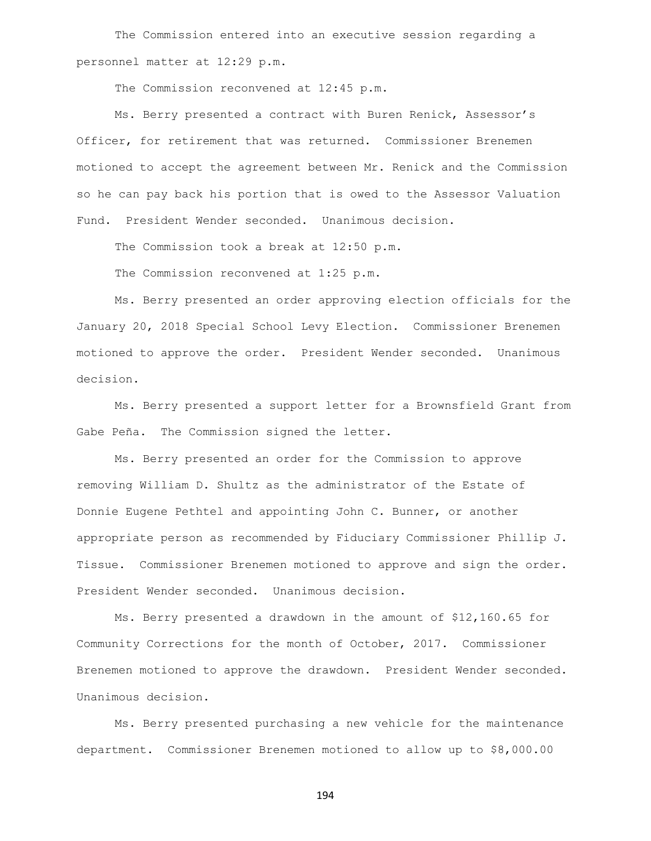The Commission entered into an executive session regarding a personnel matter at 12:29 p.m.

The Commission reconvened at 12:45 p.m.

Ms. Berry presented a contract with Buren Renick, Assessor's Officer, for retirement that was returned. Commissioner Brenemen motioned to accept the agreement between Mr. Renick and the Commission so he can pay back his portion that is owed to the Assessor Valuation Fund. President Wender seconded. Unanimous decision.

The Commission took a break at 12:50 p.m.

The Commission reconvened at 1:25 p.m.

Ms. Berry presented an order approving election officials for the January 20, 2018 Special School Levy Election. Commissioner Brenemen motioned to approve the order. President Wender seconded. Unanimous decision.

Ms. Berry presented a support letter for a Brownsfield Grant from Gabe Peña. The Commission signed the letter.

Ms. Berry presented an order for the Commission to approve removing William D. Shultz as the administrator of the Estate of Donnie Eugene Pethtel and appointing John C. Bunner, or another appropriate person as recommended by Fiduciary Commissioner Phillip J. Tissue. Commissioner Brenemen motioned to approve and sign the order. President Wender seconded. Unanimous decision.

Ms. Berry presented a drawdown in the amount of \$12,160.65 for Community Corrections for the month of October, 2017. Commissioner Brenemen motioned to approve the drawdown. President Wender seconded. Unanimous decision.

Ms. Berry presented purchasing a new vehicle for the maintenance department. Commissioner Brenemen motioned to allow up to \$8,000.00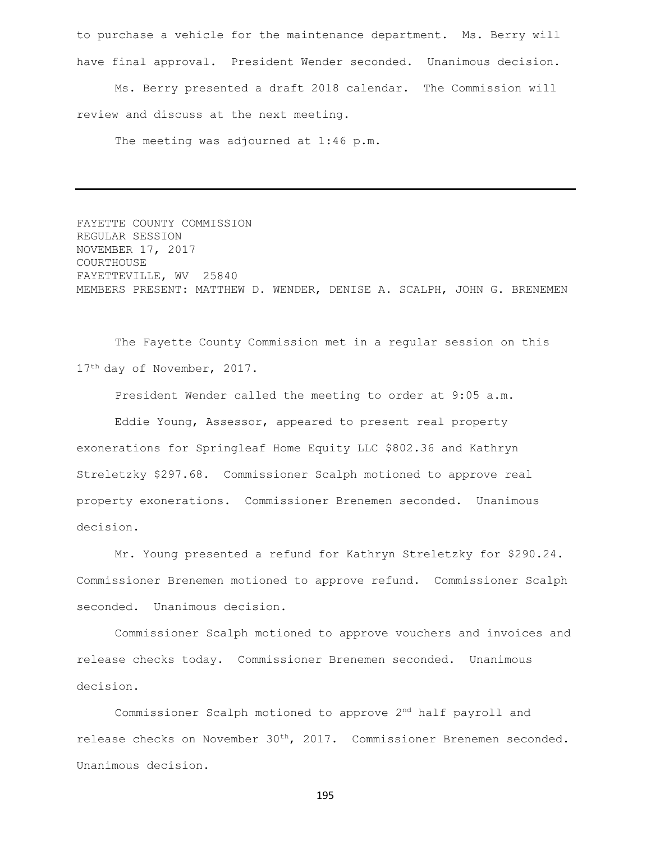to purchase a vehicle for the maintenance department. Ms. Berry will have final approval. President Wender seconded. Unanimous decision.

Ms. Berry presented a draft 2018 calendar. The Commission will review and discuss at the next meeting.

The meeting was adjourned at 1:46 p.m.

FAYETTE COUNTY COMMISSION REGULAR SESSION NOVEMBER 17, 2017 COURTHOUSE FAYETTEVILLE, WV 25840 MEMBERS PRESENT: MATTHEW D. WENDER, DENISE A. SCALPH, JOHN G. BRENEMEN

The Fayette County Commission met in a regular session on this 17<sup>th</sup> day of November, 2017.

President Wender called the meeting to order at 9:05 a.m.

Eddie Young, Assessor, appeared to present real property exonerations for Springleaf Home Equity LLC \$802.36 and Kathryn Streletzky \$297.68. Commissioner Scalph motioned to approve real property exonerations. Commissioner Brenemen seconded. Unanimous decision.

Mr. Young presented a refund for Kathryn Streletzky for \$290.24. Commissioner Brenemen motioned to approve refund. Commissioner Scalph seconded. Unanimous decision.

Commissioner Scalph motioned to approve vouchers and invoices and release checks today. Commissioner Brenemen seconded. Unanimous decision.

Commissioner Scalph motioned to approve 2nd half payroll and release checks on November 30th, 2017. Commissioner Brenemen seconded. Unanimous decision.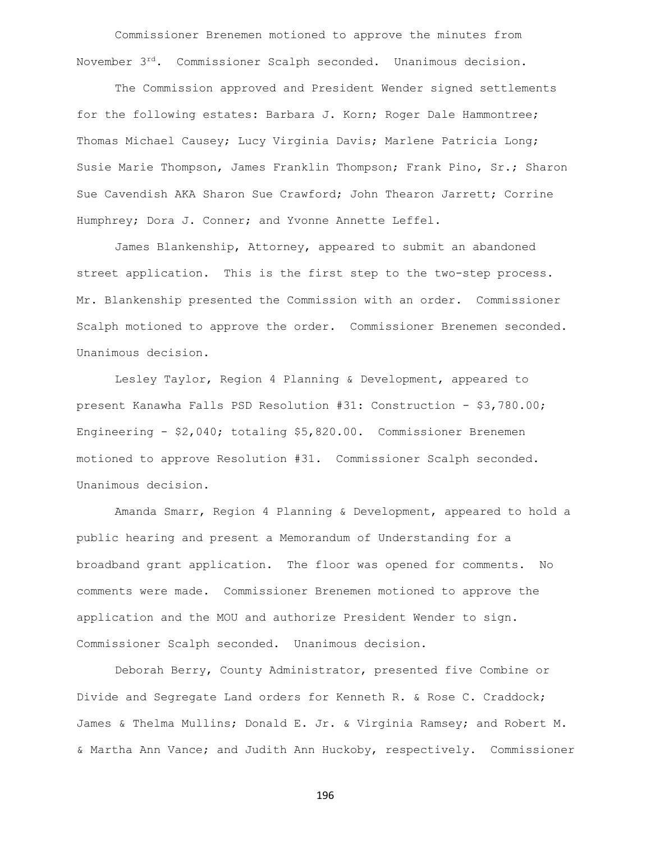Commissioner Brenemen motioned to approve the minutes from November 3rd. Commissioner Scalph seconded. Unanimous decision.

The Commission approved and President Wender signed settlements for the following estates: Barbara J. Korn; Roger Dale Hammontree; Thomas Michael Causey; Lucy Virginia Davis; Marlene Patricia Long; Susie Marie Thompson, James Franklin Thompson; Frank Pino, Sr.; Sharon Sue Cavendish AKA Sharon Sue Crawford; John Thearon Jarrett; Corrine Humphrey; Dora J. Conner; and Yvonne Annette Leffel.

James Blankenship, Attorney, appeared to submit an abandoned street application. This is the first step to the two-step process. Mr. Blankenship presented the Commission with an order. Commissioner Scalph motioned to approve the order. Commissioner Brenemen seconded. Unanimous decision.

Lesley Taylor, Region 4 Planning & Development, appeared to present Kanawha Falls PSD Resolution #31: Construction - \$3,780.00; Engineering - \$2,040; totaling \$5,820.00. Commissioner Brenemen motioned to approve Resolution #31. Commissioner Scalph seconded. Unanimous decision.

Amanda Smarr, Region 4 Planning & Development, appeared to hold a public hearing and present a Memorandum of Understanding for a broadband grant application. The floor was opened for comments. No comments were made. Commissioner Brenemen motioned to approve the application and the MOU and authorize President Wender to sign. Commissioner Scalph seconded. Unanimous decision.

Deborah Berry, County Administrator, presented five Combine or Divide and Segregate Land orders for Kenneth R. & Rose C. Craddock; James & Thelma Mullins; Donald E. Jr. & Virginia Ramsey; and Robert M. & Martha Ann Vance; and Judith Ann Huckoby, respectively. Commissioner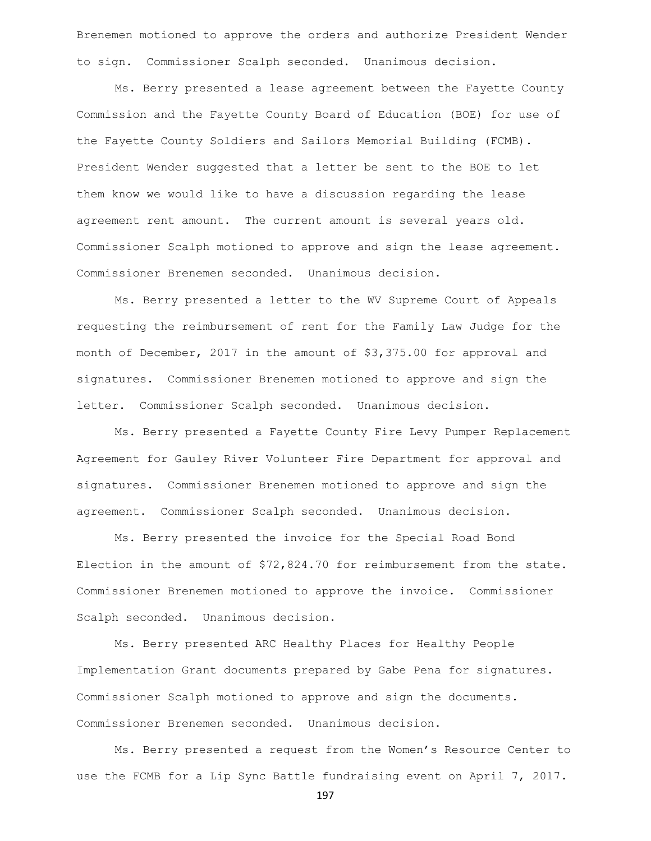Brenemen motioned to approve the orders and authorize President Wender to sign. Commissioner Scalph seconded. Unanimous decision.

Ms. Berry presented a lease agreement between the Fayette County Commission and the Fayette County Board of Education (BOE) for use of the Fayette County Soldiers and Sailors Memorial Building (FCMB). President Wender suggested that a letter be sent to the BOE to let them know we would like to have a discussion regarding the lease agreement rent amount. The current amount is several years old. Commissioner Scalph motioned to approve and sign the lease agreement. Commissioner Brenemen seconded. Unanimous decision.

Ms. Berry presented a letter to the WV Supreme Court of Appeals requesting the reimbursement of rent for the Family Law Judge for the month of December, 2017 in the amount of \$3,375.00 for approval and signatures. Commissioner Brenemen motioned to approve and sign the letter. Commissioner Scalph seconded. Unanimous decision.

Ms. Berry presented a Fayette County Fire Levy Pumper Replacement Agreement for Gauley River Volunteer Fire Department for approval and signatures. Commissioner Brenemen motioned to approve and sign the agreement. Commissioner Scalph seconded. Unanimous decision.

Ms. Berry presented the invoice for the Special Road Bond Election in the amount of \$72,824.70 for reimbursement from the state. Commissioner Brenemen motioned to approve the invoice. Commissioner Scalph seconded. Unanimous decision.

Ms. Berry presented ARC Healthy Places for Healthy People Implementation Grant documents prepared by Gabe Pena for signatures. Commissioner Scalph motioned to approve and sign the documents. Commissioner Brenemen seconded. Unanimous decision.

Ms. Berry presented a request from the Women's Resource Center to use the FCMB for a Lip Sync Battle fundraising event on April 7, 2017.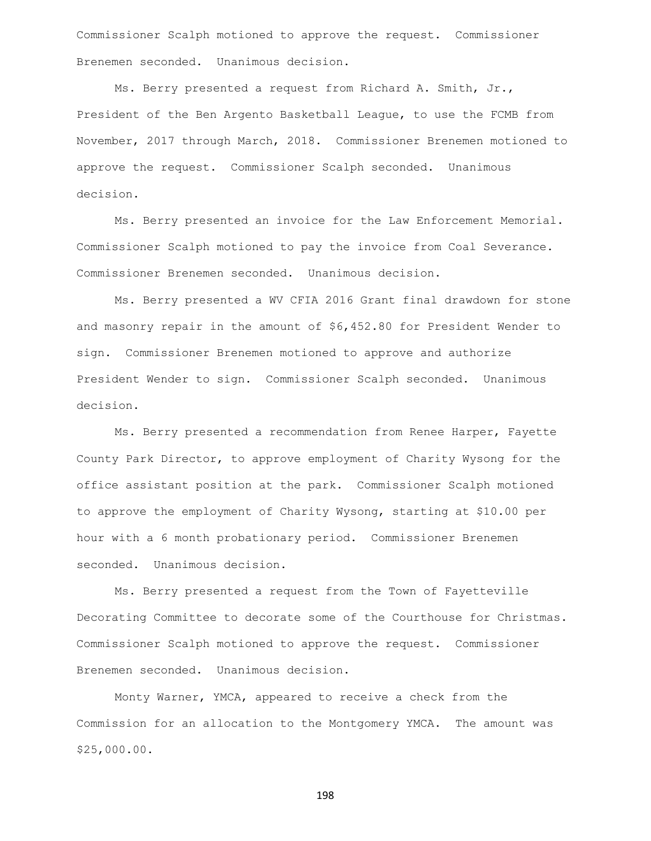Commissioner Scalph motioned to approve the request. Commissioner Brenemen seconded. Unanimous decision.

Ms. Berry presented a request from Richard A. Smith, Jr., President of the Ben Argento Basketball League, to use the FCMB from November, 2017 through March, 2018. Commissioner Brenemen motioned to approve the request. Commissioner Scalph seconded. Unanimous decision.

Ms. Berry presented an invoice for the Law Enforcement Memorial. Commissioner Scalph motioned to pay the invoice from Coal Severance. Commissioner Brenemen seconded. Unanimous decision.

Ms. Berry presented a WV CFIA 2016 Grant final drawdown for stone and masonry repair in the amount of \$6,452.80 for President Wender to sign. Commissioner Brenemen motioned to approve and authorize President Wender to sign. Commissioner Scalph seconded. Unanimous decision.

Ms. Berry presented a recommendation from Renee Harper, Fayette County Park Director, to approve employment of Charity Wysong for the office assistant position at the park. Commissioner Scalph motioned to approve the employment of Charity Wysong, starting at \$10.00 per hour with a 6 month probationary period. Commissioner Brenemen seconded. Unanimous decision.

Ms. Berry presented a request from the Town of Fayetteville Decorating Committee to decorate some of the Courthouse for Christmas. Commissioner Scalph motioned to approve the request. Commissioner Brenemen seconded. Unanimous decision.

Monty Warner, YMCA, appeared to receive a check from the Commission for an allocation to the Montgomery YMCA. The amount was \$25,000.00.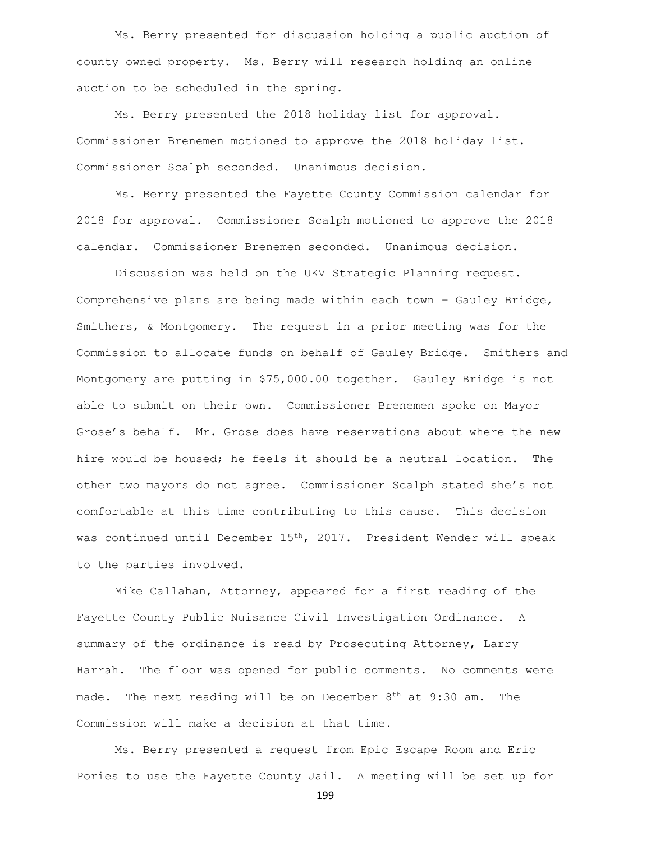Ms. Berry presented for discussion holding a public auction of county owned property. Ms. Berry will research holding an online auction to be scheduled in the spring.

Ms. Berry presented the 2018 holiday list for approval. Commissioner Brenemen motioned to approve the 2018 holiday list. Commissioner Scalph seconded. Unanimous decision.

Ms. Berry presented the Fayette County Commission calendar for 2018 for approval. Commissioner Scalph motioned to approve the 2018 calendar. Commissioner Brenemen seconded. Unanimous decision.

Discussion was held on the UKV Strategic Planning request. Comprehensive plans are being made within each town – Gauley Bridge, Smithers, & Montgomery. The request in a prior meeting was for the Commission to allocate funds on behalf of Gauley Bridge. Smithers and Montgomery are putting in \$75,000.00 together. Gauley Bridge is not able to submit on their own. Commissioner Brenemen spoke on Mayor Grose's behalf. Mr. Grose does have reservations about where the new hire would be housed; he feels it should be a neutral location. The other two mayors do not agree. Commissioner Scalph stated she's not comfortable at this time contributing to this cause. This decision was continued until December 15<sup>th</sup>, 2017. President Wender will speak to the parties involved.

Mike Callahan, Attorney, appeared for a first reading of the Fayette County Public Nuisance Civil Investigation Ordinance. A summary of the ordinance is read by Prosecuting Attorney, Larry Harrah. The floor was opened for public comments. No comments were made. The next reading will be on December  $8<sup>th</sup>$  at  $9:30$  am. The Commission will make a decision at that time.

Ms. Berry presented a request from Epic Escape Room and Eric Pories to use the Fayette County Jail. A meeting will be set up for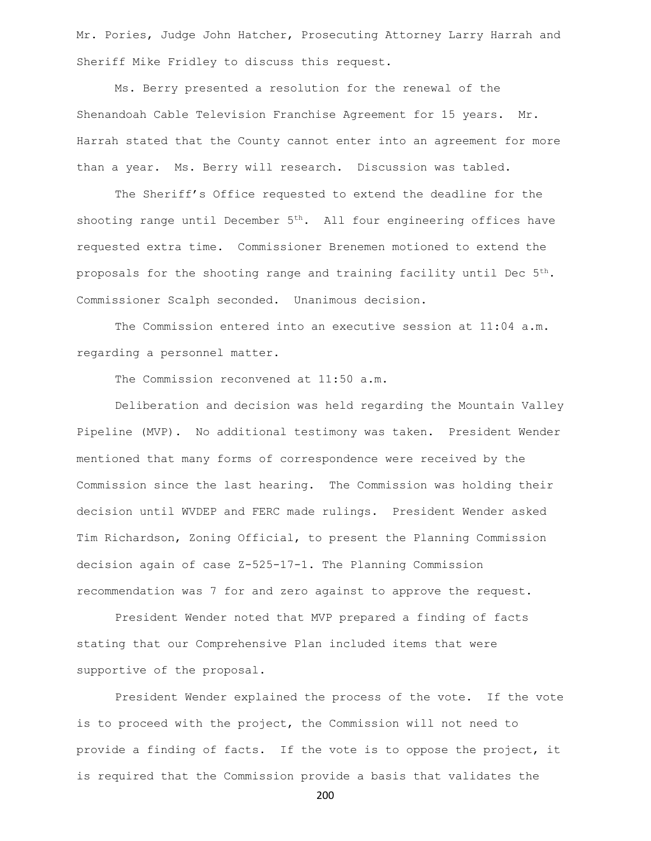Mr. Pories, Judge John Hatcher, Prosecuting Attorney Larry Harrah and Sheriff Mike Fridley to discuss this request.

Ms. Berry presented a resolution for the renewal of the Shenandoah Cable Television Franchise Agreement for 15 years. Mr. Harrah stated that the County cannot enter into an agreement for more than a year. Ms. Berry will research. Discussion was tabled.

The Sheriff's Office requested to extend the deadline for the shooting range until December  $5<sup>th</sup>$ . All four engineering offices have requested extra time. Commissioner Brenemen motioned to extend the proposals for the shooting range and training facility until Dec  $5<sup>th</sup>$ . Commissioner Scalph seconded. Unanimous decision.

The Commission entered into an executive session at 11:04 a.m. regarding a personnel matter.

The Commission reconvened at 11:50 a.m.

Deliberation and decision was held regarding the Mountain Valley Pipeline (MVP). No additional testimony was taken. President Wender mentioned that many forms of correspondence were received by the Commission since the last hearing. The Commission was holding their decision until WVDEP and FERC made rulings. President Wender asked Tim Richardson, Zoning Official, to present the Planning Commission decision again of case Z-525-17-1. The Planning Commission recommendation was 7 for and zero against to approve the request.

President Wender noted that MVP prepared a finding of facts stating that our Comprehensive Plan included items that were supportive of the proposal.

President Wender explained the process of the vote. If the vote is to proceed with the project, the Commission will not need to provide a finding of facts. If the vote is to oppose the project, it is required that the Commission provide a basis that validates the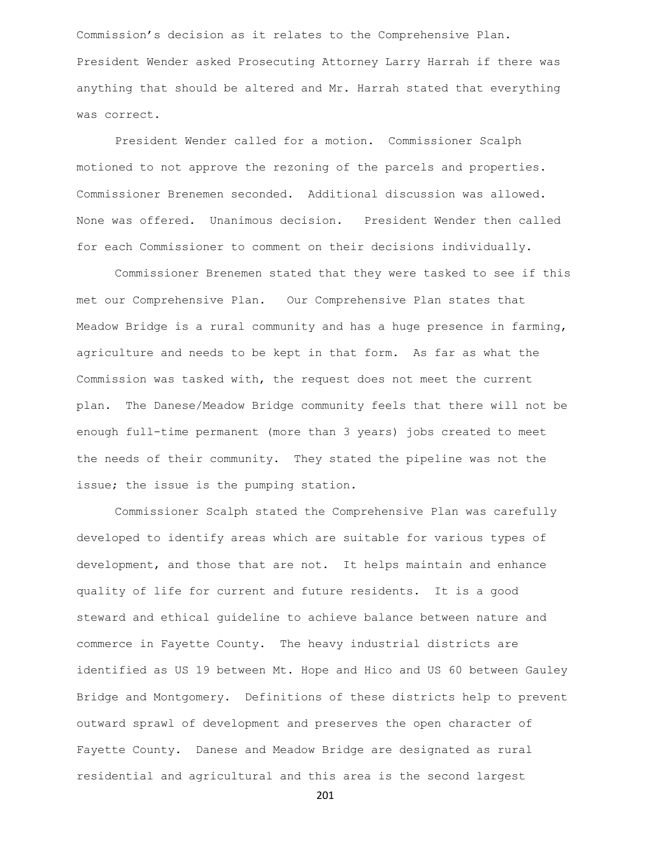Commission's decision as it relates to the Comprehensive Plan. President Wender asked Prosecuting Attorney Larry Harrah if there was anything that should be altered and Mr. Harrah stated that everything was correct.

President Wender called for a motion. Commissioner Scalph motioned to not approve the rezoning of the parcels and properties. Commissioner Brenemen seconded. Additional discussion was allowed. None was offered. Unanimous decision. President Wender then called for each Commissioner to comment on their decisions individually.

Commissioner Brenemen stated that they were tasked to see if this met our Comprehensive Plan. Our Comprehensive Plan states that Meadow Bridge is a rural community and has a huge presence in farming, agriculture and needs to be kept in that form. As far as what the Commission was tasked with, the request does not meet the current plan. The Danese/Meadow Bridge community feels that there will not be enough full-time permanent (more than 3 years) jobs created to meet the needs of their community. They stated the pipeline was not the issue; the issue is the pumping station.

Commissioner Scalph stated the Comprehensive Plan was carefully developed to identify areas which are suitable for various types of development, and those that are not. It helps maintain and enhance quality of life for current and future residents. It is a good steward and ethical guideline to achieve balance between nature and commerce in Fayette County. The heavy industrial districts are identified as US 19 between Mt. Hope and Hico and US 60 between Gauley Bridge and Montgomery. Definitions of these districts help to prevent outward sprawl of development and preserves the open character of Fayette County. Danese and Meadow Bridge are designated as rural residential and agricultural and this area is the second largest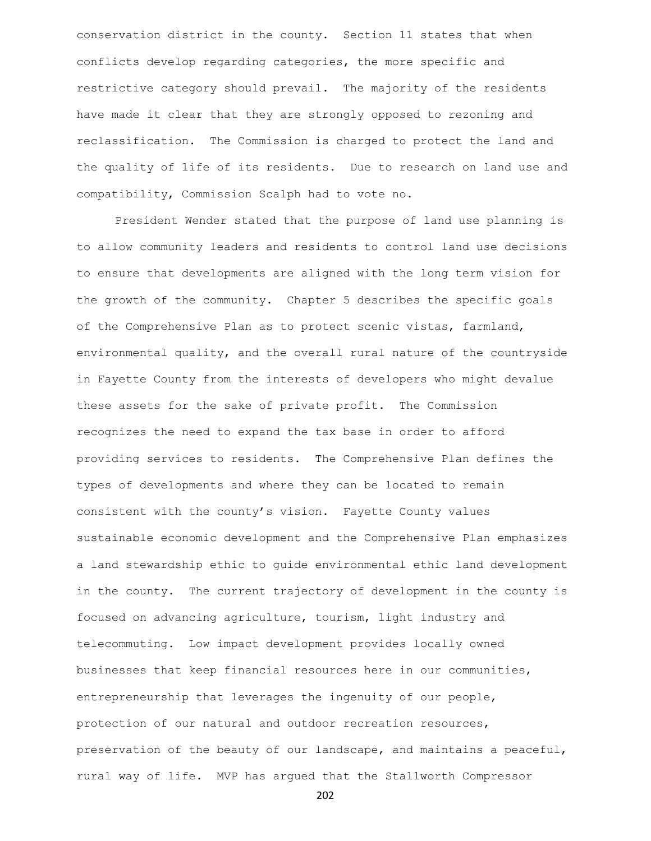conservation district in the county. Section 11 states that when conflicts develop regarding categories, the more specific and restrictive category should prevail. The majority of the residents have made it clear that they are strongly opposed to rezoning and reclassification. The Commission is charged to protect the land and the quality of life of its residents. Due to research on land use and compatibility, Commission Scalph had to vote no.

President Wender stated that the purpose of land use planning is to allow community leaders and residents to control land use decisions to ensure that developments are aligned with the long term vision for the growth of the community. Chapter 5 describes the specific goals of the Comprehensive Plan as to protect scenic vistas, farmland, environmental quality, and the overall rural nature of the countryside in Fayette County from the interests of developers who might devalue these assets for the sake of private profit. The Commission recognizes the need to expand the tax base in order to afford providing services to residents. The Comprehensive Plan defines the types of developments and where they can be located to remain consistent with the county's vision. Fayette County values sustainable economic development and the Comprehensive Plan emphasizes a land stewardship ethic to guide environmental ethic land development in the county. The current trajectory of development in the county is focused on advancing agriculture, tourism, light industry and telecommuting. Low impact development provides locally owned businesses that keep financial resources here in our communities, entrepreneurship that leverages the ingenuity of our people, protection of our natural and outdoor recreation resources, preservation of the beauty of our landscape, and maintains a peaceful, rural way of life. MVP has argued that the Stallworth Compressor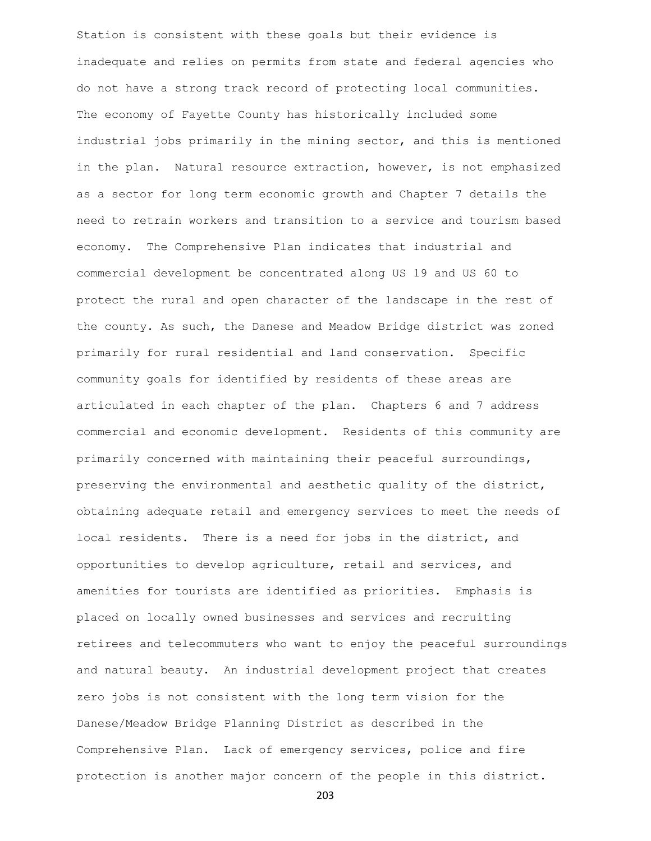Station is consistent with these goals but their evidence is inadequate and relies on permits from state and federal agencies who do not have a strong track record of protecting local communities. The economy of Fayette County has historically included some industrial jobs primarily in the mining sector, and this is mentioned in the plan. Natural resource extraction, however, is not emphasized as a sector for long term economic growth and Chapter 7 details the need to retrain workers and transition to a service and tourism based economy. The Comprehensive Plan indicates that industrial and commercial development be concentrated along US 19 and US 60 to protect the rural and open character of the landscape in the rest of the county. As such, the Danese and Meadow Bridge district was zoned primarily for rural residential and land conservation. Specific community goals for identified by residents of these areas are articulated in each chapter of the plan. Chapters 6 and 7 address commercial and economic development. Residents of this community are primarily concerned with maintaining their peaceful surroundings, preserving the environmental and aesthetic quality of the district, obtaining adequate retail and emergency services to meet the needs of local residents. There is a need for jobs in the district, and opportunities to develop agriculture, retail and services, and amenities for tourists are identified as priorities. Emphasis is placed on locally owned businesses and services and recruiting retirees and telecommuters who want to enjoy the peaceful surroundings and natural beauty. An industrial development project that creates zero jobs is not consistent with the long term vision for the Danese/Meadow Bridge Planning District as described in the Comprehensive Plan. Lack of emergency services, police and fire protection is another major concern of the people in this district.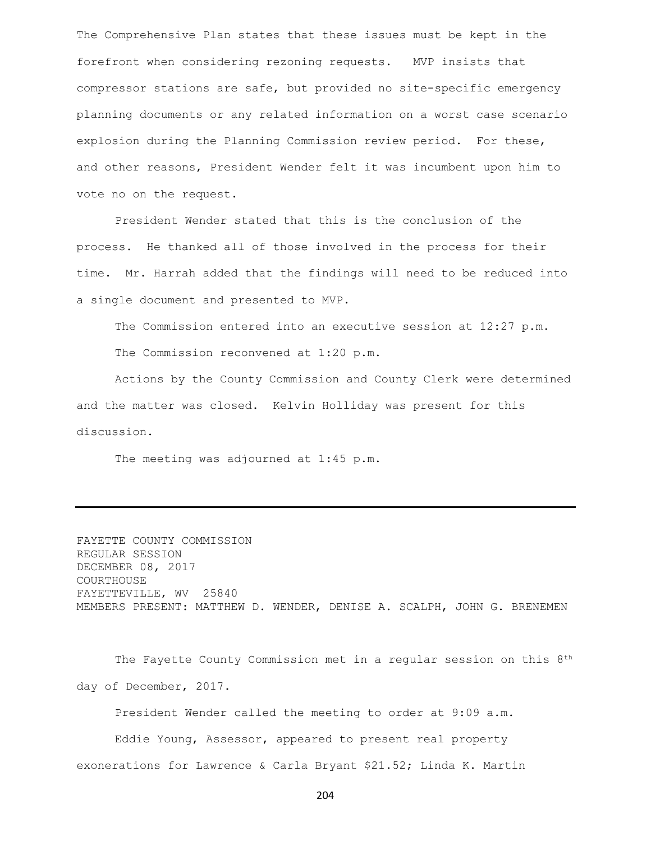The Comprehensive Plan states that these issues must be kept in the forefront when considering rezoning requests. MVP insists that compressor stations are safe, but provided no site-specific emergency planning documents or any related information on a worst case scenario explosion during the Planning Commission review period. For these, and other reasons, President Wender felt it was incumbent upon him to vote no on the request.

President Wender stated that this is the conclusion of the process. He thanked all of those involved in the process for their time. Mr. Harrah added that the findings will need to be reduced into a single document and presented to MVP.

The Commission entered into an executive session at 12:27 p.m. The Commission reconvened at 1:20 p.m.

Actions by the County Commission and County Clerk were determined and the matter was closed. Kelvin Holliday was present for this discussion.

The meeting was adjourned at 1:45 p.m.

FAYETTE COUNTY COMMISSION REGULAR SESSION DECEMBER 08, 2017 COURTHOUSE FAYETTEVILLE, WV 25840 MEMBERS PRESENT: MATTHEW D. WENDER, DENISE A. SCALPH, JOHN G. BRENEMEN

The Fayette County Commission met in a regular session on this 8<sup>th</sup> day of December, 2017.

President Wender called the meeting to order at 9:09 a.m.

Eddie Young, Assessor, appeared to present real property exonerations for Lawrence & Carla Bryant \$21.52; Linda K. Martin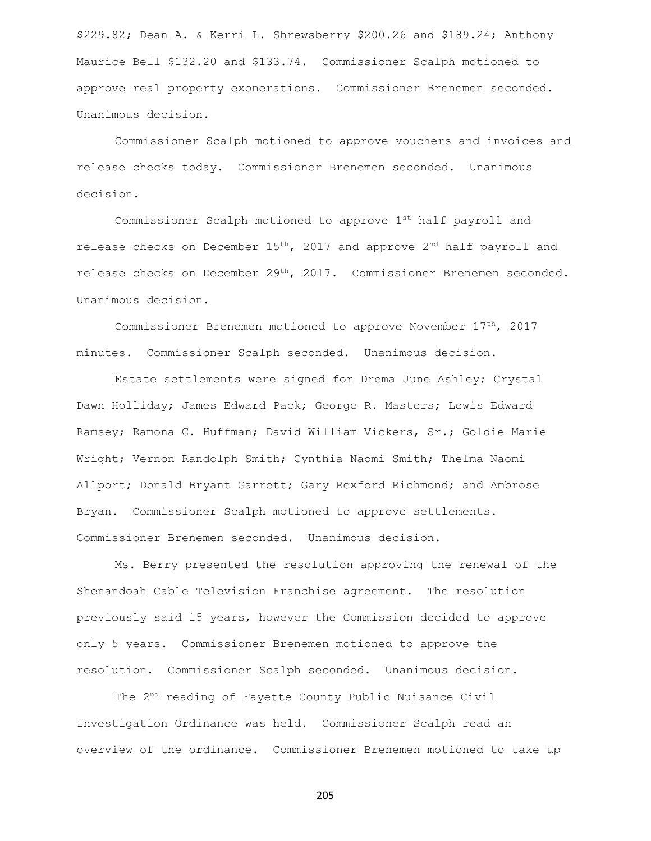\$229.82; Dean A. & Kerri L. Shrewsberry \$200.26 and \$189.24; Anthony Maurice Bell \$132.20 and \$133.74. Commissioner Scalph motioned to approve real property exonerations. Commissioner Brenemen seconded. Unanimous decision.

Commissioner Scalph motioned to approve vouchers and invoices and release checks today. Commissioner Brenemen seconded. Unanimous decision.

Commissioner Scalph motioned to approve 1st half payroll and release checks on December  $15<sup>th</sup>$ , 2017 and approve 2<sup>nd</sup> half payroll and release checks on December 29th, 2017. Commissioner Brenemen seconded. Unanimous decision.

Commissioner Brenemen motioned to approve November 17th, 2017 minutes. Commissioner Scalph seconded. Unanimous decision.

Estate settlements were signed for Drema June Ashley; Crystal Dawn Holliday; James Edward Pack; George R. Masters; Lewis Edward Ramsey; Ramona C. Huffman; David William Vickers, Sr.; Goldie Marie Wright; Vernon Randolph Smith; Cynthia Naomi Smith; Thelma Naomi Allport; Donald Bryant Garrett; Gary Rexford Richmond; and Ambrose Bryan. Commissioner Scalph motioned to approve settlements. Commissioner Brenemen seconded. Unanimous decision.

Ms. Berry presented the resolution approving the renewal of the Shenandoah Cable Television Franchise agreement. The resolution previously said 15 years, however the Commission decided to approve only 5 years. Commissioner Brenemen motioned to approve the resolution. Commissioner Scalph seconded. Unanimous decision.

The 2<sup>nd</sup> reading of Fayette County Public Nuisance Civil Investigation Ordinance was held. Commissioner Scalph read an overview of the ordinance. Commissioner Brenemen motioned to take up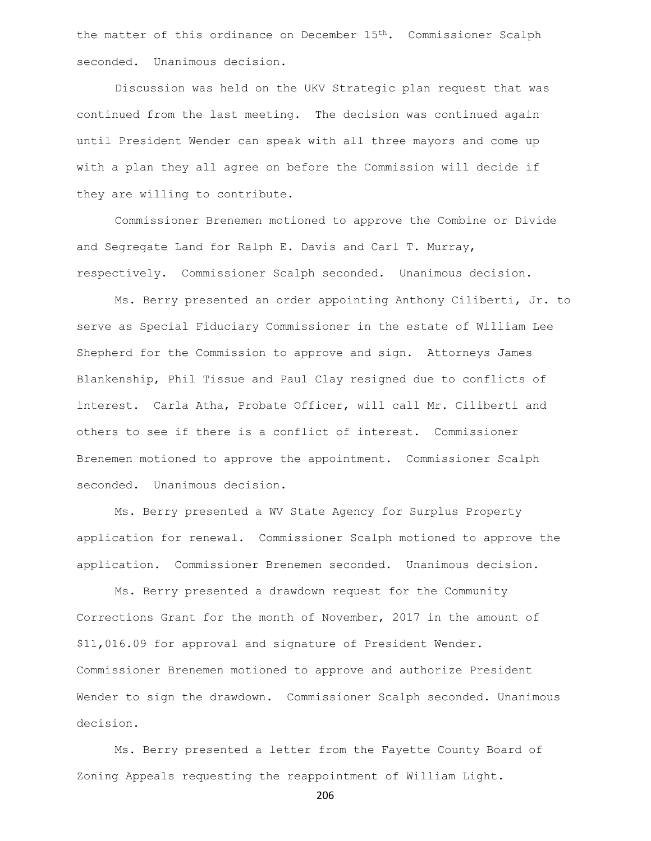the matter of this ordinance on December 15<sup>th</sup>. Commissioner Scalph seconded. Unanimous decision.

Discussion was held on the UKV Strategic plan request that was continued from the last meeting. The decision was continued again until President Wender can speak with all three mayors and come up with a plan they all agree on before the Commission will decide if they are willing to contribute.

Commissioner Brenemen motioned to approve the Combine or Divide and Segregate Land for Ralph E. Davis and Carl T. Murray, respectively. Commissioner Scalph seconded. Unanimous decision.

Ms. Berry presented an order appointing Anthony Ciliberti, Jr. to serve as Special Fiduciary Commissioner in the estate of William Lee Shepherd for the Commission to approve and sign. Attorneys James Blankenship, Phil Tissue and Paul Clay resigned due to conflicts of interest. Carla Atha, Probate Officer, will call Mr. Ciliberti and others to see if there is a conflict of interest. Commissioner Brenemen motioned to approve the appointment. Commissioner Scalph seconded. Unanimous decision.

Ms. Berry presented a WV State Agency for Surplus Property application for renewal. Commissioner Scalph motioned to approve the application. Commissioner Brenemen seconded. Unanimous decision.

Ms. Berry presented a drawdown request for the Community Corrections Grant for the month of November, 2017 in the amount of \$11,016.09 for approval and signature of President Wender. Commissioner Brenemen motioned to approve and authorize President Wender to sign the drawdown. Commissioner Scalph seconded. Unanimous decision.

Ms. Berry presented a letter from the Fayette County Board of Zoning Appeals requesting the reappointment of William Light.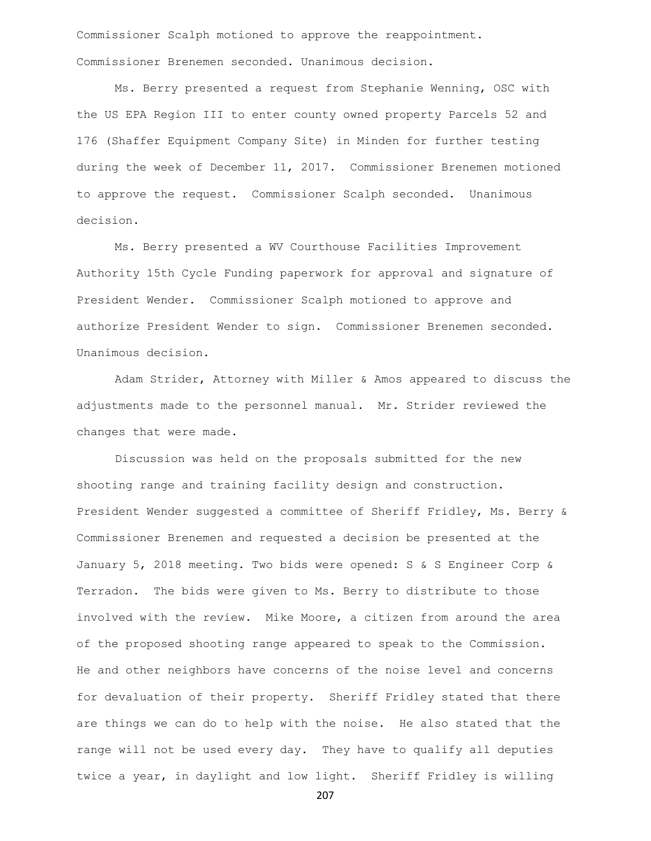Commissioner Scalph motioned to approve the reappointment. Commissioner Brenemen seconded. Unanimous decision.

Ms. Berry presented a request from Stephanie Wenning, OSC with the US EPA Region III to enter county owned property Parcels 52 and 176 (Shaffer Equipment Company Site) in Minden for further testing during the week of December 11, 2017. Commissioner Brenemen motioned to approve the request. Commissioner Scalph seconded. Unanimous decision.

Ms. Berry presented a WV Courthouse Facilities Improvement Authority 15th Cycle Funding paperwork for approval and signature of President Wender. Commissioner Scalph motioned to approve and authorize President Wender to sign. Commissioner Brenemen seconded. Unanimous decision.

Adam Strider, Attorney with Miller & Amos appeared to discuss the adjustments made to the personnel manual. Mr. Strider reviewed the changes that were made.

Discussion was held on the proposals submitted for the new shooting range and training facility design and construction. President Wender suggested a committee of Sheriff Fridley, Ms. Berry & Commissioner Brenemen and requested a decision be presented at the January 5, 2018 meeting. Two bids were opened: S & S Engineer Corp & Terradon. The bids were given to Ms. Berry to distribute to those involved with the review. Mike Moore, a citizen from around the area of the proposed shooting range appeared to speak to the Commission. He and other neighbors have concerns of the noise level and concerns for devaluation of their property. Sheriff Fridley stated that there are things we can do to help with the noise. He also stated that the range will not be used every day. They have to qualify all deputies twice a year, in daylight and low light. Sheriff Fridley is willing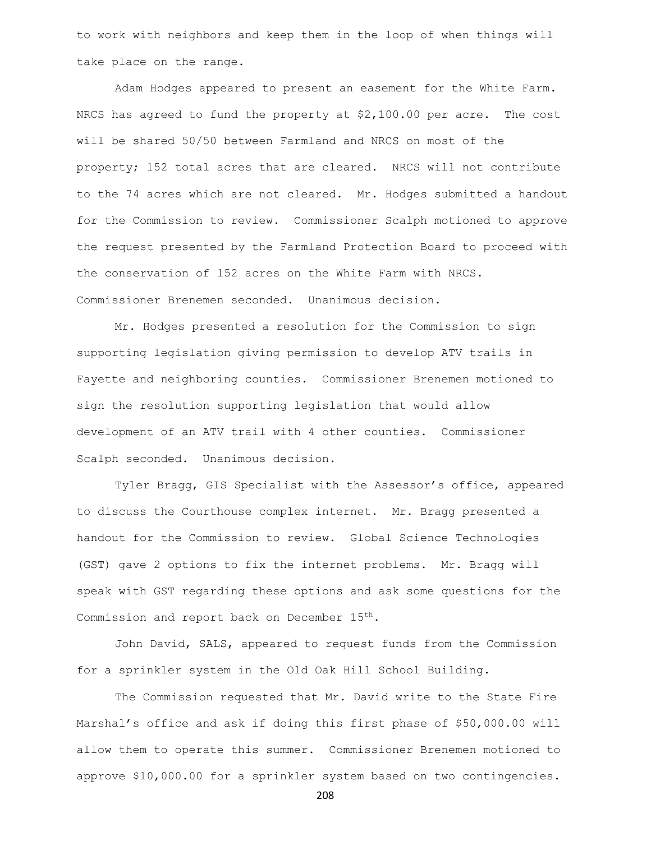to work with neighbors and keep them in the loop of when things will take place on the range.

Adam Hodges appeared to present an easement for the White Farm. NRCS has agreed to fund the property at \$2,100.00 per acre. The cost will be shared 50/50 between Farmland and NRCS on most of the property; 152 total acres that are cleared. NRCS will not contribute to the 74 acres which are not cleared. Mr. Hodges submitted a handout for the Commission to review. Commissioner Scalph motioned to approve the request presented by the Farmland Protection Board to proceed with the conservation of 152 acres on the White Farm with NRCS. Commissioner Brenemen seconded. Unanimous decision.

Mr. Hodges presented a resolution for the Commission to sign supporting legislation giving permission to develop ATV trails in Fayette and neighboring counties. Commissioner Brenemen motioned to sign the resolution supporting legislation that would allow development of an ATV trail with 4 other counties. Commissioner Scalph seconded. Unanimous decision.

Tyler Bragg, GIS Specialist with the Assessor's office, appeared to discuss the Courthouse complex internet. Mr. Bragg presented a handout for the Commission to review. Global Science Technologies (GST) gave 2 options to fix the internet problems. Mr. Bragg will speak with GST regarding these options and ask some questions for the Commission and report back on December 15th.

John David, SALS, appeared to request funds from the Commission for a sprinkler system in the Old Oak Hill School Building.

The Commission requested that Mr. David write to the State Fire Marshal's office and ask if doing this first phase of \$50,000.00 will allow them to operate this summer. Commissioner Brenemen motioned to approve \$10,000.00 for a sprinkler system based on two contingencies.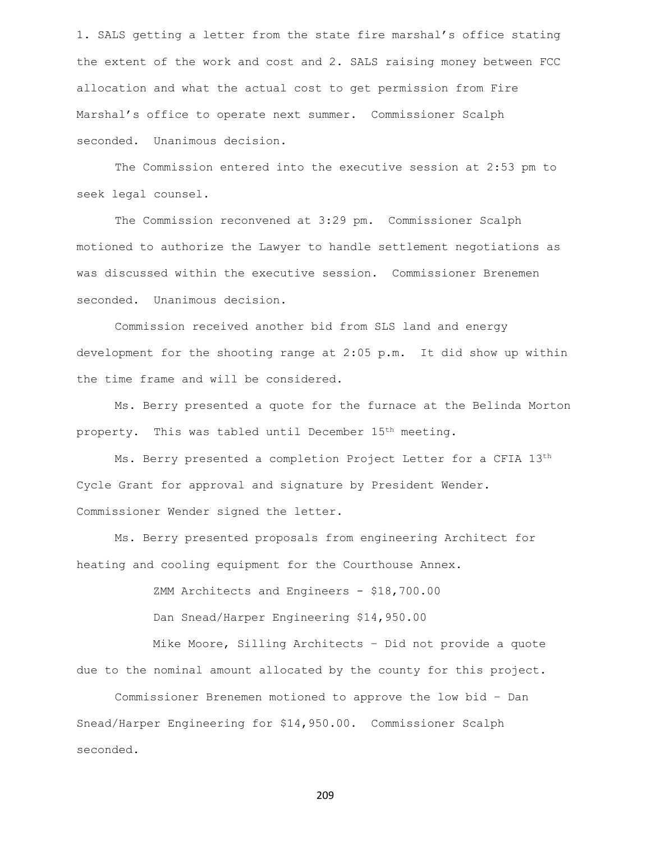1. SALS getting a letter from the state fire marshal's office stating the extent of the work and cost and 2. SALS raising money between FCC allocation and what the actual cost to get permission from Fire Marshal's office to operate next summer. Commissioner Scalph seconded. Unanimous decision.

The Commission entered into the executive session at 2:53 pm to seek legal counsel.

The Commission reconvened at 3:29 pm. Commissioner Scalph motioned to authorize the Lawyer to handle settlement negotiations as was discussed within the executive session. Commissioner Brenemen seconded. Unanimous decision.

Commission received another bid from SLS land and energy development for the shooting range at 2:05 p.m. It did show up within the time frame and will be considered.

Ms. Berry presented a quote for the furnace at the Belinda Morton property. This was tabled until December 15<sup>th</sup> meeting.

Ms. Berry presented a completion Project Letter for a CFIA 13th Cycle Grant for approval and signature by President Wender. Commissioner Wender signed the letter.

Ms. Berry presented proposals from engineering Architect for heating and cooling equipment for the Courthouse Annex.

ZMM Architects and Engineers - \$18,700.00

Dan Snead/Harper Engineering \$14,950.00

Mike Moore, Silling Architects – Did not provide a quote due to the nominal amount allocated by the county for this project.

Commissioner Brenemen motioned to approve the low bid – Dan Snead/Harper Engineering for \$14,950.00. Commissioner Scalph seconded.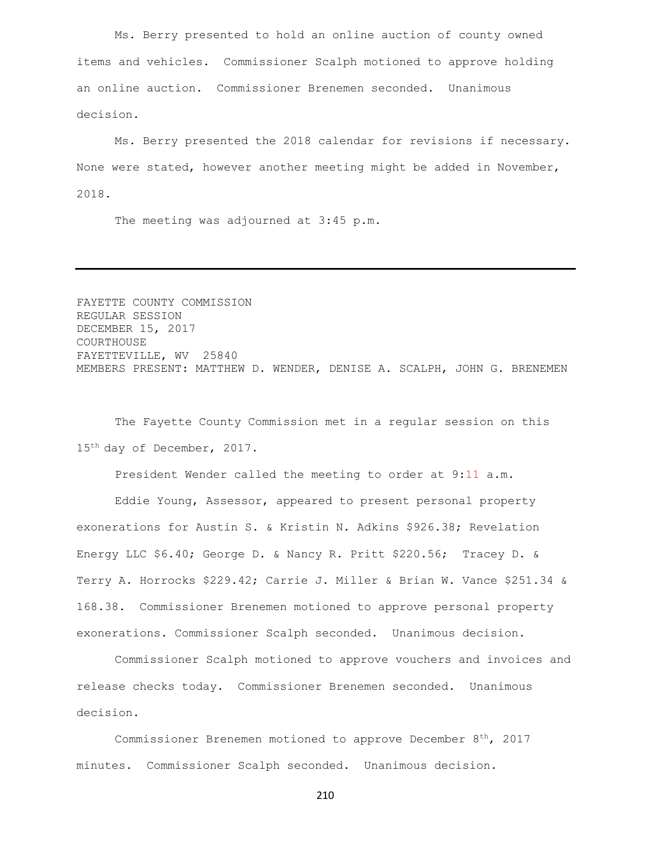Ms. Berry presented to hold an online auction of county owned items and vehicles. Commissioner Scalph motioned to approve holding an online auction. Commissioner Brenemen seconded. Unanimous decision.

Ms. Berry presented the 2018 calendar for revisions if necessary. None were stated, however another meeting might be added in November, 2018.

The meeting was adjourned at 3:45 p.m.

FAYETTE COUNTY COMMISSION REGULAR SESSION DECEMBER 15, 2017 COURTHOUSE FAYETTEVILLE, WV 25840 MEMBERS PRESENT: MATTHEW D. WENDER, DENISE A. SCALPH, JOHN G. BRENEMEN

The Fayette County Commission met in a regular session on this 15th day of December, 2017.

President Wender called the meeting to order at 9:11 a.m.

Eddie Young, Assessor, appeared to present personal property exonerations for Austin S. & Kristin N. Adkins \$926.38; Revelation Energy LLC \$6.40; George D. & Nancy R. Pritt \$220.56; Tracey D. & Terry A. Horrocks \$229.42; Carrie J. Miller & Brian W. Vance \$251.34 & 168.38. Commissioner Brenemen motioned to approve personal property exonerations. Commissioner Scalph seconded. Unanimous decision.

Commissioner Scalph motioned to approve vouchers and invoices and release checks today. Commissioner Brenemen seconded. Unanimous decision.

Commissioner Brenemen motioned to approve December 8th, 2017 minutes. Commissioner Scalph seconded. Unanimous decision.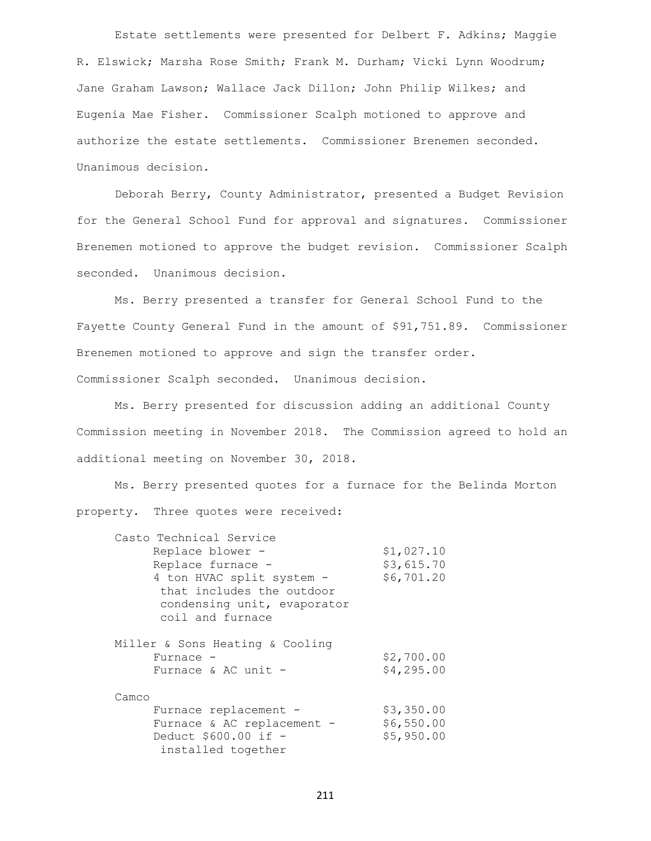Estate settlements were presented for Delbert F. Adkins; Maggie R. Elswick; Marsha Rose Smith; Frank M. Durham; Vicki Lynn Woodrum; Jane Graham Lawson; Wallace Jack Dillon; John Philip Wilkes; and Eugenia Mae Fisher. Commissioner Scalph motioned to approve and authorize the estate settlements. Commissioner Brenemen seconded. Unanimous decision.

Deborah Berry, County Administrator, presented a Budget Revision for the General School Fund for approval and signatures. Commissioner Brenemen motioned to approve the budget revision. Commissioner Scalph seconded. Unanimous decision.

Ms. Berry presented a transfer for General School Fund to the Fayette County General Fund in the amount of \$91,751.89. Commissioner Brenemen motioned to approve and sign the transfer order. Commissioner Scalph seconded. Unanimous decision.

Ms. Berry presented for discussion adding an additional County Commission meeting in November 2018. The Commission agreed to hold an additional meeting on November 30, 2018.

Ms. Berry presented quotes for a furnace for the Belinda Morton property. Three quotes were received:

| Casto Technical Service         |            |
|---------------------------------|------------|
| Replace blower -                | \$1,027.10 |
| Replace furnace -               | \$3,615.70 |
| 4 ton HVAC split system -       | \$6,701.20 |
| that includes the outdoor       |            |
| condensing unit, evaporator     |            |
| coil and furnace                |            |
|                                 |            |
| Miller & Sons Heating & Cooling |            |
| Furnace -                       | \$2,700.00 |
| Furnace & AC unit $-$           | \$4,295.00 |
| Camco                           |            |
| Furnace replacement -           | \$3,350.00 |
| Furnace & AC replacement -      | \$6,550.00 |
| Deduct \$600.00 if -            | \$5,950.00 |
| installed together              |            |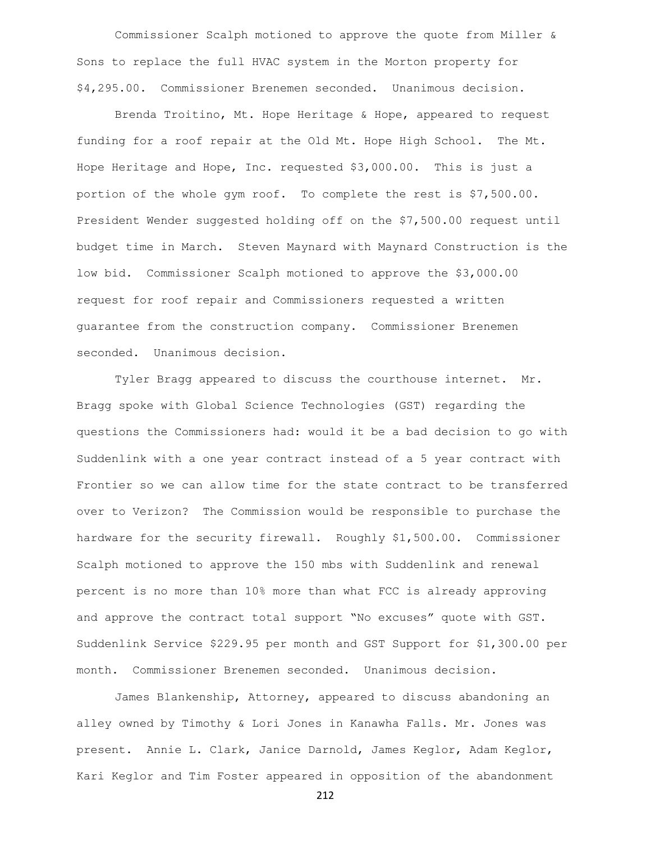Commissioner Scalph motioned to approve the quote from Miller & Sons to replace the full HVAC system in the Morton property for \$4,295.00. Commissioner Brenemen seconded. Unanimous decision.

Brenda Troitino, Mt. Hope Heritage & Hope, appeared to request funding for a roof repair at the Old Mt. Hope High School. The Mt. Hope Heritage and Hope, Inc. requested \$3,000.00. This is just a portion of the whole gym roof. To complete the rest is \$7,500.00. President Wender suggested holding off on the \$7,500.00 request until budget time in March. Steven Maynard with Maynard Construction is the low bid. Commissioner Scalph motioned to approve the \$3,000.00 request for roof repair and Commissioners requested a written guarantee from the construction company. Commissioner Brenemen seconded. Unanimous decision.

Tyler Bragg appeared to discuss the courthouse internet. Mr. Bragg spoke with Global Science Technologies (GST) regarding the questions the Commissioners had: would it be a bad decision to go with Suddenlink with a one year contract instead of a 5 year contract with Frontier so we can allow time for the state contract to be transferred over to Verizon? The Commission would be responsible to purchase the hardware for the security firewall. Roughly \$1,500.00. Commissioner Scalph motioned to approve the 150 mbs with Suddenlink and renewal percent is no more than 10% more than what FCC is already approving and approve the contract total support "No excuses" quote with GST. Suddenlink Service \$229.95 per month and GST Support for \$1,300.00 per month. Commissioner Brenemen seconded. Unanimous decision.

James Blankenship, Attorney, appeared to discuss abandoning an alley owned by Timothy & Lori Jones in Kanawha Falls. Mr. Jones was present. Annie L. Clark, Janice Darnold, James Keglor, Adam Keglor, Kari Keglor and Tim Foster appeared in opposition of the abandonment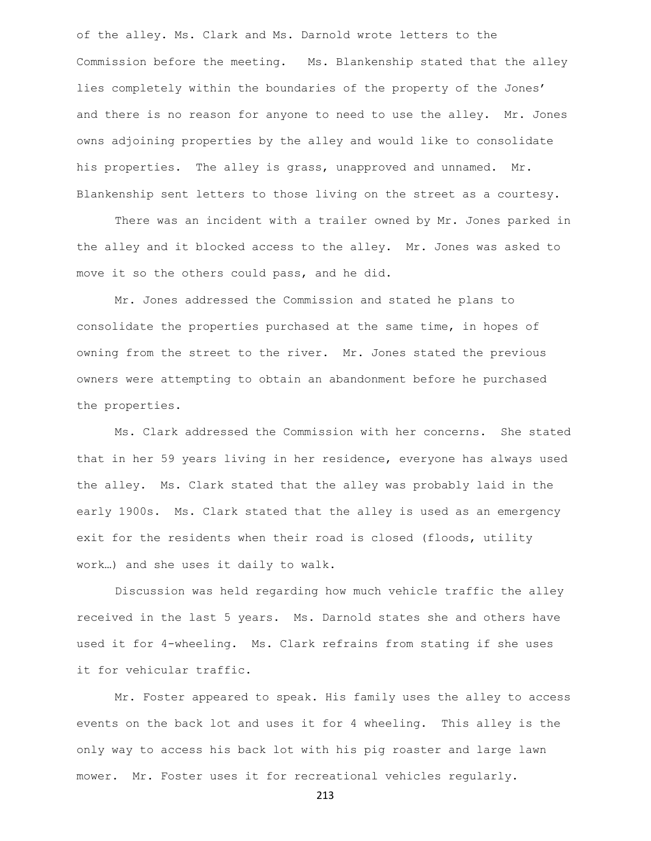of the alley. Ms. Clark and Ms. Darnold wrote letters to the Commission before the meeting. Ms. Blankenship stated that the alley lies completely within the boundaries of the property of the Jones' and there is no reason for anyone to need to use the alley. Mr. Jones owns adjoining properties by the alley and would like to consolidate his properties. The alley is grass, unapproved and unnamed. Mr. Blankenship sent letters to those living on the street as a courtesy.

There was an incident with a trailer owned by Mr. Jones parked in the alley and it blocked access to the alley. Mr. Jones was asked to move it so the others could pass, and he did.

Mr. Jones addressed the Commission and stated he plans to consolidate the properties purchased at the same time, in hopes of owning from the street to the river. Mr. Jones stated the previous owners were attempting to obtain an abandonment before he purchased the properties.

Ms. Clark addressed the Commission with her concerns. She stated that in her 59 years living in her residence, everyone has always used the alley. Ms. Clark stated that the alley was probably laid in the early 1900s. Ms. Clark stated that the alley is used as an emergency exit for the residents when their road is closed (floods, utility work…) and she uses it daily to walk.

Discussion was held regarding how much vehicle traffic the alley received in the last 5 years. Ms. Darnold states she and others have used it for 4-wheeling. Ms. Clark refrains from stating if she uses it for vehicular traffic.

Mr. Foster appeared to speak. His family uses the alley to access events on the back lot and uses it for 4 wheeling. This alley is the only way to access his back lot with his pig roaster and large lawn mower. Mr. Foster uses it for recreational vehicles regularly.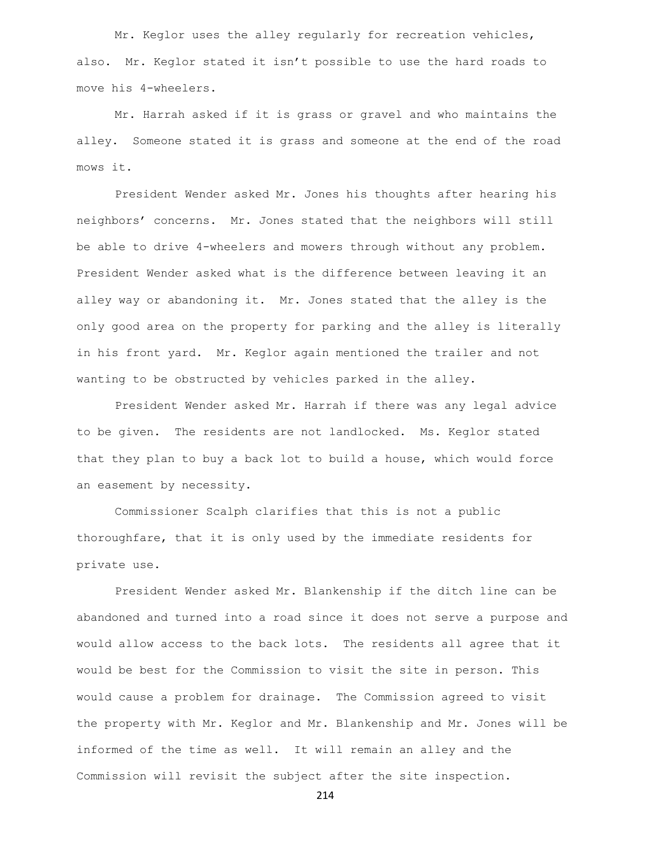Mr. Keglor uses the alley regularly for recreation vehicles, also. Mr. Keglor stated it isn't possible to use the hard roads to move his 4-wheelers.

Mr. Harrah asked if it is grass or gravel and who maintains the alley. Someone stated it is grass and someone at the end of the road mows it.

President Wender asked Mr. Jones his thoughts after hearing his neighbors' concerns. Mr. Jones stated that the neighbors will still be able to drive 4-wheelers and mowers through without any problem. President Wender asked what is the difference between leaving it an alley way or abandoning it. Mr. Jones stated that the alley is the only good area on the property for parking and the alley is literally in his front yard. Mr. Keglor again mentioned the trailer and not wanting to be obstructed by vehicles parked in the alley.

President Wender asked Mr. Harrah if there was any legal advice to be given. The residents are not landlocked. Ms. Keglor stated that they plan to buy a back lot to build a house, which would force an easement by necessity.

Commissioner Scalph clarifies that this is not a public thoroughfare, that it is only used by the immediate residents for private use.

President Wender asked Mr. Blankenship if the ditch line can be abandoned and turned into a road since it does not serve a purpose and would allow access to the back lots. The residents all agree that it would be best for the Commission to visit the site in person. This would cause a problem for drainage. The Commission agreed to visit the property with Mr. Keglor and Mr. Blankenship and Mr. Jones will be informed of the time as well. It will remain an alley and the Commission will revisit the subject after the site inspection.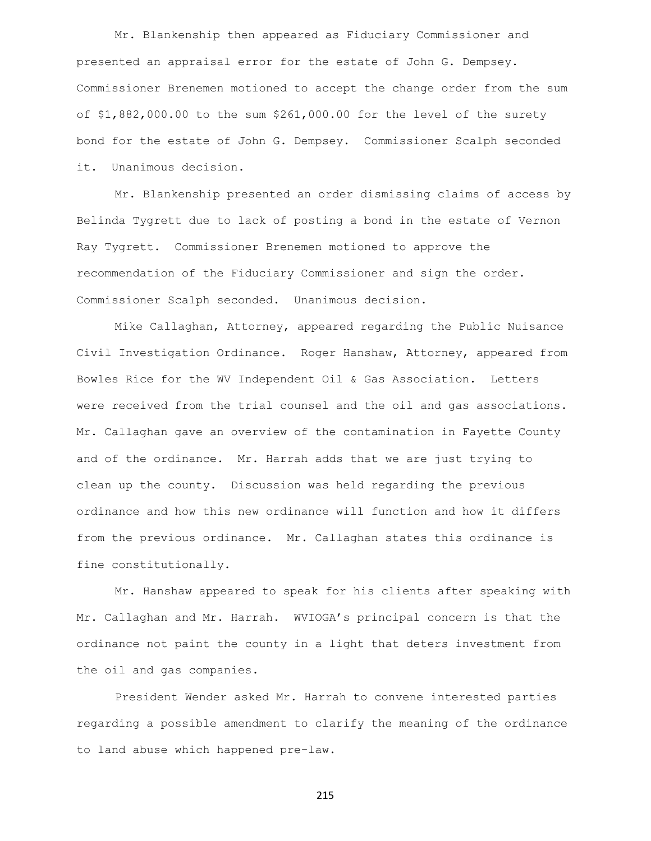Mr. Blankenship then appeared as Fiduciary Commissioner and presented an appraisal error for the estate of John G. Dempsey. Commissioner Brenemen motioned to accept the change order from the sum of \$1,882,000.00 to the sum \$261,000.00 for the level of the surety bond for the estate of John G. Dempsey. Commissioner Scalph seconded it. Unanimous decision.

Mr. Blankenship presented an order dismissing claims of access by Belinda Tygrett due to lack of posting a bond in the estate of Vernon Ray Tygrett. Commissioner Brenemen motioned to approve the recommendation of the Fiduciary Commissioner and sign the order. Commissioner Scalph seconded. Unanimous decision.

Mike Callaghan, Attorney, appeared regarding the Public Nuisance Civil Investigation Ordinance. Roger Hanshaw, Attorney, appeared from Bowles Rice for the WV Independent Oil & Gas Association. Letters were received from the trial counsel and the oil and gas associations. Mr. Callaghan gave an overview of the contamination in Fayette County and of the ordinance. Mr. Harrah adds that we are just trying to clean up the county. Discussion was held regarding the previous ordinance and how this new ordinance will function and how it differs from the previous ordinance. Mr. Callaghan states this ordinance is fine constitutionally.

Mr. Hanshaw appeared to speak for his clients after speaking with Mr. Callaghan and Mr. Harrah. WVIOGA's principal concern is that the ordinance not paint the county in a light that deters investment from the oil and gas companies.

President Wender asked Mr. Harrah to convene interested parties regarding a possible amendment to clarify the meaning of the ordinance to land abuse which happened pre-law.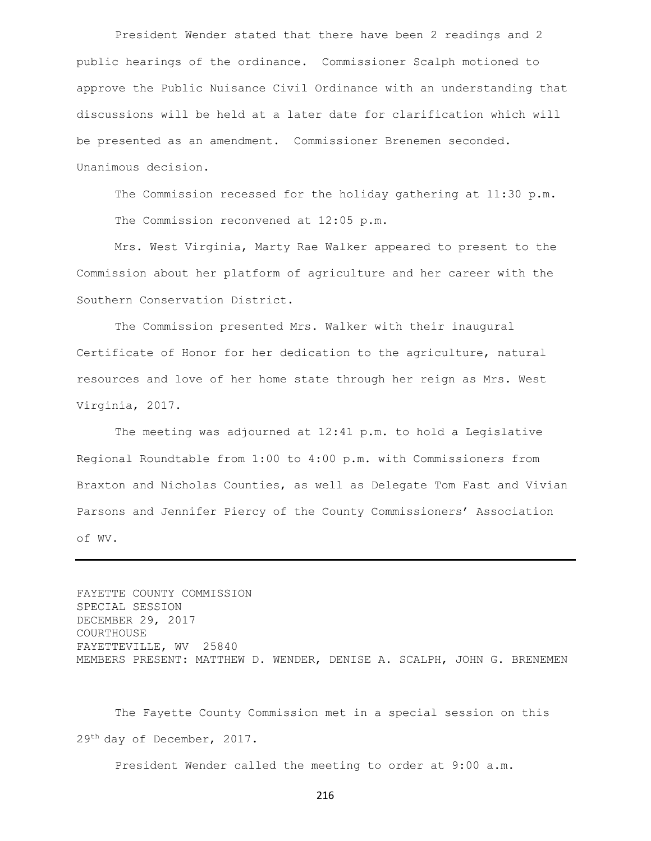President Wender stated that there have been 2 readings and 2 public hearings of the ordinance. Commissioner Scalph motioned to approve the Public Nuisance Civil Ordinance with an understanding that discussions will be held at a later date for clarification which will be presented as an amendment. Commissioner Brenemen seconded. Unanimous decision.

The Commission recessed for the holiday gathering at 11:30 p.m. The Commission reconvened at 12:05 p.m.

Mrs. West Virginia, Marty Rae Walker appeared to present to the Commission about her platform of agriculture and her career with the Southern Conservation District.

The Commission presented Mrs. Walker with their inaugural Certificate of Honor for her dedication to the agriculture, natural resources and love of her home state through her reign as Mrs. West Virginia, 2017.

The meeting was adjourned at 12:41 p.m. to hold a Legislative Regional Roundtable from 1:00 to 4:00 p.m. with Commissioners from Braxton and Nicholas Counties, as well as Delegate Tom Fast and Vivian Parsons and Jennifer Piercy of the County Commissioners' Association of WV.

FAYETTE COUNTY COMMISSION SPECIAL SESSION DECEMBER 29, 2017 COURTHOUSE FAYETTEVILLE, WV 25840 MEMBERS PRESENT: MATTHEW D. WENDER, DENISE A. SCALPH, JOHN G. BRENEMEN

The Fayette County Commission met in a special session on this 29th day of December, 2017.

President Wender called the meeting to order at 9:00 a.m.